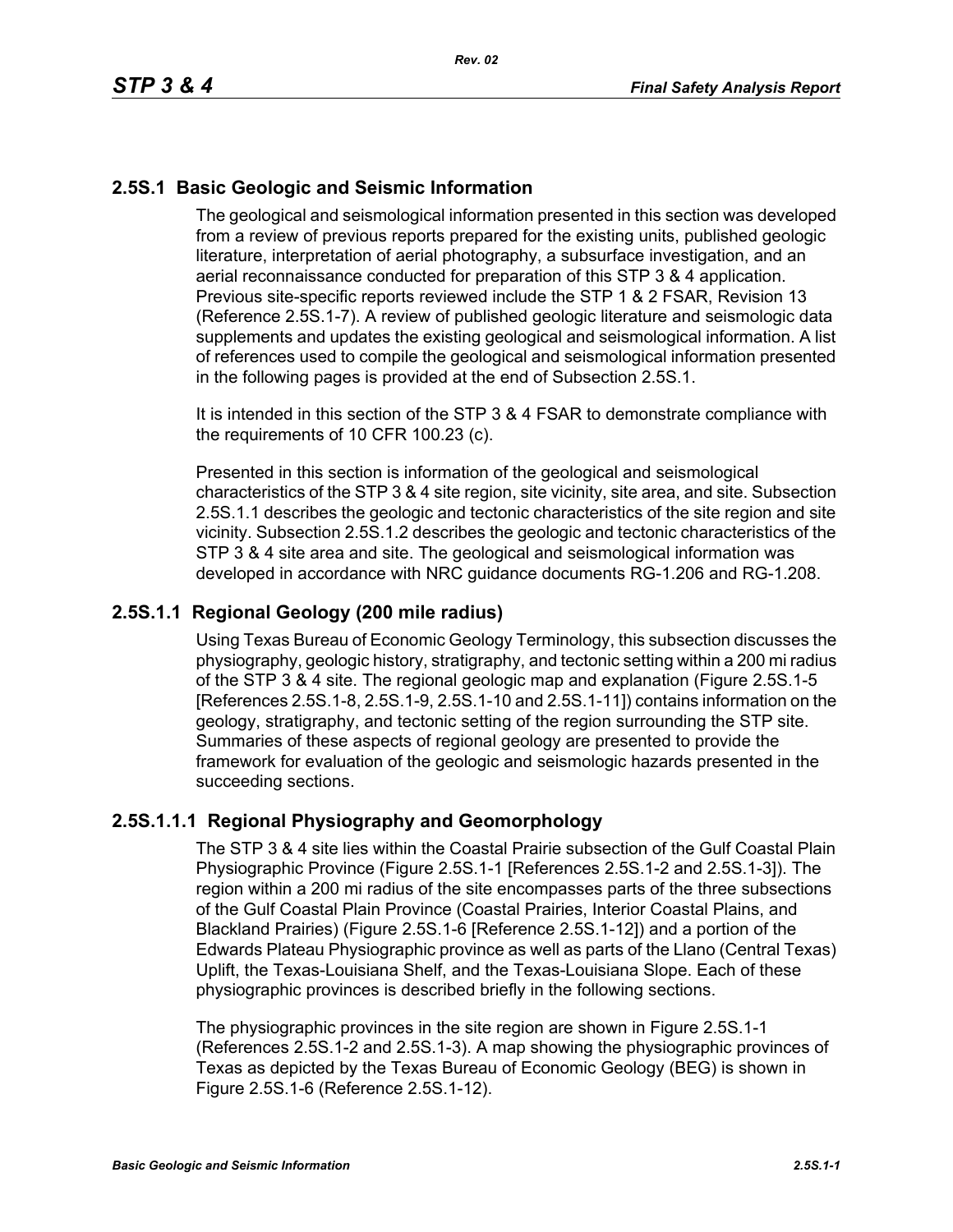## **2.5S.1 Basic Geologic and Seismic Information**

The geological and seismological information presented in this section was developed from a review of previous reports prepared for the existing units, published geologic literature, interpretation of aerial photography, a subsurface investigation, and an aerial reconnaissance conducted for preparation of this STP 3 & 4 application. Previous site-specific reports reviewed include the STP 1 & 2 FSAR, Revision 13 (Reference 2.5S.1-7). A review of published geologic literature and seismologic data supplements and updates the existing geological and seismological information. A list of references used to compile the geological and seismological information presented in the following pages is provided at the end of Subsection 2.5S.1.

It is intended in this section of the STP 3 & 4 FSAR to demonstrate compliance with the requirements of 10 CFR 100.23 (c).

Presented in this section is information of the geological and seismological characteristics of the STP 3 & 4 site region, site vicinity, site area, and site. Subsection 2.5S.1.1 describes the geologic and tectonic characteristics of the site region and site vicinity. Subsection 2.5S.1.2 describes the geologic and tectonic characteristics of the STP 3 & 4 site area and site. The geological and seismological information was developed in accordance with NRC guidance documents RG-1.206 and RG-1.208.

### **2.5S.1.1 Regional Geology (200 mile radius)**

Using Texas Bureau of Economic Geology Terminology, this subsection discusses the physiography, geologic history, stratigraphy, and tectonic setting within a 200 mi radius of the STP 3 & 4 site. The regional geologic map and explanation (Figure 2.5S.1-5 [References 2.5S.1-8, 2.5S.1-9, 2.5S.1-10 and 2.5S.1-11]) contains information on the geology, stratigraphy, and tectonic setting of the region surrounding the STP site. Summaries of these aspects of regional geology are presented to provide the framework for evaluation of the geologic and seismologic hazards presented in the succeeding sections.

## **2.5S.1.1.1 Regional Physiography and Geomorphology**

The STP 3 & 4 site lies within the Coastal Prairie subsection of the Gulf Coastal Plain Physiographic Province (Figure 2.5S.1-1 [References 2.5S.1-2 and 2.5S.1-3]). The region within a 200 mi radius of the site encompasses parts of the three subsections of the Gulf Coastal Plain Province (Coastal Prairies, Interior Coastal Plains, and Blackland Prairies) (Figure 2.5S.1-6 [Reference 2.5S.1-12]) and a portion of the Edwards Plateau Physiographic province as well as parts of the Llano (Central Texas) Uplift, the Texas-Louisiana Shelf, and the Texas-Louisiana Slope. Each of these physiographic provinces is described briefly in the following sections.

The physiographic provinces in the site region are shown in Figure 2.5S.1-1 (References 2.5S.1-2 and 2.5S.1-3). A map showing the physiographic provinces of Texas as depicted by the Texas Bureau of Economic Geology (BEG) is shown in Figure 2.5S.1-6 (Reference 2.5S.1-12).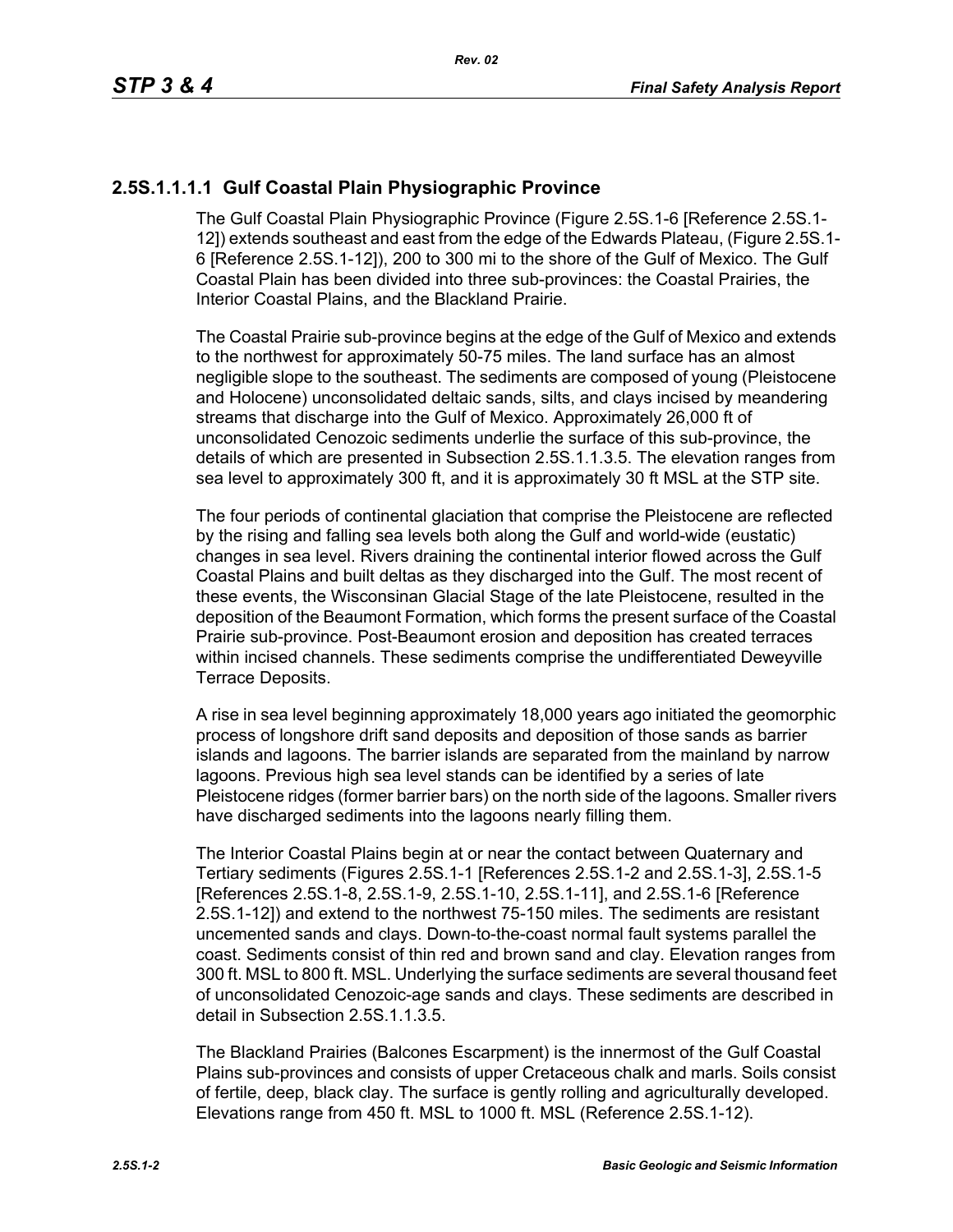## **2.5S.1.1.1.1 Gulf Coastal Plain Physiographic Province**

The Gulf Coastal Plain Physiographic Province (Figure 2.5S.1-6 [Reference 2.5S.1- 12]) extends southeast and east from the edge of the Edwards Plateau, (Figure 2.5S.1- 6 [Reference 2.5S.1-12]), 200 to 300 mi to the shore of the Gulf of Mexico. The Gulf Coastal Plain has been divided into three sub-provinces: the Coastal Prairies, the Interior Coastal Plains, and the Blackland Prairie.

The Coastal Prairie sub-province begins at the edge of the Gulf of Mexico and extends to the northwest for approximately 50-75 miles. The land surface has an almost negligible slope to the southeast. The sediments are composed of young (Pleistocene and Holocene) unconsolidated deltaic sands, silts, and clays incised by meandering streams that discharge into the Gulf of Mexico. Approximately 26,000 ft of unconsolidated Cenozoic sediments underlie the surface of this sub-province, the details of which are presented in Subsection 2.5S.1.1.3.5. The elevation ranges from sea level to approximately 300 ft, and it is approximately 30 ft MSL at the STP site.

The four periods of continental glaciation that comprise the Pleistocene are reflected by the rising and falling sea levels both along the Gulf and world-wide (eustatic) changes in sea level. Rivers draining the continental interior flowed across the Gulf Coastal Plains and built deltas as they discharged into the Gulf. The most recent of these events, the Wisconsinan Glacial Stage of the late Pleistocene, resulted in the deposition of the Beaumont Formation, which forms the present surface of the Coastal Prairie sub-province. Post-Beaumont erosion and deposition has created terraces within incised channels. These sediments comprise the undifferentiated Deweyville Terrace Deposits.

A rise in sea level beginning approximately 18,000 years ago initiated the geomorphic process of longshore drift sand deposits and deposition of those sands as barrier islands and lagoons. The barrier islands are separated from the mainland by narrow lagoons. Previous high sea level stands can be identified by a series of late Pleistocene ridges (former barrier bars) on the north side of the lagoons. Smaller rivers have discharged sediments into the lagoons nearly filling them.

The Interior Coastal Plains begin at or near the contact between Quaternary and Tertiary sediments (Figures 2.5S.1-1 [References 2.5S.1-2 and 2.5S.1-3], 2.5S.1-5 [References 2.5S.1-8, 2.5S.1-9, 2.5S.1-10, 2.5S.1-11], and 2.5S.1-6 [Reference 2.5S.1-12]) and extend to the northwest 75-150 miles. The sediments are resistant uncemented sands and clays. Down-to-the-coast normal fault systems parallel the coast. Sediments consist of thin red and brown sand and clay. Elevation ranges from 300 ft. MSL to 800 ft. MSL. Underlying the surface sediments are several thousand feet of unconsolidated Cenozoic-age sands and clays. These sediments are described in detail in Subsection 2.5S.1.1.3.5.

The Blackland Prairies (Balcones Escarpment) is the innermost of the Gulf Coastal Plains sub-provinces and consists of upper Cretaceous chalk and marls. Soils consist of fertile, deep, black clay. The surface is gently rolling and agriculturally developed. Elevations range from 450 ft. MSL to 1000 ft. MSL (Reference 2.5S.1-12).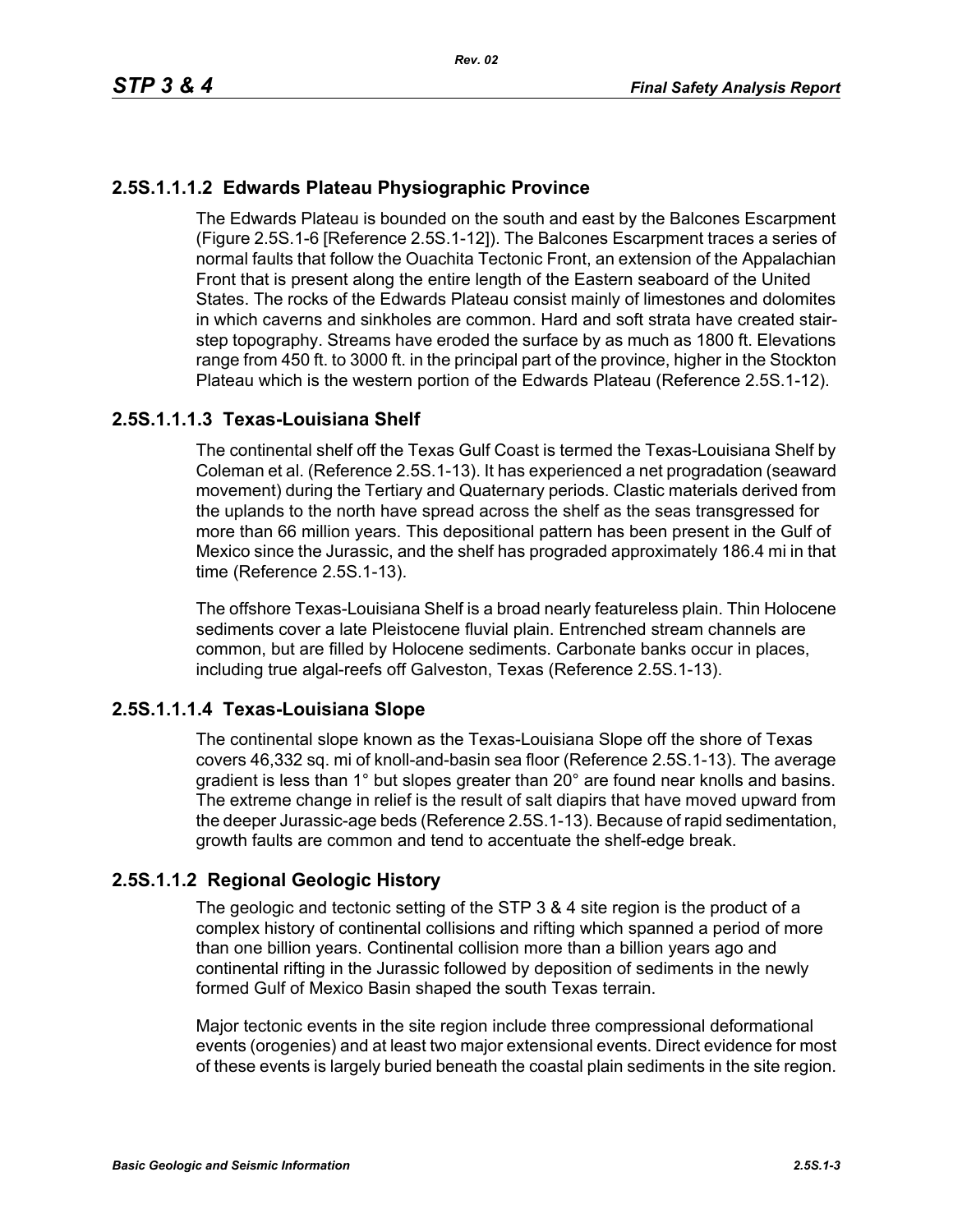## **2.5S.1.1.1.2 Edwards Plateau Physiographic Province**

The Edwards Plateau is bounded on the south and east by the Balcones Escarpment (Figure 2.5S.1-6 [Reference 2.5S.1-12]). The Balcones Escarpment traces a series of normal faults that follow the Ouachita Tectonic Front, an extension of the Appalachian Front that is present along the entire length of the Eastern seaboard of the United States. The rocks of the Edwards Plateau consist mainly of limestones and dolomites in which caverns and sinkholes are common. Hard and soft strata have created stairstep topography. Streams have eroded the surface by as much as 1800 ft. Elevations range from 450 ft. to 3000 ft. in the principal part of the province, higher in the Stockton Plateau which is the western portion of the Edwards Plateau (Reference 2.5S.1-12).

## **2.5S.1.1.1.3 Texas-Louisiana Shelf**

The continental shelf off the Texas Gulf Coast is termed the Texas-Louisiana Shelf by Coleman et al. (Reference 2.5S.1-13). It has experienced a net progradation (seaward movement) during the Tertiary and Quaternary periods. Clastic materials derived from the uplands to the north have spread across the shelf as the seas transgressed for more than 66 million years. This depositional pattern has been present in the Gulf of Mexico since the Jurassic, and the shelf has prograded approximately 186.4 mi in that time (Reference 2.5S.1-13).

The offshore Texas-Louisiana Shelf is a broad nearly featureless plain. Thin Holocene sediments cover a late Pleistocene fluvial plain. Entrenched stream channels are common, but are filled by Holocene sediments. Carbonate banks occur in places, including true algal-reefs off Galveston, Texas (Reference 2.5S.1-13).

## **2.5S.1.1.1.4 Texas-Louisiana Slope**

The continental slope known as the Texas-Louisiana Slope off the shore of Texas covers 46,332 sq. mi of knoll-and-basin sea floor (Reference 2.5S.1-13). The average gradient is less than 1° but slopes greater than 20° are found near knolls and basins. The extreme change in relief is the result of salt diapirs that have moved upward from the deeper Jurassic-age beds (Reference 2.5S.1-13). Because of rapid sedimentation, growth faults are common and tend to accentuate the shelf-edge break.

## **2.5S.1.1.2 Regional Geologic History**

The geologic and tectonic setting of the STP 3 & 4 site region is the product of a complex history of continental collisions and rifting which spanned a period of more than one billion years. Continental collision more than a billion years ago and continental rifting in the Jurassic followed by deposition of sediments in the newly formed Gulf of Mexico Basin shaped the south Texas terrain.

Major tectonic events in the site region include three compressional deformational events (orogenies) and at least two major extensional events. Direct evidence for most of these events is largely buried beneath the coastal plain sediments in the site region.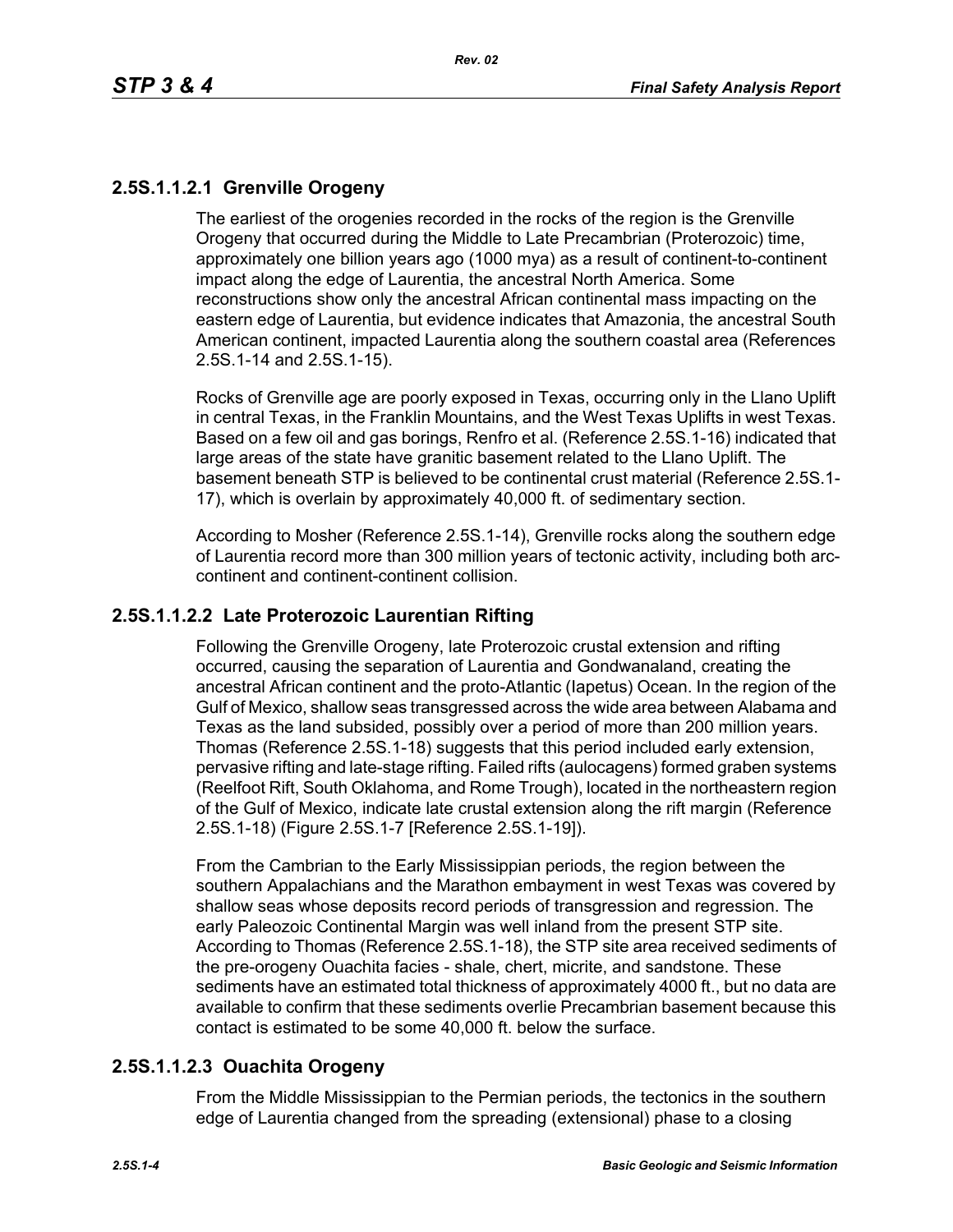## **2.5S.1.1.2.1 Grenville Orogeny**

The earliest of the orogenies recorded in the rocks of the region is the Grenville Orogeny that occurred during the Middle to Late Precambrian (Proterozoic) time, approximately one billion years ago (1000 mya) as a result of continent-to-continent impact along the edge of Laurentia, the ancestral North America. Some reconstructions show only the ancestral African continental mass impacting on the eastern edge of Laurentia, but evidence indicates that Amazonia, the ancestral South American continent, impacted Laurentia along the southern coastal area (References 2.5S.1-14 and 2.5S.1-15).

Rocks of Grenville age are poorly exposed in Texas, occurring only in the Llano Uplift in central Texas, in the Franklin Mountains, and the West Texas Uplifts in west Texas. Based on a few oil and gas borings, Renfro et al. (Reference 2.5S.1-16) indicated that large areas of the state have granitic basement related to the Llano Uplift. The basement beneath STP is believed to be continental crust material (Reference 2.5S.1- 17), which is overlain by approximately 40,000 ft. of sedimentary section.

According to Mosher (Reference 2.5S.1-14), Grenville rocks along the southern edge of Laurentia record more than 300 million years of tectonic activity, including both arccontinent and continent-continent collision.

### **2.5S.1.1.2.2 Late Proterozoic Laurentian Rifting**

Following the Grenville Orogeny, late Proterozoic crustal extension and rifting occurred, causing the separation of Laurentia and Gondwanaland, creating the ancestral African continent and the proto-Atlantic (Iapetus) Ocean. In the region of the Gulf of Mexico, shallow seas transgressed across the wide area between Alabama and Texas as the land subsided, possibly over a period of more than 200 million years. Thomas (Reference 2.5S.1-18) suggests that this period included early extension, pervasive rifting and late-stage rifting. Failed rifts (aulocagens) formed graben systems (Reelfoot Rift, South Oklahoma, and Rome Trough), located in the northeastern region of the Gulf of Mexico, indicate late crustal extension along the rift margin (Reference 2.5S.1-18) (Figure 2.5S.1-7 [Reference 2.5S.1-19]).

From the Cambrian to the Early Mississippian periods, the region between the southern Appalachians and the Marathon embayment in west Texas was covered by shallow seas whose deposits record periods of transgression and regression. The early Paleozoic Continental Margin was well inland from the present STP site. According to Thomas (Reference 2.5S.1-18), the STP site area received sediments of the pre-orogeny Ouachita facies - shale, chert, micrite, and sandstone. These sediments have an estimated total thickness of approximately 4000 ft., but no data are available to confirm that these sediments overlie Precambrian basement because this contact is estimated to be some 40,000 ft. below the surface.

## **2.5S.1.1.2.3 Ouachita Orogeny**

From the Middle Mississippian to the Permian periods, the tectonics in the southern edge of Laurentia changed from the spreading (extensional) phase to a closing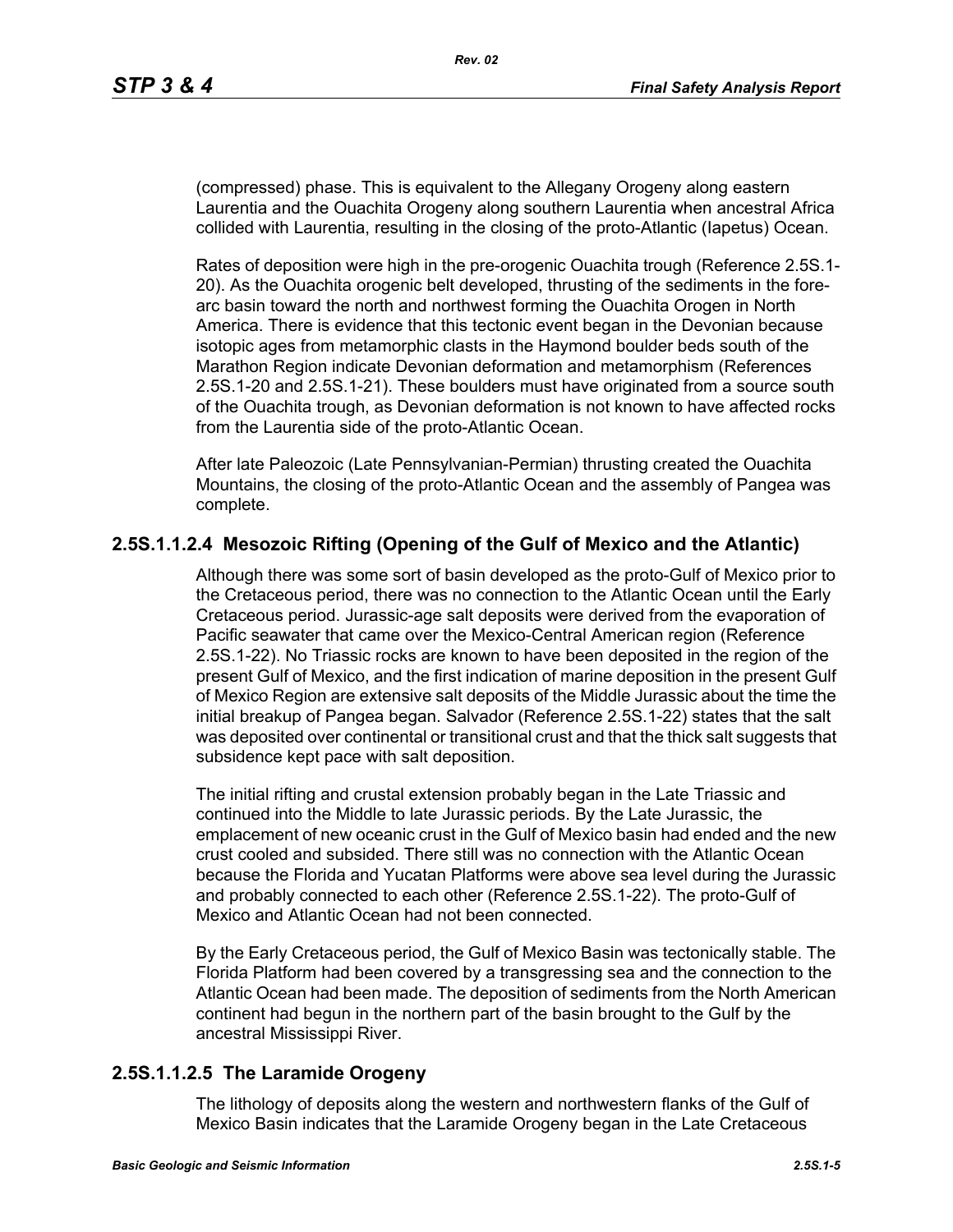(compressed) phase. This is equivalent to the Allegany Orogeny along eastern Laurentia and the Ouachita Orogeny along southern Laurentia when ancestral Africa collided with Laurentia, resulting in the closing of the proto-Atlantic (Iapetus) Ocean.

Rates of deposition were high in the pre-orogenic Ouachita trough (Reference 2.5S.1- 20). As the Ouachita orogenic belt developed, thrusting of the sediments in the forearc basin toward the north and northwest forming the Ouachita Orogen in North America. There is evidence that this tectonic event began in the Devonian because isotopic ages from metamorphic clasts in the Haymond boulder beds south of the Marathon Region indicate Devonian deformation and metamorphism (References 2.5S.1-20 and 2.5S.1-21). These boulders must have originated from a source south of the Ouachita trough, as Devonian deformation is not known to have affected rocks from the Laurentia side of the proto-Atlantic Ocean.

After late Paleozoic (Late Pennsylvanian-Permian) thrusting created the Ouachita Mountains, the closing of the proto-Atlantic Ocean and the assembly of Pangea was complete.

## **2.5S.1.1.2.4 Mesozoic Rifting (Opening of the Gulf of Mexico and the Atlantic)**

Although there was some sort of basin developed as the proto-Gulf of Mexico prior to the Cretaceous period, there was no connection to the Atlantic Ocean until the Early Cretaceous period. Jurassic-age salt deposits were derived from the evaporation of Pacific seawater that came over the Mexico-Central American region (Reference 2.5S.1-22). No Triassic rocks are known to have been deposited in the region of the present Gulf of Mexico, and the first indication of marine deposition in the present Gulf of Mexico Region are extensive salt deposits of the Middle Jurassic about the time the initial breakup of Pangea began. Salvador (Reference 2.5S.1-22) states that the salt was deposited over continental or transitional crust and that the thick salt suggests that subsidence kept pace with salt deposition.

The initial rifting and crustal extension probably began in the Late Triassic and continued into the Middle to late Jurassic periods. By the Late Jurassic, the emplacement of new oceanic crust in the Gulf of Mexico basin had ended and the new crust cooled and subsided. There still was no connection with the Atlantic Ocean because the Florida and Yucatan Platforms were above sea level during the Jurassic and probably connected to each other (Reference 2.5S.1-22). The proto-Gulf of Mexico and Atlantic Ocean had not been connected.

By the Early Cretaceous period, the Gulf of Mexico Basin was tectonically stable. The Florida Platform had been covered by a transgressing sea and the connection to the Atlantic Ocean had been made. The deposition of sediments from the North American continent had begun in the northern part of the basin brought to the Gulf by the ancestral Mississippi River.

### **2.5S.1.1.2.5 The Laramide Orogeny**

The lithology of deposits along the western and northwestern flanks of the Gulf of Mexico Basin indicates that the Laramide Orogeny began in the Late Cretaceous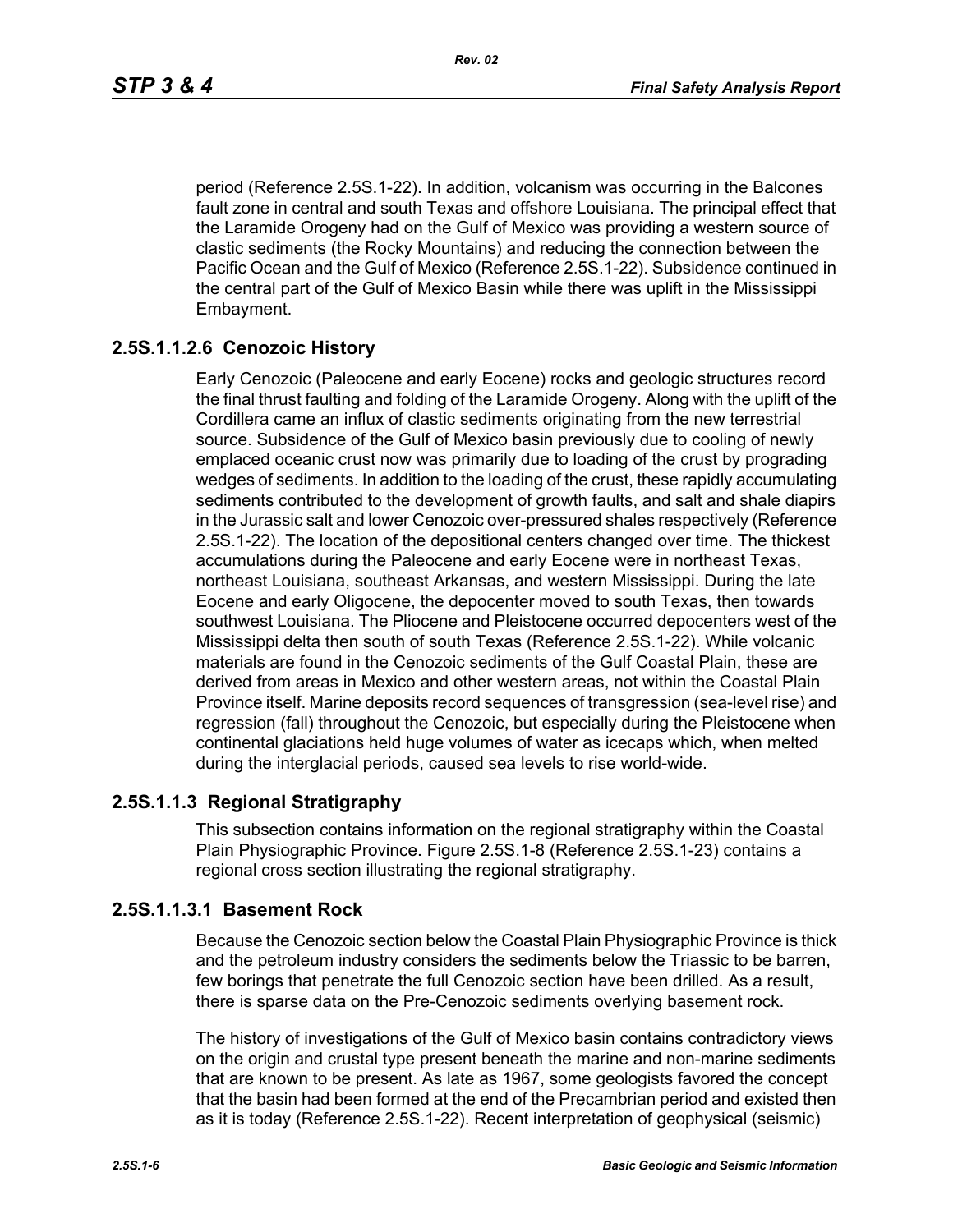period (Reference 2.5S.1-22). In addition, volcanism was occurring in the Balcones fault zone in central and south Texas and offshore Louisiana. The principal effect that the Laramide Orogeny had on the Gulf of Mexico was providing a western source of clastic sediments (the Rocky Mountains) and reducing the connection between the Pacific Ocean and the Gulf of Mexico (Reference 2.5S.1-22). Subsidence continued in the central part of the Gulf of Mexico Basin while there was uplift in the Mississippi Embayment.

## **2.5S.1.1.2.6 Cenozoic History**

Early Cenozoic (Paleocene and early Eocene) rocks and geologic structures record the final thrust faulting and folding of the Laramide Orogeny. Along with the uplift of the Cordillera came an influx of clastic sediments originating from the new terrestrial source. Subsidence of the Gulf of Mexico basin previously due to cooling of newly emplaced oceanic crust now was primarily due to loading of the crust by prograding wedges of sediments. In addition to the loading of the crust, these rapidly accumulating sediments contributed to the development of growth faults, and salt and shale diapirs in the Jurassic salt and lower Cenozoic over-pressured shales respectively (Reference 2.5S.1-22). The location of the depositional centers changed over time. The thickest accumulations during the Paleocene and early Eocene were in northeast Texas, northeast Louisiana, southeast Arkansas, and western Mississippi. During the late Eocene and early Oligocene, the depocenter moved to south Texas, then towards southwest Louisiana. The Pliocene and Pleistocene occurred depocenters west of the Mississippi delta then south of south Texas (Reference 2.5S.1-22). While volcanic materials are found in the Cenozoic sediments of the Gulf Coastal Plain, these are derived from areas in Mexico and other western areas, not within the Coastal Plain Province itself. Marine deposits record sequences of transgression (sea-level rise) and regression (fall) throughout the Cenozoic, but especially during the Pleistocene when continental glaciations held huge volumes of water as icecaps which, when melted during the interglacial periods, caused sea levels to rise world-wide.

## **2.5S.1.1.3 Regional Stratigraphy**

This subsection contains information on the regional stratigraphy within the Coastal Plain Physiographic Province. Figure 2.5S.1-8 (Reference 2.5S.1-23) contains a regional cross section illustrating the regional stratigraphy.

### **2.5S.1.1.3.1 Basement Rock**

Because the Cenozoic section below the Coastal Plain Physiographic Province is thick and the petroleum industry considers the sediments below the Triassic to be barren, few borings that penetrate the full Cenozoic section have been drilled. As a result, there is sparse data on the Pre-Cenozoic sediments overlying basement rock.

The history of investigations of the Gulf of Mexico basin contains contradictory views on the origin and crustal type present beneath the marine and non-marine sediments that are known to be present. As late as 1967, some geologists favored the concept that the basin had been formed at the end of the Precambrian period and existed then as it is today (Reference 2.5S.1-22). Recent interpretation of geophysical (seismic)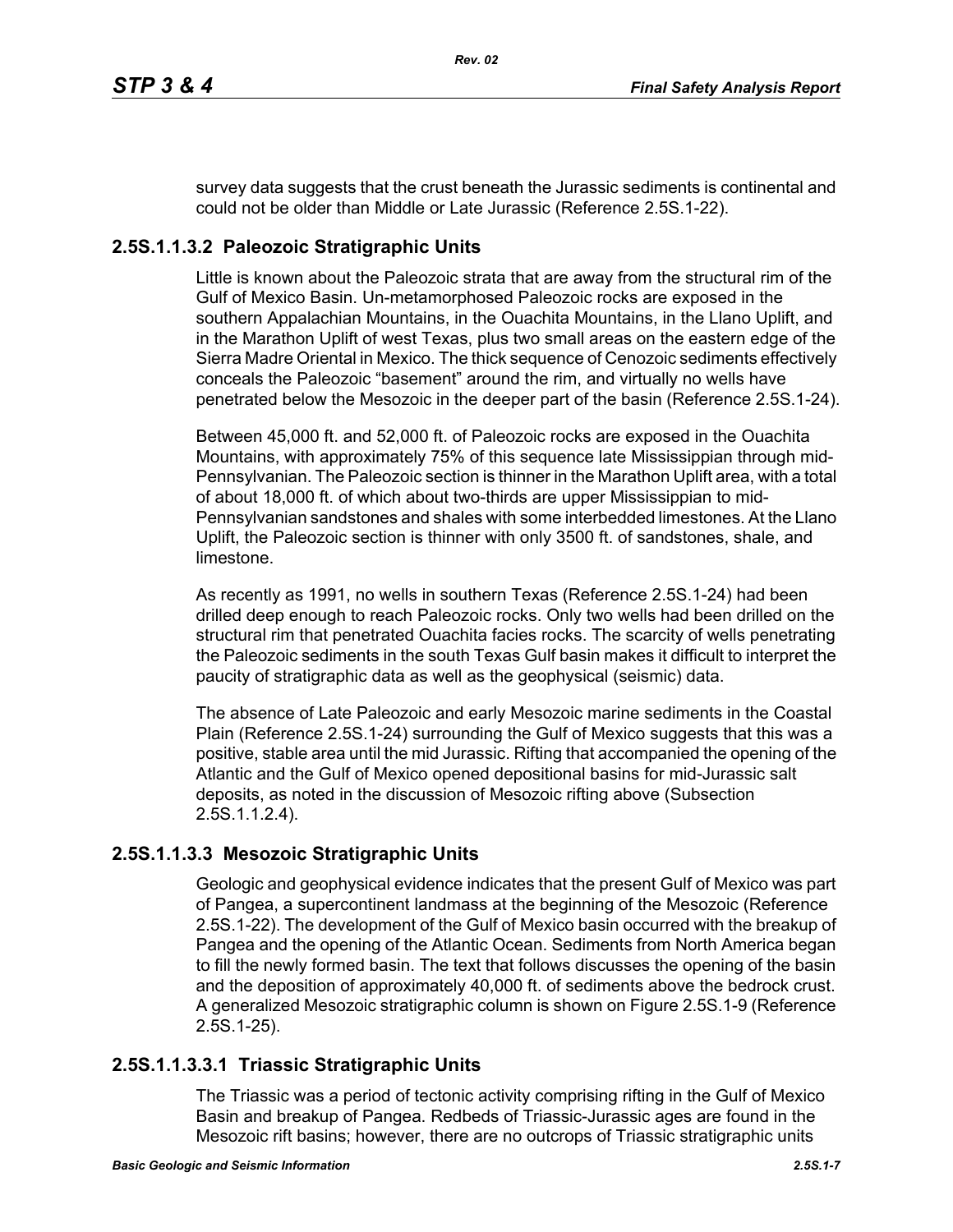survey data suggests that the crust beneath the Jurassic sediments is continental and could not be older than Middle or Late Jurassic (Reference 2.5S.1-22).

# **2.5S.1.1.3.2 Paleozoic Stratigraphic Units**

Little is known about the Paleozoic strata that are away from the structural rim of the Gulf of Mexico Basin. Un-metamorphosed Paleozoic rocks are exposed in the southern Appalachian Mountains, in the Ouachita Mountains, in the Llano Uplift, and in the Marathon Uplift of west Texas, plus two small areas on the eastern edge of the Sierra Madre Oriental in Mexico. The thick sequence of Cenozoic sediments effectively conceals the Paleozoic "basement" around the rim, and virtually no wells have penetrated below the Mesozoic in the deeper part of the basin (Reference 2.5S.1-24).

Between 45,000 ft. and 52,000 ft. of Paleozoic rocks are exposed in the Ouachita Mountains, with approximately 75% of this sequence late Mississippian through mid-Pennsylvanian. The Paleozoic section is thinner in the Marathon Uplift area, with a total of about 18,000 ft. of which about two-thirds are upper Mississippian to mid-Pennsylvanian sandstones and shales with some interbedded limestones. At the Llano Uplift, the Paleozoic section is thinner with only 3500 ft. of sandstones, shale, and limestone.

As recently as 1991, no wells in southern Texas (Reference 2.5S.1-24) had been drilled deep enough to reach Paleozoic rocks. Only two wells had been drilled on the structural rim that penetrated Ouachita facies rocks. The scarcity of wells penetrating the Paleozoic sediments in the south Texas Gulf basin makes it difficult to interpret the paucity of stratigraphic data as well as the geophysical (seismic) data.

The absence of Late Paleozoic and early Mesozoic marine sediments in the Coastal Plain (Reference 2.5S.1-24) surrounding the Gulf of Mexico suggests that this was a positive, stable area until the mid Jurassic. Rifting that accompanied the opening of the Atlantic and the Gulf of Mexico opened depositional basins for mid-Jurassic salt deposits, as noted in the discussion of Mesozoic rifting above (Subsection 2.5S.1.1.2.4).

# **2.5S.1.1.3.3 Mesozoic Stratigraphic Units**

Geologic and geophysical evidence indicates that the present Gulf of Mexico was part of Pangea, a supercontinent landmass at the beginning of the Mesozoic (Reference 2.5S.1-22). The development of the Gulf of Mexico basin occurred with the breakup of Pangea and the opening of the Atlantic Ocean. Sediments from North America began to fill the newly formed basin. The text that follows discusses the opening of the basin and the deposition of approximately 40,000 ft. of sediments above the bedrock crust. A generalized Mesozoic stratigraphic column is shown on Figure 2.5S.1-9 (Reference 2.5S.1-25).

# **2.5S.1.1.3.3.1 Triassic Stratigraphic Units**

The Triassic was a period of tectonic activity comprising rifting in the Gulf of Mexico Basin and breakup of Pangea. Redbeds of Triassic-Jurassic ages are found in the Mesozoic rift basins; however, there are no outcrops of Triassic stratigraphic units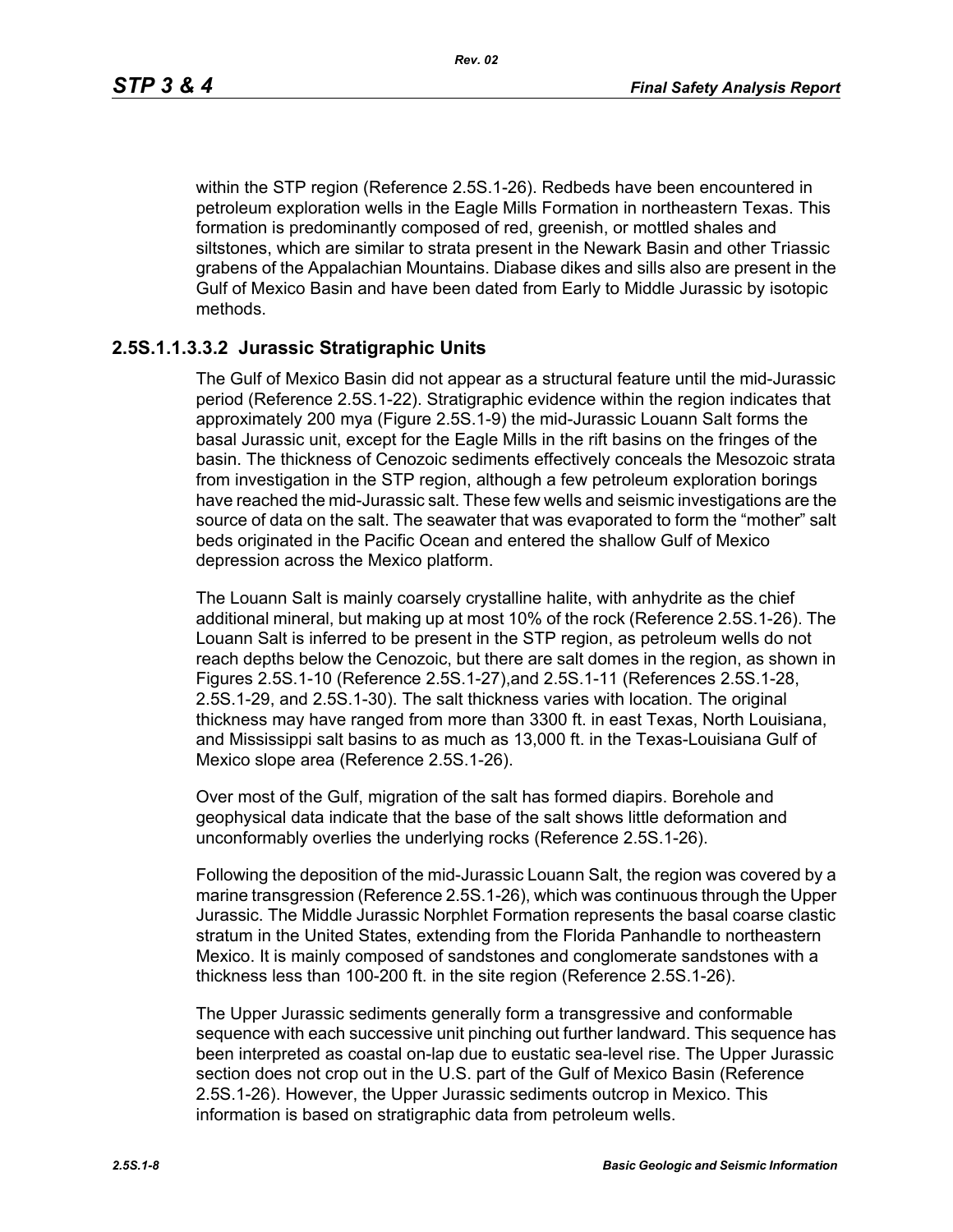within the STP region (Reference 2.5S.1-26). Redbeds have been encountered in petroleum exploration wells in the Eagle Mills Formation in northeastern Texas. This formation is predominantly composed of red, greenish, or mottled shales and siltstones, which are similar to strata present in the Newark Basin and other Triassic grabens of the Appalachian Mountains. Diabase dikes and sills also are present in the Gulf of Mexico Basin and have been dated from Early to Middle Jurassic by isotopic methods.

### **2.5S.1.1.3.3.2 Jurassic Stratigraphic Units**

The Gulf of Mexico Basin did not appear as a structural feature until the mid-Jurassic period (Reference 2.5S.1-22). Stratigraphic evidence within the region indicates that approximately 200 mya (Figure 2.5S.1-9) the mid-Jurassic Louann Salt forms the basal Jurassic unit, except for the Eagle Mills in the rift basins on the fringes of the basin. The thickness of Cenozoic sediments effectively conceals the Mesozoic strata from investigation in the STP region, although a few petroleum exploration borings have reached the mid-Jurassic salt. These few wells and seismic investigations are the source of data on the salt. The seawater that was evaporated to form the "mother" salt beds originated in the Pacific Ocean and entered the shallow Gulf of Mexico depression across the Mexico platform.

The Louann Salt is mainly coarsely crystalline halite, with anhydrite as the chief additional mineral, but making up at most 10% of the rock (Reference 2.5S.1-26). The Louann Salt is inferred to be present in the STP region, as petroleum wells do not reach depths below the Cenozoic, but there are salt domes in the region, as shown in Figures 2.5S.1-10 (Reference 2.5S.1-27),and 2.5S.1-11 (References 2.5S.1-28, 2.5S.1-29, and 2.5S.1-30). The salt thickness varies with location. The original thickness may have ranged from more than 3300 ft. in east Texas, North Louisiana, and Mississippi salt basins to as much as 13,000 ft. in the Texas-Louisiana Gulf of Mexico slope area (Reference 2.5S.1-26).

Over most of the Gulf, migration of the salt has formed diapirs. Borehole and geophysical data indicate that the base of the salt shows little deformation and unconformably overlies the underlying rocks (Reference 2.5S.1-26).

Following the deposition of the mid-Jurassic Louann Salt, the region was covered by a marine transgression (Reference 2.5S.1-26), which was continuous through the Upper Jurassic. The Middle Jurassic Norphlet Formation represents the basal coarse clastic stratum in the United States, extending from the Florida Panhandle to northeastern Mexico. It is mainly composed of sandstones and conglomerate sandstones with a thickness less than 100-200 ft. in the site region (Reference 2.5S.1-26).

The Upper Jurassic sediments generally form a transgressive and conformable sequence with each successive unit pinching out further landward. This sequence has been interpreted as coastal on-lap due to eustatic sea-level rise. The Upper Jurassic section does not crop out in the U.S. part of the Gulf of Mexico Basin (Reference 2.5S.1-26). However, the Upper Jurassic sediments outcrop in Mexico. This information is based on stratigraphic data from petroleum wells.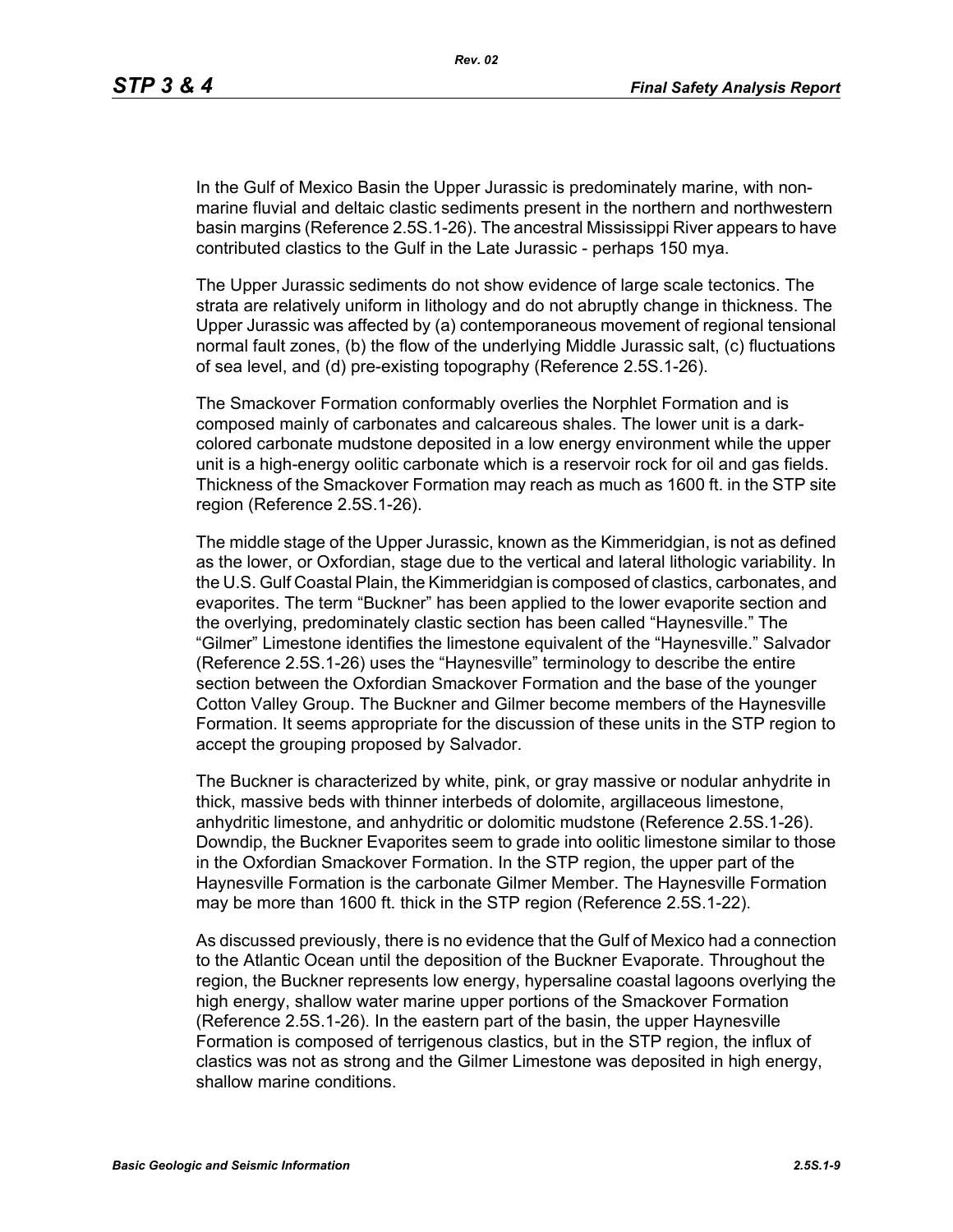In the Gulf of Mexico Basin the Upper Jurassic is predominately marine, with nonmarine fluvial and deltaic clastic sediments present in the northern and northwestern basin margins (Reference 2.5S.1-26). The ancestral Mississippi River appears to have contributed clastics to the Gulf in the Late Jurassic - perhaps 150 mya.

The Upper Jurassic sediments do not show evidence of large scale tectonics. The strata are relatively uniform in lithology and do not abruptly change in thickness. The Upper Jurassic was affected by (a) contemporaneous movement of regional tensional normal fault zones, (b) the flow of the underlying Middle Jurassic salt, (c) fluctuations of sea level, and (d) pre-existing topography (Reference 2.5S.1-26).

The Smackover Formation conformably overlies the Norphlet Formation and is composed mainly of carbonates and calcareous shales. The lower unit is a darkcolored carbonate mudstone deposited in a low energy environment while the upper unit is a high-energy oolitic carbonate which is a reservoir rock for oil and gas fields. Thickness of the Smackover Formation may reach as much as 1600 ft. in the STP site region (Reference 2.5S.1-26).

The middle stage of the Upper Jurassic, known as the Kimmeridgian, is not as defined as the lower, or Oxfordian, stage due to the vertical and lateral lithologic variability. In the U.S. Gulf Coastal Plain, the Kimmeridgian is composed of clastics, carbonates, and evaporites. The term "Buckner" has been applied to the lower evaporite section and the overlying, predominately clastic section has been called "Haynesville." The "Gilmer" Limestone identifies the limestone equivalent of the "Haynesville." Salvador (Reference 2.5S.1-26) uses the "Haynesville" terminology to describe the entire section between the Oxfordian Smackover Formation and the base of the younger Cotton Valley Group. The Buckner and Gilmer become members of the Haynesville Formation. It seems appropriate for the discussion of these units in the STP region to accept the grouping proposed by Salvador.

The Buckner is characterized by white, pink, or gray massive or nodular anhydrite in thick, massive beds with thinner interbeds of dolomite, argillaceous limestone, anhydritic limestone, and anhydritic or dolomitic mudstone (Reference 2.5S.1-26). Downdip, the Buckner Evaporites seem to grade into oolitic limestone similar to those in the Oxfordian Smackover Formation. In the STP region, the upper part of the Haynesville Formation is the carbonate Gilmer Member. The Haynesville Formation may be more than 1600 ft. thick in the STP region (Reference 2.5S.1-22).

As discussed previously, there is no evidence that the Gulf of Mexico had a connection to the Atlantic Ocean until the deposition of the Buckner Evaporate. Throughout the region, the Buckner represents low energy, hypersaline coastal lagoons overlying the high energy, shallow water marine upper portions of the Smackover Formation (Reference 2.5S.1-26). In the eastern part of the basin, the upper Haynesville Formation is composed of terrigenous clastics, but in the STP region, the influx of clastics was not as strong and the Gilmer Limestone was deposited in high energy, shallow marine conditions.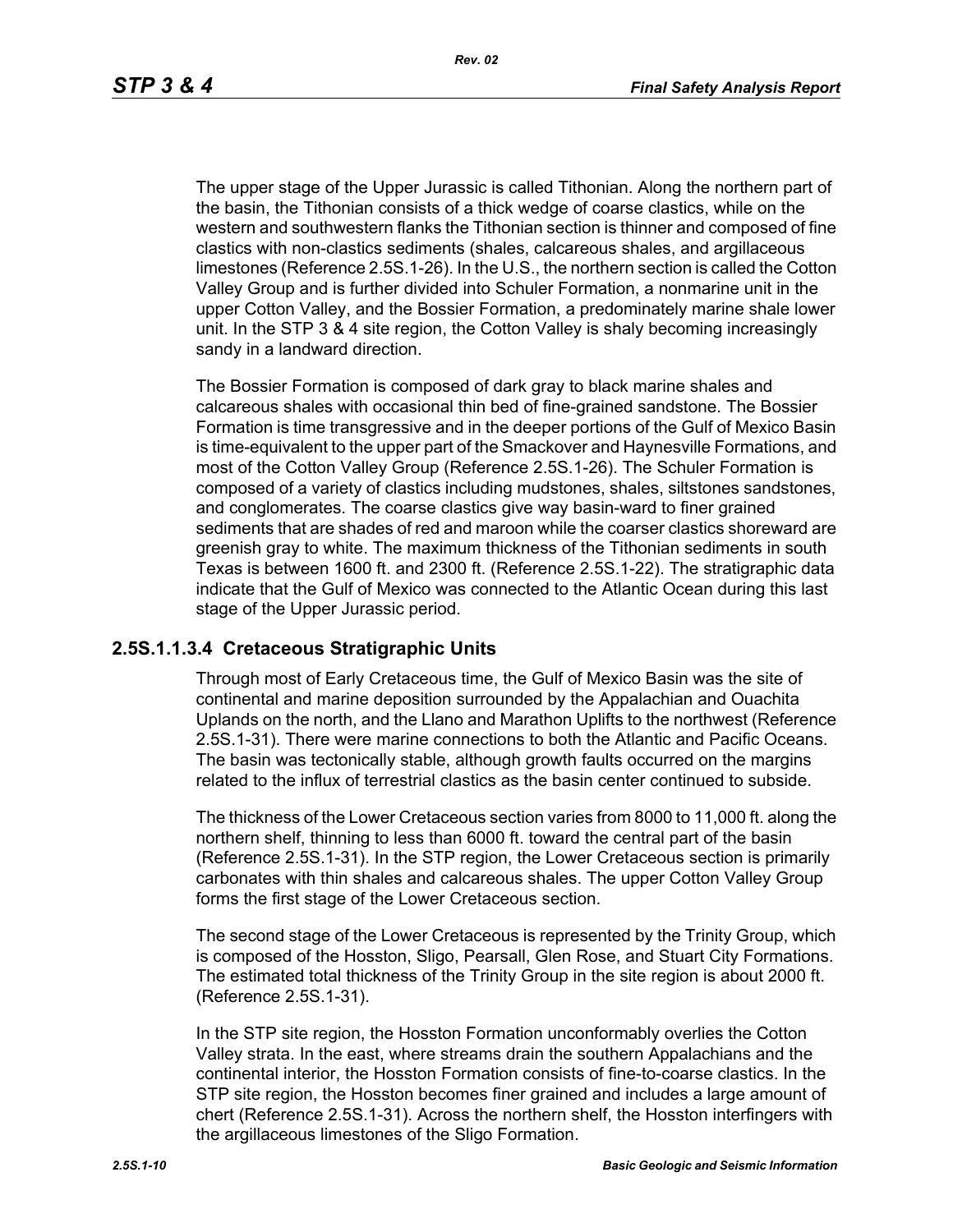*Rev. 02*

The upper stage of the Upper Jurassic is called Tithonian. Along the northern part of the basin, the Tithonian consists of a thick wedge of coarse clastics, while on the western and southwestern flanks the Tithonian section is thinner and composed of fine clastics with non-clastics sediments (shales, calcareous shales, and argillaceous limestones (Reference 2.5S.1-26). In the U.S., the northern section is called the Cotton Valley Group and is further divided into Schuler Formation, a nonmarine unit in the upper Cotton Valley, and the Bossier Formation, a predominately marine shale lower unit. In the STP 3 & 4 site region, the Cotton Valley is shaly becoming increasingly sandy in a landward direction.

The Bossier Formation is composed of dark gray to black marine shales and calcareous shales with occasional thin bed of fine-grained sandstone. The Bossier Formation is time transgressive and in the deeper portions of the Gulf of Mexico Basin is time-equivalent to the upper part of the Smackover and Haynesville Formations, and most of the Cotton Valley Group (Reference 2.5S.1-26). The Schuler Formation is composed of a variety of clastics including mudstones, shales, siltstones sandstones, and conglomerates. The coarse clastics give way basin-ward to finer grained sediments that are shades of red and maroon while the coarser clastics shoreward are greenish gray to white. The maximum thickness of the Tithonian sediments in south Texas is between 1600 ft. and 2300 ft. (Reference 2.5S.1-22). The stratigraphic data indicate that the Gulf of Mexico was connected to the Atlantic Ocean during this last stage of the Upper Jurassic period.

## **2.5S.1.1.3.4 Cretaceous Stratigraphic Units**

Through most of Early Cretaceous time, the Gulf of Mexico Basin was the site of continental and marine deposition surrounded by the Appalachian and Ouachita Uplands on the north, and the Llano and Marathon Uplifts to the northwest (Reference 2.5S.1-31). There were marine connections to both the Atlantic and Pacific Oceans. The basin was tectonically stable, although growth faults occurred on the margins related to the influx of terrestrial clastics as the basin center continued to subside.

The thickness of the Lower Cretaceous section varies from 8000 to 11,000 ft. along the northern shelf, thinning to less than 6000 ft. toward the central part of the basin (Reference 2.5S.1-31). In the STP region, the Lower Cretaceous section is primarily carbonates with thin shales and calcareous shales. The upper Cotton Valley Group forms the first stage of the Lower Cretaceous section.

The second stage of the Lower Cretaceous is represented by the Trinity Group, which is composed of the Hosston, Sligo, Pearsall, Glen Rose, and Stuart City Formations. The estimated total thickness of the Trinity Group in the site region is about 2000 ft. (Reference 2.5S.1-31).

In the STP site region, the Hosston Formation unconformably overlies the Cotton Valley strata. In the east, where streams drain the southern Appalachians and the continental interior, the Hosston Formation consists of fine-to-coarse clastics. In the STP site region, the Hosston becomes finer grained and includes a large amount of chert (Reference 2.5S.1-31). Across the northern shelf, the Hosston interfingers with the argillaceous limestones of the Sligo Formation.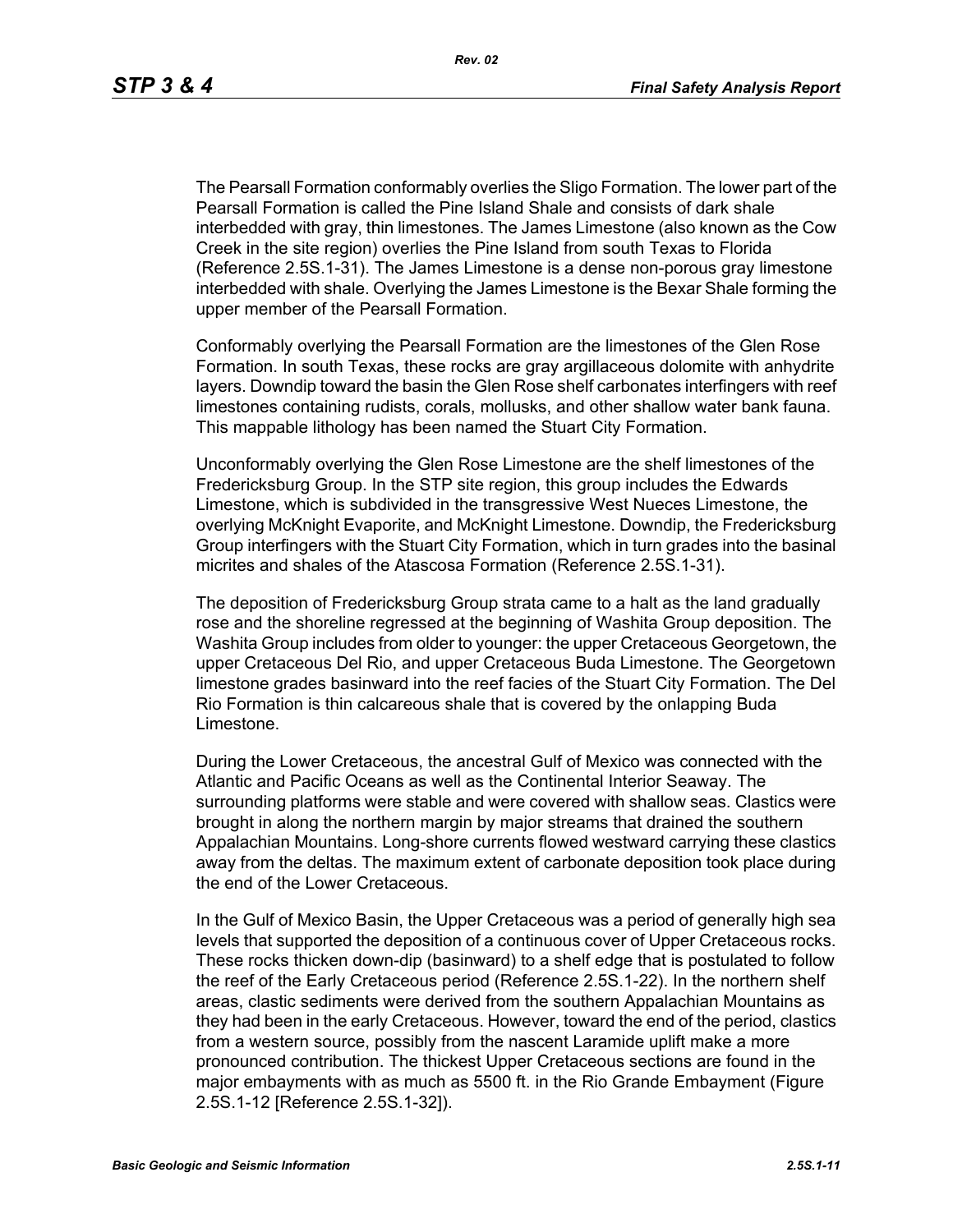The Pearsall Formation conformably overlies the Sligo Formation. The lower part of the Pearsall Formation is called the Pine Island Shale and consists of dark shale interbedded with gray, thin limestones. The James Limestone (also known as the Cow Creek in the site region) overlies the Pine Island from south Texas to Florida (Reference 2.5S.1-31). The James Limestone is a dense non-porous gray limestone interbedded with shale. Overlying the James Limestone is the Bexar Shale forming the upper member of the Pearsall Formation.

Conformably overlying the Pearsall Formation are the limestones of the Glen Rose Formation. In south Texas, these rocks are gray argillaceous dolomite with anhydrite layers. Downdip toward the basin the Glen Rose shelf carbonates interfingers with reef limestones containing rudists, corals, mollusks, and other shallow water bank fauna. This mappable lithology has been named the Stuart City Formation.

Unconformably overlying the Glen Rose Limestone are the shelf limestones of the Fredericksburg Group. In the STP site region, this group includes the Edwards Limestone, which is subdivided in the transgressive West Nueces Limestone, the overlying McKnight Evaporite, and McKnight Limestone. Downdip, the Fredericksburg Group interfingers with the Stuart City Formation, which in turn grades into the basinal micrites and shales of the Atascosa Formation (Reference 2.5S.1-31).

The deposition of Fredericksburg Group strata came to a halt as the land gradually rose and the shoreline regressed at the beginning of Washita Group deposition. The Washita Group includes from older to younger: the upper Cretaceous Georgetown, the upper Cretaceous Del Rio, and upper Cretaceous Buda Limestone. The Georgetown limestone grades basinward into the reef facies of the Stuart City Formation. The Del Rio Formation is thin calcareous shale that is covered by the onlapping Buda Limestone.

During the Lower Cretaceous, the ancestral Gulf of Mexico was connected with the Atlantic and Pacific Oceans as well as the Continental Interior Seaway. The surrounding platforms were stable and were covered with shallow seas. Clastics were brought in along the northern margin by major streams that drained the southern Appalachian Mountains. Long-shore currents flowed westward carrying these clastics away from the deltas. The maximum extent of carbonate deposition took place during the end of the Lower Cretaceous.

In the Gulf of Mexico Basin, the Upper Cretaceous was a period of generally high sea levels that supported the deposition of a continuous cover of Upper Cretaceous rocks. These rocks thicken down-dip (basinward) to a shelf edge that is postulated to follow the reef of the Early Cretaceous period (Reference 2.5S.1-22). In the northern shelf areas, clastic sediments were derived from the southern Appalachian Mountains as they had been in the early Cretaceous. However, toward the end of the period, clastics from a western source, possibly from the nascent Laramide uplift make a more pronounced contribution. The thickest Upper Cretaceous sections are found in the major embayments with as much as 5500 ft. in the Rio Grande Embayment (Figure 2.5S.1-12 [Reference 2.5S.1-32]).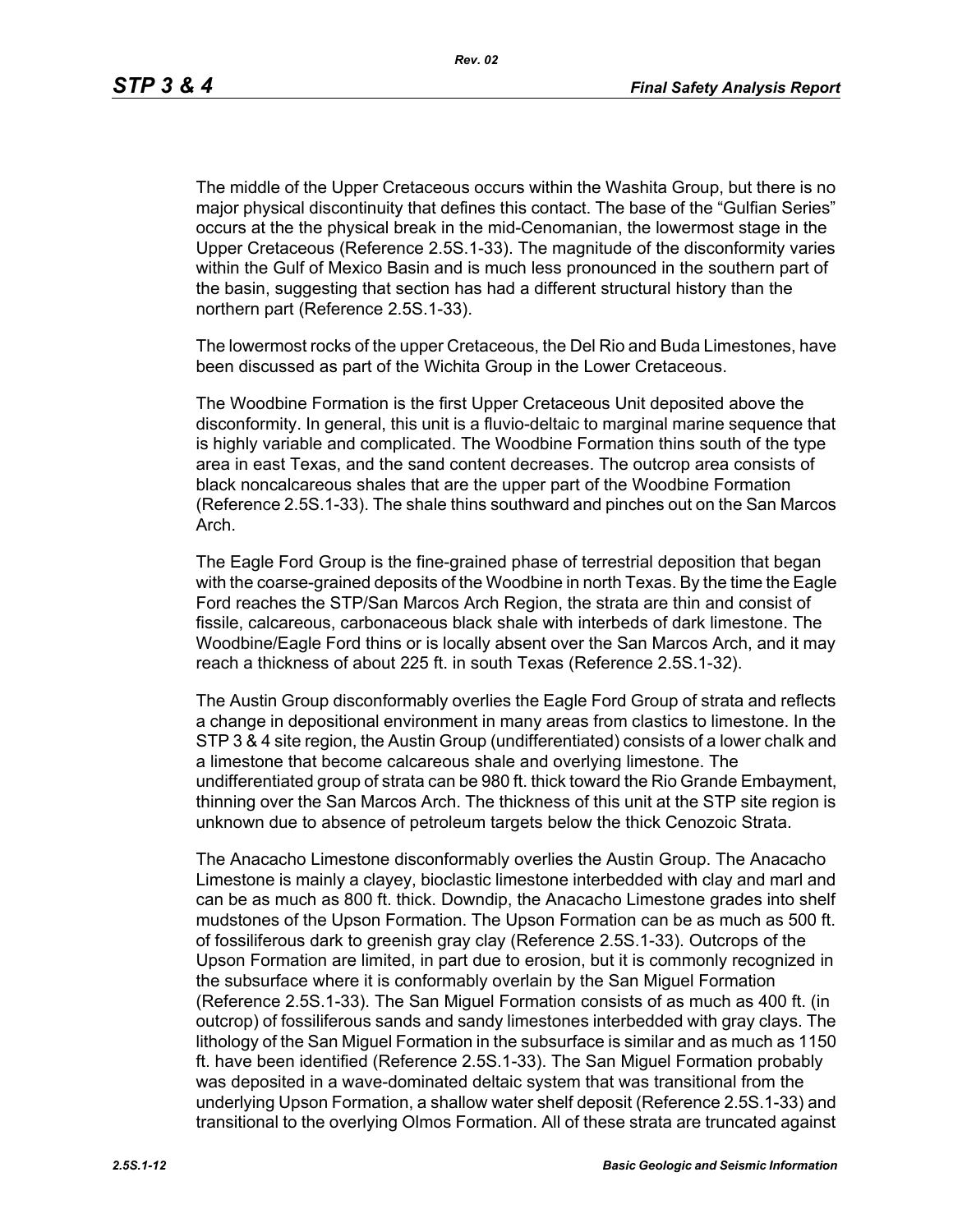The middle of the Upper Cretaceous occurs within the Washita Group, but there is no major physical discontinuity that defines this contact. The base of the "Gulfian Series" occurs at the the physical break in the mid-Cenomanian, the lowermost stage in the Upper Cretaceous (Reference 2.5S.1-33). The magnitude of the disconformity varies within the Gulf of Mexico Basin and is much less pronounced in the southern part of the basin, suggesting that section has had a different structural history than the northern part (Reference 2.5S.1-33).

The lowermost rocks of the upper Cretaceous, the Del Rio and Buda Limestones, have been discussed as part of the Wichita Group in the Lower Cretaceous.

The Woodbine Formation is the first Upper Cretaceous Unit deposited above the disconformity. In general, this unit is a fluvio-deltaic to marginal marine sequence that is highly variable and complicated. The Woodbine Formation thins south of the type area in east Texas, and the sand content decreases. The outcrop area consists of black noncalcareous shales that are the upper part of the Woodbine Formation (Reference 2.5S.1-33). The shale thins southward and pinches out on the San Marcos Arch.

The Eagle Ford Group is the fine-grained phase of terrestrial deposition that began with the coarse-grained deposits of the Woodbine in north Texas. By the time the Eagle Ford reaches the STP/San Marcos Arch Region, the strata are thin and consist of fissile, calcareous, carbonaceous black shale with interbeds of dark limestone. The Woodbine/Eagle Ford thins or is locally absent over the San Marcos Arch, and it may reach a thickness of about 225 ft. in south Texas (Reference 2.5S.1-32).

The Austin Group disconformably overlies the Eagle Ford Group of strata and reflects a change in depositional environment in many areas from clastics to limestone. In the STP 3 & 4 site region, the Austin Group (undifferentiated) consists of a lower chalk and a limestone that become calcareous shale and overlying limestone. The undifferentiated group of strata can be 980 ft. thick toward the Rio Grande Embayment, thinning over the San Marcos Arch. The thickness of this unit at the STP site region is unknown due to absence of petroleum targets below the thick Cenozoic Strata.

The Anacacho Limestone disconformably overlies the Austin Group. The Anacacho Limestone is mainly a clayey, bioclastic limestone interbedded with clay and marl and can be as much as 800 ft. thick. Downdip, the Anacacho Limestone grades into shelf mudstones of the Upson Formation. The Upson Formation can be as much as 500 ft. of fossiliferous dark to greenish gray clay (Reference 2.5S.1-33). Outcrops of the Upson Formation are limited, in part due to erosion, but it is commonly recognized in the subsurface where it is conformably overlain by the San Miguel Formation (Reference 2.5S.1-33). The San Miguel Formation consists of as much as 400 ft. (in outcrop) of fossiliferous sands and sandy limestones interbedded with gray clays. The lithology of the San Miguel Formation in the subsurface is similar and as much as 1150 ft. have been identified (Reference 2.5S.1-33). The San Miguel Formation probably was deposited in a wave-dominated deltaic system that was transitional from the underlying Upson Formation, a shallow water shelf deposit (Reference 2.5S.1-33) and transitional to the overlying Olmos Formation. All of these strata are truncated against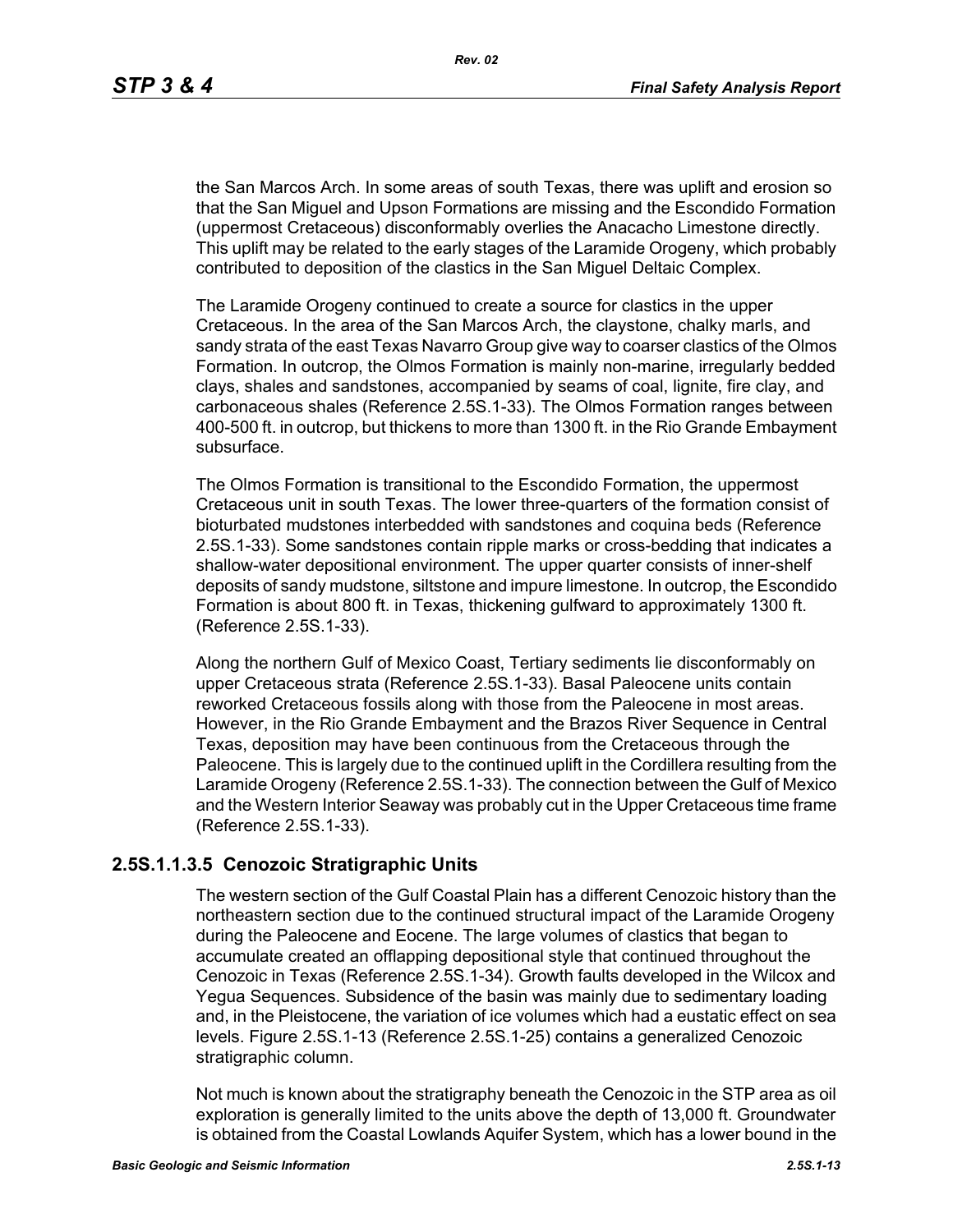the San Marcos Arch. In some areas of south Texas, there was uplift and erosion so that the San Miguel and Upson Formations are missing and the Escondido Formation (uppermost Cretaceous) disconformably overlies the Anacacho Limestone directly. This uplift may be related to the early stages of the Laramide Orogeny, which probably contributed to deposition of the clastics in the San Miguel Deltaic Complex.

The Laramide Orogeny continued to create a source for clastics in the upper Cretaceous. In the area of the San Marcos Arch, the claystone, chalky marls, and sandy strata of the east Texas Navarro Group give way to coarser clastics of the Olmos Formation. In outcrop, the Olmos Formation is mainly non-marine, irregularly bedded clays, shales and sandstones, accompanied by seams of coal, lignite, fire clay, and carbonaceous shales (Reference 2.5S.1-33). The Olmos Formation ranges between 400-500 ft. in outcrop, but thickens to more than 1300 ft. in the Rio Grande Embayment subsurface.

The Olmos Formation is transitional to the Escondido Formation, the uppermost Cretaceous unit in south Texas. The lower three-quarters of the formation consist of bioturbated mudstones interbedded with sandstones and coquina beds (Reference 2.5S.1-33). Some sandstones contain ripple marks or cross-bedding that indicates a shallow-water depositional environment. The upper quarter consists of inner-shelf deposits of sandy mudstone, siltstone and impure limestone. In outcrop, the Escondido Formation is about 800 ft. in Texas, thickening gulfward to approximately 1300 ft. (Reference 2.5S.1-33).

Along the northern Gulf of Mexico Coast, Tertiary sediments lie disconformably on upper Cretaceous strata (Reference 2.5S.1-33). Basal Paleocene units contain reworked Cretaceous fossils along with those from the Paleocene in most areas. However, in the Rio Grande Embayment and the Brazos River Sequence in Central Texas, deposition may have been continuous from the Cretaceous through the Paleocene. This is largely due to the continued uplift in the Cordillera resulting from the Laramide Orogeny (Reference 2.5S.1-33). The connection between the Gulf of Mexico and the Western Interior Seaway was probably cut in the Upper Cretaceous time frame (Reference 2.5S.1-33).

### **2.5S.1.1.3.5 Cenozoic Stratigraphic Units**

The western section of the Gulf Coastal Plain has a different Cenozoic history than the northeastern section due to the continued structural impact of the Laramide Orogeny during the Paleocene and Eocene. The large volumes of clastics that began to accumulate created an offlapping depositional style that continued throughout the Cenozoic in Texas (Reference 2.5S.1-34). Growth faults developed in the Wilcox and Yegua Sequences. Subsidence of the basin was mainly due to sedimentary loading and, in the Pleistocene, the variation of ice volumes which had a eustatic effect on sea levels. Figure 2.5S.1-13 (Reference 2.5S.1-25) contains a generalized Cenozoic stratigraphic column.

Not much is known about the stratigraphy beneath the Cenozoic in the STP area as oil exploration is generally limited to the units above the depth of 13,000 ft. Groundwater is obtained from the Coastal Lowlands Aquifer System, which has a lower bound in the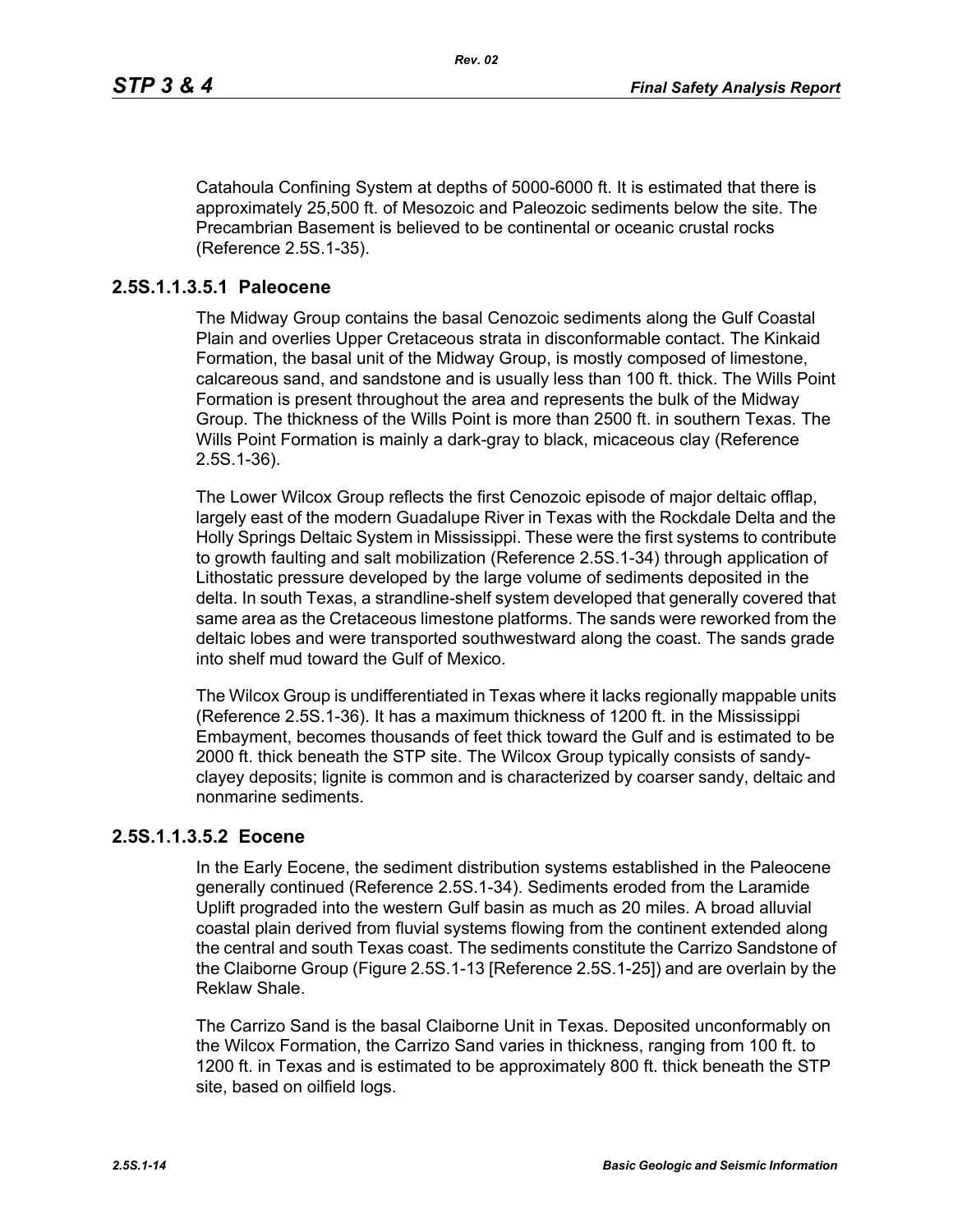Catahoula Confining System at depths of 5000-6000 ft. It is estimated that there is approximately 25,500 ft. of Mesozoic and Paleozoic sediments below the site. The Precambrian Basement is believed to be continental or oceanic crustal rocks (Reference 2.5S.1-35).

## **2.5S.1.1.3.5.1 Paleocene**

The Midway Group contains the basal Cenozoic sediments along the Gulf Coastal Plain and overlies Upper Cretaceous strata in disconformable contact. The Kinkaid Formation, the basal unit of the Midway Group, is mostly composed of limestone, calcareous sand, and sandstone and is usually less than 100 ft. thick. The Wills Point Formation is present throughout the area and represents the bulk of the Midway Group. The thickness of the Wills Point is more than 2500 ft. in southern Texas. The Wills Point Formation is mainly a dark-gray to black, micaceous clay (Reference 2.5S.1-36).

The Lower Wilcox Group reflects the first Cenozoic episode of major deltaic offlap, largely east of the modern Guadalupe River in Texas with the Rockdale Delta and the Holly Springs Deltaic System in Mississippi. These were the first systems to contribute to growth faulting and salt mobilization (Reference 2.5S.1-34) through application of Lithostatic pressure developed by the large volume of sediments deposited in the delta. In south Texas, a strandline-shelf system developed that generally covered that same area as the Cretaceous limestone platforms. The sands were reworked from the deltaic lobes and were transported southwestward along the coast. The sands grade into shelf mud toward the Gulf of Mexico.

The Wilcox Group is undifferentiated in Texas where it lacks regionally mappable units (Reference 2.5S.1-36). It has a maximum thickness of 1200 ft. in the Mississippi Embayment, becomes thousands of feet thick toward the Gulf and is estimated to be 2000 ft. thick beneath the STP site. The Wilcox Group typically consists of sandyclayey deposits; lignite is common and is characterized by coarser sandy, deltaic and nonmarine sediments.

## **2.5S.1.1.3.5.2 Eocene**

In the Early Eocene, the sediment distribution systems established in the Paleocene generally continued (Reference 2.5S.1-34). Sediments eroded from the Laramide Uplift prograded into the western Gulf basin as much as 20 miles. A broad alluvial coastal plain derived from fluvial systems flowing from the continent extended along the central and south Texas coast. The sediments constitute the Carrizo Sandstone of the Claiborne Group (Figure 2.5S.1-13 [Reference 2.5S.1-25]) and are overlain by the Reklaw Shale.

The Carrizo Sand is the basal Claiborne Unit in Texas. Deposited unconformably on the Wilcox Formation, the Carrizo Sand varies in thickness, ranging from 100 ft. to 1200 ft. in Texas and is estimated to be approximately 800 ft. thick beneath the STP site, based on oilfield logs.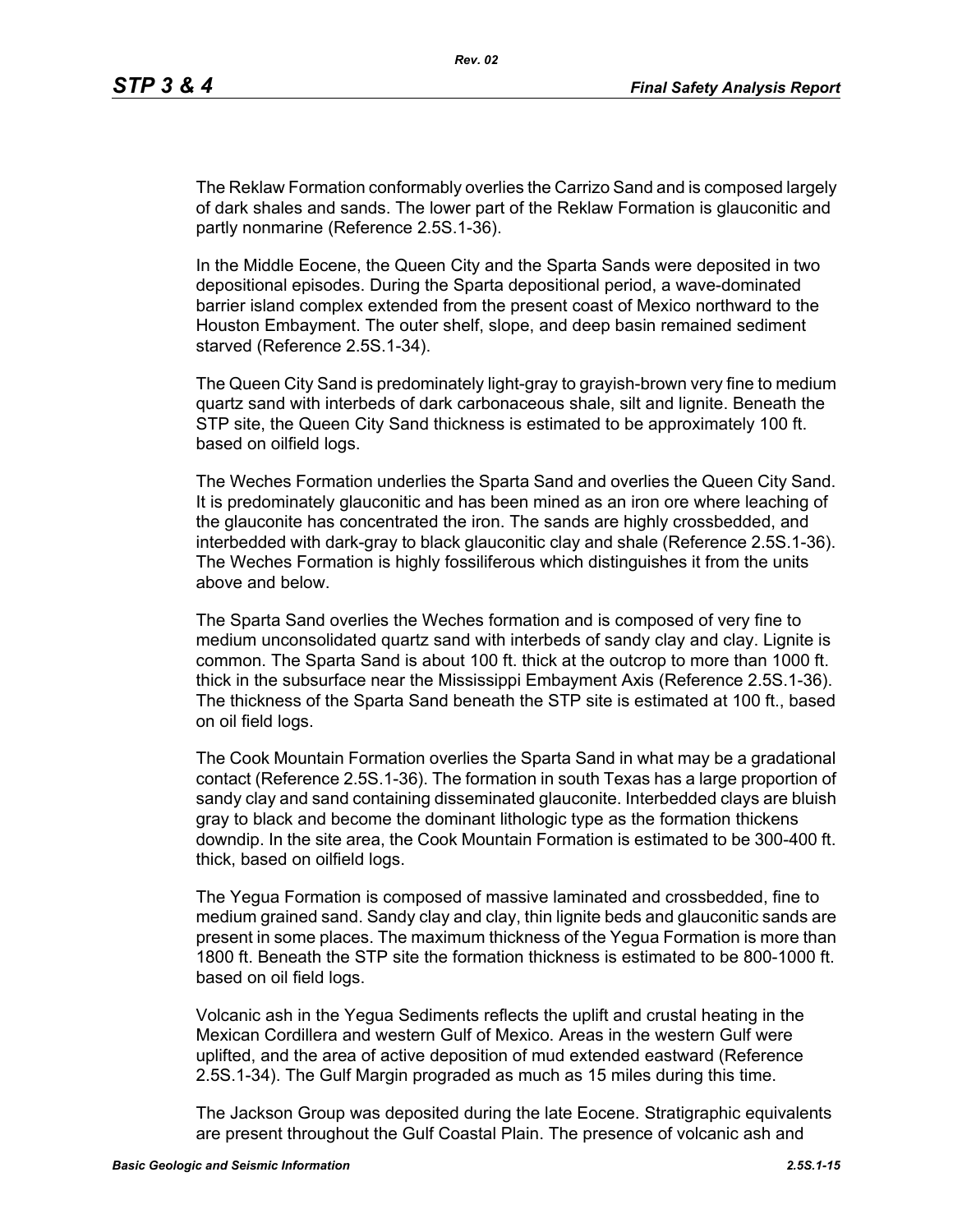The Reklaw Formation conformably overlies the Carrizo Sand and is composed largely of dark shales and sands. The lower part of the Reklaw Formation is glauconitic and partly nonmarine (Reference 2.5S.1-36).

In the Middle Eocene, the Queen City and the Sparta Sands were deposited in two depositional episodes. During the Sparta depositional period, a wave-dominated barrier island complex extended from the present coast of Mexico northward to the Houston Embayment. The outer shelf, slope, and deep basin remained sediment starved (Reference 2.5S.1-34).

The Queen City Sand is predominately light-gray to grayish-brown very fine to medium quartz sand with interbeds of dark carbonaceous shale, silt and lignite. Beneath the STP site, the Queen City Sand thickness is estimated to be approximately 100 ft. based on oilfield logs.

The Weches Formation underlies the Sparta Sand and overlies the Queen City Sand. It is predominately glauconitic and has been mined as an iron ore where leaching of the glauconite has concentrated the iron. The sands are highly crossbedded, and interbedded with dark-gray to black glauconitic clay and shale (Reference 2.5S.1-36). The Weches Formation is highly fossiliferous which distinguishes it from the units above and below.

The Sparta Sand overlies the Weches formation and is composed of very fine to medium unconsolidated quartz sand with interbeds of sandy clay and clay. Lignite is common. The Sparta Sand is about 100 ft. thick at the outcrop to more than 1000 ft. thick in the subsurface near the Mississippi Embayment Axis (Reference 2.5S.1-36). The thickness of the Sparta Sand beneath the STP site is estimated at 100 ft., based on oil field logs.

The Cook Mountain Formation overlies the Sparta Sand in what may be a gradational contact (Reference 2.5S.1-36). The formation in south Texas has a large proportion of sandy clay and sand containing disseminated glauconite. Interbedded clays are bluish gray to black and become the dominant lithologic type as the formation thickens downdip. In the site area, the Cook Mountain Formation is estimated to be 300-400 ft. thick, based on oilfield logs.

The Yegua Formation is composed of massive laminated and crossbedded, fine to medium grained sand. Sandy clay and clay, thin lignite beds and glauconitic sands are present in some places. The maximum thickness of the Yegua Formation is more than 1800 ft. Beneath the STP site the formation thickness is estimated to be 800-1000 ft. based on oil field logs.

Volcanic ash in the Yegua Sediments reflects the uplift and crustal heating in the Mexican Cordillera and western Gulf of Mexico. Areas in the western Gulf were uplifted, and the area of active deposition of mud extended eastward (Reference 2.5S.1-34). The Gulf Margin prograded as much as 15 miles during this time.

The Jackson Group was deposited during the late Eocene. Stratigraphic equivalents are present throughout the Gulf Coastal Plain. The presence of volcanic ash and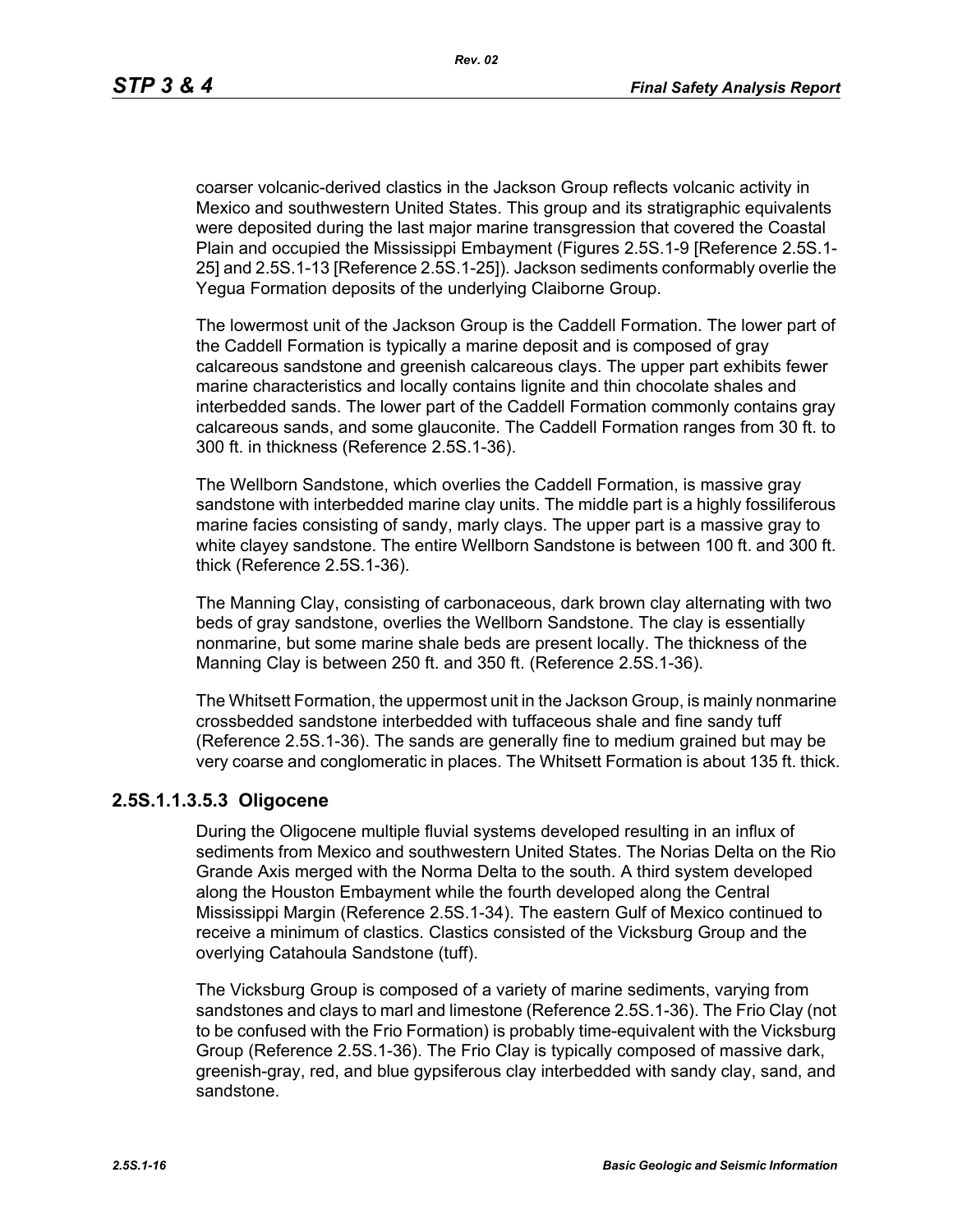*Rev. 02*

coarser volcanic-derived clastics in the Jackson Group reflects volcanic activity in Mexico and southwestern United States. This group and its stratigraphic equivalents were deposited during the last major marine transgression that covered the Coastal Plain and occupied the Mississippi Embayment (Figures 2.5S.1-9 [Reference 2.5S.1- 25] and 2.5S.1-13 [Reference 2.5S.1-25]). Jackson sediments conformably overlie the Yegua Formation deposits of the underlying Claiborne Group.

The lowermost unit of the Jackson Group is the Caddell Formation. The lower part of the Caddell Formation is typically a marine deposit and is composed of gray calcareous sandstone and greenish calcareous clays. The upper part exhibits fewer marine characteristics and locally contains lignite and thin chocolate shales and interbedded sands. The lower part of the Caddell Formation commonly contains gray calcareous sands, and some glauconite. The Caddell Formation ranges from 30 ft. to 300 ft. in thickness (Reference 2.5S.1-36).

The Wellborn Sandstone, which overlies the Caddell Formation, is massive gray sandstone with interbedded marine clay units. The middle part is a highly fossiliferous marine facies consisting of sandy, marly clays. The upper part is a massive gray to white clayey sandstone. The entire Wellborn Sandstone is between 100 ft. and 300 ft. thick (Reference 2.5S.1-36).

The Manning Clay, consisting of carbonaceous, dark brown clay alternating with two beds of gray sandstone, overlies the Wellborn Sandstone. The clay is essentially nonmarine, but some marine shale beds are present locally. The thickness of the Manning Clay is between 250 ft. and 350 ft. (Reference 2.5S.1-36).

The Whitsett Formation, the uppermost unit in the Jackson Group, is mainly nonmarine crossbedded sandstone interbedded with tuffaceous shale and fine sandy tuff (Reference 2.5S.1-36). The sands are generally fine to medium grained but may be very coarse and conglomeratic in places. The Whitsett Formation is about 135 ft. thick.

### **2.5S.1.1.3.5.3 Oligocene**

During the Oligocene multiple fluvial systems developed resulting in an influx of sediments from Mexico and southwestern United States. The Norias Delta on the Rio Grande Axis merged with the Norma Delta to the south. A third system developed along the Houston Embayment while the fourth developed along the Central Mississippi Margin (Reference 2.5S.1-34). The eastern Gulf of Mexico continued to receive a minimum of clastics. Clastics consisted of the Vicksburg Group and the overlying Catahoula Sandstone (tuff).

The Vicksburg Group is composed of a variety of marine sediments, varying from sandstones and clays to marl and limestone (Reference 2.5S.1-36). The Frio Clay (not to be confused with the Frio Formation) is probably time-equivalent with the Vicksburg Group (Reference 2.5S.1-36). The Frio Clay is typically composed of massive dark, greenish-gray, red, and blue gypsiferous clay interbedded with sandy clay, sand, and sandstone.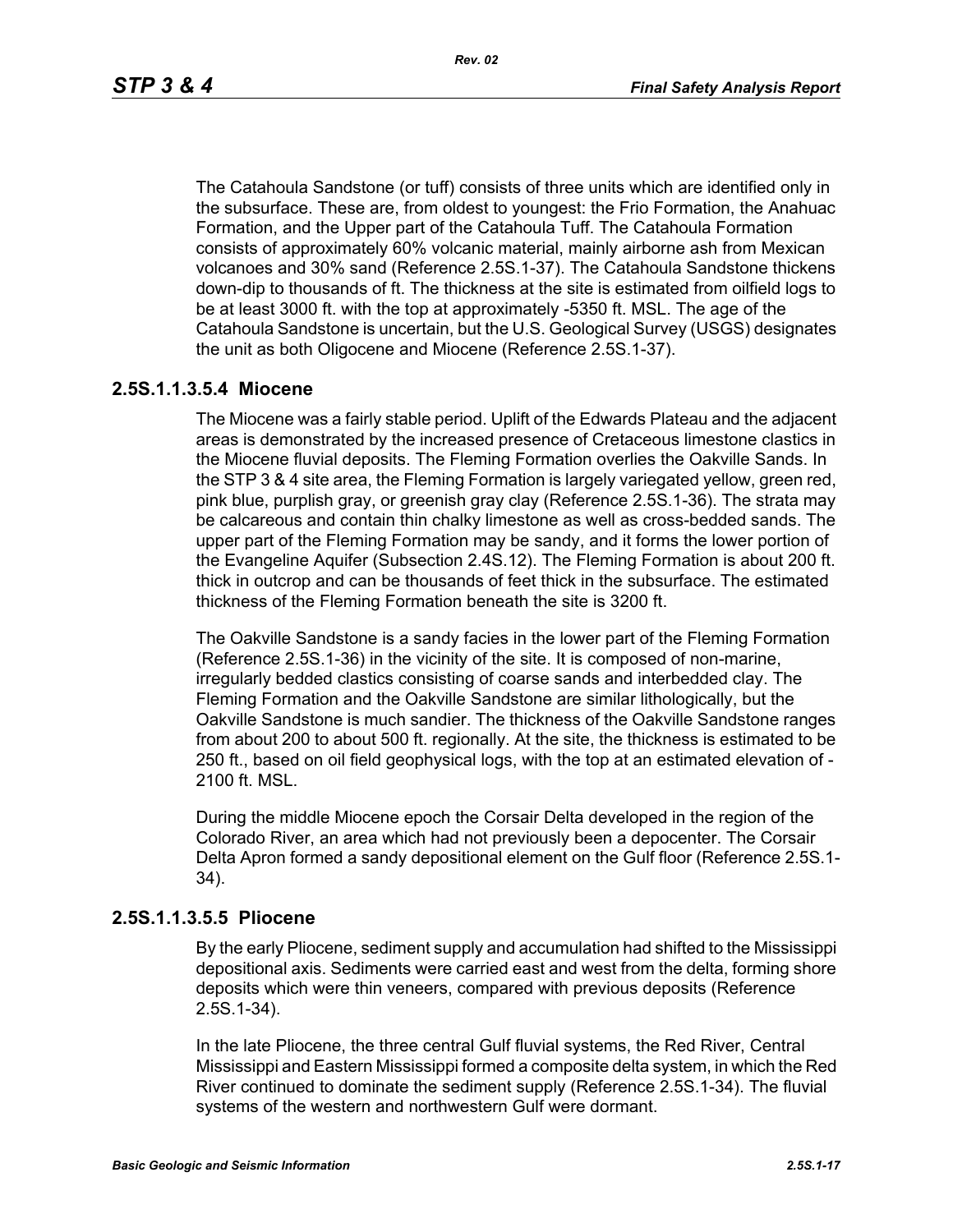The Catahoula Sandstone (or tuff) consists of three units which are identified only in the subsurface. These are, from oldest to youngest: the Frio Formation, the Anahuac Formation, and the Upper part of the Catahoula Tuff. The Catahoula Formation consists of approximately 60% volcanic material, mainly airborne ash from Mexican volcanoes and 30% sand (Reference 2.5S.1-37). The Catahoula Sandstone thickens down-dip to thousands of ft. The thickness at the site is estimated from oilfield logs to be at least 3000 ft. with the top at approximately -5350 ft. MSL. The age of the Catahoula Sandstone is uncertain, but the U.S. Geological Survey (USGS) designates the unit as both Oligocene and Miocene (Reference 2.5S.1-37).

### **2.5S.1.1.3.5.4 Miocene**

The Miocene was a fairly stable period. Uplift of the Edwards Plateau and the adjacent areas is demonstrated by the increased presence of Cretaceous limestone clastics in the Miocene fluvial deposits. The Fleming Formation overlies the Oakville Sands. In the STP 3 & 4 site area, the Fleming Formation is largely variegated yellow, green red, pink blue, purplish gray, or greenish gray clay (Reference 2.5S.1-36). The strata may be calcareous and contain thin chalky limestone as well as cross-bedded sands. The upper part of the Fleming Formation may be sandy, and it forms the lower portion of the Evangeline Aquifer (Subsection 2.4S.12). The Fleming Formation is about 200 ft. thick in outcrop and can be thousands of feet thick in the subsurface. The estimated thickness of the Fleming Formation beneath the site is 3200 ft.

The Oakville Sandstone is a sandy facies in the lower part of the Fleming Formation (Reference 2.5S.1-36) in the vicinity of the site. It is composed of non-marine, irregularly bedded clastics consisting of coarse sands and interbedded clay. The Fleming Formation and the Oakville Sandstone are similar lithologically, but the Oakville Sandstone is much sandier. The thickness of the Oakville Sandstone ranges from about 200 to about 500 ft. regionally. At the site, the thickness is estimated to be 250 ft., based on oil field geophysical logs, with the top at an estimated elevation of - 2100 ft. MSL.

During the middle Miocene epoch the Corsair Delta developed in the region of the Colorado River, an area which had not previously been a depocenter. The Corsair Delta Apron formed a sandy depositional element on the Gulf floor (Reference 2.5S.1- 34).

#### **2.5S.1.1.3.5.5 Pliocene**

By the early Pliocene, sediment supply and accumulation had shifted to the Mississippi depositional axis. Sediments were carried east and west from the delta, forming shore deposits which were thin veneers, compared with previous deposits (Reference 2.5S.1-34).

In the late Pliocene, the three central Gulf fluvial systems, the Red River, Central Mississippi and Eastern Mississippi formed a composite delta system, in which the Red River continued to dominate the sediment supply (Reference 2.5S.1-34). The fluvial systems of the western and northwestern Gulf were dormant.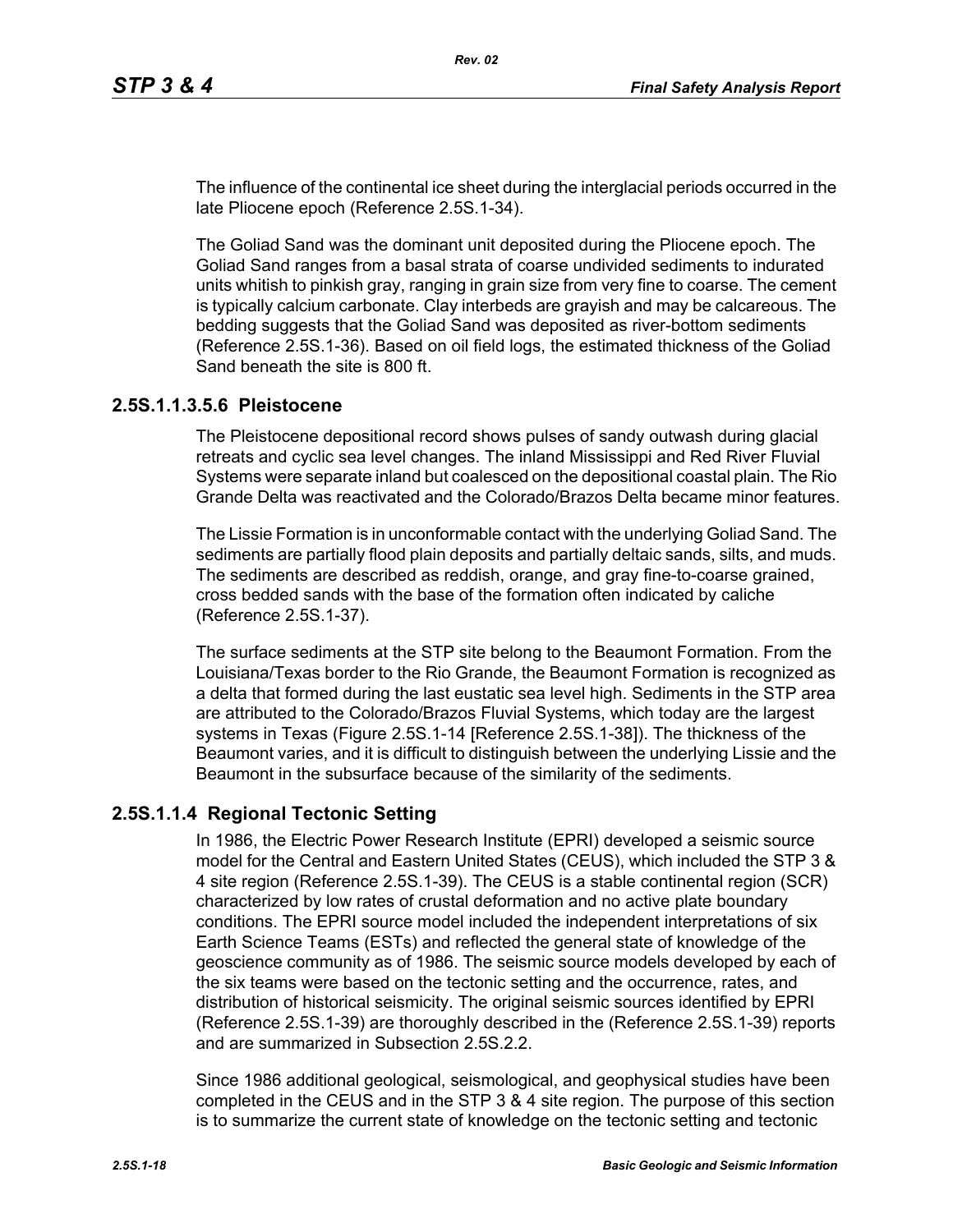The influence of the continental ice sheet during the interglacial periods occurred in the late Pliocene epoch (Reference 2.5S.1-34).

The Goliad Sand was the dominant unit deposited during the Pliocene epoch. The Goliad Sand ranges from a basal strata of coarse undivided sediments to indurated units whitish to pinkish gray, ranging in grain size from very fine to coarse. The cement is typically calcium carbonate. Clay interbeds are grayish and may be calcareous. The bedding suggests that the Goliad Sand was deposited as river-bottom sediments (Reference 2.5S.1-36). Based on oil field logs, the estimated thickness of the Goliad Sand beneath the site is 800 ft.

### **2.5S.1.1.3.5.6 Pleistocene**

The Pleistocene depositional record shows pulses of sandy outwash during glacial retreats and cyclic sea level changes. The inland Mississippi and Red River Fluvial Systems were separate inland but coalesced on the depositional coastal plain. The Rio Grande Delta was reactivated and the Colorado/Brazos Delta became minor features.

The Lissie Formation is in unconformable contact with the underlying Goliad Sand. The sediments are partially flood plain deposits and partially deltaic sands, silts, and muds. The sediments are described as reddish, orange, and gray fine-to-coarse grained, cross bedded sands with the base of the formation often indicated by caliche (Reference 2.5S.1-37).

The surface sediments at the STP site belong to the Beaumont Formation. From the Louisiana/Texas border to the Rio Grande, the Beaumont Formation is recognized as a delta that formed during the last eustatic sea level high. Sediments in the STP area are attributed to the Colorado/Brazos Fluvial Systems, which today are the largest systems in Texas (Figure 2.5S.1-14 [Reference 2.5S.1-38]). The thickness of the Beaumont varies, and it is difficult to distinguish between the underlying Lissie and the Beaumont in the subsurface because of the similarity of the sediments.

### **2.5S.1.1.4 Regional Tectonic Setting**

In 1986, the Electric Power Research Institute (EPRI) developed a seismic source model for the Central and Eastern United States (CEUS), which included the STP 3 & 4 site region (Reference 2.5S.1-39). The CEUS is a stable continental region (SCR) characterized by low rates of crustal deformation and no active plate boundary conditions. The EPRI source model included the independent interpretations of six Earth Science Teams (ESTs) and reflected the general state of knowledge of the geoscience community as of 1986. The seismic source models developed by each of the six teams were based on the tectonic setting and the occurrence, rates, and distribution of historical seismicity. The original seismic sources identified by EPRI (Reference 2.5S.1-39) are thoroughly described in the (Reference 2.5S.1-39) reports and are summarized in Subsection 2.5S.2.2.

Since 1986 additional geological, seismological, and geophysical studies have been completed in the CEUS and in the STP 3 & 4 site region. The purpose of this section is to summarize the current state of knowledge on the tectonic setting and tectonic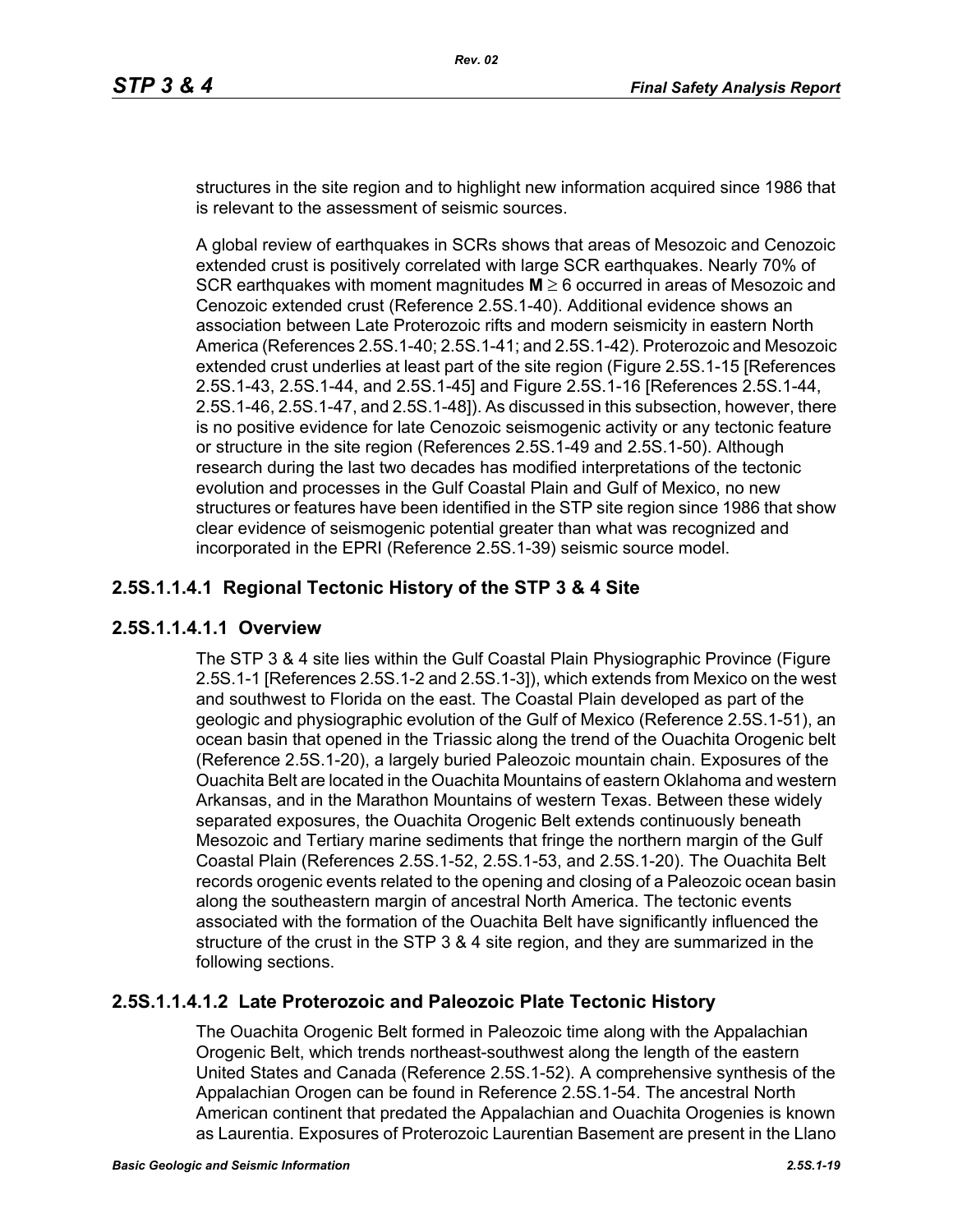structures in the site region and to highlight new information acquired since 1986 that is relevant to the assessment of seismic sources.

A global review of earthquakes in SCRs shows that areas of Mesozoic and Cenozoic extended crust is positively correlated with large SCR earthquakes. Nearly 70% of SCR earthquakes with moment magnitudes **M** ≥ 6 occurred in areas of Mesozoic and Cenozoic extended crust (Reference 2.5S.1-40). Additional evidence shows an association between Late Proterozoic rifts and modern seismicity in eastern North America (References 2.5S.1-40; 2.5S.1-41; and 2.5S.1-42). Proterozoic and Mesozoic extended crust underlies at least part of the site region (Figure 2.5S.1-15 [References 2.5S.1-43, 2.5S.1-44, and 2.5S.1-45] and Figure 2.5S.1-16 [References 2.5S.1-44, 2.5S.1-46, 2.5S.1-47, and 2.5S.1-48]). As discussed in this subsection, however, there is no positive evidence for late Cenozoic seismogenic activity or any tectonic feature or structure in the site region (References 2.5S.1-49 and 2.5S.1-50). Although research during the last two decades has modified interpretations of the tectonic evolution and processes in the Gulf Coastal Plain and Gulf of Mexico, no new structures or features have been identified in the STP site region since 1986 that show clear evidence of seismogenic potential greater than what was recognized and incorporated in the EPRI (Reference 2.5S.1-39) seismic source model.

# **2.5S.1.1.4.1 Regional Tectonic History of the STP 3 & 4 Site**

## **2.5S.1.1.4.1.1 Overview**

The STP 3 & 4 site lies within the Gulf Coastal Plain Physiographic Province (Figure 2.5S.1-1 [References 2.5S.1-2 and 2.5S.1-3]), which extends from Mexico on the west and southwest to Florida on the east. The Coastal Plain developed as part of the geologic and physiographic evolution of the Gulf of Mexico (Reference 2.5S.1-51), an ocean basin that opened in the Triassic along the trend of the Ouachita Orogenic belt (Reference 2.5S.1-20), a largely buried Paleozoic mountain chain. Exposures of the Ouachita Belt are located in the Ouachita Mountains of eastern Oklahoma and western Arkansas, and in the Marathon Mountains of western Texas. Between these widely separated exposures, the Ouachita Orogenic Belt extends continuously beneath Mesozoic and Tertiary marine sediments that fringe the northern margin of the Gulf Coastal Plain (References 2.5S.1-52, 2.5S.1-53, and 2.5S.1-20). The Ouachita Belt records orogenic events related to the opening and closing of a Paleozoic ocean basin along the southeastern margin of ancestral North America. The tectonic events associated with the formation of the Ouachita Belt have significantly influenced the structure of the crust in the STP 3 & 4 site region, and they are summarized in the following sections.

## **2.5S.1.1.4.1.2 Late Proterozoic and Paleozoic Plate Tectonic History**

The Ouachita Orogenic Belt formed in Paleozoic time along with the Appalachian Orogenic Belt, which trends northeast-southwest along the length of the eastern United States and Canada (Reference 2.5S.1-52). A comprehensive synthesis of the Appalachian Orogen can be found in Reference 2.5S.1-54. The ancestral North American continent that predated the Appalachian and Ouachita Orogenies is known as Laurentia. Exposures of Proterozoic Laurentian Basement are present in the Llano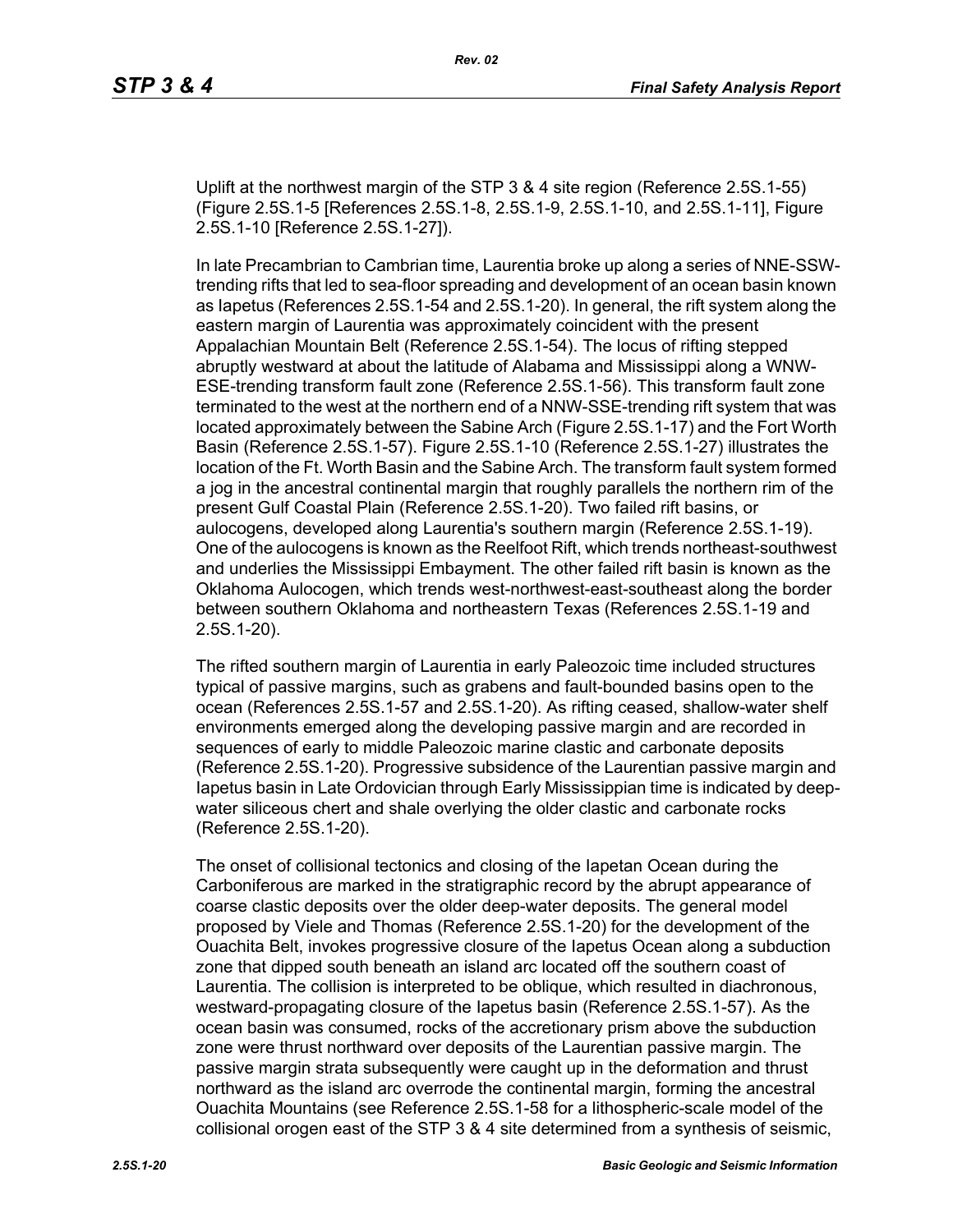Uplift at the northwest margin of the STP 3 & 4 site region (Reference 2.5S.1-55) (Figure 2.5S.1-5 [References 2.5S.1-8, 2.5S.1-9, 2.5S.1-10, and 2.5S.1-11], Figure 2.5S.1-10 [Reference 2.5S.1-27]).

In late Precambrian to Cambrian time, Laurentia broke up along a series of NNE-SSWtrending rifts that led to sea-floor spreading and development of an ocean basin known as Iapetus (References 2.5S.1-54 and 2.5S.1-20). In general, the rift system along the eastern margin of Laurentia was approximately coincident with the present Appalachian Mountain Belt (Reference 2.5S.1-54). The locus of rifting stepped abruptly westward at about the latitude of Alabama and Mississippi along a WNW-ESE-trending transform fault zone (Reference 2.5S.1-56). This transform fault zone terminated to the west at the northern end of a NNW-SSE-trending rift system that was located approximately between the Sabine Arch (Figure 2.5S.1-17) and the Fort Worth Basin (Reference 2.5S.1-57). Figure 2.5S.1-10 (Reference 2.5S.1-27) illustrates the location of the Ft. Worth Basin and the Sabine Arch. The transform fault system formed a jog in the ancestral continental margin that roughly parallels the northern rim of the present Gulf Coastal Plain (Reference 2.5S.1-20). Two failed rift basins, or aulocogens, developed along Laurentia's southern margin (Reference 2.5S.1-19). One of the aulocogens is known as the Reelfoot Rift, which trends northeast-southwest and underlies the Mississippi Embayment. The other failed rift basin is known as the Oklahoma Aulocogen, which trends west-northwest-east-southeast along the border between southern Oklahoma and northeastern Texas (References 2.5S.1-19 and 2.5S.1-20).

The rifted southern margin of Laurentia in early Paleozoic time included structures typical of passive margins, such as grabens and fault-bounded basins open to the ocean (References 2.5S.1-57 and 2.5S.1-20). As rifting ceased, shallow-water shelf environments emerged along the developing passive margin and are recorded in sequences of early to middle Paleozoic marine clastic and carbonate deposits (Reference 2.5S.1-20). Progressive subsidence of the Laurentian passive margin and Iapetus basin in Late Ordovician through Early Mississippian time is indicated by deepwater siliceous chert and shale overlying the older clastic and carbonate rocks (Reference 2.5S.1-20).

The onset of collisional tectonics and closing of the Iapetan Ocean during the Carboniferous are marked in the stratigraphic record by the abrupt appearance of coarse clastic deposits over the older deep-water deposits. The general model proposed by Viele and Thomas (Reference 2.5S.1-20) for the development of the Ouachita Belt, invokes progressive closure of the Iapetus Ocean along a subduction zone that dipped south beneath an island arc located off the southern coast of Laurentia. The collision is interpreted to be oblique, which resulted in diachronous, westward-propagating closure of the Iapetus basin (Reference 2.5S.1-57). As the ocean basin was consumed, rocks of the accretionary prism above the subduction zone were thrust northward over deposits of the Laurentian passive margin. The passive margin strata subsequently were caught up in the deformation and thrust northward as the island arc overrode the continental margin, forming the ancestral Ouachita Mountains (see Reference 2.5S.1-58 for a lithospheric-scale model of the collisional orogen east of the STP 3 & 4 site determined from a synthesis of seismic,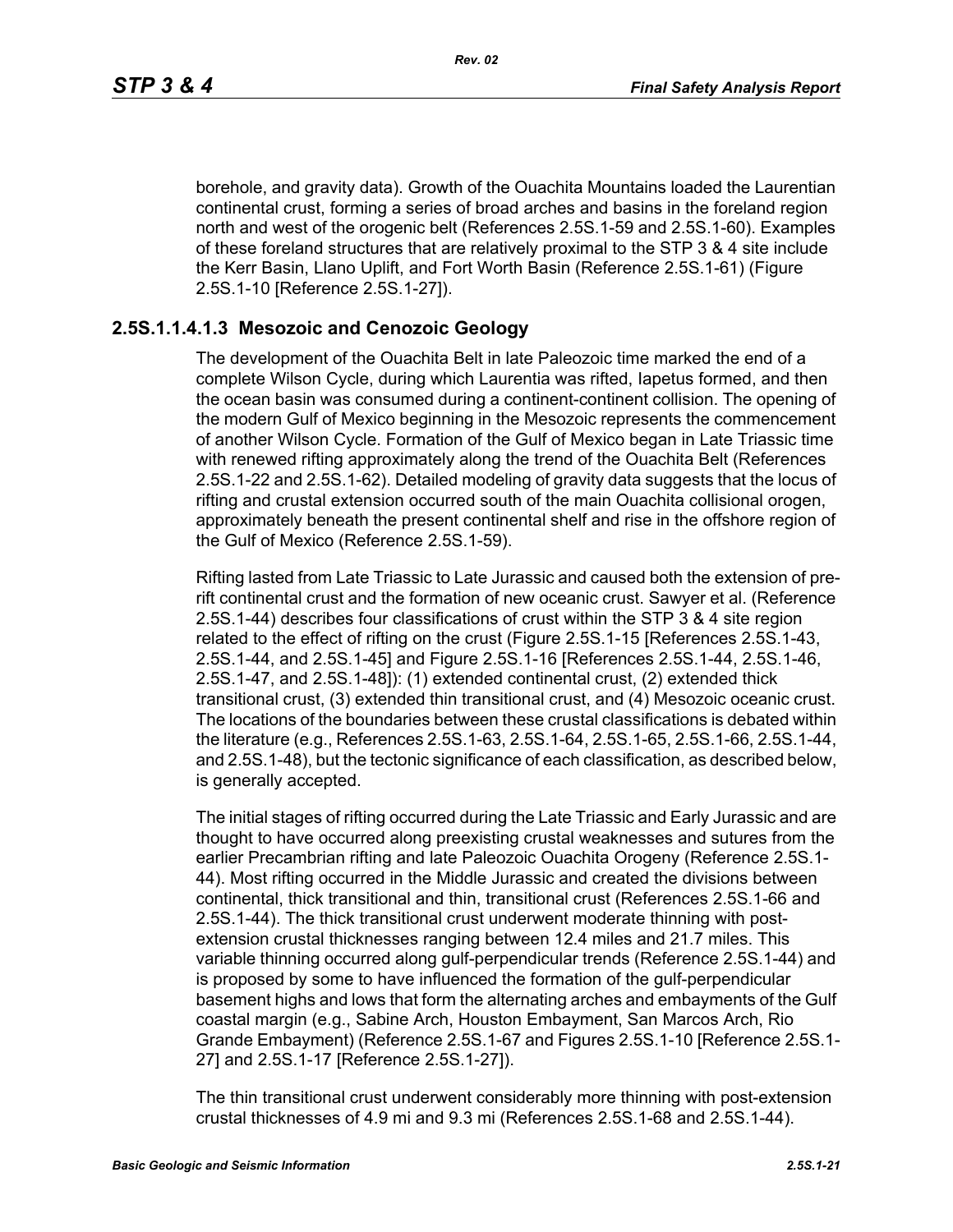borehole, and gravity data). Growth of the Ouachita Mountains loaded the Laurentian continental crust, forming a series of broad arches and basins in the foreland region north and west of the orogenic belt (References 2.5S.1-59 and 2.5S.1-60). Examples of these foreland structures that are relatively proximal to the STP 3 & 4 site include the Kerr Basin, Llano Uplift, and Fort Worth Basin (Reference 2.5S.1-61) (Figure 2.5S.1-10 [Reference 2.5S.1-27]).

### **2.5S.1.1.4.1.3 Mesozoic and Cenozoic Geology**

The development of the Ouachita Belt in late Paleozoic time marked the end of a complete Wilson Cycle, during which Laurentia was rifted, Iapetus formed, and then the ocean basin was consumed during a continent-continent collision. The opening of the modern Gulf of Mexico beginning in the Mesozoic represents the commencement of another Wilson Cycle. Formation of the Gulf of Mexico began in Late Triassic time with renewed rifting approximately along the trend of the Ouachita Belt (References 2.5S.1-22 and 2.5S.1-62). Detailed modeling of gravity data suggests that the locus of rifting and crustal extension occurred south of the main Ouachita collisional orogen, approximately beneath the present continental shelf and rise in the offshore region of the Gulf of Mexico (Reference 2.5S.1-59).

Rifting lasted from Late Triassic to Late Jurassic and caused both the extension of prerift continental crust and the formation of new oceanic crust. Sawyer et al. (Reference 2.5S.1-44) describes four classifications of crust within the STP 3 & 4 site region related to the effect of rifting on the crust (Figure 2.5S.1-15 [References 2.5S.1-43, 2.5S.1-44, and 2.5S.1-45] and Figure 2.5S.1-16 [References 2.5S.1-44, 2.5S.1-46, 2.5S.1-47, and 2.5S.1-48]): (1) extended continental crust, (2) extended thick transitional crust, (3) extended thin transitional crust, and (4) Mesozoic oceanic crust. The locations of the boundaries between these crustal classifications is debated within the literature (e.g., References 2.5S.1-63, 2.5S.1-64, 2.5S.1-65, 2.5S.1-66, 2.5S.1-44, and 2.5S.1-48), but the tectonic significance of each classification, as described below, is generally accepted.

The initial stages of rifting occurred during the Late Triassic and Early Jurassic and are thought to have occurred along preexisting crustal weaknesses and sutures from the earlier Precambrian rifting and late Paleozoic Ouachita Orogeny (Reference 2.5S.1- 44). Most rifting occurred in the Middle Jurassic and created the divisions between continental, thick transitional and thin, transitional crust (References 2.5S.1-66 and 2.5S.1-44). The thick transitional crust underwent moderate thinning with postextension crustal thicknesses ranging between 12.4 miles and 21.7 miles. This variable thinning occurred along gulf-perpendicular trends (Reference 2.5S.1-44) and is proposed by some to have influenced the formation of the gulf-perpendicular basement highs and lows that form the alternating arches and embayments of the Gulf coastal margin (e.g., Sabine Arch, Houston Embayment, San Marcos Arch, Rio Grande Embayment) (Reference 2.5S.1-67 and Figures 2.5S.1-10 [Reference 2.5S.1- 27] and 2.5S.1-17 [Reference 2.5S.1-27]).

The thin transitional crust underwent considerably more thinning with post-extension crustal thicknesses of 4.9 mi and 9.3 mi (References 2.5S.1-68 and 2.5S.1-44).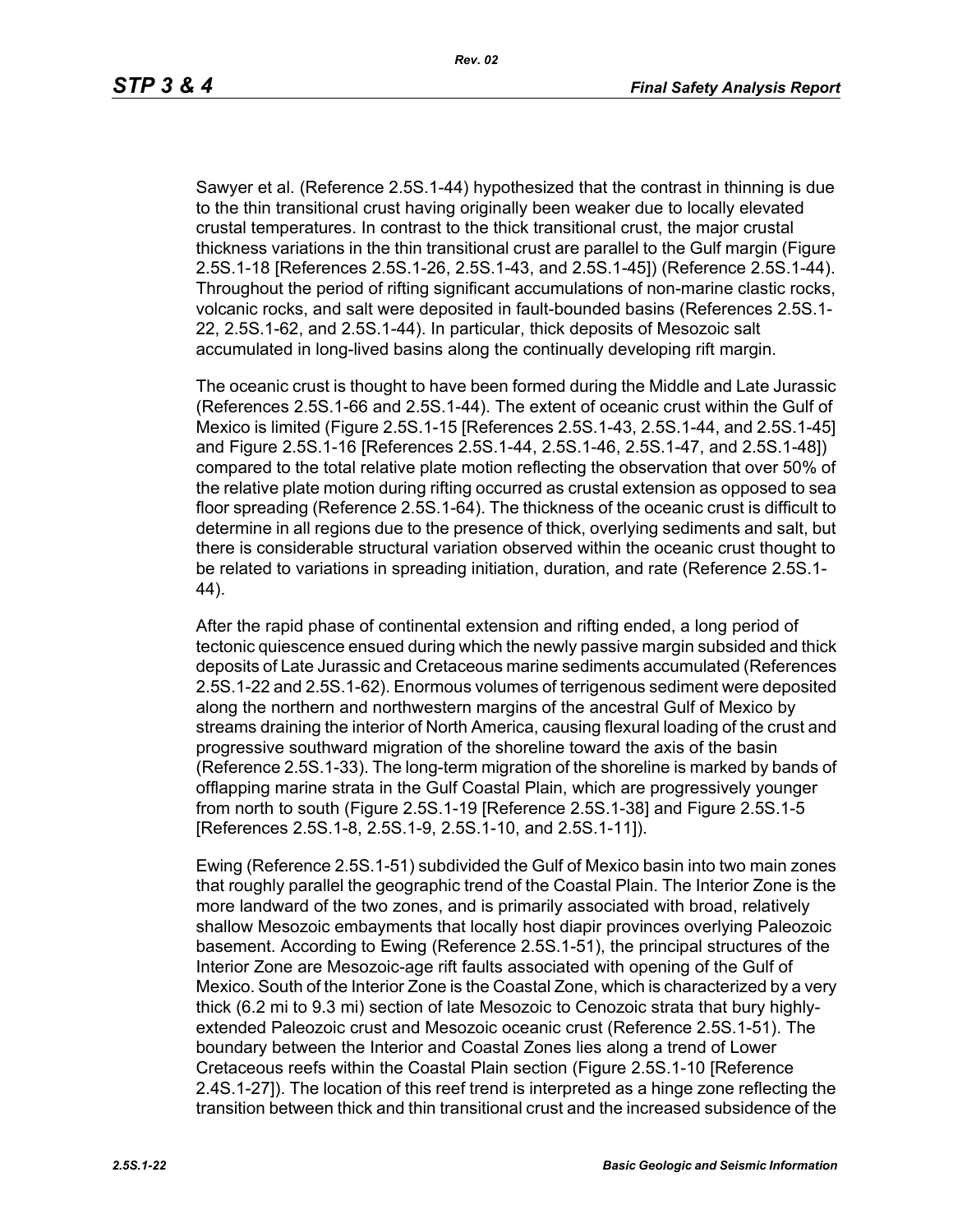Sawyer et al. (Reference 2.5S.1-44) hypothesized that the contrast in thinning is due to the thin transitional crust having originally been weaker due to locally elevated crustal temperatures. In contrast to the thick transitional crust, the major crustal thickness variations in the thin transitional crust are parallel to the Gulf margin (Figure 2.5S.1-18 [References 2.5S.1-26, 2.5S.1-43, and 2.5S.1-45]) (Reference 2.5S.1-44). Throughout the period of rifting significant accumulations of non-marine clastic rocks, volcanic rocks, and salt were deposited in fault-bounded basins (References 2.5S.1- 22, 2.5S.1-62, and 2.5S.1-44). In particular, thick deposits of Mesozoic salt accumulated in long-lived basins along the continually developing rift margin.

The oceanic crust is thought to have been formed during the Middle and Late Jurassic (References 2.5S.1-66 and 2.5S.1-44). The extent of oceanic crust within the Gulf of Mexico is limited (Figure 2.5S.1-15 [References 2.5S.1-43, 2.5S.1-44, and 2.5S.1-45] and Figure 2.5S.1-16 [References 2.5S.1-44, 2.5S.1-46, 2.5S.1-47, and 2.5S.1-48]) compared to the total relative plate motion reflecting the observation that over 50% of the relative plate motion during rifting occurred as crustal extension as opposed to sea floor spreading (Reference 2.5S.1-64). The thickness of the oceanic crust is difficult to determine in all regions due to the presence of thick, overlying sediments and salt, but there is considerable structural variation observed within the oceanic crust thought to be related to variations in spreading initiation, duration, and rate (Reference 2.5S.1- 44).

After the rapid phase of continental extension and rifting ended, a long period of tectonic quiescence ensued during which the newly passive margin subsided and thick deposits of Late Jurassic and Cretaceous marine sediments accumulated (References 2.5S.1-22 and 2.5S.1-62). Enormous volumes of terrigenous sediment were deposited along the northern and northwestern margins of the ancestral Gulf of Mexico by streams draining the interior of North America, causing flexural loading of the crust and progressive southward migration of the shoreline toward the axis of the basin (Reference 2.5S.1-33). The long-term migration of the shoreline is marked by bands of offlapping marine strata in the Gulf Coastal Plain, which are progressively younger from north to south (Figure 2.5S.1-19 [Reference 2.5S.1-38] and Figure 2.5S.1-5 [References 2.5S.1-8, 2.5S.1-9, 2.5S.1-10, and 2.5S.1-11]).

Ewing (Reference 2.5S.1-51) subdivided the Gulf of Mexico basin into two main zones that roughly parallel the geographic trend of the Coastal Plain. The Interior Zone is the more landward of the two zones, and is primarily associated with broad, relatively shallow Mesozoic embayments that locally host diapir provinces overlying Paleozoic basement. According to Ewing (Reference 2.5S.1-51), the principal structures of the Interior Zone are Mesozoic-age rift faults associated with opening of the Gulf of Mexico. South of the Interior Zone is the Coastal Zone, which is characterized by a very thick (6.2 mi to 9.3 mi) section of late Mesozoic to Cenozoic strata that bury highlyextended Paleozoic crust and Mesozoic oceanic crust (Reference 2.5S.1-51). The boundary between the Interior and Coastal Zones lies along a trend of Lower Cretaceous reefs within the Coastal Plain section (Figure 2.5S.1-10 [Reference 2.4S.1-27]). The location of this reef trend is interpreted as a hinge zone reflecting the transition between thick and thin transitional crust and the increased subsidence of the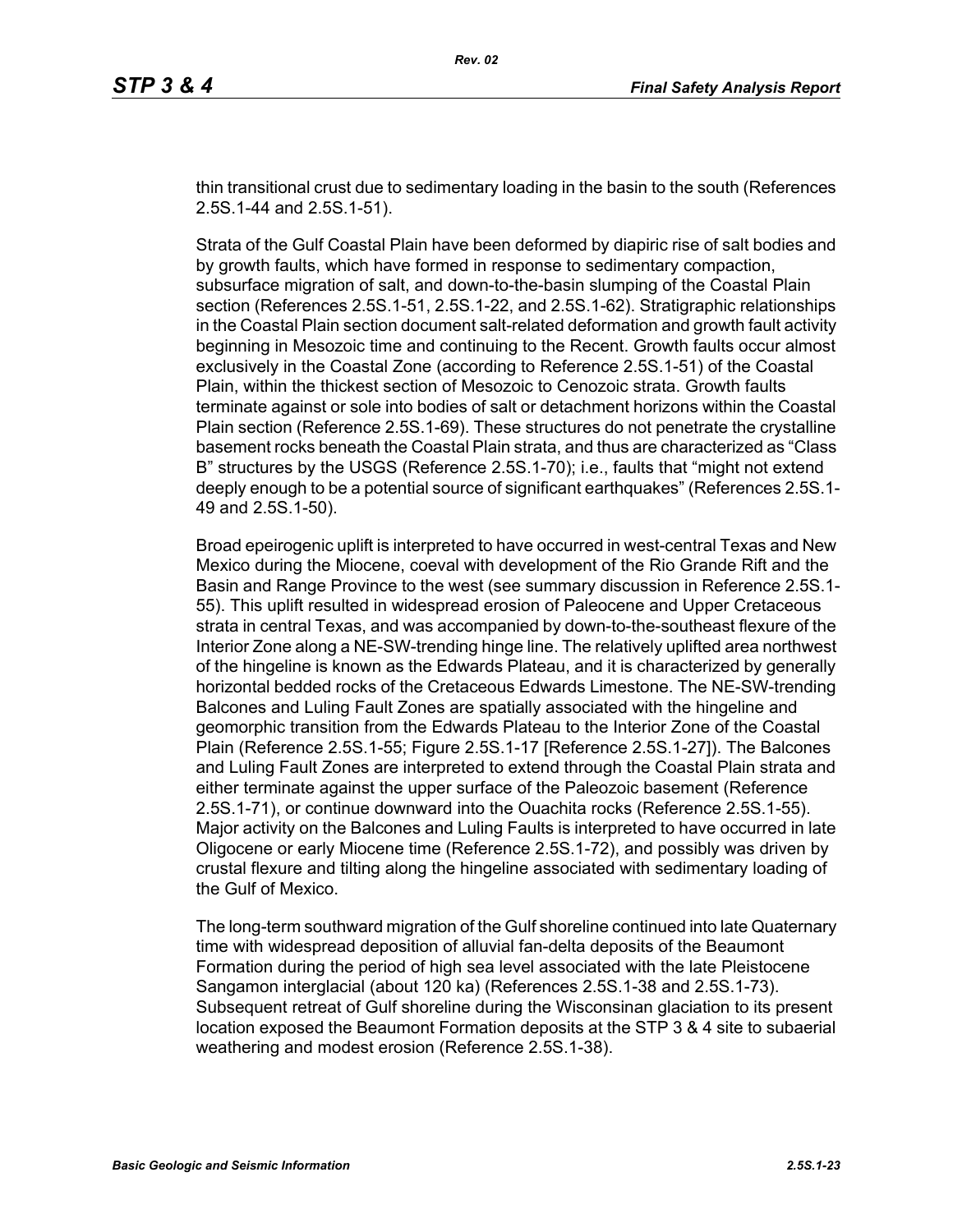thin transitional crust due to sedimentary loading in the basin to the south (References 2.5S.1-44 and 2.5S.1-51).

Strata of the Gulf Coastal Plain have been deformed by diapiric rise of salt bodies and by growth faults, which have formed in response to sedimentary compaction, subsurface migration of salt, and down-to-the-basin slumping of the Coastal Plain section (References 2.5S.1-51, 2.5S.1-22, and 2.5S.1-62). Stratigraphic relationships in the Coastal Plain section document salt-related deformation and growth fault activity beginning in Mesozoic time and continuing to the Recent. Growth faults occur almost exclusively in the Coastal Zone (according to Reference 2.5S.1-51) of the Coastal Plain, within the thickest section of Mesozoic to Cenozoic strata. Growth faults terminate against or sole into bodies of salt or detachment horizons within the Coastal Plain section (Reference 2.5S.1-69). These structures do not penetrate the crystalline basement rocks beneath the Coastal Plain strata, and thus are characterized as "Class B" structures by the USGS (Reference 2.5S.1-70); i.e., faults that "might not extend deeply enough to be a potential source of significant earthquakes" (References 2.5S.1- 49 and 2.5S.1-50).

Broad epeirogenic uplift is interpreted to have occurred in west-central Texas and New Mexico during the Miocene, coeval with development of the Rio Grande Rift and the Basin and Range Province to the west (see summary discussion in Reference 2.5S.1- 55). This uplift resulted in widespread erosion of Paleocene and Upper Cretaceous strata in central Texas, and was accompanied by down-to-the-southeast flexure of the Interior Zone along a NE-SW-trending hinge line. The relatively uplifted area northwest of the hingeline is known as the Edwards Plateau, and it is characterized by generally horizontal bedded rocks of the Cretaceous Edwards Limestone. The NE-SW-trending Balcones and Luling Fault Zones are spatially associated with the hingeline and geomorphic transition from the Edwards Plateau to the Interior Zone of the Coastal Plain (Reference 2.5S.1-55; Figure 2.5S.1-17 [Reference 2.5S.1-27]). The Balcones and Luling Fault Zones are interpreted to extend through the Coastal Plain strata and either terminate against the upper surface of the Paleozoic basement (Reference 2.5S.1-71), or continue downward into the Ouachita rocks (Reference 2.5S.1-55). Major activity on the Balcones and Luling Faults is interpreted to have occurred in late Oligocene or early Miocene time (Reference 2.5S.1-72), and possibly was driven by crustal flexure and tilting along the hingeline associated with sedimentary loading of the Gulf of Mexico.

The long-term southward migration of the Gulf shoreline continued into late Quaternary time with widespread deposition of alluvial fan-delta deposits of the Beaumont Formation during the period of high sea level associated with the late Pleistocene Sangamon interglacial (about 120 ka) (References 2.5S.1-38 and 2.5S.1-73). Subsequent retreat of Gulf shoreline during the Wisconsinan glaciation to its present location exposed the Beaumont Formation deposits at the STP 3 & 4 site to subaerial weathering and modest erosion (Reference 2.5S.1-38).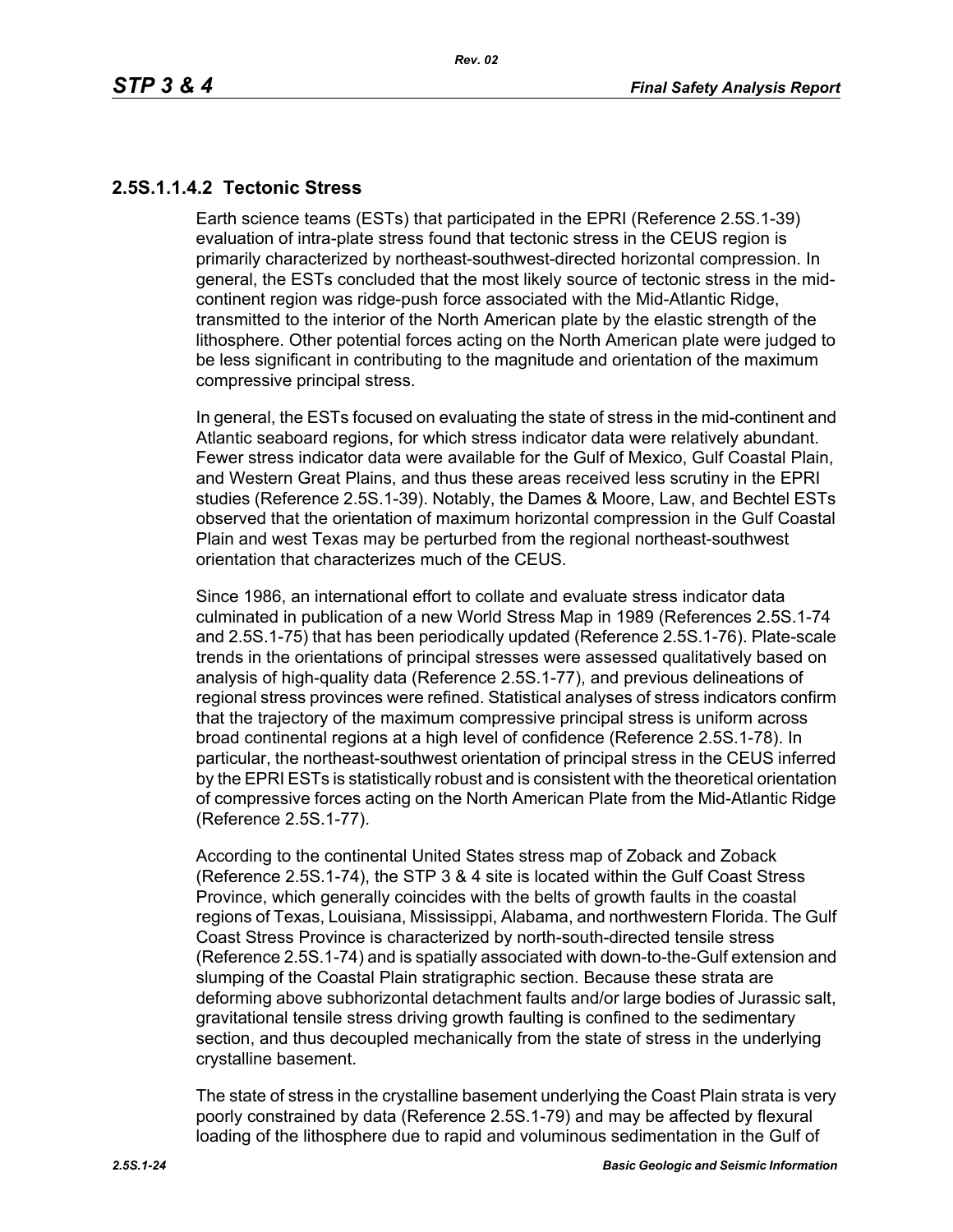## **2.5S.1.1.4.2 Tectonic Stress**

Earth science teams (ESTs) that participated in the EPRI (Reference 2.5S.1-39) evaluation of intra-plate stress found that tectonic stress in the CEUS region is primarily characterized by northeast-southwest-directed horizontal compression. In general, the ESTs concluded that the most likely source of tectonic stress in the midcontinent region was ridge-push force associated with the Mid-Atlantic Ridge, transmitted to the interior of the North American plate by the elastic strength of the lithosphere. Other potential forces acting on the North American plate were judged to be less significant in contributing to the magnitude and orientation of the maximum compressive principal stress.

In general, the ESTs focused on evaluating the state of stress in the mid-continent and Atlantic seaboard regions, for which stress indicator data were relatively abundant. Fewer stress indicator data were available for the Gulf of Mexico, Gulf Coastal Plain, and Western Great Plains, and thus these areas received less scrutiny in the EPRI studies (Reference 2.5S.1-39). Notably, the Dames & Moore, Law, and Bechtel ESTs observed that the orientation of maximum horizontal compression in the Gulf Coastal Plain and west Texas may be perturbed from the regional northeast-southwest orientation that characterizes much of the CEUS.

Since 1986, an international effort to collate and evaluate stress indicator data culminated in publication of a new World Stress Map in 1989 (References 2.5S.1-74 and 2.5S.1-75) that has been periodically updated (Reference 2.5S.1-76). Plate-scale trends in the orientations of principal stresses were assessed qualitatively based on analysis of high-quality data (Reference 2.5S.1-77), and previous delineations of regional stress provinces were refined. Statistical analyses of stress indicators confirm that the trajectory of the maximum compressive principal stress is uniform across broad continental regions at a high level of confidence (Reference 2.5S.1-78). In particular, the northeast-southwest orientation of principal stress in the CEUS inferred by the EPRI ESTs is statistically robust and is consistent with the theoretical orientation of compressive forces acting on the North American Plate from the Mid-Atlantic Ridge (Reference 2.5S.1-77).

According to the continental United States stress map of Zoback and Zoback (Reference 2.5S.1-74), the STP 3 & 4 site is located within the Gulf Coast Stress Province, which generally coincides with the belts of growth faults in the coastal regions of Texas, Louisiana, Mississippi, Alabama, and northwestern Florida. The Gulf Coast Stress Province is characterized by north-south-directed tensile stress (Reference 2.5S.1-74) and is spatially associated with down-to-the-Gulf extension and slumping of the Coastal Plain stratigraphic section. Because these strata are deforming above subhorizontal detachment faults and/or large bodies of Jurassic salt, gravitational tensile stress driving growth faulting is confined to the sedimentary section, and thus decoupled mechanically from the state of stress in the underlying crystalline basement.

The state of stress in the crystalline basement underlying the Coast Plain strata is very poorly constrained by data (Reference 2.5S.1-79) and may be affected by flexural loading of the lithosphere due to rapid and voluminous sedimentation in the Gulf of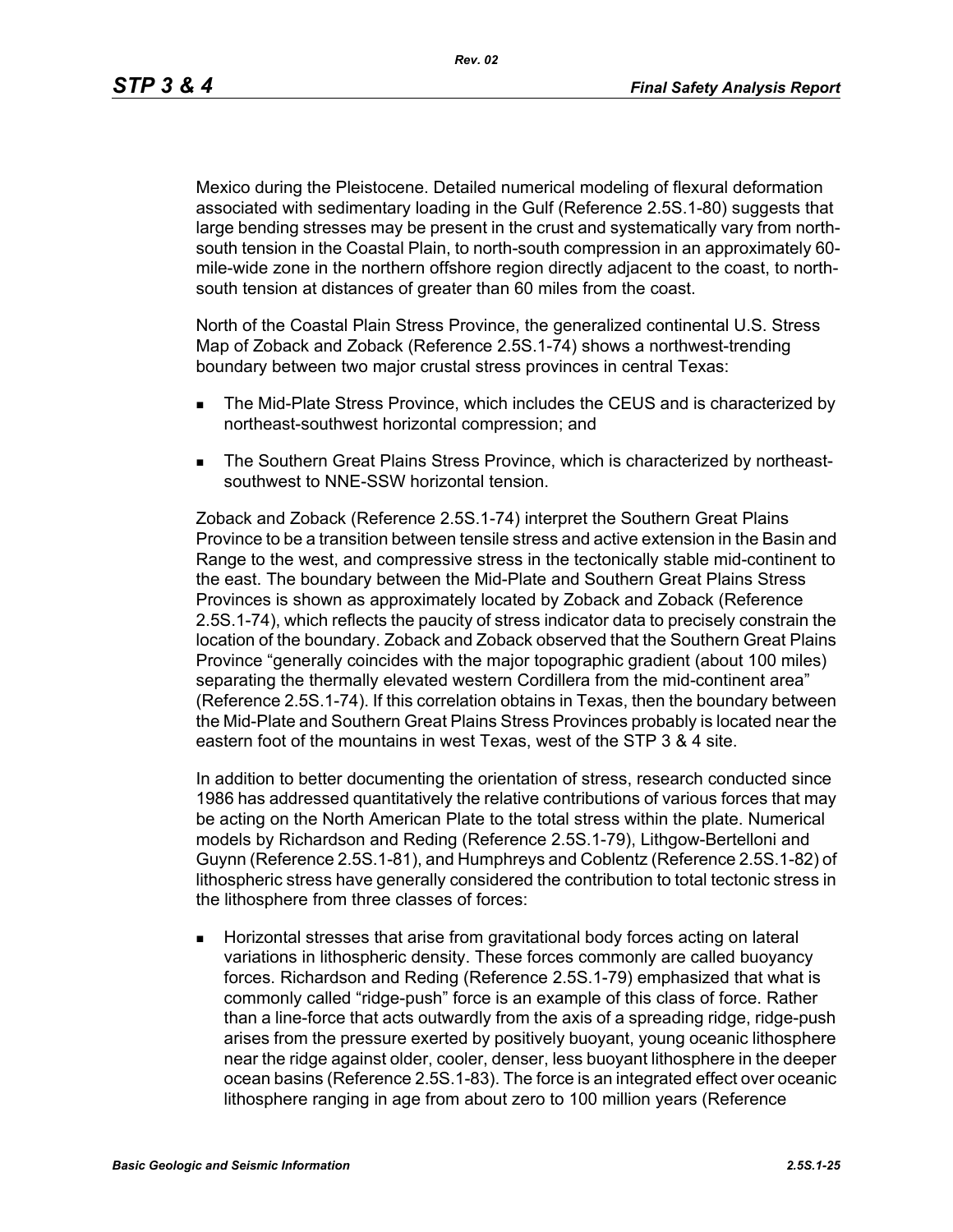*Rev. 02*

Mexico during the Pleistocene. Detailed numerical modeling of flexural deformation associated with sedimentary loading in the Gulf (Reference 2.5S.1-80) suggests that large bending stresses may be present in the crust and systematically vary from northsouth tension in the Coastal Plain, to north-south compression in an approximately 60 mile-wide zone in the northern offshore region directly adjacent to the coast, to northsouth tension at distances of greater than 60 miles from the coast.

North of the Coastal Plain Stress Province, the generalized continental U.S. Stress Map of Zoback and Zoback (Reference 2.5S.1-74) shows a northwest-trending boundary between two major crustal stress provinces in central Texas:

- **The Mid-Plate Stress Province, which includes the CEUS and is characterized by** northeast-southwest horizontal compression; and
- The Southern Great Plains Stress Province, which is characterized by northeastsouthwest to NNE-SSW horizontal tension.

Zoback and Zoback (Reference 2.5S.1-74) interpret the Southern Great Plains Province to be a transition between tensile stress and active extension in the Basin and Range to the west, and compressive stress in the tectonically stable mid-continent to the east. The boundary between the Mid-Plate and Southern Great Plains Stress Provinces is shown as approximately located by Zoback and Zoback (Reference 2.5S.1-74), which reflects the paucity of stress indicator data to precisely constrain the location of the boundary. Zoback and Zoback observed that the Southern Great Plains Province "generally coincides with the major topographic gradient (about 100 miles) separating the thermally elevated western Cordillera from the mid-continent area" (Reference 2.5S.1-74). If this correlation obtains in Texas, then the boundary between the Mid-Plate and Southern Great Plains Stress Provinces probably is located near the eastern foot of the mountains in west Texas, west of the STP 3 & 4 site.

In addition to better documenting the orientation of stress, research conducted since 1986 has addressed quantitatively the relative contributions of various forces that may be acting on the North American Plate to the total stress within the plate. Numerical models by Richardson and Reding (Reference 2.5S.1-79), Lithgow-Bertelloni and Guynn (Reference 2.5S.1-81), and Humphreys and Coblentz (Reference 2.5S.1-82) of lithospheric stress have generally considered the contribution to total tectonic stress in the lithosphere from three classes of forces:

 Horizontal stresses that arise from gravitational body forces acting on lateral variations in lithospheric density. These forces commonly are called buoyancy forces. Richardson and Reding (Reference 2.5S.1-79) emphasized that what is commonly called "ridge-push" force is an example of this class of force. Rather than a line-force that acts outwardly from the axis of a spreading ridge, ridge-push arises from the pressure exerted by positively buoyant, young oceanic lithosphere near the ridge against older, cooler, denser, less buoyant lithosphere in the deeper ocean basins (Reference 2.5S.1-83). The force is an integrated effect over oceanic lithosphere ranging in age from about zero to 100 million years (Reference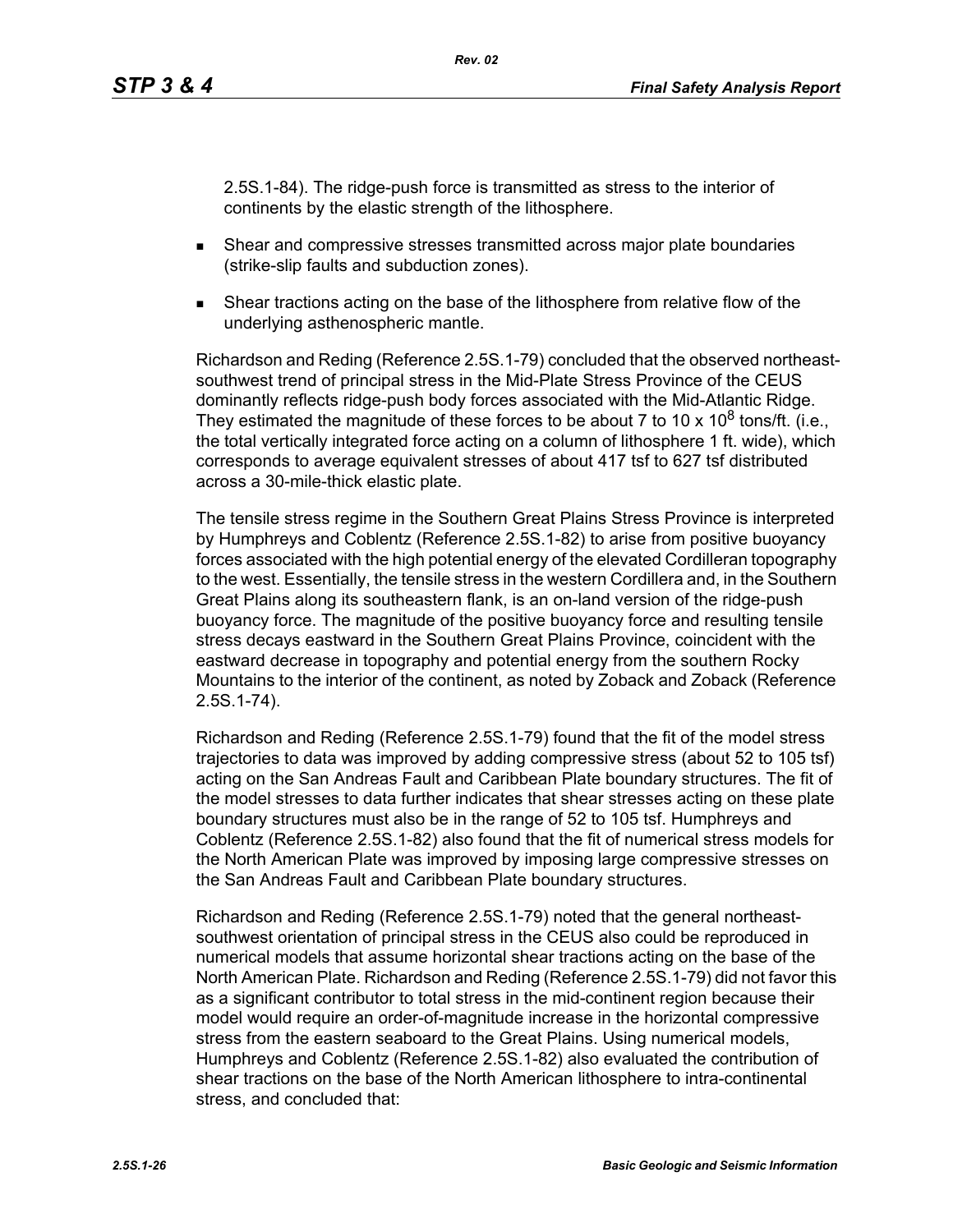2.5S.1-84). The ridge-push force is transmitted as stress to the interior of continents by the elastic strength of the lithosphere.

- Shear and compressive stresses transmitted across major plate boundaries (strike-slip faults and subduction zones).
- Shear tractions acting on the base of the lithosphere from relative flow of the underlying asthenospheric mantle.

Richardson and Reding (Reference 2.5S.1-79) concluded that the observed northeastsouthwest trend of principal stress in the Mid-Plate Stress Province of the CEUS dominantly reflects ridge-push body forces associated with the Mid-Atlantic Ridge. They estimated the magnitude of these forces to be about 7 to 10 x 10<sup>8</sup> tons/ft. (i.e., the total vertically integrated force acting on a column of lithosphere 1 ft. wide), which corresponds to average equivalent stresses of about 417 tsf to 627 tsf distributed across a 30-mile-thick elastic plate.

The tensile stress regime in the Southern Great Plains Stress Province is interpreted by Humphreys and Coblentz (Reference 2.5S.1-82) to arise from positive buoyancy forces associated with the high potential energy of the elevated Cordilleran topography to the west. Essentially, the tensile stress in the western Cordillera and, in the Southern Great Plains along its southeastern flank, is an on-land version of the ridge-push buoyancy force. The magnitude of the positive buoyancy force and resulting tensile stress decays eastward in the Southern Great Plains Province, coincident with the eastward decrease in topography and potential energy from the southern Rocky Mountains to the interior of the continent, as noted by Zoback and Zoback (Reference 2.5S.1-74).

Richardson and Reding (Reference 2.5S.1-79) found that the fit of the model stress trajectories to data was improved by adding compressive stress (about 52 to 105 tsf) acting on the San Andreas Fault and Caribbean Plate boundary structures. The fit of the model stresses to data further indicates that shear stresses acting on these plate boundary structures must also be in the range of 52 to 105 tsf. Humphreys and Coblentz (Reference 2.5S.1-82) also found that the fit of numerical stress models for the North American Plate was improved by imposing large compressive stresses on the San Andreas Fault and Caribbean Plate boundary structures.

Richardson and Reding (Reference 2.5S.1-79) noted that the general northeastsouthwest orientation of principal stress in the CEUS also could be reproduced in numerical models that assume horizontal shear tractions acting on the base of the North American Plate. Richardson and Reding (Reference 2.5S.1-79) did not favor this as a significant contributor to total stress in the mid-continent region because their model would require an order-of-magnitude increase in the horizontal compressive stress from the eastern seaboard to the Great Plains. Using numerical models, Humphreys and Coblentz (Reference 2.5S.1-82) also evaluated the contribution of shear tractions on the base of the North American lithosphere to intra-continental stress, and concluded that: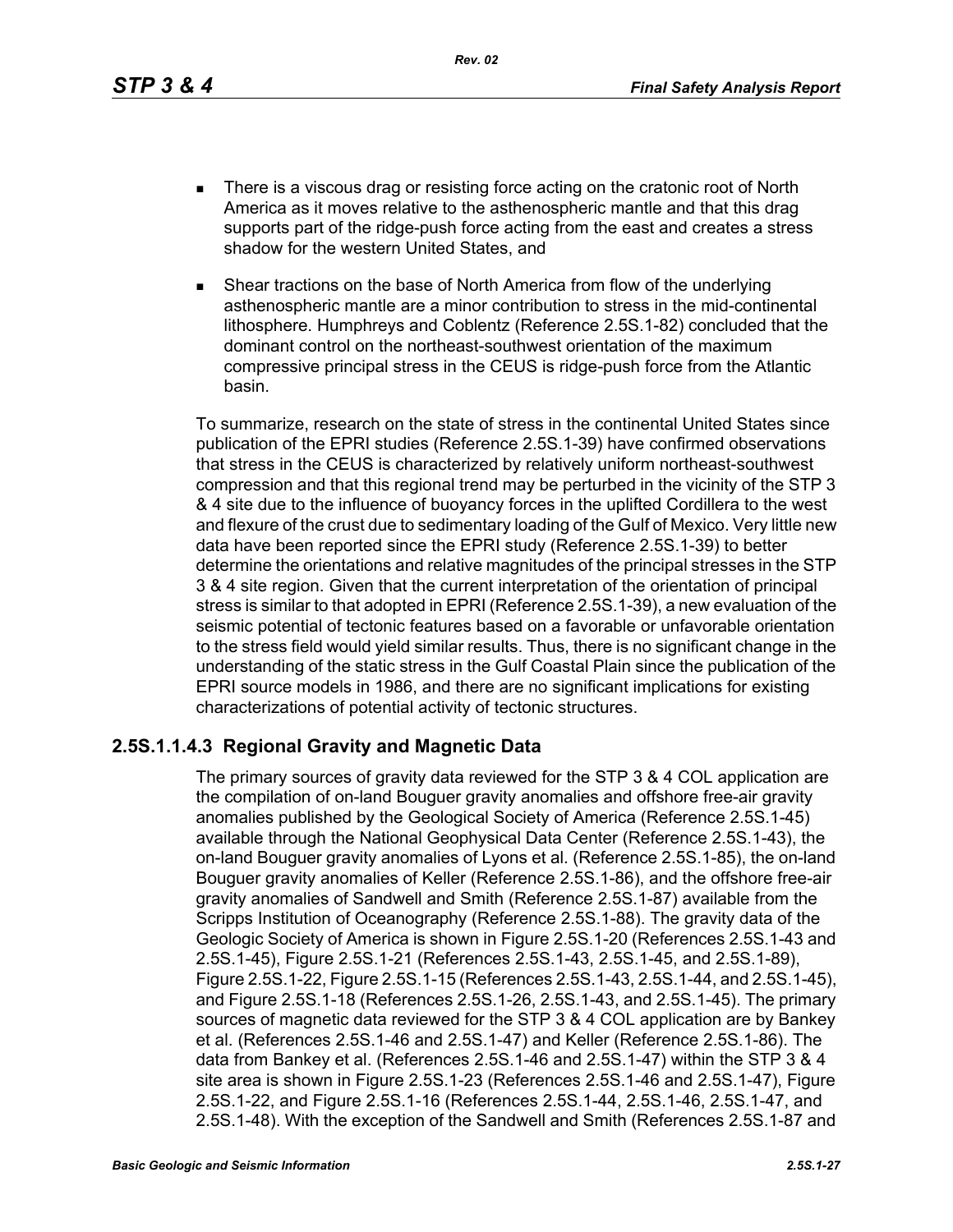*Rev. 02*

- There is a viscous drag or resisting force acting on the cratonic root of North America as it moves relative to the asthenospheric mantle and that this drag supports part of the ridge-push force acting from the east and creates a stress shadow for the western United States, and
- Shear tractions on the base of North America from flow of the underlying asthenospheric mantle are a minor contribution to stress in the mid-continental lithosphere. Humphreys and Coblentz (Reference 2.5S.1-82) concluded that the dominant control on the northeast-southwest orientation of the maximum compressive principal stress in the CEUS is ridge-push force from the Atlantic basin.

To summarize, research on the state of stress in the continental United States since publication of the EPRI studies (Reference 2.5S.1-39) have confirmed observations that stress in the CEUS is characterized by relatively uniform northeast-southwest compression and that this regional trend may be perturbed in the vicinity of the STP 3 & 4 site due to the influence of buoyancy forces in the uplifted Cordillera to the west and flexure of the crust due to sedimentary loading of the Gulf of Mexico. Very little new data have been reported since the EPRI study (Reference 2.5S.1-39) to better determine the orientations and relative magnitudes of the principal stresses in the STP 3 & 4 site region. Given that the current interpretation of the orientation of principal stress is similar to that adopted in EPRI (Reference 2.5S.1-39), a new evaluation of the seismic potential of tectonic features based on a favorable or unfavorable orientation to the stress field would yield similar results. Thus, there is no significant change in the understanding of the static stress in the Gulf Coastal Plain since the publication of the EPRI source models in 1986, and there are no significant implications for existing characterizations of potential activity of tectonic structures.

## **2.5S.1.1.4.3 Regional Gravity and Magnetic Data**

The primary sources of gravity data reviewed for the STP 3 & 4 COL application are the compilation of on-land Bouguer gravity anomalies and offshore free-air gravity anomalies published by the Geological Society of America (Reference 2.5S.1-45) available through the National Geophysical Data Center (Reference 2.5S.1-43), the on-land Bouguer gravity anomalies of Lyons et al. (Reference 2.5S.1-85), the on-land Bouguer gravity anomalies of Keller (Reference 2.5S.1-86), and the offshore free-air gravity anomalies of Sandwell and Smith (Reference 2.5S.1-87) available from the Scripps Institution of Oceanography (Reference 2.5S.1-88). The gravity data of the Geologic Society of America is shown in Figure 2.5S.1-20 (References 2.5S.1-43 and 2.5S.1-45), Figure 2.5S.1-21 (References 2.5S.1-43, 2.5S.1-45, and 2.5S.1-89), Figure 2.5S.1-22, Figure 2.5S.1-15 (References 2.5S.1-43, 2.5S.1-44, and 2.5S.1-45), and Figure 2.5S.1-18 (References 2.5S.1-26, 2.5S.1-43, and 2.5S.1-45). The primary sources of magnetic data reviewed for the STP 3 & 4 COL application are by Bankey et al. (References 2.5S.1-46 and 2.5S.1-47) and Keller (Reference 2.5S.1-86). The data from Bankey et al. (References 2.5S.1-46 and 2.5S.1-47) within the STP 3 & 4 site area is shown in Figure 2.5S.1-23 (References 2.5S.1-46 and 2.5S.1-47), Figure 2.5S.1-22, and Figure 2.5S.1-16 (References 2.5S.1-44, 2.5S.1-46, 2.5S.1-47, and 2.5S.1-48). With the exception of the Sandwell and Smith (References 2.5S.1-87 and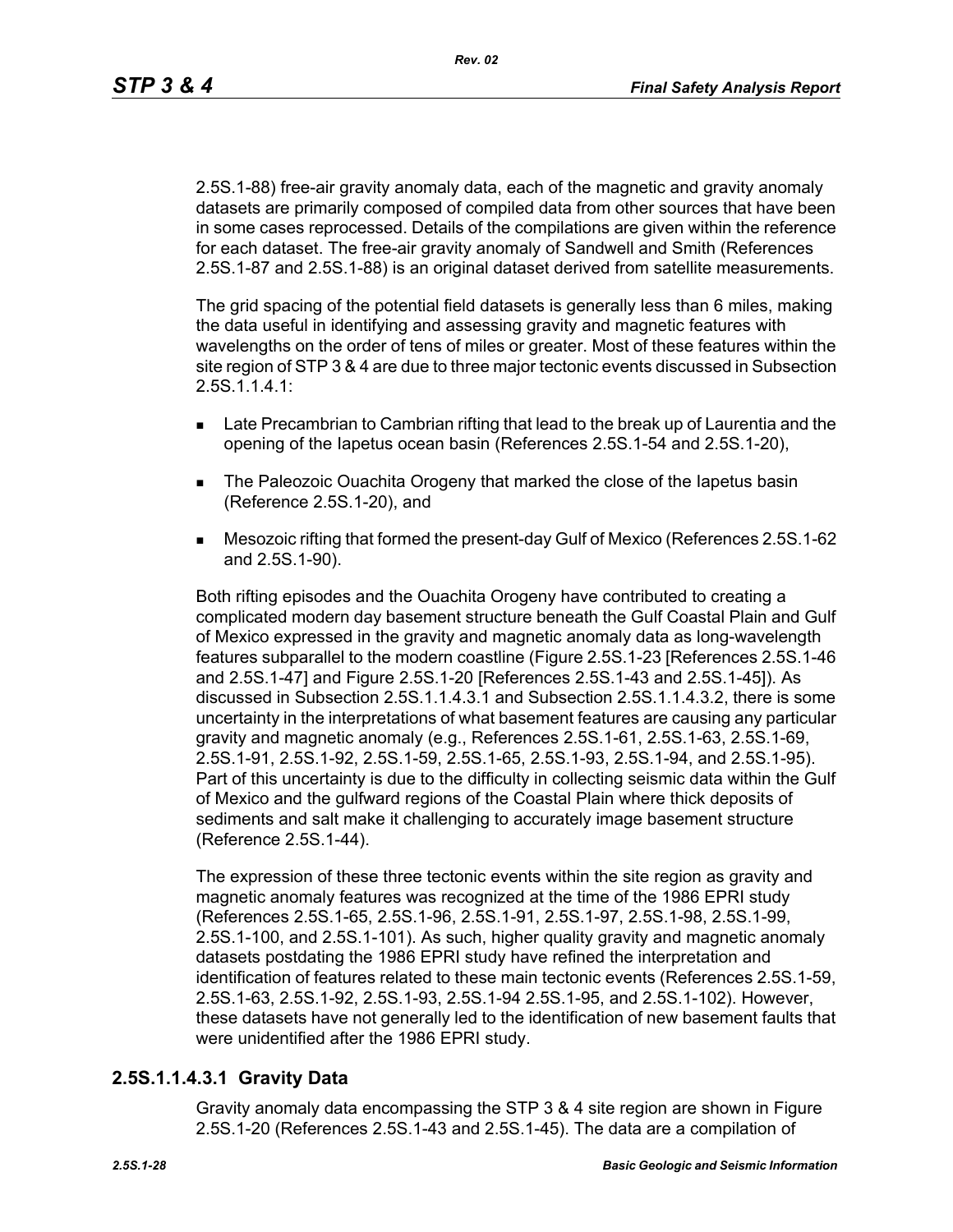2.5S.1-88) free-air gravity anomaly data, each of the magnetic and gravity anomaly datasets are primarily composed of compiled data from other sources that have been in some cases reprocessed. Details of the compilations are given within the reference for each dataset. The free-air gravity anomaly of Sandwell and Smith (References 2.5S.1-87 and 2.5S.1-88) is an original dataset derived from satellite measurements.

The grid spacing of the potential field datasets is generally less than 6 miles, making the data useful in identifying and assessing gravity and magnetic features with wavelengths on the order of tens of miles or greater. Most of these features within the site region of STP 3 & 4 are due to three major tectonic events discussed in Subsection 2.5S.1.1.4.1:

- **Late Precambrian to Cambrian rifting that lead to the break up of Laurentia and the** opening of the Iapetus ocean basin (References 2.5S.1-54 and 2.5S.1-20),
- **The Paleozoic Ouachita Orogeny that marked the close of the Iapetus basin** (Reference 2.5S.1-20), and
- Mesozoic rifting that formed the present-day Gulf of Mexico (References 2.5S.1-62 and 2.5S.1-90).

Both rifting episodes and the Ouachita Orogeny have contributed to creating a complicated modern day basement structure beneath the Gulf Coastal Plain and Gulf of Mexico expressed in the gravity and magnetic anomaly data as long-wavelength features subparallel to the modern coastline (Figure 2.5S.1-23 [References 2.5S.1-46 and 2.5S.1-47] and Figure 2.5S.1-20 [References 2.5S.1-43 and 2.5S.1-45]). As discussed in Subsection 2.5S.1.1.4.3.1 and Subsection 2.5S.1.1.4.3.2, there is some uncertainty in the interpretations of what basement features are causing any particular gravity and magnetic anomaly (e.g., References 2.5S.1-61, 2.5S.1-63, 2.5S.1-69, 2.5S.1-91, 2.5S.1-92, 2.5S.1-59, 2.5S.1-65, 2.5S.1-93, 2.5S.1-94, and 2.5S.1-95). Part of this uncertainty is due to the difficulty in collecting seismic data within the Gulf of Mexico and the gulfward regions of the Coastal Plain where thick deposits of sediments and salt make it challenging to accurately image basement structure (Reference 2.5S.1-44).

The expression of these three tectonic events within the site region as gravity and magnetic anomaly features was recognized at the time of the 1986 EPRI study (References 2.5S.1-65, 2.5S.1-96, 2.5S.1-91, 2.5S.1-97, 2.5S.1-98, 2.5S.1-99, 2.5S.1-100, and 2.5S.1-101). As such, higher quality gravity and magnetic anomaly datasets postdating the 1986 EPRI study have refined the interpretation and identification of features related to these main tectonic events (References 2.5S.1-59, 2.5S.1-63, 2.5S.1-92, 2.5S.1-93, 2.5S.1-94 2.5S.1-95, and 2.5S.1-102). However, these datasets have not generally led to the identification of new basement faults that were unidentified after the 1986 EPRI study.

## **2.5S.1.1.4.3.1 Gravity Data**

Gravity anomaly data encompassing the STP 3 & 4 site region are shown in Figure 2.5S.1-20 (References 2.5S.1-43 and 2.5S.1-45). The data are a compilation of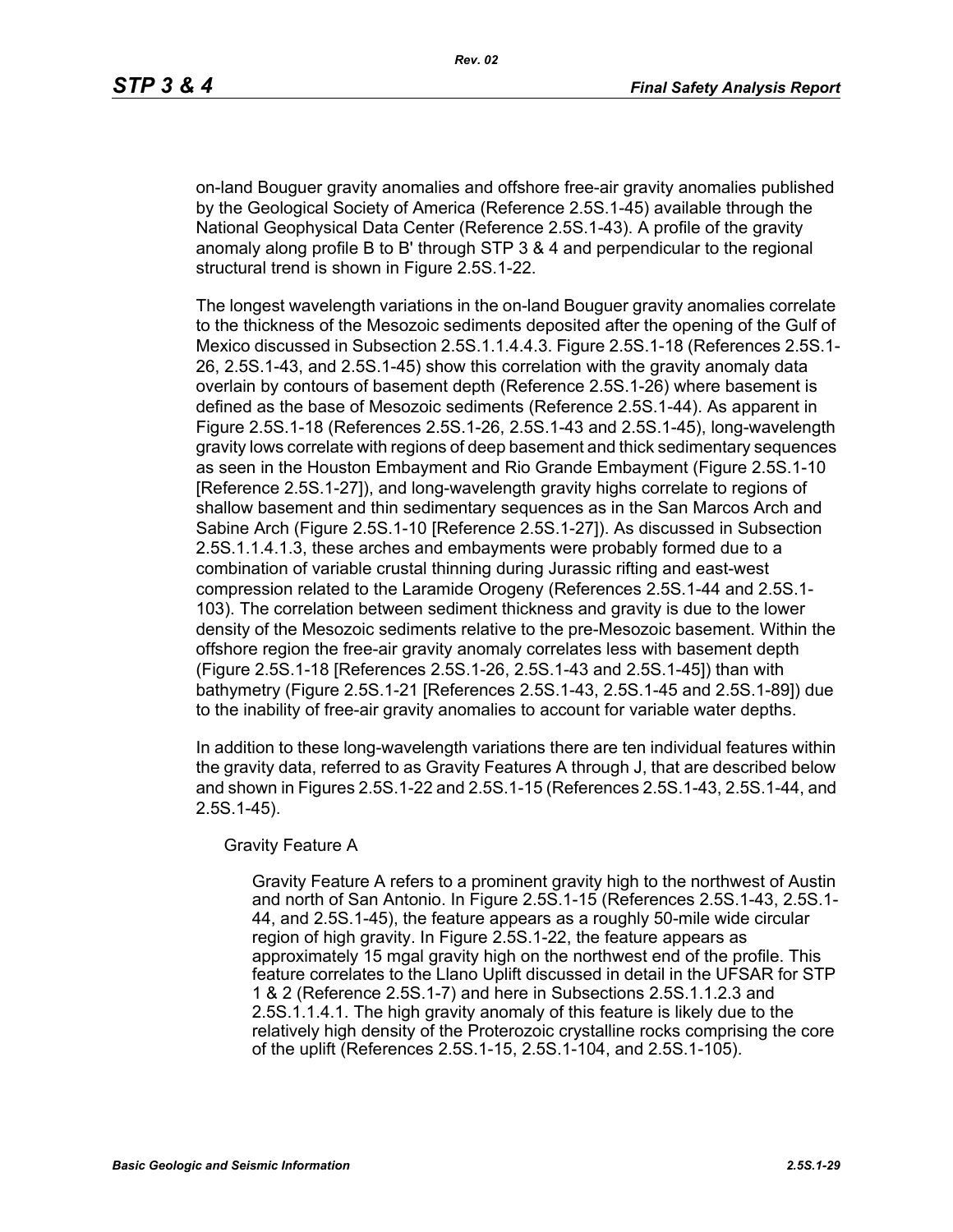on-land Bouguer gravity anomalies and offshore free-air gravity anomalies published by the Geological Society of America (Reference 2.5S.1-45) available through the National Geophysical Data Center (Reference 2.5S.1-43). A profile of the gravity anomaly along profile B to B' through STP 3 & 4 and perpendicular to the regional structural trend is shown in Figure 2.5S.1-22.

The longest wavelength variations in the on-land Bouguer gravity anomalies correlate to the thickness of the Mesozoic sediments deposited after the opening of the Gulf of Mexico discussed in Subsection 2.5S.1.1.4.4.3. Figure 2.5S.1-18 (References 2.5S.1- 26, 2.5S.1-43, and 2.5S.1-45) show this correlation with the gravity anomaly data overlain by contours of basement depth (Reference 2.5S.1-26) where basement is defined as the base of Mesozoic sediments (Reference 2.5S.1-44). As apparent in Figure 2.5S.1-18 (References 2.5S.1-26, 2.5S.1-43 and 2.5S.1-45), long-wavelength gravity lows correlate with regions of deep basement and thick sedimentary sequences as seen in the Houston Embayment and Rio Grande Embayment (Figure 2.5S.1-10 [Reference 2.5S.1-27]), and long-wavelength gravity highs correlate to regions of shallow basement and thin sedimentary sequences as in the San Marcos Arch and Sabine Arch (Figure 2.5S.1-10 [Reference 2.5S.1-27]). As discussed in Subsection 2.5S.1.1.4.1.3, these arches and embayments were probably formed due to a combination of variable crustal thinning during Jurassic rifting and east-west compression related to the Laramide Orogeny (References 2.5S.1-44 and 2.5S.1- 103). The correlation between sediment thickness and gravity is due to the lower density of the Mesozoic sediments relative to the pre-Mesozoic basement. Within the offshore region the free-air gravity anomaly correlates less with basement depth (Figure 2.5S.1-18 [References 2.5S.1-26, 2.5S.1-43 and 2.5S.1-45]) than with bathymetry (Figure 2.5S.1-21 [References 2.5S.1-43, 2.5S.1-45 and 2.5S.1-89]) due to the inability of free-air gravity anomalies to account for variable water depths.

In addition to these long-wavelength variations there are ten individual features within the gravity data, referred to as Gravity Features A through J, that are described below and shown in Figures 2.5S.1-22 and 2.5S.1-15 (References 2.5S.1-43, 2.5S.1-44, and 2.5S.1-45).

### Gravity Feature A

Gravity Feature A refers to a prominent gravity high to the northwest of Austin and north of San Antonio. In Figure 2.5S.1-15 (References 2.5S.1-43, 2.5S.1- 44, and 2.5S.1-45), the feature appears as a roughly 50-mile wide circular region of high gravity. In Figure 2.5S.1-22, the feature appears as approximately 15 mgal gravity high on the northwest end of the profile. This feature correlates to the Llano Uplift discussed in detail in the UFSAR for STP 1 & 2 (Reference 2.5S.1-7) and here in Subsections 2.5S.1.1.2.3 and 2.5S.1.1.4.1. The high gravity anomaly of this feature is likely due to the relatively high density of the Proterozoic crystalline rocks comprising the core of the uplift (References 2.5S.1-15, 2.5S.1-104, and 2.5S.1-105).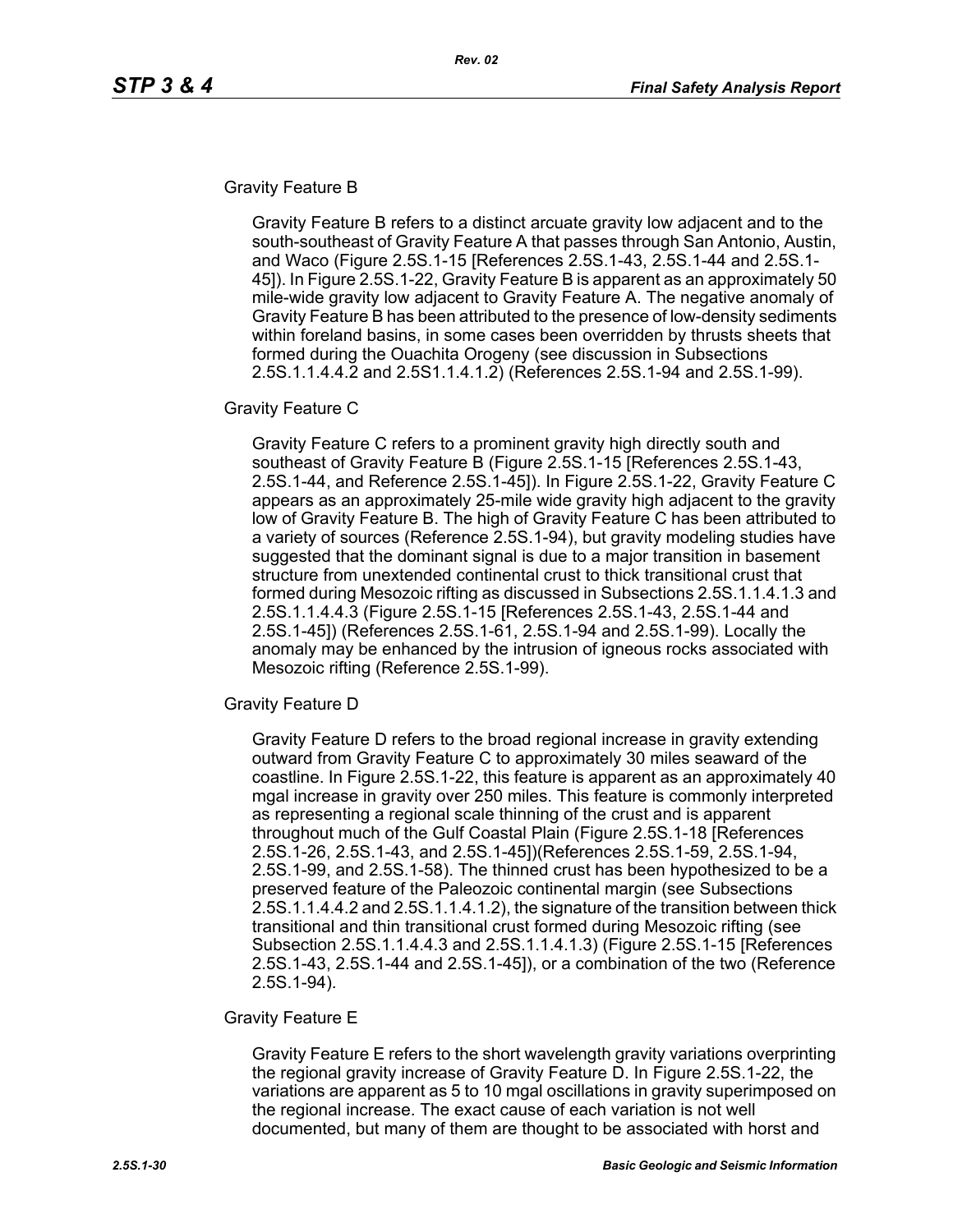### Gravity Feature B

Gravity Feature B refers to a distinct arcuate gravity low adjacent and to the south-southeast of Gravity Feature A that passes through San Antonio, Austin, and Waco (Figure 2.5S.1-15 [References 2.5S.1-43, 2.5S.1-44 and 2.5S.1- 45]). In Figure 2.5S.1-22, Gravity Feature B is apparent as an approximately 50 mile-wide gravity low adjacent to Gravity Feature A. The negative anomaly of Gravity Feature B has been attributed to the presence of low-density sediments within foreland basins, in some cases been overridden by thrusts sheets that formed during the Ouachita Orogeny (see discussion in Subsections 2.5S.1.1.4.4.2 and 2.5S1.1.4.1.2) (References 2.5S.1-94 and 2.5S.1-99).

### Gravity Feature C

Gravity Feature C refers to a prominent gravity high directly south and southeast of Gravity Feature B (Figure 2.5S.1-15 [References 2.5S.1-43, 2.5S.1-44, and Reference 2.5S.1-45]). In Figure 2.5S.1-22, Gravity Feature C appears as an approximately 25-mile wide gravity high adjacent to the gravity low of Gravity Feature B. The high of Gravity Feature C has been attributed to a variety of sources (Reference 2.5S.1-94), but gravity modeling studies have suggested that the dominant signal is due to a major transition in basement structure from unextended continental crust to thick transitional crust that formed during Mesozoic rifting as discussed in Subsections 2.5S.1.1.4.1.3 and 2.5S.1.1.4.4.3 (Figure 2.5S.1-15 [References 2.5S.1-43, 2.5S.1-44 and 2.5S.1-45]) (References 2.5S.1-61, 2.5S.1-94 and 2.5S.1-99). Locally the anomaly may be enhanced by the intrusion of igneous rocks associated with Mesozoic rifting (Reference 2.5S.1-99).

#### Gravity Feature D

Gravity Feature D refers to the broad regional increase in gravity extending outward from Gravity Feature C to approximately 30 miles seaward of the coastline. In Figure 2.5S.1-22, this feature is apparent as an approximately 40 mgal increase in gravity over 250 miles. This feature is commonly interpreted as representing a regional scale thinning of the crust and is apparent throughout much of the Gulf Coastal Plain (Figure 2.5S.1-18 [References 2.5S.1-26, 2.5S.1-43, and 2.5S.1-45])(References 2.5S.1-59, 2.5S.1-94, 2.5S.1-99, and 2.5S.1-58). The thinned crust has been hypothesized to be a preserved feature of the Paleozoic continental margin (see Subsections 2.5S.1.1.4.4.2 and 2.5S.1.1.4.1.2), the signature of the transition between thick transitional and thin transitional crust formed during Mesozoic rifting (see Subsection 2.5S.1.1.4.4.3 and 2.5S.1.1.4.1.3) (Figure 2.5S.1-15 [References 2.5S.1-43, 2.5S.1-44 and 2.5S.1-45]), or a combination of the two (Reference 2.5S.1-94).

### Gravity Feature E

Gravity Feature E refers to the short wavelength gravity variations overprinting the regional gravity increase of Gravity Feature D. In Figure 2.5S.1-22, the variations are apparent as 5 to 10 mgal oscillations in gravity superimposed on the regional increase. The exact cause of each variation is not well documented, but many of them are thought to be associated with horst and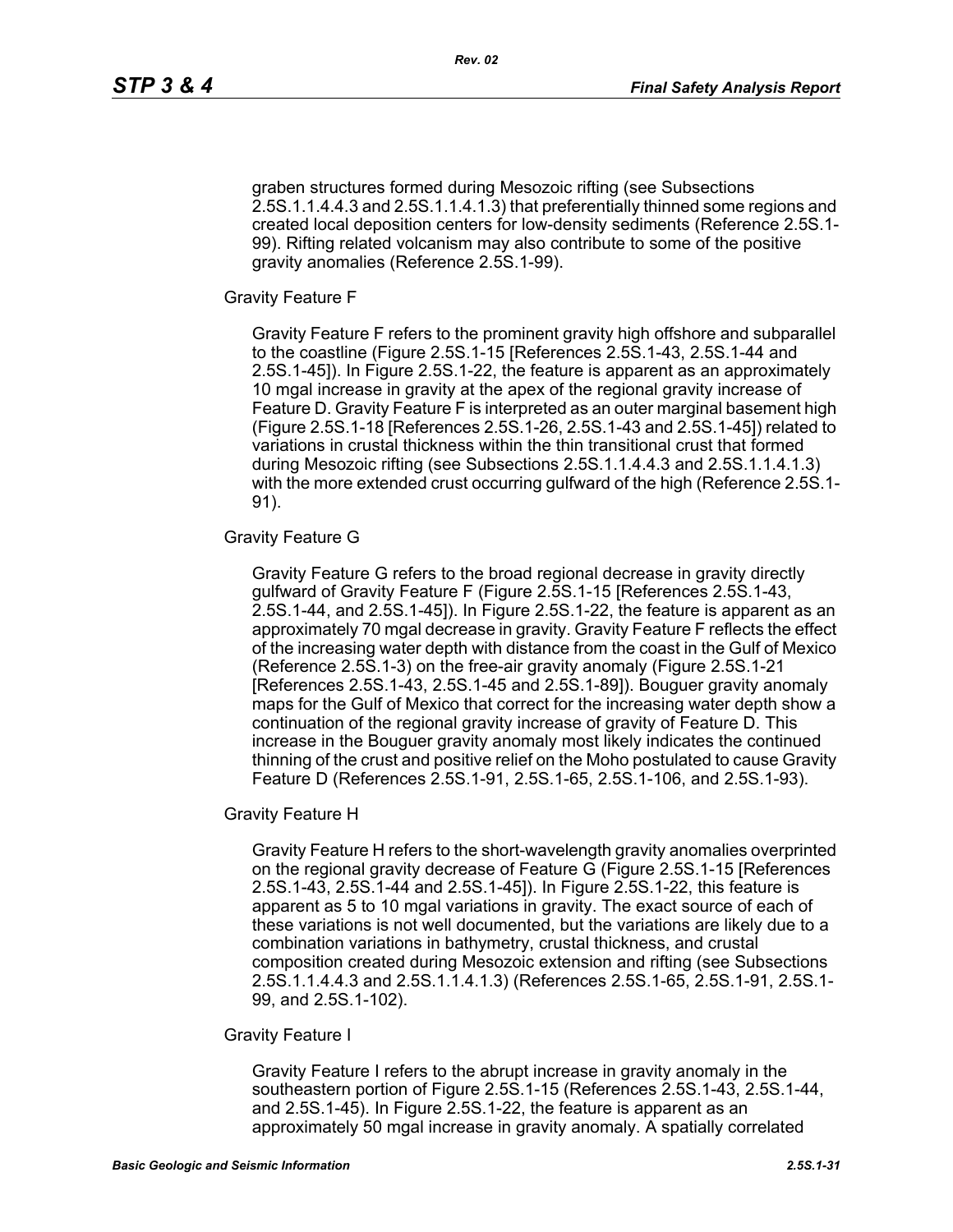graben structures formed during Mesozoic rifting (see Subsections 2.5S.1.1.4.4.3 and 2.5S.1.1.4.1.3) that preferentially thinned some regions and created local deposition centers for low-density sediments (Reference 2.5S.1- 99). Rifting related volcanism may also contribute to some of the positive gravity anomalies (Reference 2.5S.1-99).

Gravity Feature F

Gravity Feature F refers to the prominent gravity high offshore and subparallel to the coastline (Figure 2.5S.1-15 [References 2.5S.1-43, 2.5S.1-44 and 2.5S.1-45]). In Figure 2.5S.1-22, the feature is apparent as an approximately 10 mgal increase in gravity at the apex of the regional gravity increase of Feature D. Gravity Feature F is interpreted as an outer marginal basement high (Figure 2.5S.1-18 [References 2.5S.1-26, 2.5S.1-43 and 2.5S.1-45]) related to variations in crustal thickness within the thin transitional crust that formed during Mesozoic rifting (see Subsections 2.5S.1.1.4.4.3 and 2.5S.1.1.4.1.3) with the more extended crust occurring gulfward of the high (Reference 2.5S.1- 91).

### Gravity Feature G

Gravity Feature G refers to the broad regional decrease in gravity directly gulfward of Gravity Feature F (Figure 2.5S.1-15 [References 2.5S.1-43, 2.5S.1-44, and 2.5S.1-45]). In Figure 2.5S.1-22, the feature is apparent as an approximately 70 mgal decrease in gravity. Gravity Feature F reflects the effect of the increasing water depth with distance from the coast in the Gulf of Mexico (Reference 2.5S.1-3) on the free-air gravity anomaly (Figure 2.5S.1-21 [References 2.5S.1-43, 2.5S.1-45 and 2.5S.1-89]). Bouguer gravity anomaly maps for the Gulf of Mexico that correct for the increasing water depth show a continuation of the regional gravity increase of gravity of Feature D. This increase in the Bouguer gravity anomaly most likely indicates the continued thinning of the crust and positive relief on the Moho postulated to cause Gravity Feature D (References 2.5S.1-91, 2.5S.1-65, 2.5S.1-106, and 2.5S.1-93).

Gravity Feature H

Gravity Feature H refers to the short-wavelength gravity anomalies overprinted on the regional gravity decrease of Feature G (Figure 2.5S.1-15 [References 2.5S.1-43, 2.5S.1-44 and 2.5S.1-45]). In Figure 2.5S.1-22, this feature is apparent as 5 to 10 mgal variations in gravity. The exact source of each of these variations is not well documented, but the variations are likely due to a combination variations in bathymetry, crustal thickness, and crustal composition created during Mesozoic extension and rifting (see Subsections 2.5S.1.1.4.4.3 and 2.5S.1.1.4.1.3) (References 2.5S.1-65, 2.5S.1-91, 2.5S.1- 99, and 2.5S.1-102).

#### Gravity Feature I

Gravity Feature I refers to the abrupt increase in gravity anomaly in the southeastern portion of Figure 2.5S.1-15 (References 2.5S.1-43, 2.5S.1-44, and 2.5S.1-45). In Figure 2.5S.1-22, the feature is apparent as an approximately 50 mgal increase in gravity anomaly. A spatially correlated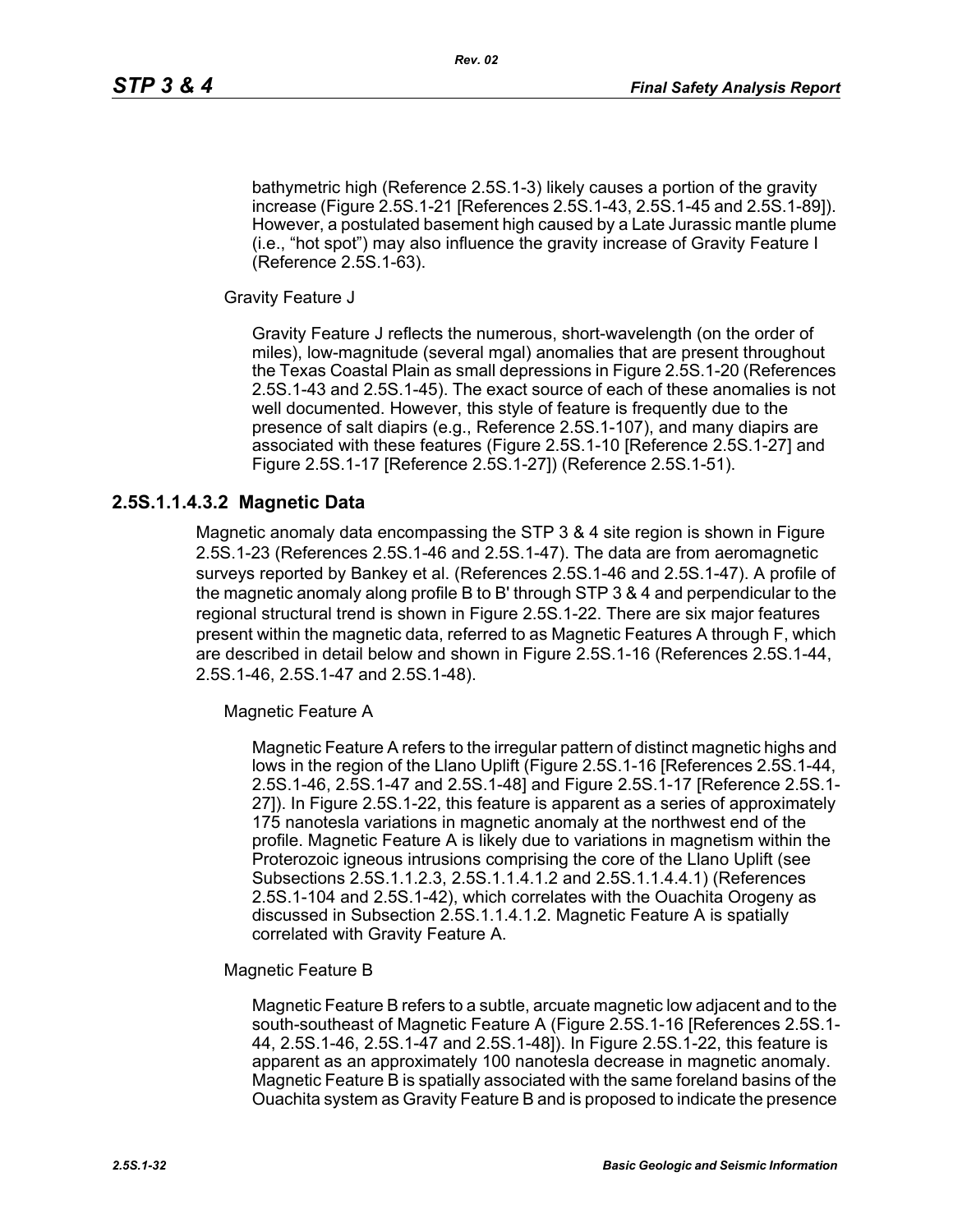bathymetric high (Reference 2.5S.1-3) likely causes a portion of the gravity increase (Figure 2.5S.1-21 [References 2.5S.1-43, 2.5S.1-45 and 2.5S.1-89]). However, a postulated basement high caused by a Late Jurassic mantle plume (i.e., "hot spot") may also influence the gravity increase of Gravity Feature I (Reference 2.5S.1-63).

Gravity Feature J

Gravity Feature J reflects the numerous, short-wavelength (on the order of miles), low-magnitude (several mgal) anomalies that are present throughout the Texas Coastal Plain as small depressions in Figure 2.5S.1-20 (References 2.5S.1-43 and 2.5S.1-45). The exact source of each of these anomalies is not well documented. However, this style of feature is frequently due to the presence of salt diapirs (e.g., Reference 2.5S.1-107), and many diapirs are associated with these features (Figure 2.5S.1-10 [Reference 2.5S.1-27] and Figure 2.5S.1-17 [Reference 2.5S.1-27]) (Reference 2.5S.1-51).

## **2.5S.1.1.4.3.2 Magnetic Data**

Magnetic anomaly data encompassing the STP 3 & 4 site region is shown in Figure 2.5S.1-23 (References 2.5S.1-46 and 2.5S.1-47). The data are from aeromagnetic surveys reported by Bankey et al. (References 2.5S.1-46 and 2.5S.1-47). A profile of the magnetic anomaly along profile B to B' through STP 3 & 4 and perpendicular to the regional structural trend is shown in Figure 2.5S.1-22. There are six major features present within the magnetic data, referred to as Magnetic Features A through F, which are described in detail below and shown in Figure 2.5S.1-16 (References 2.5S.1-44, 2.5S.1-46, 2.5S.1-47 and 2.5S.1-48).

Magnetic Feature A

Magnetic Feature A refers to the irregular pattern of distinct magnetic highs and lows in the region of the Llano Uplift (Figure 2.5S.1-16 [References 2.5S.1-44, 2.5S.1-46, 2.5S.1-47 and 2.5S.1-48] and Figure 2.5S.1-17 [Reference 2.5S.1- 27]). In Figure 2.5S.1-22, this feature is apparent as a series of approximately 175 nanotesla variations in magnetic anomaly at the northwest end of the profile. Magnetic Feature A is likely due to variations in magnetism within the Proterozoic igneous intrusions comprising the core of the Llano Uplift (see Subsections 2.5S.1.1.2.3, 2.5S.1.1.4.1.2 and 2.5S.1.1.4.4.1) (References 2.5S.1-104 and 2.5S.1-42), which correlates with the Ouachita Orogeny as discussed in Subsection 2.5S.1.1.4.1.2. Magnetic Feature A is spatially correlated with Gravity Feature A.

Magnetic Feature B

Magnetic Feature B refers to a subtle, arcuate magnetic low adjacent and to the south-southeast of Magnetic Feature A (Figure 2.5S.1-16 [References 2.5S.1- 44, 2.5S.1-46, 2.5S.1-47 and 2.5S.1-48]). In Figure 2.5S.1-22, this feature is apparent as an approximately 100 nanotesla decrease in magnetic anomaly. Magnetic Feature B is spatially associated with the same foreland basins of the Ouachita system as Gravity Feature B and is proposed to indicate the presence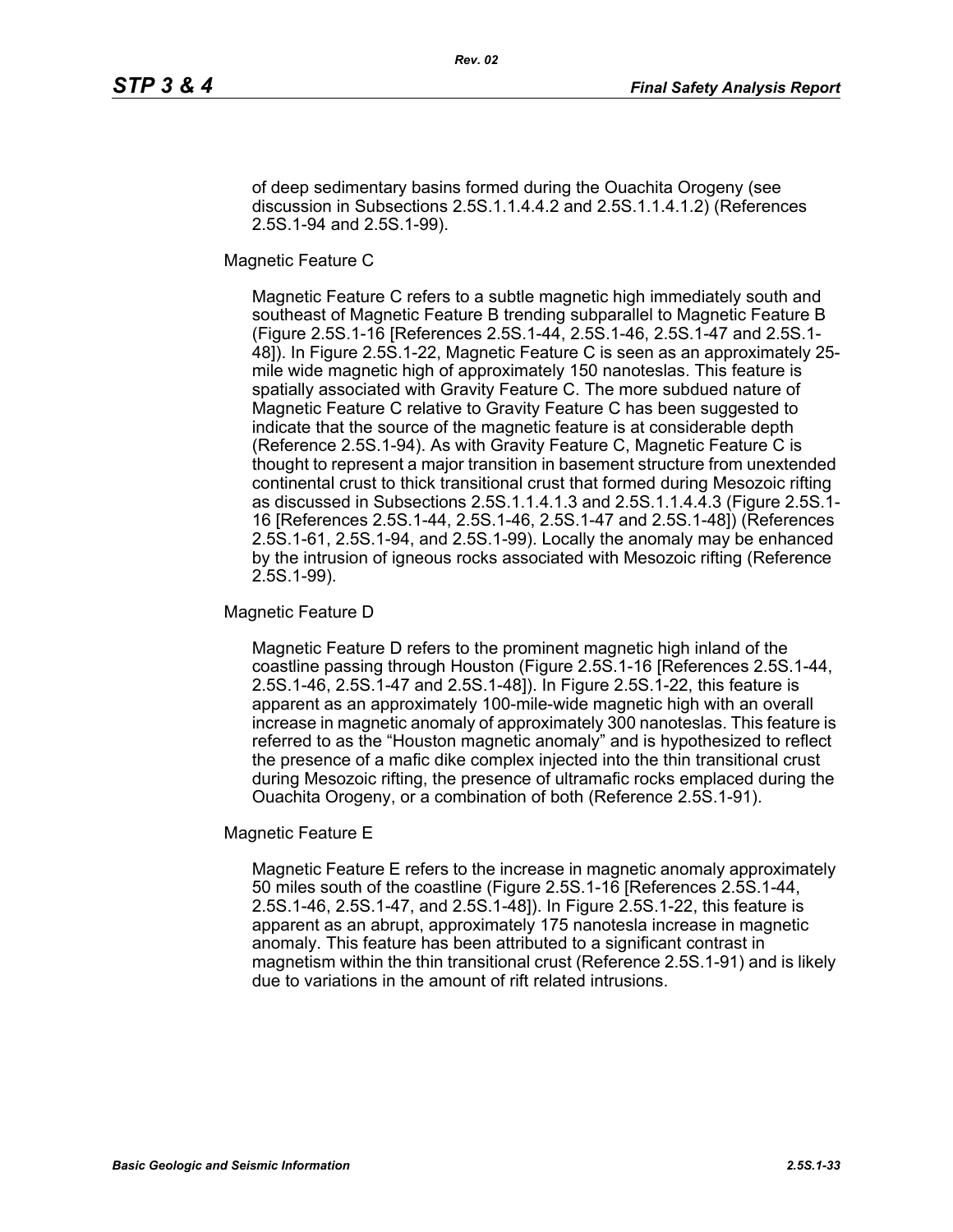of deep sedimentary basins formed during the Ouachita Orogeny (see discussion in Subsections 2.5S.1.1.4.4.2 and 2.5S.1.1.4.1.2) (References 2.5S.1-94 and 2.5S.1-99).

Magnetic Feature C

Magnetic Feature C refers to a subtle magnetic high immediately south and southeast of Magnetic Feature B trending subparallel to Magnetic Feature B (Figure 2.5S.1-16 [References 2.5S.1-44, 2.5S.1-46, 2.5S.1-47 and 2.5S.1- 48]). In Figure 2.5S.1-22, Magnetic Feature C is seen as an approximately 25 mile wide magnetic high of approximately 150 nanoteslas. This feature is spatially associated with Gravity Feature C. The more subdued nature of Magnetic Feature C relative to Gravity Feature C has been suggested to indicate that the source of the magnetic feature is at considerable depth (Reference 2.5S.1-94). As with Gravity Feature C, Magnetic Feature C is thought to represent a major transition in basement structure from unextended continental crust to thick transitional crust that formed during Mesozoic rifting as discussed in Subsections 2.5S.1.1.4.1.3 and 2.5S.1.1.4.4.3 (Figure 2.5S.1- 16 [References 2.5S.1-44, 2.5S.1-46, 2.5S.1-47 and 2.5S.1-48]) (References 2.5S.1-61, 2.5S.1-94, and 2.5S.1-99). Locally the anomaly may be enhanced by the intrusion of igneous rocks associated with Mesozoic rifting (Reference 2.5S.1-99).

Magnetic Feature D

Magnetic Feature D refers to the prominent magnetic high inland of the coastline passing through Houston (Figure 2.5S.1-16 [References 2.5S.1-44, 2.5S.1-46, 2.5S.1-47 and 2.5S.1-48]). In Figure 2.5S.1-22, this feature is apparent as an approximately 100-mile-wide magnetic high with an overall increase in magnetic anomaly of approximately 300 nanoteslas. This feature is referred to as the "Houston magnetic anomaly" and is hypothesized to reflect the presence of a mafic dike complex injected into the thin transitional crust during Mesozoic rifting, the presence of ultramafic rocks emplaced during the Ouachita Orogeny, or a combination of both (Reference 2.5S.1-91).

Magnetic Feature E

Magnetic Feature E refers to the increase in magnetic anomaly approximately 50 miles south of the coastline (Figure 2.5S.1-16 [References 2.5S.1-44, 2.5S.1-46, 2.5S.1-47, and 2.5S.1-48]). In Figure 2.5S.1-22, this feature is apparent as an abrupt, approximately 175 nanotesla increase in magnetic anomaly. This feature has been attributed to a significant contrast in magnetism within the thin transitional crust (Reference 2.5S.1-91) and is likely due to variations in the amount of rift related intrusions.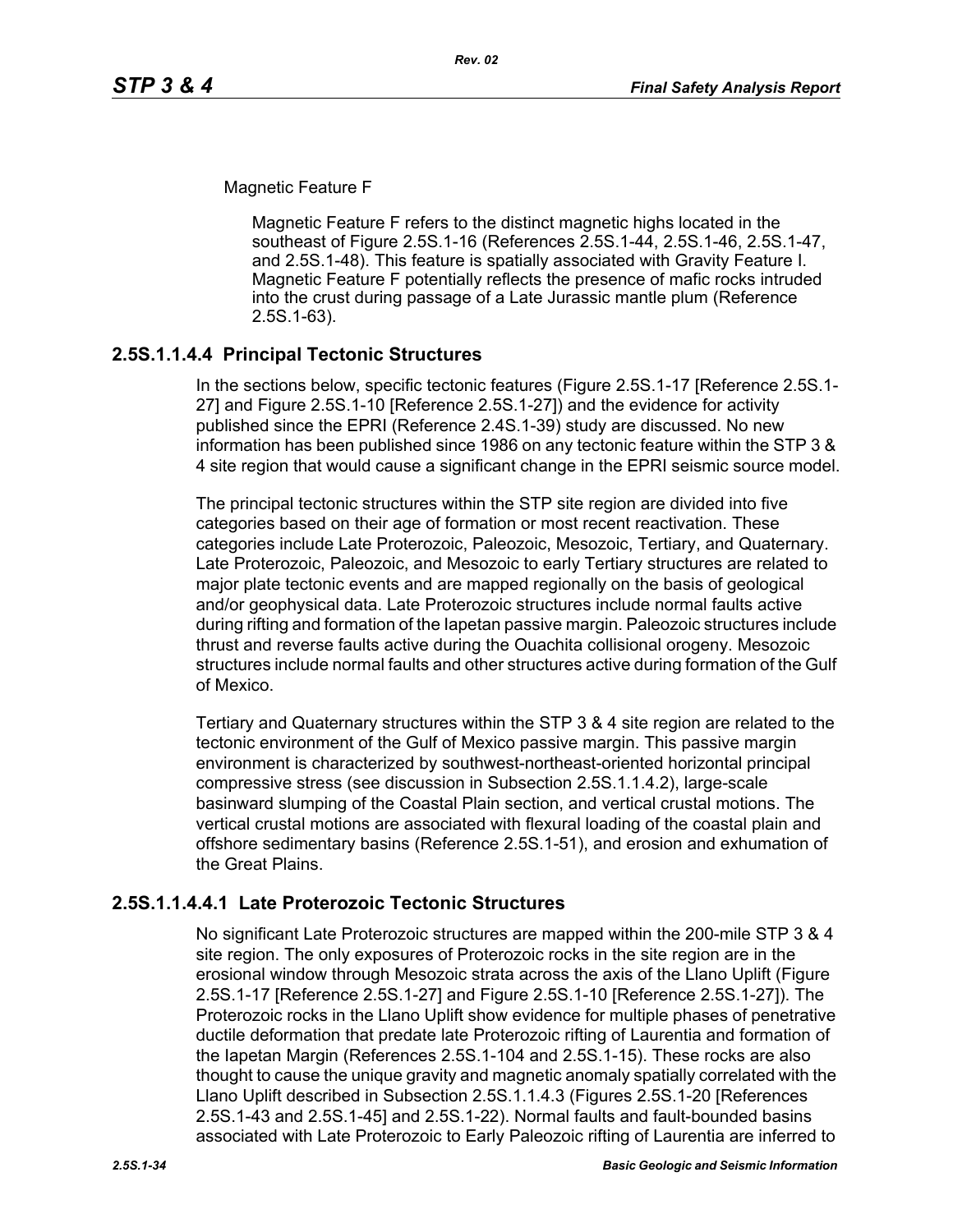Magnetic Feature F

Magnetic Feature F refers to the distinct magnetic highs located in the southeast of Figure 2.5S.1-16 (References 2.5S.1-44, 2.5S.1-46, 2.5S.1-47, and 2.5S.1-48). This feature is spatially associated with Gravity Feature I. Magnetic Feature F potentially reflects the presence of mafic rocks intruded into the crust during passage of a Late Jurassic mantle plum (Reference 2.5S.1-63).

## **2.5S.1.1.4.4 Principal Tectonic Structures**

In the sections below, specific tectonic features (Figure 2.5S.1-17 [Reference 2.5S.1- 27] and Figure 2.5S.1-10 [Reference 2.5S.1-27]) and the evidence for activity published since the EPRI (Reference 2.4S.1-39) study are discussed. No new information has been published since 1986 on any tectonic feature within the STP 3 & 4 site region that would cause a significant change in the EPRI seismic source model.

The principal tectonic structures within the STP site region are divided into five categories based on their age of formation or most recent reactivation. These categories include Late Proterozoic, Paleozoic, Mesozoic, Tertiary, and Quaternary. Late Proterozoic, Paleozoic, and Mesozoic to early Tertiary structures are related to major plate tectonic events and are mapped regionally on the basis of geological and/or geophysical data. Late Proterozoic structures include normal faults active during rifting and formation of the Iapetan passive margin. Paleozoic structures include thrust and reverse faults active during the Ouachita collisional orogeny. Mesozoic structures include normal faults and other structures active during formation of the Gulf of Mexico.

Tertiary and Quaternary structures within the STP 3 & 4 site region are related to the tectonic environment of the Gulf of Mexico passive margin. This passive margin environment is characterized by southwest-northeast-oriented horizontal principal compressive stress (see discussion in Subsection 2.5S.1.1.4.2), large-scale basinward slumping of the Coastal Plain section, and vertical crustal motions. The vertical crustal motions are associated with flexural loading of the coastal plain and offshore sedimentary basins (Reference 2.5S.1-51), and erosion and exhumation of the Great Plains.

## **2.5S.1.1.4.4.1 Late Proterozoic Tectonic Structures**

No significant Late Proterozoic structures are mapped within the 200-mile STP 3 & 4 site region. The only exposures of Proterozoic rocks in the site region are in the erosional window through Mesozoic strata across the axis of the Llano Uplift (Figure 2.5S.1-17 [Reference 2.5S.1-27] and Figure 2.5S.1-10 [Reference 2.5S.1-27]). The Proterozoic rocks in the Llano Uplift show evidence for multiple phases of penetrative ductile deformation that predate late Proterozoic rifting of Laurentia and formation of the Iapetan Margin (References 2.5S.1-104 and 2.5S.1-15). These rocks are also thought to cause the unique gravity and magnetic anomaly spatially correlated with the Llano Uplift described in Subsection 2.5S.1.1.4.3 (Figures 2.5S.1-20 [References 2.5S.1-43 and 2.5S.1-45] and 2.5S.1-22). Normal faults and fault-bounded basins associated with Late Proterozoic to Early Paleozoic rifting of Laurentia are inferred to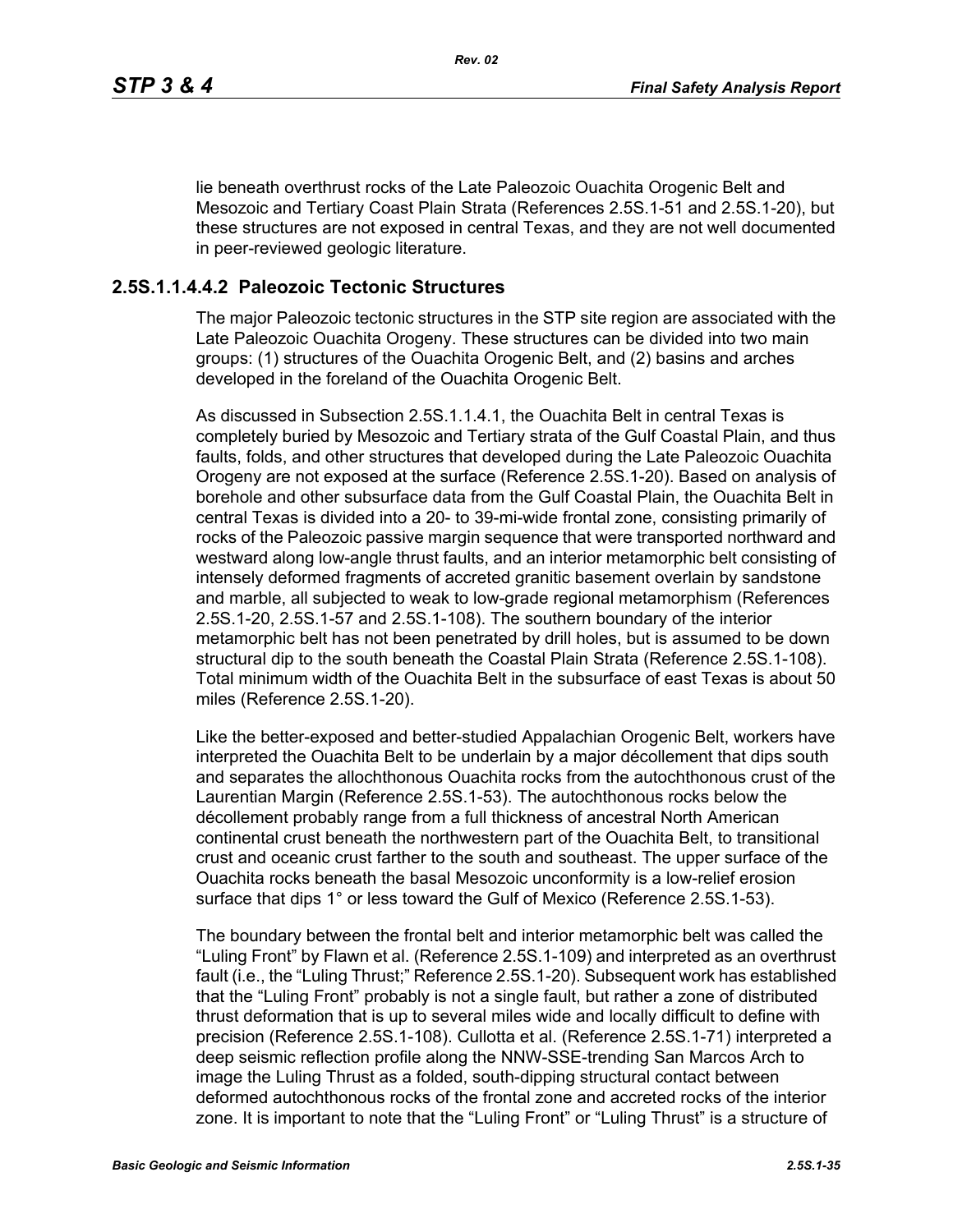lie beneath overthrust rocks of the Late Paleozoic Ouachita Orogenic Belt and Mesozoic and Tertiary Coast Plain Strata (References 2.5S.1-51 and 2.5S.1-20), but these structures are not exposed in central Texas, and they are not well documented in peer-reviewed geologic literature.

### **2.5S.1.1.4.4.2 Paleozoic Tectonic Structures**

The major Paleozoic tectonic structures in the STP site region are associated with the Late Paleozoic Ouachita Orogeny. These structures can be divided into two main groups: (1) structures of the Ouachita Orogenic Belt, and (2) basins and arches developed in the foreland of the Ouachita Orogenic Belt.

As discussed in Subsection 2.5S.1.1.4.1, the Ouachita Belt in central Texas is completely buried by Mesozoic and Tertiary strata of the Gulf Coastal Plain, and thus faults, folds, and other structures that developed during the Late Paleozoic Ouachita Orogeny are not exposed at the surface (Reference 2.5S.1-20). Based on analysis of borehole and other subsurface data from the Gulf Coastal Plain, the Ouachita Belt in central Texas is divided into a 20- to 39-mi-wide frontal zone, consisting primarily of rocks of the Paleozoic passive margin sequence that were transported northward and westward along low-angle thrust faults, and an interior metamorphic belt consisting of intensely deformed fragments of accreted granitic basement overlain by sandstone and marble, all subjected to weak to low-grade regional metamorphism (References 2.5S.1-20, 2.5S.1-57 and 2.5S.1-108). The southern boundary of the interior metamorphic belt has not been penetrated by drill holes, but is assumed to be down structural dip to the south beneath the Coastal Plain Strata (Reference 2.5S.1-108). Total minimum width of the Ouachita Belt in the subsurface of east Texas is about 50 miles (Reference 2.5S.1-20).

Like the better-exposed and better-studied Appalachian Orogenic Belt, workers have interpreted the Ouachita Belt to be underlain by a major décollement that dips south and separates the allochthonous Ouachita rocks from the autochthonous crust of the Laurentian Margin (Reference 2.5S.1-53). The autochthonous rocks below the décollement probably range from a full thickness of ancestral North American continental crust beneath the northwestern part of the Ouachita Belt, to transitional crust and oceanic crust farther to the south and southeast. The upper surface of the Ouachita rocks beneath the basal Mesozoic unconformity is a low-relief erosion surface that dips 1° or less toward the Gulf of Mexico (Reference 2.5S.1-53).

The boundary between the frontal belt and interior metamorphic belt was called the "Luling Front" by Flawn et al. (Reference 2.5S.1-109) and interpreted as an overthrust fault (i.e., the "Luling Thrust;" Reference 2.5S.1-20). Subsequent work has established that the "Luling Front" probably is not a single fault, but rather a zone of distributed thrust deformation that is up to several miles wide and locally difficult to define with precision (Reference 2.5S.1-108). Cullotta et al. (Reference 2.5S.1-71) interpreted a deep seismic reflection profile along the NNW-SSE-trending San Marcos Arch to image the Luling Thrust as a folded, south-dipping structural contact between deformed autochthonous rocks of the frontal zone and accreted rocks of the interior zone. It is important to note that the "Luling Front" or "Luling Thrust" is a structure of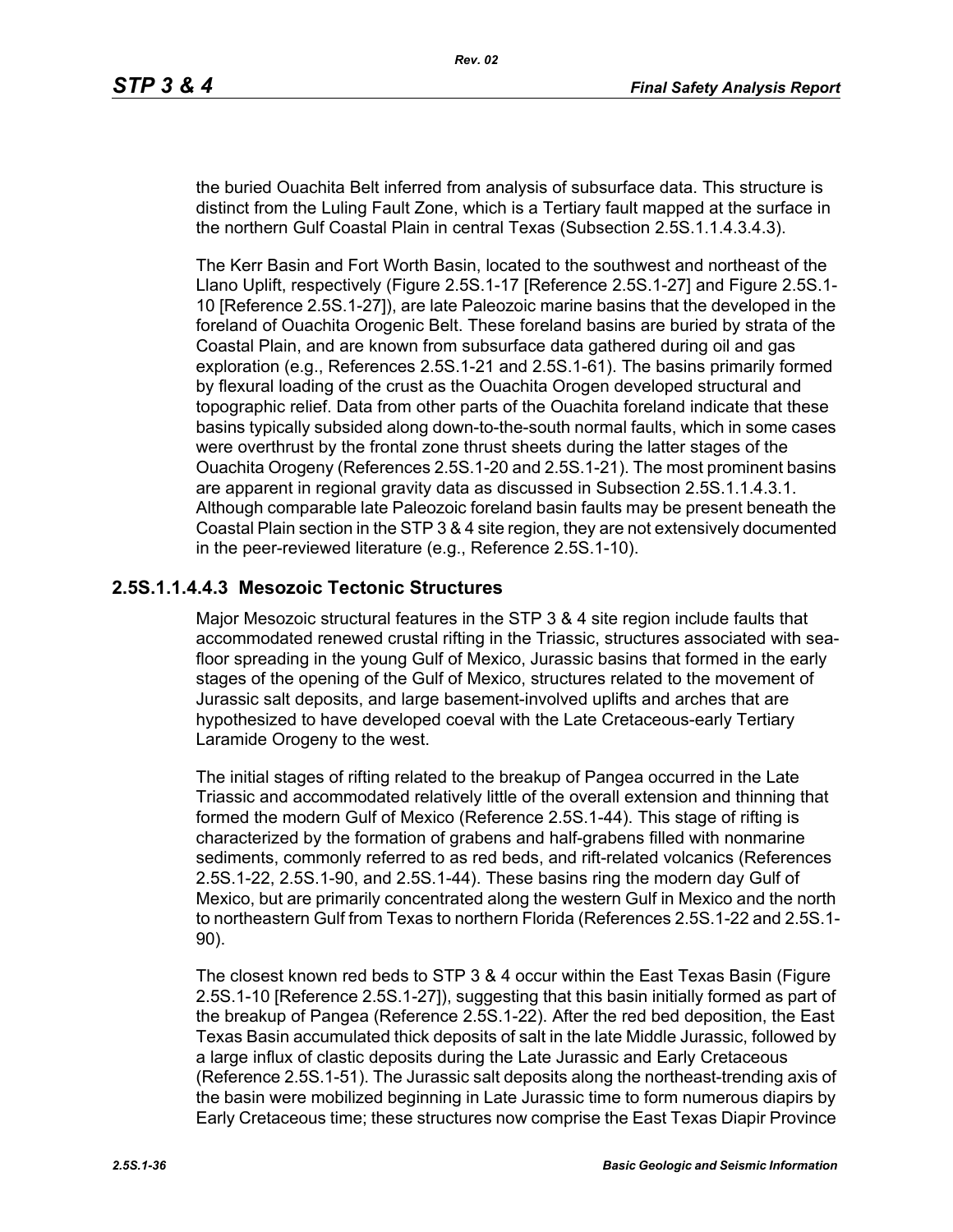the buried Ouachita Belt inferred from analysis of subsurface data. This structure is distinct from the Luling Fault Zone, which is a Tertiary fault mapped at the surface in the northern Gulf Coastal Plain in central Texas (Subsection 2.5S.1.1.4.3.4.3).

The Kerr Basin and Fort Worth Basin, located to the southwest and northeast of the Llano Uplift, respectively (Figure 2.5S.1-17 [Reference 2.5S.1-27] and Figure 2.5S.1- 10 [Reference 2.5S.1-27]), are late Paleozoic marine basins that the developed in the foreland of Ouachita Orogenic Belt. These foreland basins are buried by strata of the Coastal Plain, and are known from subsurface data gathered during oil and gas exploration (e.g., References 2.5S.1-21 and 2.5S.1-61). The basins primarily formed by flexural loading of the crust as the Ouachita Orogen developed structural and topographic relief. Data from other parts of the Ouachita foreland indicate that these basins typically subsided along down-to-the-south normal faults, which in some cases were overthrust by the frontal zone thrust sheets during the latter stages of the Ouachita Orogeny (References 2.5S.1-20 and 2.5S.1-21). The most prominent basins are apparent in regional gravity data as discussed in Subsection 2.5S.1.1.4.3.1. Although comparable late Paleozoic foreland basin faults may be present beneath the Coastal Plain section in the STP 3 & 4 site region, they are not extensively documented in the peer-reviewed literature (e.g., Reference 2.5S.1-10).

## **2.5S.1.1.4.4.3 Mesozoic Tectonic Structures**

Major Mesozoic structural features in the STP 3 & 4 site region include faults that accommodated renewed crustal rifting in the Triassic, structures associated with seafloor spreading in the young Gulf of Mexico, Jurassic basins that formed in the early stages of the opening of the Gulf of Mexico, structures related to the movement of Jurassic salt deposits, and large basement-involved uplifts and arches that are hypothesized to have developed coeval with the Late Cretaceous-early Tertiary Laramide Orogeny to the west.

The initial stages of rifting related to the breakup of Pangea occurred in the Late Triassic and accommodated relatively little of the overall extension and thinning that formed the modern Gulf of Mexico (Reference 2.5S.1-44). This stage of rifting is characterized by the formation of grabens and half-grabens filled with nonmarine sediments, commonly referred to as red beds, and rift-related volcanics (References 2.5S.1-22, 2.5S.1-90, and 2.5S.1-44). These basins ring the modern day Gulf of Mexico, but are primarily concentrated along the western Gulf in Mexico and the north to northeastern Gulf from Texas to northern Florida (References 2.5S.1-22 and 2.5S.1- 90).

The closest known red beds to STP 3 & 4 occur within the East Texas Basin (Figure 2.5S.1-10 [Reference 2.5S.1-27]), suggesting that this basin initially formed as part of the breakup of Pangea (Reference 2.5S.1-22). After the red bed deposition, the East Texas Basin accumulated thick deposits of salt in the late Middle Jurassic, followed by a large influx of clastic deposits during the Late Jurassic and Early Cretaceous (Reference 2.5S.1-51). The Jurassic salt deposits along the northeast-trending axis of the basin were mobilized beginning in Late Jurassic time to form numerous diapirs by Early Cretaceous time; these structures now comprise the East Texas Diapir Province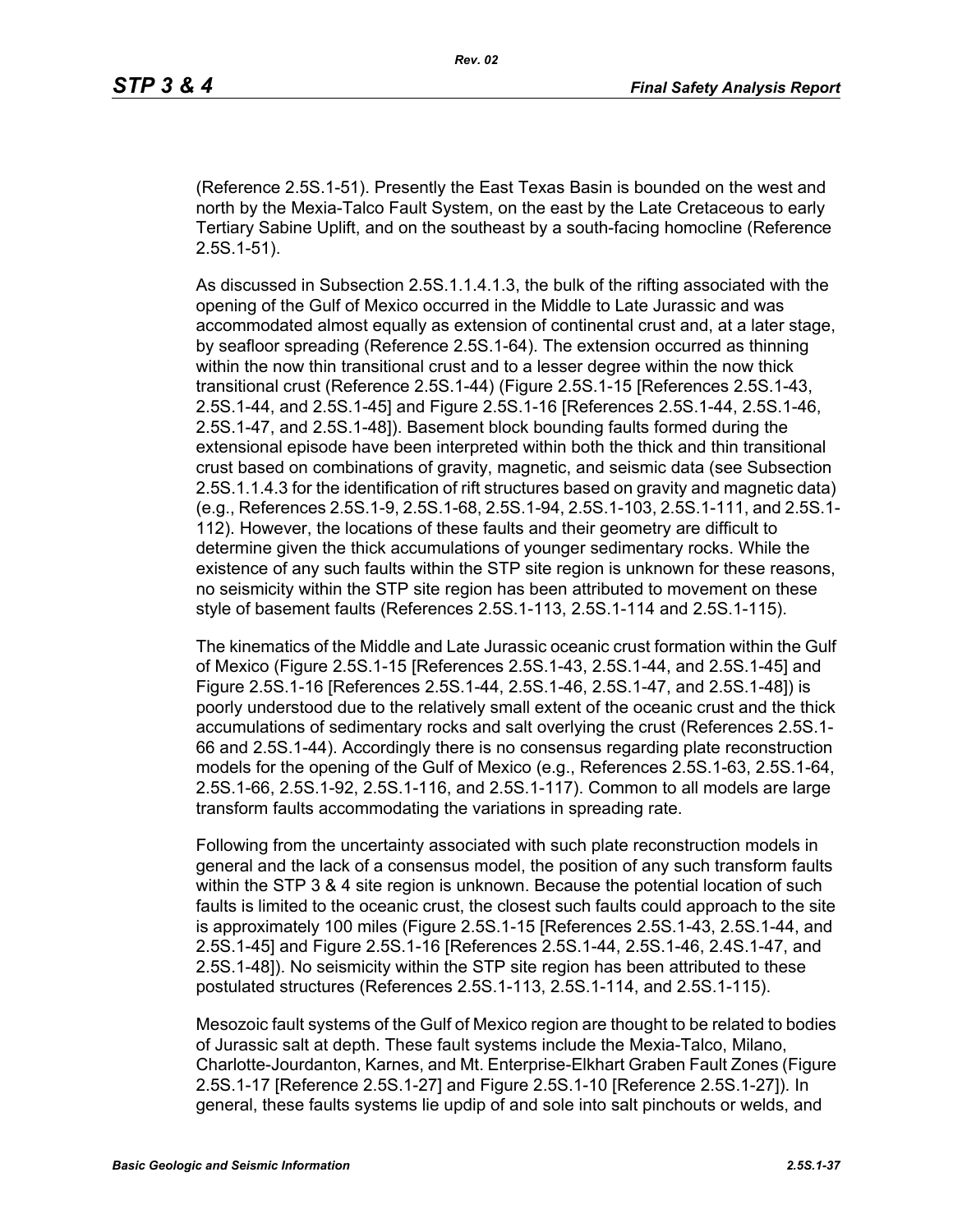(Reference 2.5S.1-51). Presently the East Texas Basin is bounded on the west and north by the Mexia-Talco Fault System, on the east by the Late Cretaceous to early Tertiary Sabine Uplift, and on the southeast by a south-facing homocline (Reference 2.5S.1-51).

As discussed in Subsection 2.5S.1.1.4.1.3, the bulk of the rifting associated with the opening of the Gulf of Mexico occurred in the Middle to Late Jurassic and was accommodated almost equally as extension of continental crust and, at a later stage, by seafloor spreading (Reference 2.5S.1-64). The extension occurred as thinning within the now thin transitional crust and to a lesser degree within the now thick transitional crust (Reference 2.5S.1-44) (Figure 2.5S.1-15 [References 2.5S.1-43, 2.5S.1-44, and 2.5S.1-45] and Figure 2.5S.1-16 [References 2.5S.1-44, 2.5S.1-46, 2.5S.1-47, and 2.5S.1-48]). Basement block bounding faults formed during the extensional episode have been interpreted within both the thick and thin transitional crust based on combinations of gravity, magnetic, and seismic data (see Subsection 2.5S.1.1.4.3 for the identification of rift structures based on gravity and magnetic data) (e.g., References 2.5S.1-9, 2.5S.1-68, 2.5S.1-94, 2.5S.1-103, 2.5S.1-111, and 2.5S.1- 112). However, the locations of these faults and their geometry are difficult to determine given the thick accumulations of younger sedimentary rocks. While the existence of any such faults within the STP site region is unknown for these reasons, no seismicity within the STP site region has been attributed to movement on these style of basement faults (References 2.5S.1-113, 2.5S.1-114 and 2.5S.1-115).

The kinematics of the Middle and Late Jurassic oceanic crust formation within the Gulf of Mexico (Figure 2.5S.1-15 [References 2.5S.1-43, 2.5S.1-44, and 2.5S.1-45] and Figure 2.5S.1-16 [References 2.5S.1-44, 2.5S.1-46, 2.5S.1-47, and 2.5S.1-48]) is poorly understood due to the relatively small extent of the oceanic crust and the thick accumulations of sedimentary rocks and salt overlying the crust (References 2.5S.1- 66 and 2.5S.1-44). Accordingly there is no consensus regarding plate reconstruction models for the opening of the Gulf of Mexico (e.g., References 2.5S.1-63, 2.5S.1-64, 2.5S.1-66, 2.5S.1-92, 2.5S.1-116, and 2.5S.1-117). Common to all models are large transform faults accommodating the variations in spreading rate.

Following from the uncertainty associated with such plate reconstruction models in general and the lack of a consensus model, the position of any such transform faults within the STP 3 & 4 site region is unknown. Because the potential location of such faults is limited to the oceanic crust, the closest such faults could approach to the site is approximately 100 miles (Figure 2.5S.1-15 [References 2.5S.1-43, 2.5S.1-44, and 2.5S.1-45] and Figure 2.5S.1-16 [References 2.5S.1-44, 2.5S.1-46, 2.4S.1-47, and 2.5S.1-48]). No seismicity within the STP site region has been attributed to these postulated structures (References 2.5S.1-113, 2.5S.1-114, and 2.5S.1-115).

Mesozoic fault systems of the Gulf of Mexico region are thought to be related to bodies of Jurassic salt at depth. These fault systems include the Mexia-Talco, Milano, Charlotte-Jourdanton, Karnes, and Mt. Enterprise-Elkhart Graben Fault Zones (Figure 2.5S.1-17 [Reference 2.5S.1-27] and Figure 2.5S.1-10 [Reference 2.5S.1-27]). In general, these faults systems lie updip of and sole into salt pinchouts or welds, and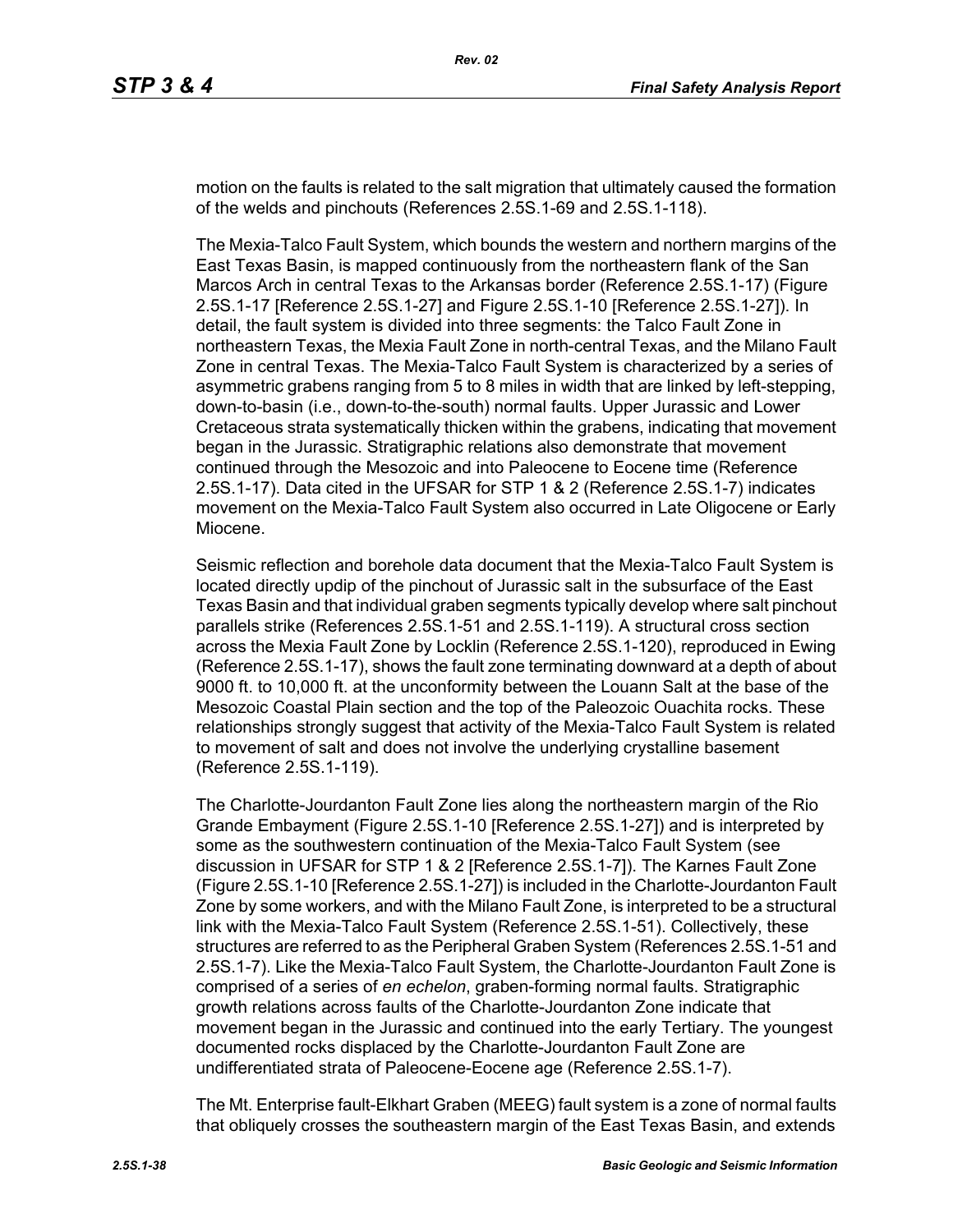motion on the faults is related to the salt migration that ultimately caused the formation of the welds and pinchouts (References 2.5S.1-69 and 2.5S.1-118).

The Mexia-Talco Fault System, which bounds the western and northern margins of the East Texas Basin, is mapped continuously from the northeastern flank of the San Marcos Arch in central Texas to the Arkansas border (Reference 2.5S.1-17) (Figure 2.5S.1-17 [Reference 2.5S.1-27] and Figure 2.5S.1-10 [Reference 2.5S.1-27]). In detail, the fault system is divided into three segments: the Talco Fault Zone in northeastern Texas, the Mexia Fault Zone in north-central Texas, and the Milano Fault Zone in central Texas. The Mexia-Talco Fault System is characterized by a series of asymmetric grabens ranging from 5 to 8 miles in width that are linked by left-stepping, down-to-basin (i.e., down-to-the-south) normal faults. Upper Jurassic and Lower Cretaceous strata systematically thicken within the grabens, indicating that movement began in the Jurassic. Stratigraphic relations also demonstrate that movement continued through the Mesozoic and into Paleocene to Eocene time (Reference 2.5S.1-17). Data cited in the UFSAR for STP 1 & 2 (Reference 2.5S.1-7) indicates movement on the Mexia-Talco Fault System also occurred in Late Oligocene or Early Miocene.

Seismic reflection and borehole data document that the Mexia-Talco Fault System is located directly updip of the pinchout of Jurassic salt in the subsurface of the East Texas Basin and that individual graben segments typically develop where salt pinchout parallels strike (References 2.5S.1-51 and 2.5S.1-119). A structural cross section across the Mexia Fault Zone by Locklin (Reference 2.5S.1-120), reproduced in Ewing (Reference 2.5S.1-17), shows the fault zone terminating downward at a depth of about 9000 ft. to 10,000 ft. at the unconformity between the Louann Salt at the base of the Mesozoic Coastal Plain section and the top of the Paleozoic Ouachita rocks. These relationships strongly suggest that activity of the Mexia-Talco Fault System is related to movement of salt and does not involve the underlying crystalline basement (Reference 2.5S.1-119).

The Charlotte-Jourdanton Fault Zone lies along the northeastern margin of the Rio Grande Embayment (Figure 2.5S.1-10 [Reference 2.5S.1-27]) and is interpreted by some as the southwestern continuation of the Mexia-Talco Fault System (see discussion in UFSAR for STP 1 & 2 [Reference 2.5S.1-7]). The Karnes Fault Zone (Figure 2.5S.1-10 [Reference 2.5S.1-27]) is included in the Charlotte-Jourdanton Fault Zone by some workers, and with the Milano Fault Zone, is interpreted to be a structural link with the Mexia-Talco Fault System (Reference 2.5S.1-51). Collectively, these structures are referred to as the Peripheral Graben System (References 2.5S.1-51 and 2.5S.1-7). Like the Mexia-Talco Fault System, the Charlotte-Jourdanton Fault Zone is comprised of a series of *en echelon*, graben-forming normal faults. Stratigraphic growth relations across faults of the Charlotte-Jourdanton Zone indicate that movement began in the Jurassic and continued into the early Tertiary. The youngest documented rocks displaced by the Charlotte-Jourdanton Fault Zone are undifferentiated strata of Paleocene-Eocene age (Reference 2.5S.1-7).

The Mt. Enterprise fault-Elkhart Graben (MEEG) fault system is a zone of normal faults that obliquely crosses the southeastern margin of the East Texas Basin, and extends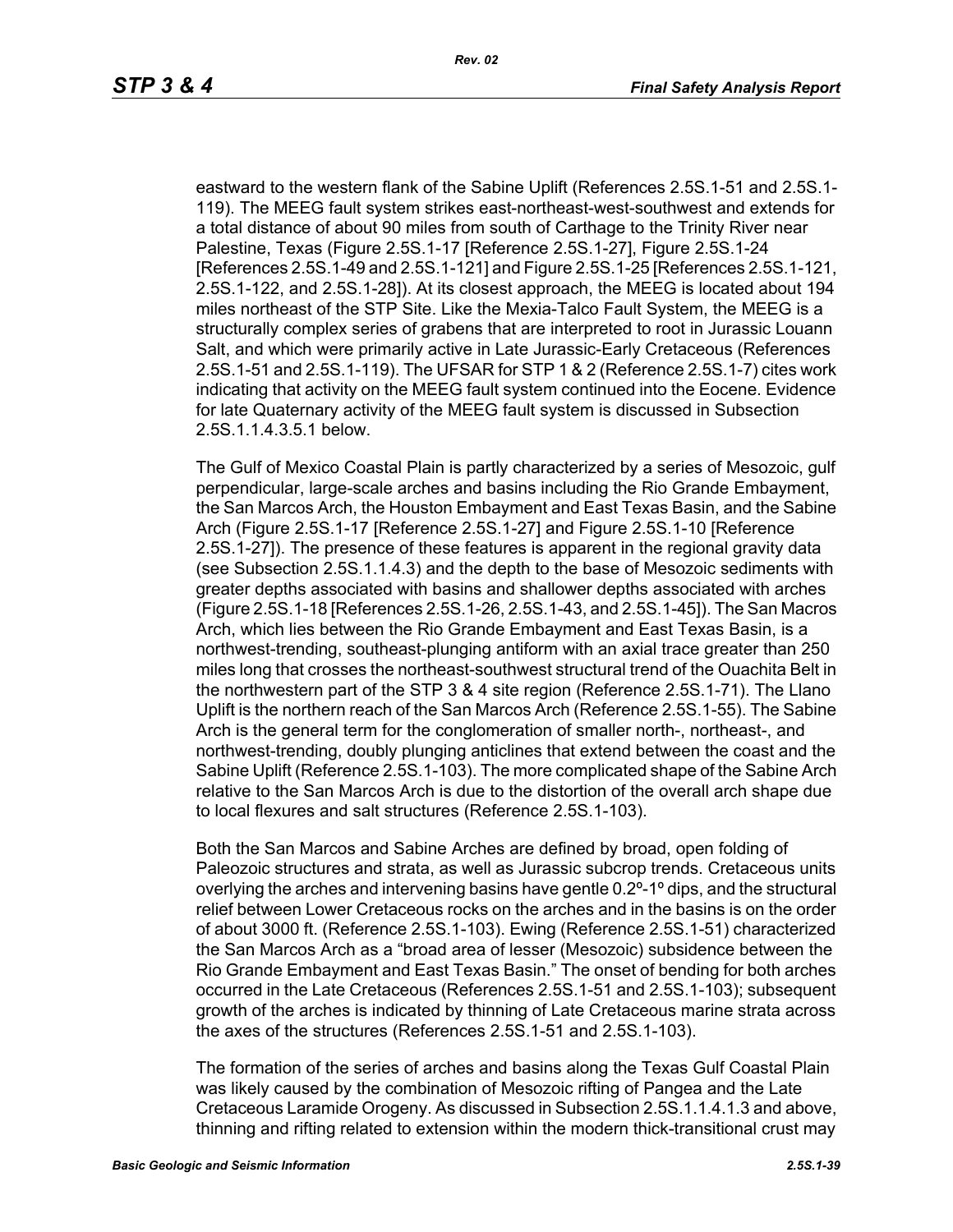eastward to the western flank of the Sabine Uplift (References 2.5S.1-51 and 2.5S.1- 119). The MEEG fault system strikes east-northeast-west-southwest and extends for a total distance of about 90 miles from south of Carthage to the Trinity River near Palestine, Texas (Figure 2.5S.1-17 [Reference 2.5S.1-27], Figure 2.5S.1-24 [References 2.5S.1-49 and 2.5S.1-121] and Figure 2.5S.1-25 [References 2.5S.1-121, 2.5S.1-122, and 2.5S.1-28]). At its closest approach, the MEEG is located about 194 miles northeast of the STP Site. Like the Mexia-Talco Fault System, the MEEG is a structurally complex series of grabens that are interpreted to root in Jurassic Louann Salt, and which were primarily active in Late Jurassic-Early Cretaceous (References 2.5S.1-51 and 2.5S.1-119). The UFSAR for STP 1 & 2 (Reference 2.5S.1-7) cites work indicating that activity on the MEEG fault system continued into the Eocene. Evidence for late Quaternary activity of the MEEG fault system is discussed in Subsection 2.5S.1.1.4.3.5.1 below.

The Gulf of Mexico Coastal Plain is partly characterized by a series of Mesozoic, gulf perpendicular, large-scale arches and basins including the Rio Grande Embayment, the San Marcos Arch, the Houston Embayment and East Texas Basin, and the Sabine Arch (Figure 2.5S.1-17 [Reference 2.5S.1-27] and Figure 2.5S.1-10 [Reference 2.5S.1-27]). The presence of these features is apparent in the regional gravity data (see Subsection 2.5S.1.1.4.3) and the depth to the base of Mesozoic sediments with greater depths associated with basins and shallower depths associated with arches (Figure 2.5S.1-18 [References 2.5S.1-26, 2.5S.1-43, and 2.5S.1-45]). The San Macros Arch, which lies between the Rio Grande Embayment and East Texas Basin, is a northwest-trending, southeast-plunging antiform with an axial trace greater than 250 miles long that crosses the northeast-southwest structural trend of the Ouachita Belt in the northwestern part of the STP 3 & 4 site region (Reference 2.5S.1-71). The Llano Uplift is the northern reach of the San Marcos Arch (Reference 2.5S.1-55). The Sabine Arch is the general term for the conglomeration of smaller north-, northeast-, and northwest-trending, doubly plunging anticlines that extend between the coast and the Sabine Uplift (Reference 2.5S.1-103). The more complicated shape of the Sabine Arch relative to the San Marcos Arch is due to the distortion of the overall arch shape due to local flexures and salt structures (Reference 2.5S.1-103).

Both the San Marcos and Sabine Arches are defined by broad, open folding of Paleozoic structures and strata, as well as Jurassic subcrop trends. Cretaceous units overlying the arches and intervening basins have gentle 0.2º-1º dips, and the structural relief between Lower Cretaceous rocks on the arches and in the basins is on the order of about 3000 ft. (Reference 2.5S.1-103). Ewing (Reference 2.5S.1-51) characterized the San Marcos Arch as a "broad area of lesser (Mesozoic) subsidence between the Rio Grande Embayment and East Texas Basin." The onset of bending for both arches occurred in the Late Cretaceous (References 2.5S.1-51 and 2.5S.1-103); subsequent growth of the arches is indicated by thinning of Late Cretaceous marine strata across the axes of the structures (References 2.5S.1-51 and 2.5S.1-103).

The formation of the series of arches and basins along the Texas Gulf Coastal Plain was likely caused by the combination of Mesozoic rifting of Pangea and the Late Cretaceous Laramide Orogeny. As discussed in Subsection 2.5S.1.1.4.1.3 and above, thinning and rifting related to extension within the modern thick-transitional crust may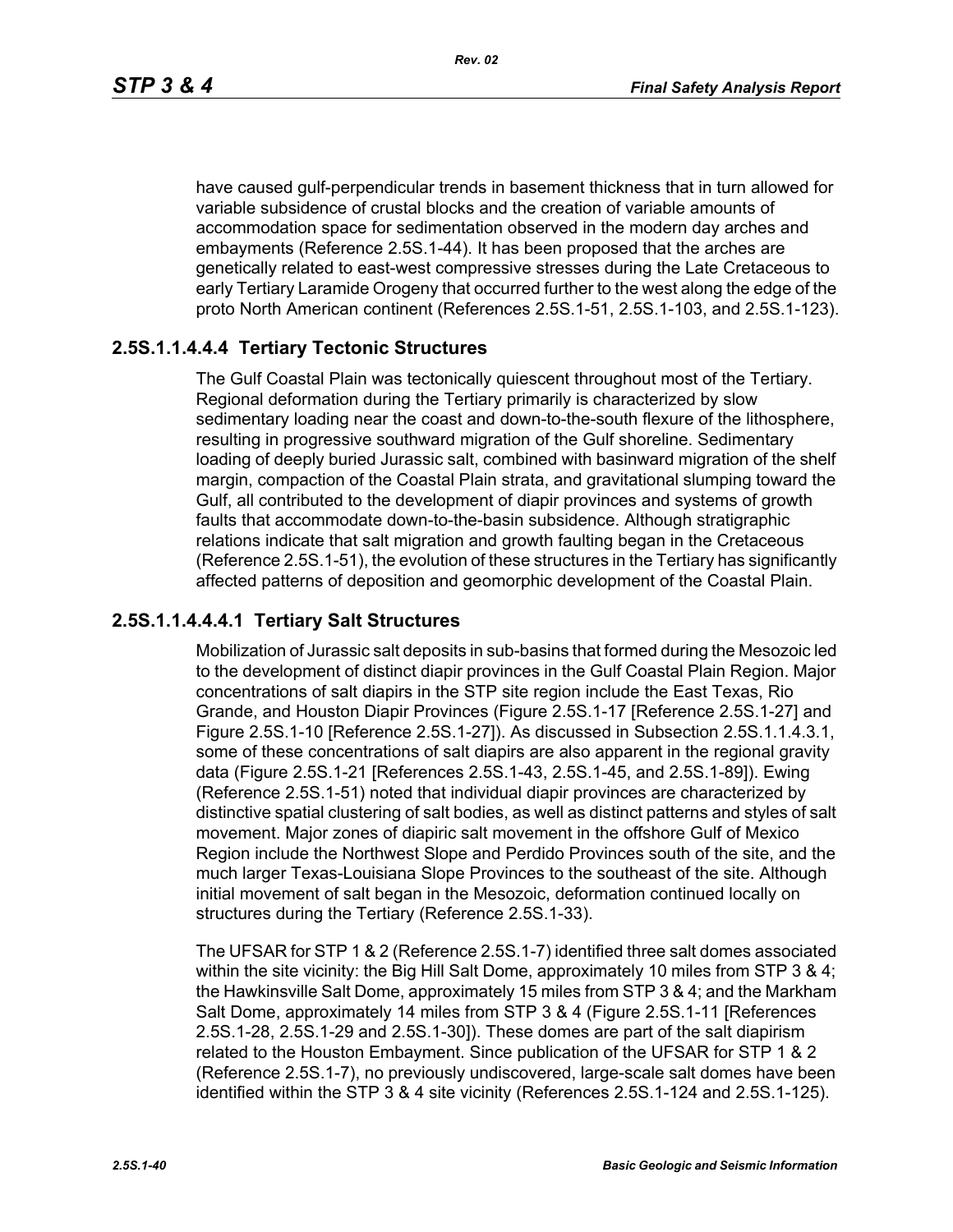have caused gulf-perpendicular trends in basement thickness that in turn allowed for variable subsidence of crustal blocks and the creation of variable amounts of accommodation space for sedimentation observed in the modern day arches and embayments (Reference 2.5S.1-44). It has been proposed that the arches are genetically related to east-west compressive stresses during the Late Cretaceous to early Tertiary Laramide Orogeny that occurred further to the west along the edge of the proto North American continent (References 2.5S.1-51, 2.5S.1-103, and 2.5S.1-123).

### **2.5S.1.1.4.4.4 Tertiary Tectonic Structures**

The Gulf Coastal Plain was tectonically quiescent throughout most of the Tertiary. Regional deformation during the Tertiary primarily is characterized by slow sedimentary loading near the coast and down-to-the-south flexure of the lithosphere, resulting in progressive southward migration of the Gulf shoreline. Sedimentary loading of deeply buried Jurassic salt, combined with basinward migration of the shelf margin, compaction of the Coastal Plain strata, and gravitational slumping toward the Gulf, all contributed to the development of diapir provinces and systems of growth faults that accommodate down-to-the-basin subsidence. Although stratigraphic relations indicate that salt migration and growth faulting began in the Cretaceous (Reference 2.5S.1-51), the evolution of these structures in the Tertiary has significantly affected patterns of deposition and geomorphic development of the Coastal Plain.

#### **2.5S.1.1.4.4.4.1 Tertiary Salt Structures**

Mobilization of Jurassic salt deposits in sub-basins that formed during the Mesozoic led to the development of distinct diapir provinces in the Gulf Coastal Plain Region. Major concentrations of salt diapirs in the STP site region include the East Texas, Rio Grande, and Houston Diapir Provinces (Figure 2.5S.1-17 [Reference 2.5S.1-27] and Figure 2.5S.1-10 [Reference 2.5S.1-27]). As discussed in Subsection 2.5S.1.1.4.3.1, some of these concentrations of salt diapirs are also apparent in the regional gravity data (Figure 2.5S.1-21 [References 2.5S.1-43, 2.5S.1-45, and 2.5S.1-89]). Ewing (Reference 2.5S.1-51) noted that individual diapir provinces are characterized by distinctive spatial clustering of salt bodies, as well as distinct patterns and styles of salt movement. Major zones of diapiric salt movement in the offshore Gulf of Mexico Region include the Northwest Slope and Perdido Provinces south of the site, and the much larger Texas-Louisiana Slope Provinces to the southeast of the site. Although initial movement of salt began in the Mesozoic, deformation continued locally on structures during the Tertiary (Reference 2.5S.1-33).

The UFSAR for STP 1 & 2 (Reference 2.5S.1-7) identified three salt domes associated within the site vicinity: the Big Hill Salt Dome, approximately 10 miles from STP 3 & 4; the Hawkinsville Salt Dome, approximately 15 miles from STP 3 & 4; and the Markham Salt Dome, approximately 14 miles from STP 3 & 4 (Figure 2.5S.1-11 [References 2.5S.1-28, 2.5S.1-29 and 2.5S.1-30]). These domes are part of the salt diapirism related to the Houston Embayment. Since publication of the UFSAR for STP 1 & 2 (Reference 2.5S.1-7), no previously undiscovered, large-scale salt domes have been identified within the STP 3 & 4 site vicinity (References 2.5S.1-124 and 2.5S.1-125).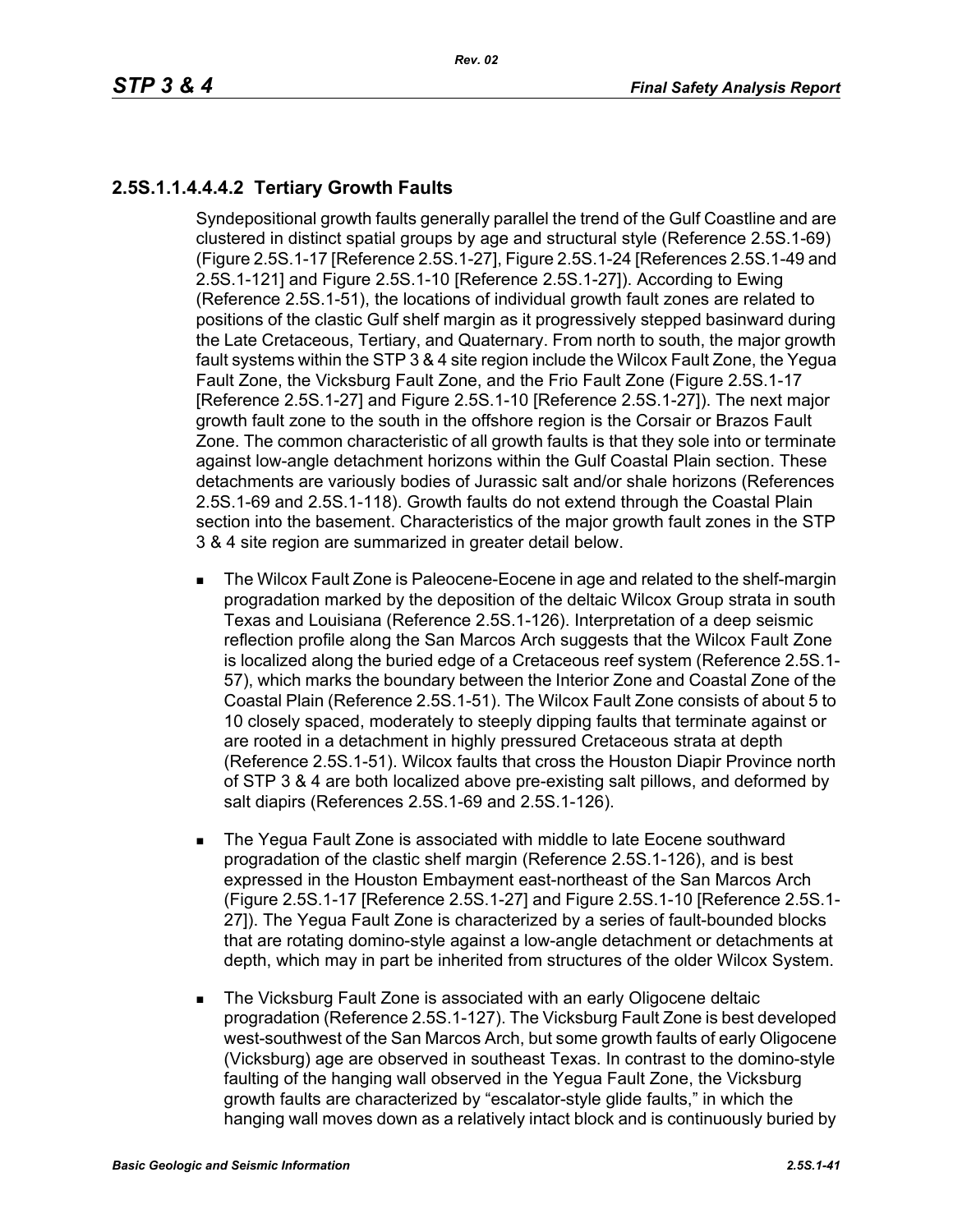# **2.5S.1.1.4.4.4.2 Tertiary Growth Faults**

Syndepositional growth faults generally parallel the trend of the Gulf Coastline and are clustered in distinct spatial groups by age and structural style (Reference 2.5S.1-69) (Figure 2.5S.1-17 [Reference 2.5S.1-27], Figure 2.5S.1-24 [References 2.5S.1-49 and 2.5S.1-121] and Figure 2.5S.1-10 [Reference 2.5S.1-27]). According to Ewing (Reference 2.5S.1-51), the locations of individual growth fault zones are related to positions of the clastic Gulf shelf margin as it progressively stepped basinward during the Late Cretaceous, Tertiary, and Quaternary. From north to south, the major growth fault systems within the STP 3 & 4 site region include the Wilcox Fault Zone, the Yegua Fault Zone, the Vicksburg Fault Zone, and the Frio Fault Zone (Figure 2.5S.1-17 [Reference 2.5S.1-27] and Figure 2.5S.1-10 [Reference 2.5S.1-27]). The next major growth fault zone to the south in the offshore region is the Corsair or Brazos Fault Zone. The common characteristic of all growth faults is that they sole into or terminate against low-angle detachment horizons within the Gulf Coastal Plain section. These detachments are variously bodies of Jurassic salt and/or shale horizons (References 2.5S.1-69 and 2.5S.1-118). Growth faults do not extend through the Coastal Plain section into the basement. Characteristics of the major growth fault zones in the STP 3 & 4 site region are summarized in greater detail below.

- **The Wilcox Fault Zone is Paleocene-Eocene in age and related to the shelf-margin** progradation marked by the deposition of the deltaic Wilcox Group strata in south Texas and Louisiana (Reference 2.5S.1-126). Interpretation of a deep seismic reflection profile along the San Marcos Arch suggests that the Wilcox Fault Zone is localized along the buried edge of a Cretaceous reef system (Reference 2.5S.1- 57), which marks the boundary between the Interior Zone and Coastal Zone of the Coastal Plain (Reference 2.5S.1-51). The Wilcox Fault Zone consists of about 5 to 10 closely spaced, moderately to steeply dipping faults that terminate against or are rooted in a detachment in highly pressured Cretaceous strata at depth (Reference 2.5S.1-51). Wilcox faults that cross the Houston Diapir Province north of STP 3 & 4 are both localized above pre-existing salt pillows, and deformed by salt diapirs (References 2.5S.1-69 and 2.5S.1-126).
- **The Yegua Fault Zone is associated with middle to late Eocene southward** progradation of the clastic shelf margin (Reference 2.5S.1-126), and is best expressed in the Houston Embayment east-northeast of the San Marcos Arch (Figure 2.5S.1-17 [Reference 2.5S.1-27] and Figure 2.5S.1-10 [Reference 2.5S.1- 27]). The Yegua Fault Zone is characterized by a series of fault-bounded blocks that are rotating domino-style against a low-angle detachment or detachments at depth, which may in part be inherited from structures of the older Wilcox System.
- The Vicksburg Fault Zone is associated with an early Oligocene deltaic progradation (Reference 2.5S.1-127). The Vicksburg Fault Zone is best developed west-southwest of the San Marcos Arch, but some growth faults of early Oligocene (Vicksburg) age are observed in southeast Texas. In contrast to the domino-style faulting of the hanging wall observed in the Yegua Fault Zone, the Vicksburg growth faults are characterized by "escalator-style glide faults," in which the hanging wall moves down as a relatively intact block and is continuously buried by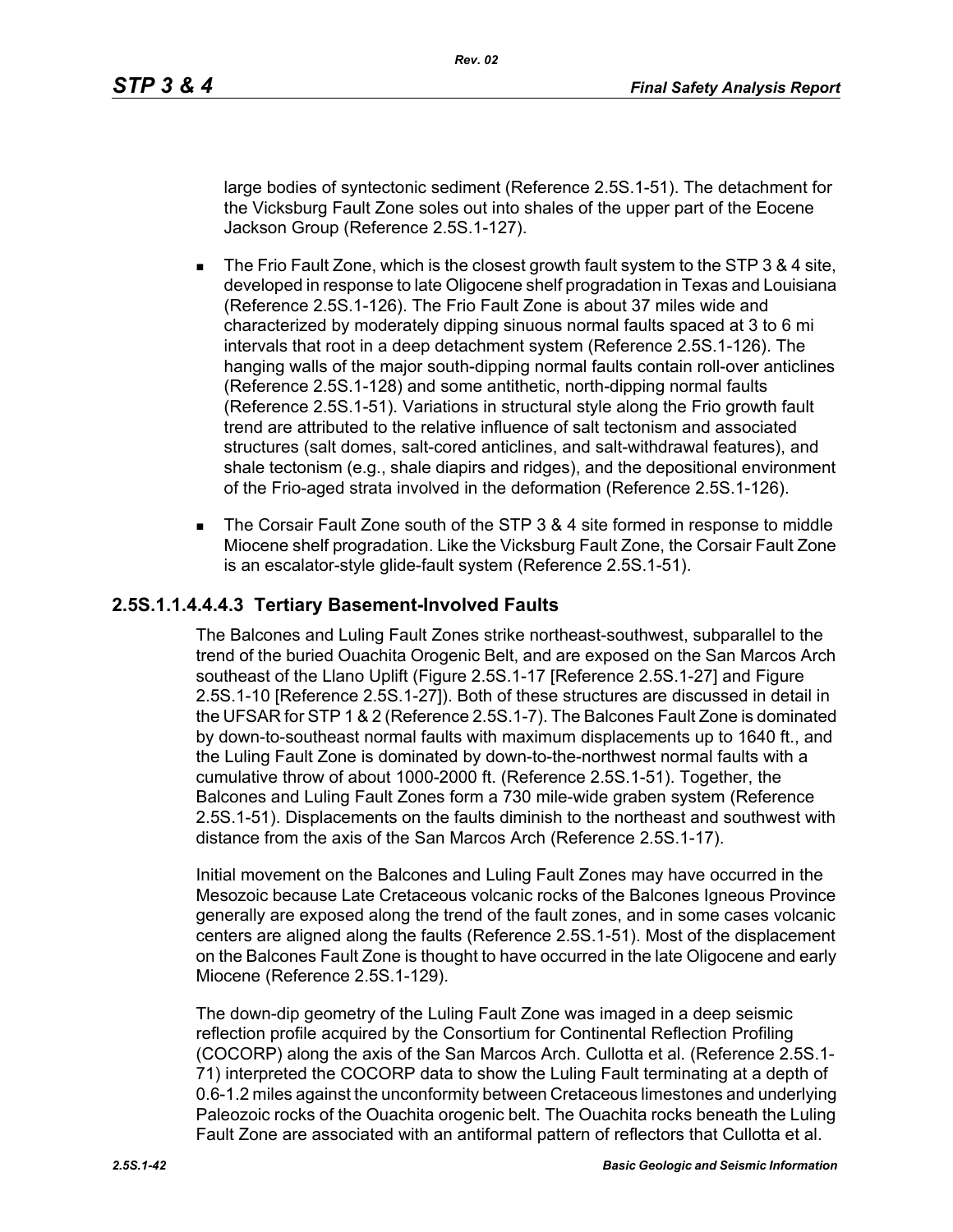large bodies of syntectonic sediment (Reference 2.5S.1-51). The detachment for the Vicksburg Fault Zone soles out into shales of the upper part of the Eocene Jackson Group (Reference 2.5S.1-127).

- The Frio Fault Zone, which is the closest growth fault system to the STP 3 & 4 site, developed in response to late Oligocene shelf progradation in Texas and Louisiana (Reference 2.5S.1-126). The Frio Fault Zone is about 37 miles wide and characterized by moderately dipping sinuous normal faults spaced at 3 to 6 mi intervals that root in a deep detachment system (Reference 2.5S.1-126). The hanging walls of the major south-dipping normal faults contain roll-over anticlines (Reference 2.5S.1-128) and some antithetic, north-dipping normal faults (Reference 2.5S.1-51). Variations in structural style along the Frio growth fault trend are attributed to the relative influence of salt tectonism and associated structures (salt domes, salt-cored anticlines, and salt-withdrawal features), and shale tectonism (e.g., shale diapirs and ridges), and the depositional environment of the Frio-aged strata involved in the deformation (Reference 2.5S.1-126).
- The Corsair Fault Zone south of the STP 3 & 4 site formed in response to middle Miocene shelf progradation. Like the Vicksburg Fault Zone, the Corsair Fault Zone is an escalator-style glide-fault system (Reference 2.5S.1-51).

#### **2.5S.1.1.4.4.4.3 Tertiary Basement-Involved Faults**

The Balcones and Luling Fault Zones strike northeast-southwest, subparallel to the trend of the buried Ouachita Orogenic Belt, and are exposed on the San Marcos Arch southeast of the Llano Uplift (Figure 2.5S.1-17 [Reference 2.5S.1-27] and Figure 2.5S.1-10 [Reference 2.5S.1-27]). Both of these structures are discussed in detail in the UFSAR for STP 1 & 2 (Reference 2.5S.1-7). The Balcones Fault Zone is dominated by down-to-southeast normal faults with maximum displacements up to 1640 ft., and the Luling Fault Zone is dominated by down-to-the-northwest normal faults with a cumulative throw of about 1000-2000 ft. (Reference 2.5S.1-51). Together, the Balcones and Luling Fault Zones form a 730 mile-wide graben system (Reference 2.5S.1-51). Displacements on the faults diminish to the northeast and southwest with distance from the axis of the San Marcos Arch (Reference 2.5S.1-17).

Initial movement on the Balcones and Luling Fault Zones may have occurred in the Mesozoic because Late Cretaceous volcanic rocks of the Balcones Igneous Province generally are exposed along the trend of the fault zones, and in some cases volcanic centers are aligned along the faults (Reference 2.5S.1-51). Most of the displacement on the Balcones Fault Zone is thought to have occurred in the late Oligocene and early Miocene (Reference 2.5S.1-129).

The down-dip geometry of the Luling Fault Zone was imaged in a deep seismic reflection profile acquired by the Consortium for Continental Reflection Profiling (COCORP) along the axis of the San Marcos Arch. Cullotta et al. (Reference 2.5S.1- 71) interpreted the COCORP data to show the Luling Fault terminating at a depth of 0.6-1.2 miles against the unconformity between Cretaceous limestones and underlying Paleozoic rocks of the Ouachita orogenic belt. The Ouachita rocks beneath the Luling Fault Zone are associated with an antiformal pattern of reflectors that Cullotta et al.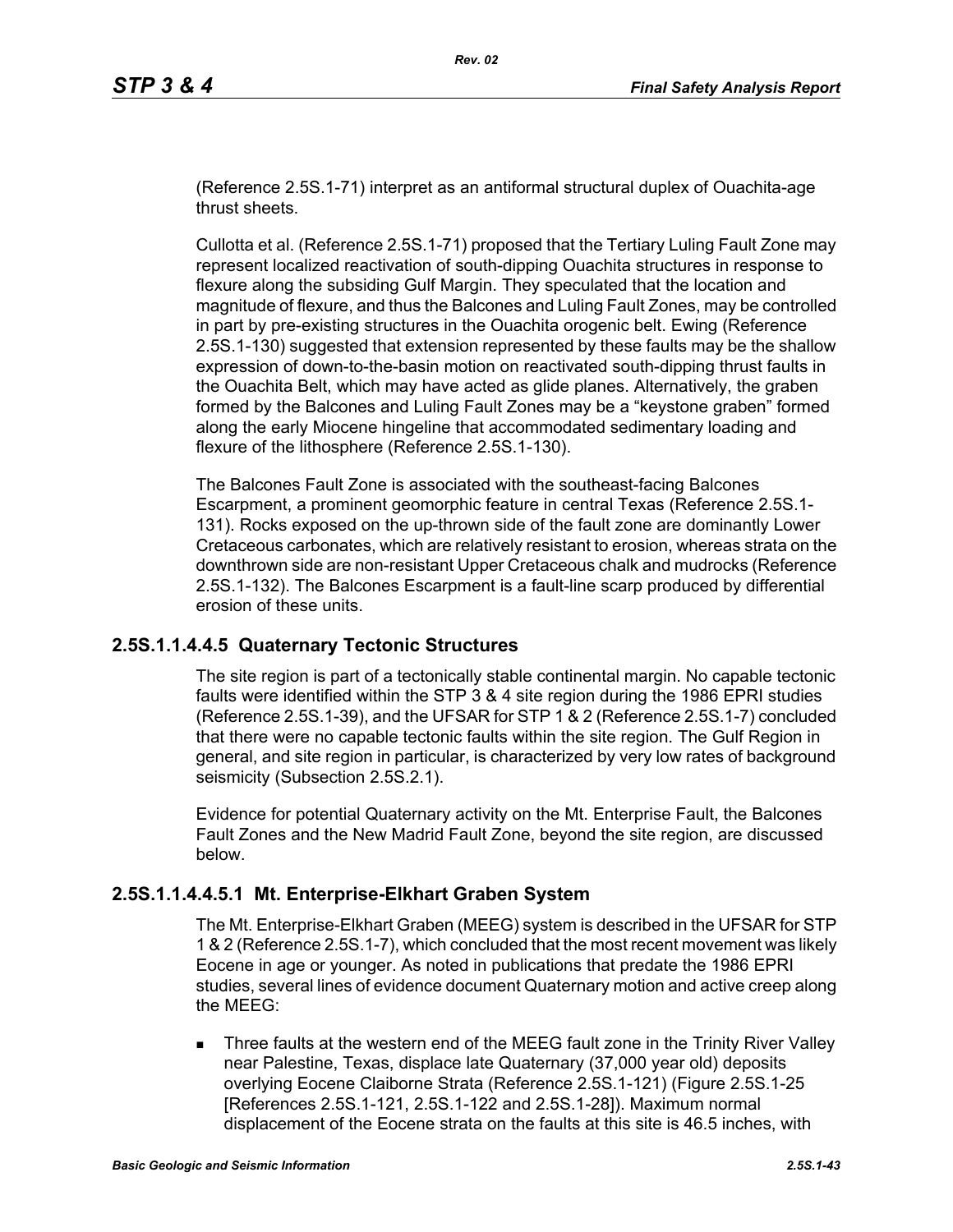(Reference 2.5S.1-71) interpret as an antiformal structural duplex of Ouachita-age thrust sheets.

Cullotta et al. (Reference 2.5S.1-71) proposed that the Tertiary Luling Fault Zone may represent localized reactivation of south-dipping Ouachita structures in response to flexure along the subsiding Gulf Margin. They speculated that the location and magnitude of flexure, and thus the Balcones and Luling Fault Zones, may be controlled in part by pre-existing structures in the Ouachita orogenic belt. Ewing (Reference 2.5S.1-130) suggested that extension represented by these faults may be the shallow expression of down-to-the-basin motion on reactivated south-dipping thrust faults in the Ouachita Belt, which may have acted as glide planes. Alternatively, the graben formed by the Balcones and Luling Fault Zones may be a "keystone graben" formed along the early Miocene hingeline that accommodated sedimentary loading and flexure of the lithosphere (Reference 2.5S.1-130).

The Balcones Fault Zone is associated with the southeast-facing Balcones Escarpment, a prominent geomorphic feature in central Texas (Reference 2.5S.1- 131). Rocks exposed on the up-thrown side of the fault zone are dominantly Lower Cretaceous carbonates, which are relatively resistant to erosion, whereas strata on the downthrown side are non-resistant Upper Cretaceous chalk and mudrocks (Reference 2.5S.1-132). The Balcones Escarpment is a fault-line scarp produced by differential erosion of these units.

### **2.5S.1.1.4.4.5 Quaternary Tectonic Structures**

The site region is part of a tectonically stable continental margin. No capable tectonic faults were identified within the STP 3 & 4 site region during the 1986 EPRI studies (Reference 2.5S.1-39), and the UFSAR for STP 1 & 2 (Reference 2.5S.1-7) concluded that there were no capable tectonic faults within the site region. The Gulf Region in general, and site region in particular, is characterized by very low rates of background seismicity (Subsection 2.5S.2.1).

Evidence for potential Quaternary activity on the Mt. Enterprise Fault, the Balcones Fault Zones and the New Madrid Fault Zone, beyond the site region, are discussed below.

### **2.5S.1.1.4.4.5.1 Mt. Enterprise-Elkhart Graben System**

The Mt. Enterprise-Elkhart Graben (MEEG) system is described in the UFSAR for STP 1 & 2 (Reference 2.5S.1-7), which concluded that the most recent movement was likely Eocene in age or younger. As noted in publications that predate the 1986 EPRI studies, several lines of evidence document Quaternary motion and active creep along the MEEG:

 Three faults at the western end of the MEEG fault zone in the Trinity River Valley near Palestine, Texas, displace late Quaternary (37,000 year old) deposits overlying Eocene Claiborne Strata (Reference 2.5S.1-121) (Figure 2.5S.1-25 [References 2.5S.1-121, 2.5S.1-122 and 2.5S.1-28]). Maximum normal displacement of the Eocene strata on the faults at this site is 46.5 inches, with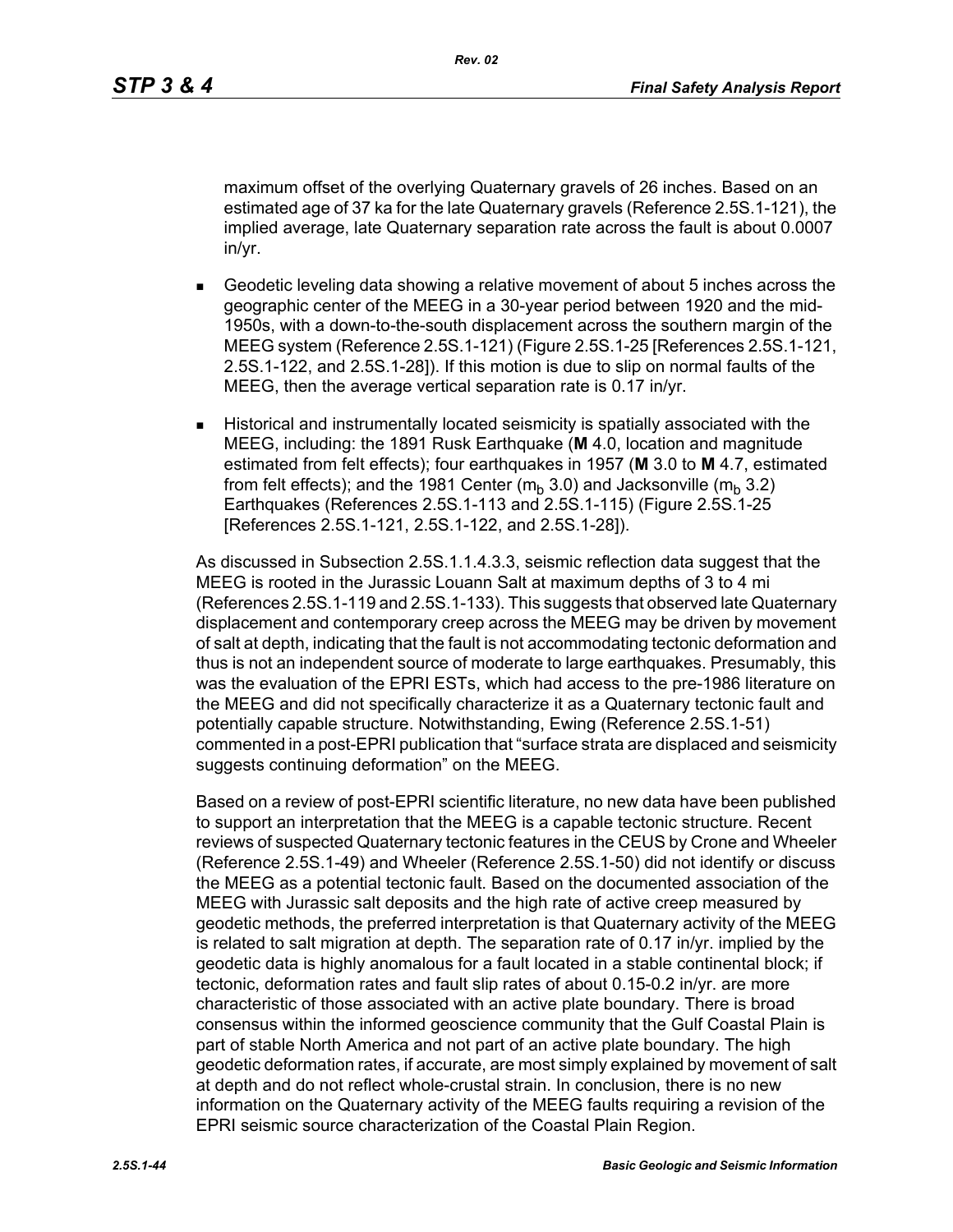maximum offset of the overlying Quaternary gravels of 26 inches. Based on an estimated age of 37 ka for the late Quaternary gravels (Reference 2.5S.1-121), the implied average, late Quaternary separation rate across the fault is about 0.0007 in/yr.

- Geodetic leveling data showing a relative movement of about 5 inches across the geographic center of the MEEG in a 30-year period between 1920 and the mid-1950s, with a down-to-the-south displacement across the southern margin of the MEEG system (Reference 2.5S.1-121) (Figure 2.5S.1-25 [References 2.5S.1-121, 2.5S.1-122, and 2.5S.1-28]). If this motion is due to slip on normal faults of the MEEG, then the average vertical separation rate is 0.17 in/yr.
- Historical and instrumentally located seismicity is spatially associated with the MEEG, including: the 1891 Rusk Earthquake (**M** 4.0, location and magnitude estimated from felt effects); four earthquakes in 1957 (**M** 3.0 to **M** 4.7, estimated from felt effects); and the 1981 Center ( $m_b$  3.0) and Jacksonville ( $m_b$  3.2) Earthquakes (References 2.5S.1-113 and 2.5S.1-115) (Figure 2.5S.1-25 [References 2.5S.1-121, 2.5S.1-122, and 2.5S.1-28]).

As discussed in Subsection 2.5S.1.1.4.3.3, seismic reflection data suggest that the MEEG is rooted in the Jurassic Louann Salt at maximum depths of 3 to 4 mi (References 2.5S.1-119 and 2.5S.1-133). This suggests that observed late Quaternary displacement and contemporary creep across the MEEG may be driven by movement of salt at depth, indicating that the fault is not accommodating tectonic deformation and thus is not an independent source of moderate to large earthquakes. Presumably, this was the evaluation of the EPRI ESTs, which had access to the pre-1986 literature on the MEEG and did not specifically characterize it as a Quaternary tectonic fault and potentially capable structure. Notwithstanding, Ewing (Reference 2.5S.1-51) commented in a post-EPRI publication that "surface strata are displaced and seismicity suggests continuing deformation" on the MEEG.

Based on a review of post-EPRI scientific literature, no new data have been published to support an interpretation that the MEEG is a capable tectonic structure. Recent reviews of suspected Quaternary tectonic features in the CEUS by Crone and Wheeler (Reference 2.5S.1-49) and Wheeler (Reference 2.5S.1-50) did not identify or discuss the MEEG as a potential tectonic fault. Based on the documented association of the MEEG with Jurassic salt deposits and the high rate of active creep measured by geodetic methods, the preferred interpretation is that Quaternary activity of the MEEG is related to salt migration at depth. The separation rate of 0.17 in/yr. implied by the geodetic data is highly anomalous for a fault located in a stable continental block; if tectonic, deformation rates and fault slip rates of about 0.15-0.2 in/yr. are more characteristic of those associated with an active plate boundary. There is broad consensus within the informed geoscience community that the Gulf Coastal Plain is part of stable North America and not part of an active plate boundary. The high geodetic deformation rates, if accurate, are most simply explained by movement of salt at depth and do not reflect whole-crustal strain. In conclusion, there is no new information on the Quaternary activity of the MEEG faults requiring a revision of the EPRI seismic source characterization of the Coastal Plain Region.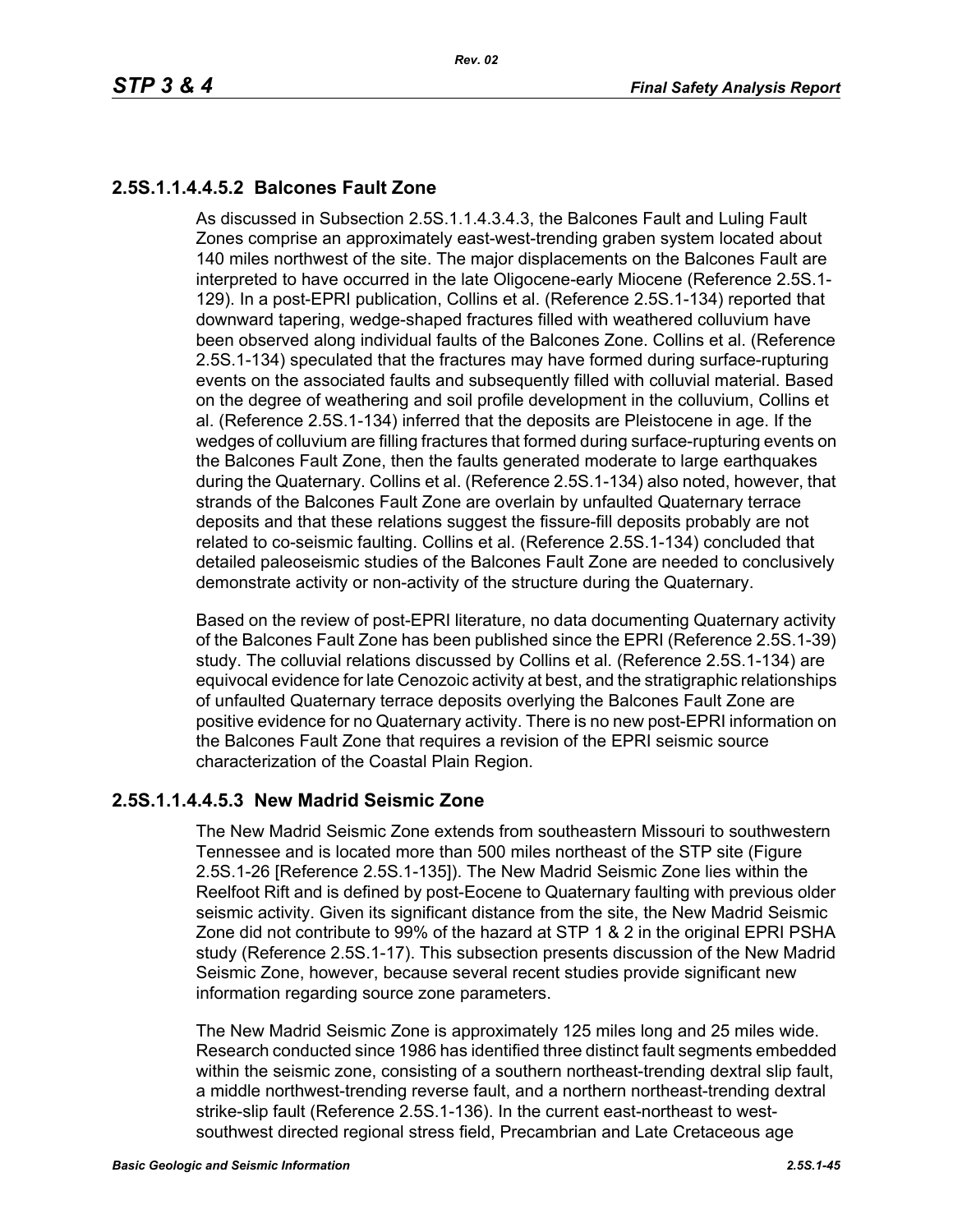# **2.5S.1.1.4.4.5.2 Balcones Fault Zone**

As discussed in Subsection 2.5S.1.1.4.3.4.3, the Balcones Fault and Luling Fault Zones comprise an approximately east-west-trending graben system located about 140 miles northwest of the site. The major displacements on the Balcones Fault are interpreted to have occurred in the late Oligocene-early Miocene (Reference 2.5S.1- 129). In a post-EPRI publication, Collins et al. (Reference 2.5S.1-134) reported that downward tapering, wedge-shaped fractures filled with weathered colluvium have been observed along individual faults of the Balcones Zone. Collins et al. (Reference 2.5S.1-134) speculated that the fractures may have formed during surface-rupturing events on the associated faults and subsequently filled with colluvial material. Based on the degree of weathering and soil profile development in the colluvium, Collins et al. (Reference 2.5S.1-134) inferred that the deposits are Pleistocene in age. If the wedges of colluvium are filling fractures that formed during surface-rupturing events on the Balcones Fault Zone, then the faults generated moderate to large earthquakes during the Quaternary. Collins et al. (Reference 2.5S.1-134) also noted, however, that strands of the Balcones Fault Zone are overlain by unfaulted Quaternary terrace deposits and that these relations suggest the fissure-fill deposits probably are not related to co-seismic faulting. Collins et al. (Reference 2.5S.1-134) concluded that detailed paleoseismic studies of the Balcones Fault Zone are needed to conclusively demonstrate activity or non-activity of the structure during the Quaternary.

Based on the review of post-EPRI literature, no data documenting Quaternary activity of the Balcones Fault Zone has been published since the EPRI (Reference 2.5S.1-39) study. The colluvial relations discussed by Collins et al. (Reference 2.5S.1-134) are equivocal evidence for late Cenozoic activity at best, and the stratigraphic relationships of unfaulted Quaternary terrace deposits overlying the Balcones Fault Zone are positive evidence for no Quaternary activity. There is no new post-EPRI information on the Balcones Fault Zone that requires a revision of the EPRI seismic source characterization of the Coastal Plain Region.

### **2.5S.1.1.4.4.5.3 New Madrid Seismic Zone**

The New Madrid Seismic Zone extends from southeastern Missouri to southwestern Tennessee and is located more than 500 miles northeast of the STP site (Figure 2.5S.1-26 [Reference 2.5S.1-135]). The New Madrid Seismic Zone lies within the Reelfoot Rift and is defined by post-Eocene to Quaternary faulting with previous older seismic activity. Given its significant distance from the site, the New Madrid Seismic Zone did not contribute to 99% of the hazard at STP 1 & 2 in the original EPRI PSHA study (Reference 2.5S.1-17). This subsection presents discussion of the New Madrid Seismic Zone, however, because several recent studies provide significant new information regarding source zone parameters.

The New Madrid Seismic Zone is approximately 125 miles long and 25 miles wide. Research conducted since 1986 has identified three distinct fault segments embedded within the seismic zone, consisting of a southern northeast-trending dextral slip fault, a middle northwest-trending reverse fault, and a northern northeast-trending dextral strike-slip fault (Reference 2.5S.1-136). In the current east-northeast to westsouthwest directed regional stress field, Precambrian and Late Cretaceous age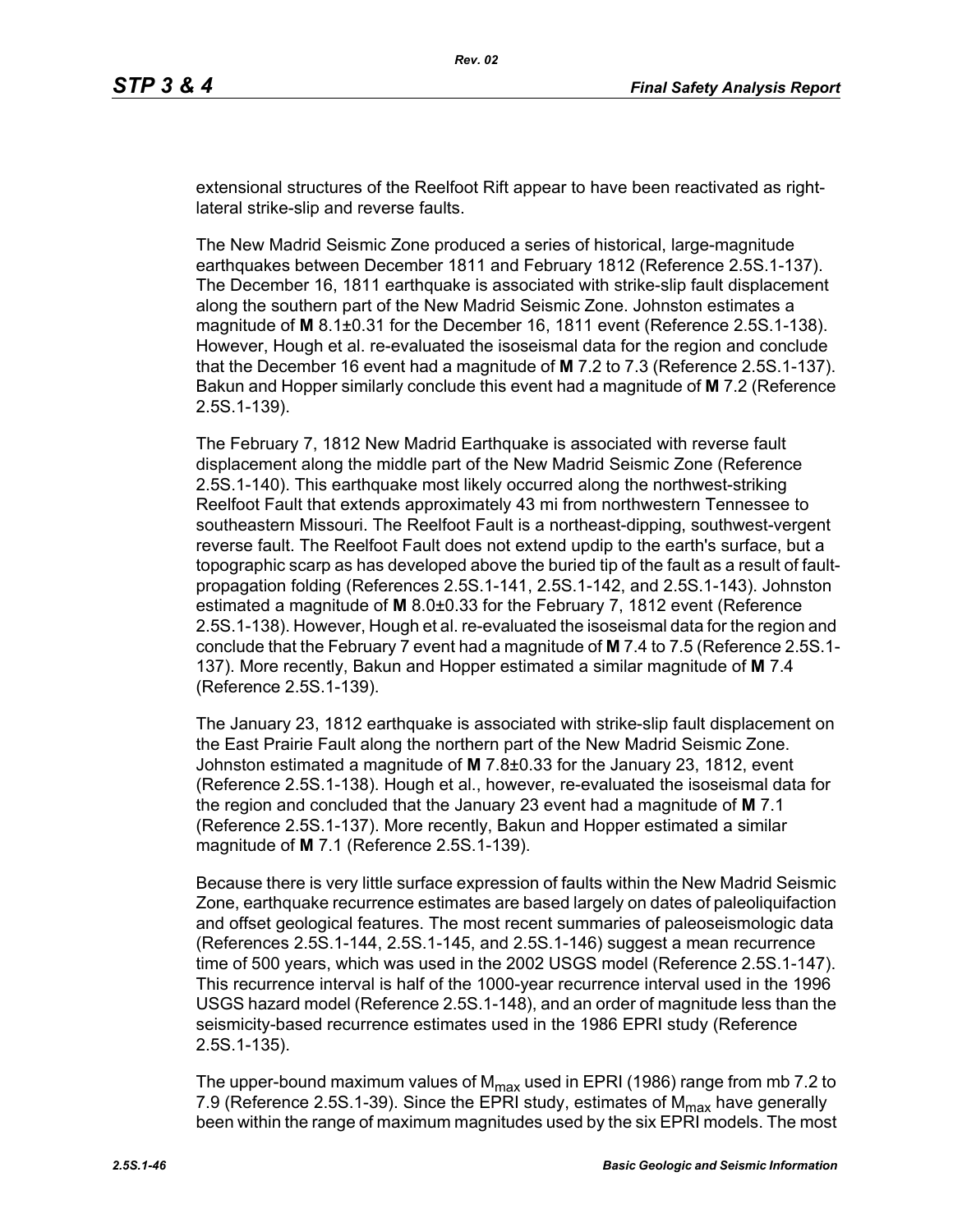extensional structures of the Reelfoot Rift appear to have been reactivated as rightlateral strike-slip and reverse faults.

The New Madrid Seismic Zone produced a series of historical, large-magnitude earthquakes between December 1811 and February 1812 (Reference 2.5S.1-137). The December 16, 1811 earthquake is associated with strike-slip fault displacement along the southern part of the New Madrid Seismic Zone. Johnston estimates a magnitude of **M** 8.1±0.31 for the December 16, 1811 event (Reference 2.5S.1-138). However, Hough et al. re-evaluated the isoseismal data for the region and conclude that the December 16 event had a magnitude of **M** 7.2 to 7.3 (Reference 2.5S.1-137). Bakun and Hopper similarly conclude this event had a magnitude of **M** 7.2 (Reference 2.5S.1-139).

The February 7, 1812 New Madrid Earthquake is associated with reverse fault displacement along the middle part of the New Madrid Seismic Zone (Reference 2.5S.1-140). This earthquake most likely occurred along the northwest-striking Reelfoot Fault that extends approximately 43 mi from northwestern Tennessee to southeastern Missouri. The Reelfoot Fault is a northeast-dipping, southwest-vergent reverse fault. The Reelfoot Fault does not extend updip to the earth's surface, but a topographic scarp as has developed above the buried tip of the fault as a result of faultpropagation folding (References 2.5S.1-141, 2.5S.1-142, and 2.5S.1-143). Johnston estimated a magnitude of **M** 8.0±0.33 for the February 7, 1812 event (Reference 2.5S.1-138). However, Hough et al. re-evaluated the isoseismal data for the region and conclude that the February 7 event had a magnitude of **M** 7.4 to 7.5 (Reference 2.5S.1- 137). More recently, Bakun and Hopper estimated a similar magnitude of **M** 7.4 (Reference 2.5S.1-139).

The January 23, 1812 earthquake is associated with strike-slip fault displacement on the East Prairie Fault along the northern part of the New Madrid Seismic Zone. Johnston estimated a magnitude of **M** 7.8±0.33 for the January 23, 1812, event (Reference 2.5S.1-138). Hough et al., however, re-evaluated the isoseismal data for the region and concluded that the January 23 event had a magnitude of **M** 7.1 (Reference 2.5S.1-137). More recently, Bakun and Hopper estimated a similar magnitude of **M** 7.1 (Reference 2.5S.1-139).

Because there is very little surface expression of faults within the New Madrid Seismic Zone, earthquake recurrence estimates are based largely on dates of paleoliquifaction and offset geological features. The most recent summaries of paleoseismologic data (References 2.5S.1-144, 2.5S.1-145, and 2.5S.1-146) suggest a mean recurrence time of 500 years, which was used in the 2002 USGS model (Reference 2.5S.1-147). This recurrence interval is half of the 1000-year recurrence interval used in the 1996 USGS hazard model (Reference 2.5S.1-148), and an order of magnitude less than the seismicity-based recurrence estimates used in the 1986 EPRI study (Reference 2.5S.1-135).

The upper-bound maximum values of  $M_{\text{max}}$  used in EPRI (1986) range from mb 7.2 to 7.9 (Reference 2.5S.1-39). Since the EPRI study, estimates of  $M_{\text{max}}$  have generally been within the range of maximum magnitudes used by the six EPRI models. The most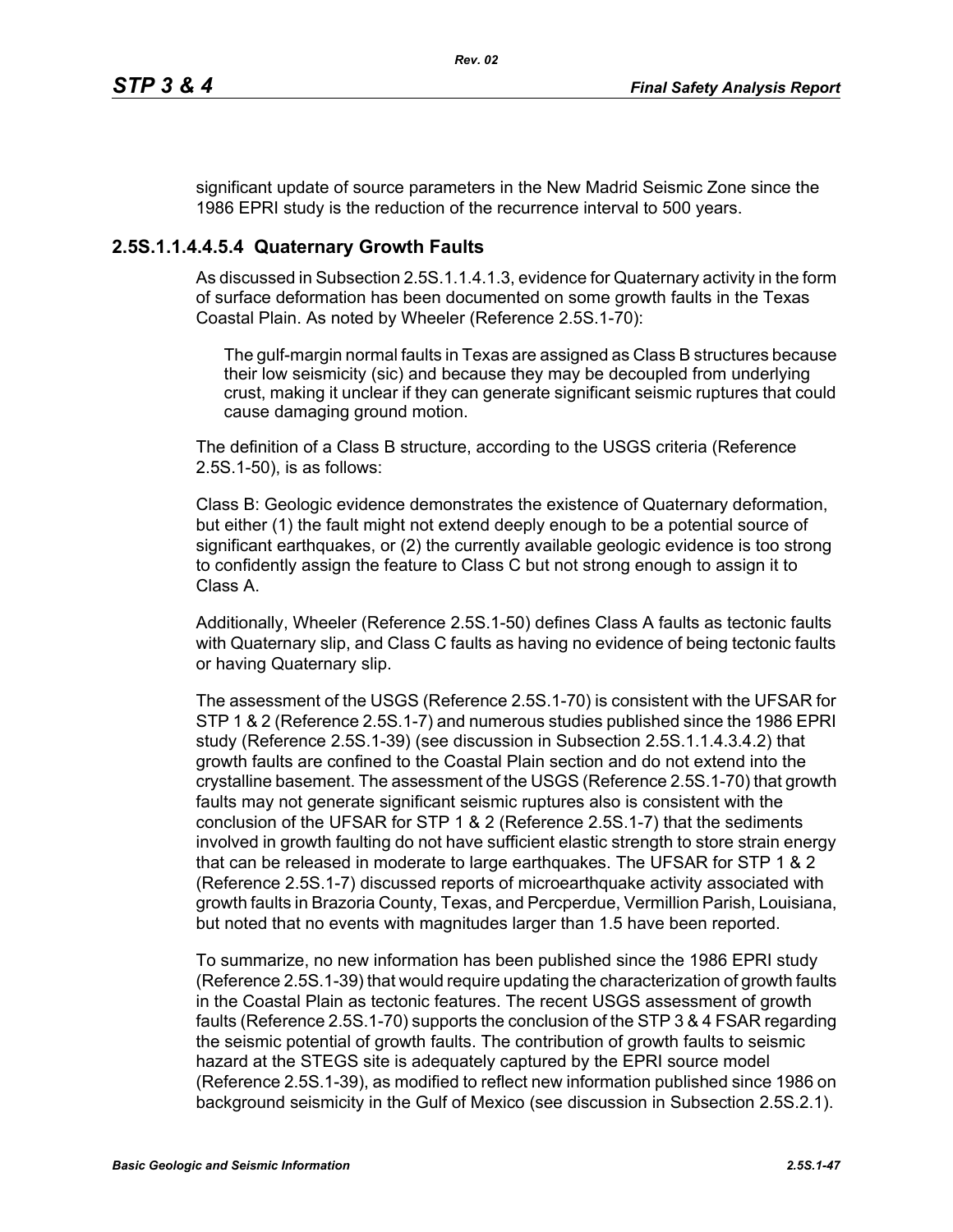significant update of source parameters in the New Madrid Seismic Zone since the 1986 EPRI study is the reduction of the recurrence interval to 500 years.

### **2.5S.1.1.4.4.5.4 Quaternary Growth Faults**

As discussed in Subsection 2.5S.1.1.4.1.3, evidence for Quaternary activity in the form of surface deformation has been documented on some growth faults in the Texas Coastal Plain. As noted by Wheeler (Reference 2.5S.1-70):

The gulf-margin normal faults in Texas are assigned as Class B structures because their low seismicity (sic) and because they may be decoupled from underlying crust, making it unclear if they can generate significant seismic ruptures that could cause damaging ground motion.

The definition of a Class B structure, according to the USGS criteria (Reference 2.5S.1-50), is as follows:

Class B: Geologic evidence demonstrates the existence of Quaternary deformation, but either (1) the fault might not extend deeply enough to be a potential source of significant earthquakes, or (2) the currently available geologic evidence is too strong to confidently assign the feature to Class C but not strong enough to assign it to Class A.

Additionally, Wheeler (Reference 2.5S.1-50) defines Class A faults as tectonic faults with Quaternary slip, and Class C faults as having no evidence of being tectonic faults or having Quaternary slip.

The assessment of the USGS (Reference 2.5S.1-70) is consistent with the UFSAR for STP 1 & 2 (Reference 2.5S.1-7) and numerous studies published since the 1986 EPRI study (Reference 2.5S.1-39) (see discussion in Subsection 2.5S.1.1.4.3.4.2) that growth faults are confined to the Coastal Plain section and do not extend into the crystalline basement. The assessment of the USGS (Reference 2.5S.1-70) that growth faults may not generate significant seismic ruptures also is consistent with the conclusion of the UFSAR for STP 1 & 2 (Reference 2.5S.1-7) that the sediments involved in growth faulting do not have sufficient elastic strength to store strain energy that can be released in moderate to large earthquakes. The UFSAR for STP 1 & 2 (Reference 2.5S.1-7) discussed reports of microearthquake activity associated with growth faults in Brazoria County, Texas, and Percperdue, Vermillion Parish, Louisiana, but noted that no events with magnitudes larger than 1.5 have been reported.

To summarize, no new information has been published since the 1986 EPRI study (Reference 2.5S.1-39) that would require updating the characterization of growth faults in the Coastal Plain as tectonic features. The recent USGS assessment of growth faults (Reference 2.5S.1-70) supports the conclusion of the STP 3 & 4 FSAR regarding the seismic potential of growth faults. The contribution of growth faults to seismic hazard at the STEGS site is adequately captured by the EPRI source model (Reference 2.5S.1-39), as modified to reflect new information published since 1986 on background seismicity in the Gulf of Mexico (see discussion in Subsection 2.5S.2.1).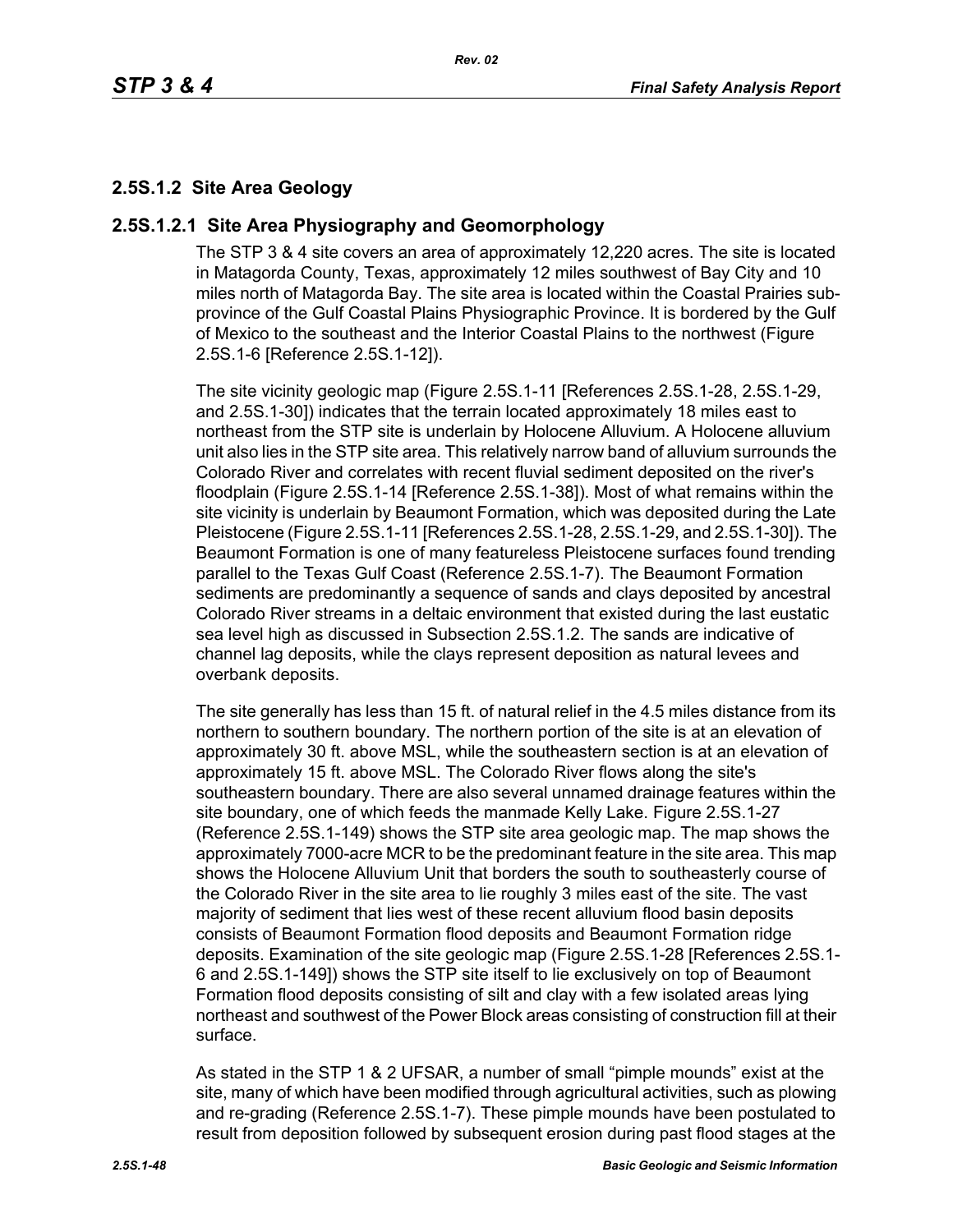## **2.5S.1.2 Site Area Geology**

#### **2.5S.1.2.1 Site Area Physiography and Geomorphology**

The STP 3 & 4 site covers an area of approximately 12,220 acres. The site is located in Matagorda County, Texas, approximately 12 miles southwest of Bay City and 10 miles north of Matagorda Bay. The site area is located within the Coastal Prairies subprovince of the Gulf Coastal Plains Physiographic Province. It is bordered by the Gulf of Mexico to the southeast and the Interior Coastal Plains to the northwest (Figure 2.5S.1-6 [Reference 2.5S.1-12]).

The site vicinity geologic map (Figure 2.5S.1-11 [References 2.5S.1-28, 2.5S.1-29, and 2.5S.1-30]) indicates that the terrain located approximately 18 miles east to northeast from the STP site is underlain by Holocene Alluvium. A Holocene alluvium unit also lies in the STP site area. This relatively narrow band of alluvium surrounds the Colorado River and correlates with recent fluvial sediment deposited on the river's floodplain (Figure 2.5S.1-14 [Reference 2.5S.1-38]). Most of what remains within the site vicinity is underlain by Beaumont Formation, which was deposited during the Late Pleistocene (Figure 2.5S.1-11 [References 2.5S.1-28, 2.5S.1-29, and 2.5S.1-30]). The Beaumont Formation is one of many featureless Pleistocene surfaces found trending parallel to the Texas Gulf Coast (Reference 2.5S.1-7). The Beaumont Formation sediments are predominantly a sequence of sands and clays deposited by ancestral Colorado River streams in a deltaic environment that existed during the last eustatic sea level high as discussed in Subsection 2.5S.1.2. The sands are indicative of channel lag deposits, while the clays represent deposition as natural levees and overbank deposits.

The site generally has less than 15 ft. of natural relief in the 4.5 miles distance from its northern to southern boundary. The northern portion of the site is at an elevation of approximately 30 ft. above MSL, while the southeastern section is at an elevation of approximately 15 ft. above MSL. The Colorado River flows along the site's southeastern boundary. There are also several unnamed drainage features within the site boundary, one of which feeds the manmade Kelly Lake. Figure 2.5S.1-27 (Reference 2.5S.1-149) shows the STP site area geologic map. The map shows the approximately 7000-acre MCR to be the predominant feature in the site area. This map shows the Holocene Alluvium Unit that borders the south to southeasterly course of the Colorado River in the site area to lie roughly 3 miles east of the site. The vast majority of sediment that lies west of these recent alluvium flood basin deposits consists of Beaumont Formation flood deposits and Beaumont Formation ridge deposits. Examination of the site geologic map (Figure 2.5S.1-28 [References 2.5S.1- 6 and 2.5S.1-149]) shows the STP site itself to lie exclusively on top of Beaumont Formation flood deposits consisting of silt and clay with a few isolated areas lying northeast and southwest of the Power Block areas consisting of construction fill at their surface.

As stated in the STP 1 & 2 UFSAR, a number of small "pimple mounds" exist at the site, many of which have been modified through agricultural activities, such as plowing and re-grading (Reference 2.5S.1-7). These pimple mounds have been postulated to result from deposition followed by subsequent erosion during past flood stages at the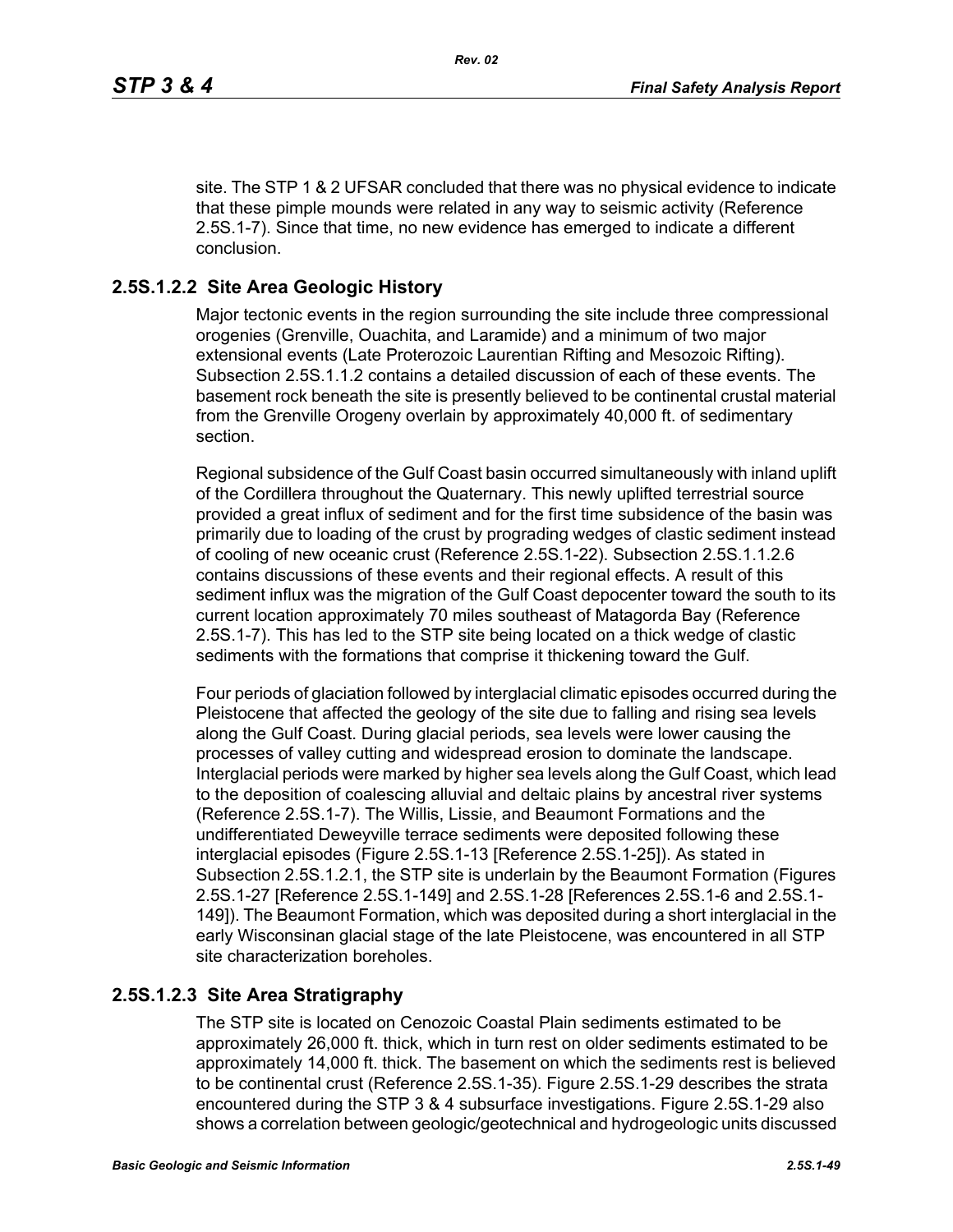site. The STP 1 & 2 UFSAR concluded that there was no physical evidence to indicate that these pimple mounds were related in any way to seismic activity (Reference 2.5S.1-7). Since that time, no new evidence has emerged to indicate a different conclusion.

## **2.5S.1.2.2 Site Area Geologic History**

Major tectonic events in the region surrounding the site include three compressional orogenies (Grenville, Ouachita, and Laramide) and a minimum of two major extensional events (Late Proterozoic Laurentian Rifting and Mesozoic Rifting). Subsection 2.5S.1.1.2 contains a detailed discussion of each of these events. The basement rock beneath the site is presently believed to be continental crustal material from the Grenville Orogeny overlain by approximately 40,000 ft. of sedimentary section.

Regional subsidence of the Gulf Coast basin occurred simultaneously with inland uplift of the Cordillera throughout the Quaternary. This newly uplifted terrestrial source provided a great influx of sediment and for the first time subsidence of the basin was primarily due to loading of the crust by prograding wedges of clastic sediment instead of cooling of new oceanic crust (Reference 2.5S.1-22). Subsection 2.5S.1.1.2.6 contains discussions of these events and their regional effects. A result of this sediment influx was the migration of the Gulf Coast depocenter toward the south to its current location approximately 70 miles southeast of Matagorda Bay (Reference 2.5S.1-7). This has led to the STP site being located on a thick wedge of clastic sediments with the formations that comprise it thickening toward the Gulf.

Four periods of glaciation followed by interglacial climatic episodes occurred during the Pleistocene that affected the geology of the site due to falling and rising sea levels along the Gulf Coast. During glacial periods, sea levels were lower causing the processes of valley cutting and widespread erosion to dominate the landscape. Interglacial periods were marked by higher sea levels along the Gulf Coast, which lead to the deposition of coalescing alluvial and deltaic plains by ancestral river systems (Reference 2.5S.1-7). The Willis, Lissie, and Beaumont Formations and the undifferentiated Deweyville terrace sediments were deposited following these interglacial episodes (Figure 2.5S.1-13 [Reference 2.5S.1-25]). As stated in Subsection 2.5S.1.2.1, the STP site is underlain by the Beaumont Formation (Figures 2.5S.1-27 [Reference 2.5S.1-149] and 2.5S.1-28 [References 2.5S.1-6 and 2.5S.1- 149]). The Beaumont Formation, which was deposited during a short interglacial in the early Wisconsinan glacial stage of the late Pleistocene, was encountered in all STP site characterization boreholes.

### **2.5S.1.2.3 Site Area Stratigraphy**

The STP site is located on Cenozoic Coastal Plain sediments estimated to be approximately 26,000 ft. thick, which in turn rest on older sediments estimated to be approximately 14,000 ft. thick. The basement on which the sediments rest is believed to be continental crust (Reference 2.5S.1-35). Figure 2.5S.1-29 describes the strata encountered during the STP 3 & 4 subsurface investigations. Figure 2.5S.1-29 also shows a correlation between geologic/geotechnical and hydrogeologic units discussed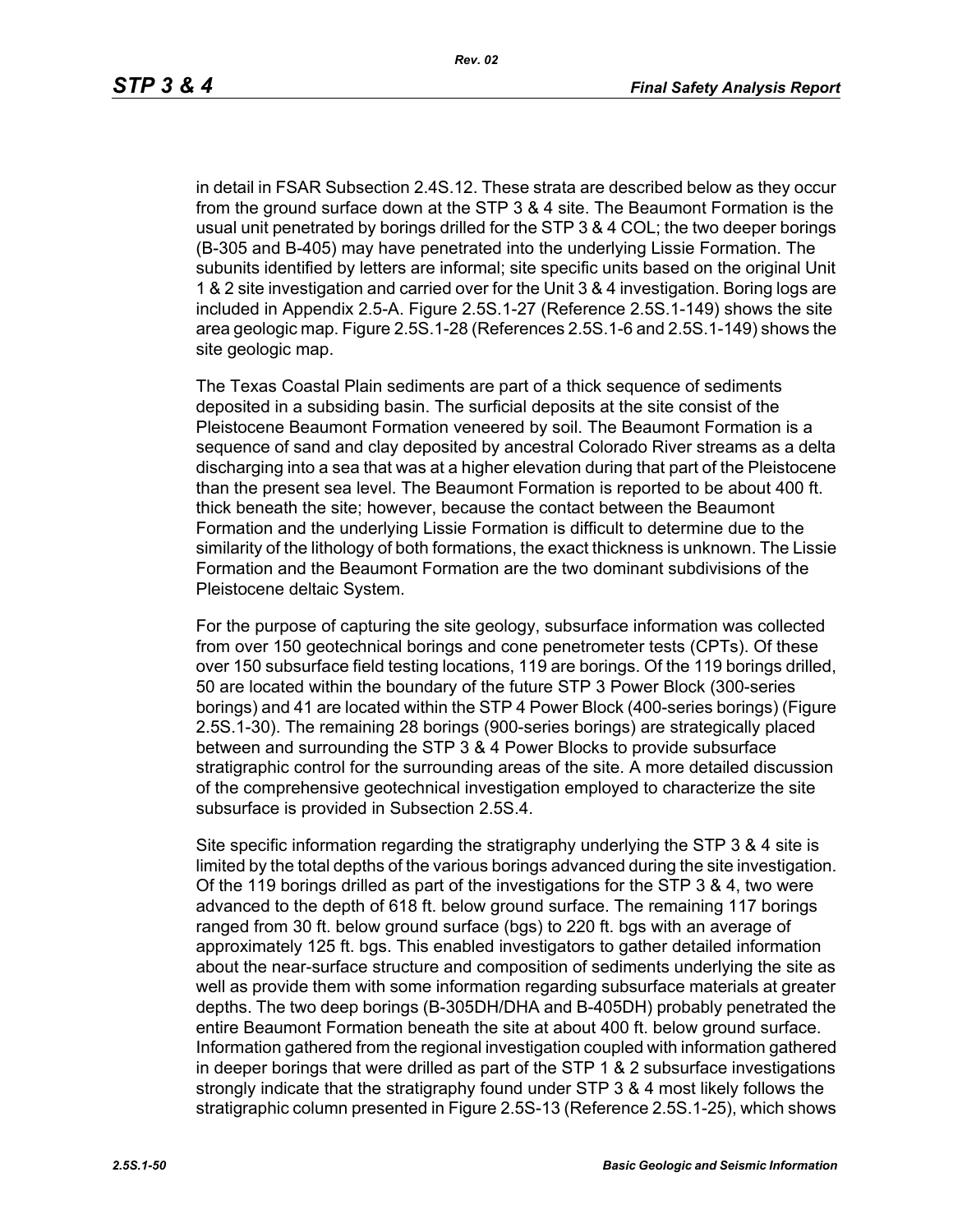in detail in FSAR Subsection 2.4S.12. These strata are described below as they occur from the ground surface down at the STP 3 & 4 site. The Beaumont Formation is the usual unit penetrated by borings drilled for the STP 3 & 4 COL; the two deeper borings (B-305 and B-405) may have penetrated into the underlying Lissie Formation. The subunits identified by letters are informal; site specific units based on the original Unit 1 & 2 site investigation and carried over for the Unit 3 & 4 investigation. Boring logs are included in Appendix 2.5-A. Figure 2.5S.1-27 (Reference 2.5S.1-149) shows the site area geologic map. Figure 2.5S.1-28 (References 2.5S.1-6 and 2.5S.1-149) shows the site geologic map.

The Texas Coastal Plain sediments are part of a thick sequence of sediments deposited in a subsiding basin. The surficial deposits at the site consist of the Pleistocene Beaumont Formation veneered by soil. The Beaumont Formation is a sequence of sand and clay deposited by ancestral Colorado River streams as a delta discharging into a sea that was at a higher elevation during that part of the Pleistocene than the present sea level. The Beaumont Formation is reported to be about 400 ft. thick beneath the site; however, because the contact between the Beaumont Formation and the underlying Lissie Formation is difficult to determine due to the similarity of the lithology of both formations, the exact thickness is unknown. The Lissie Formation and the Beaumont Formation are the two dominant subdivisions of the Pleistocene deltaic System.

For the purpose of capturing the site geology, subsurface information was collected from over 150 geotechnical borings and cone penetrometer tests (CPTs). Of these over 150 subsurface field testing locations, 119 are borings. Of the 119 borings drilled, 50 are located within the boundary of the future STP 3 Power Block (300-series borings) and 41 are located within the STP 4 Power Block (400-series borings) (Figure 2.5S.1-30). The remaining 28 borings (900-series borings) are strategically placed between and surrounding the STP 3 & 4 Power Blocks to provide subsurface stratigraphic control for the surrounding areas of the site. A more detailed discussion of the comprehensive geotechnical investigation employed to characterize the site subsurface is provided in Subsection 2.5S.4.

Site specific information regarding the stratigraphy underlying the STP 3 & 4 site is limited by the total depths of the various borings advanced during the site investigation. Of the 119 borings drilled as part of the investigations for the STP 3 & 4, two were advanced to the depth of 618 ft. below ground surface. The remaining 117 borings ranged from 30 ft. below ground surface (bgs) to 220 ft. bgs with an average of approximately 125 ft. bgs. This enabled investigators to gather detailed information about the near-surface structure and composition of sediments underlying the site as well as provide them with some information regarding subsurface materials at greater depths. The two deep borings (B-305DH/DHA and B-405DH) probably penetrated the entire Beaumont Formation beneath the site at about 400 ft. below ground surface. Information gathered from the regional investigation coupled with information gathered in deeper borings that were drilled as part of the STP 1 & 2 subsurface investigations strongly indicate that the stratigraphy found under STP 3 & 4 most likely follows the stratigraphic column presented in Figure 2.5S-13 (Reference 2.5S.1-25), which shows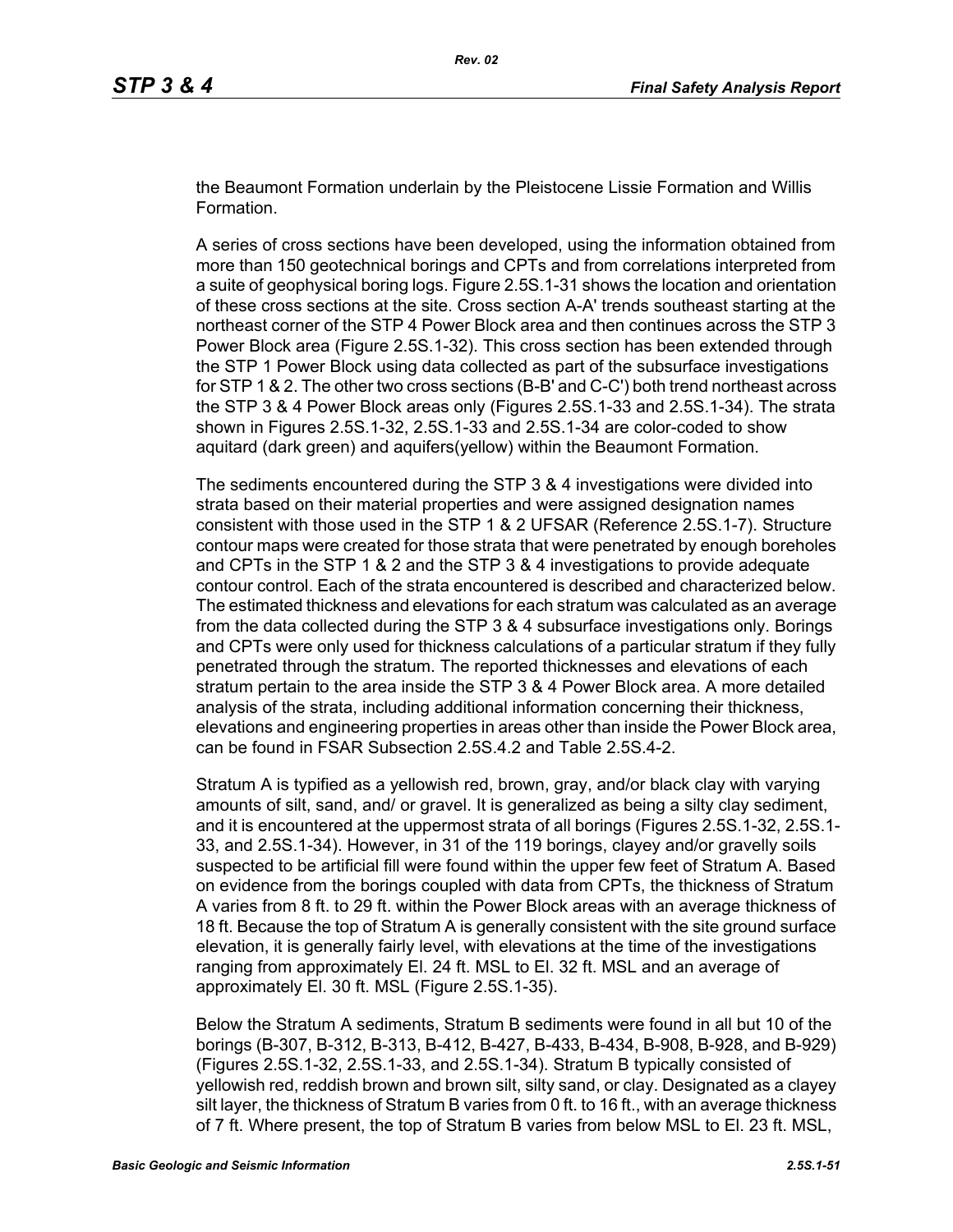the Beaumont Formation underlain by the Pleistocene Lissie Formation and Willis Formation.

A series of cross sections have been developed, using the information obtained from more than 150 geotechnical borings and CPTs and from correlations interpreted from a suite of geophysical boring logs. Figure 2.5S.1-31 shows the location and orientation of these cross sections at the site. Cross section A-A' trends southeast starting at the northeast corner of the STP 4 Power Block area and then continues across the STP 3 Power Block area (Figure 2.5S.1-32). This cross section has been extended through the STP 1 Power Block using data collected as part of the subsurface investigations for STP 1 & 2. The other two cross sections (B-B' and C-C') both trend northeast across the STP 3 & 4 Power Block areas only (Figures 2.5S.1-33 and 2.5S.1-34). The strata shown in Figures 2.5S.1-32, 2.5S.1-33 and 2.5S.1-34 are color-coded to show aquitard (dark green) and aquifers(yellow) within the Beaumont Formation.

The sediments encountered during the STP 3 & 4 investigations were divided into strata based on their material properties and were assigned designation names consistent with those used in the STP 1 & 2 UFSAR (Reference 2.5S.1-7). Structure contour maps were created for those strata that were penetrated by enough boreholes and CPTs in the STP 1 & 2 and the STP 3 & 4 investigations to provide adequate contour control. Each of the strata encountered is described and characterized below. The estimated thickness and elevations for each stratum was calculated as an average from the data collected during the STP 3 & 4 subsurface investigations only. Borings and CPTs were only used for thickness calculations of a particular stratum if they fully penetrated through the stratum. The reported thicknesses and elevations of each stratum pertain to the area inside the STP 3 & 4 Power Block area. A more detailed analysis of the strata, including additional information concerning their thickness, elevations and engineering properties in areas other than inside the Power Block area, can be found in FSAR Subsection 2.5S.4.2 and Table 2.5S.4-2.

Stratum A is typified as a yellowish red, brown, gray, and/or black clay with varying amounts of silt, sand, and/ or gravel. It is generalized as being a silty clay sediment, and it is encountered at the uppermost strata of all borings (Figures 2.5S.1-32, 2.5S.1- 33, and 2.5S.1-34). However, in 31 of the 119 borings, clayey and/or gravelly soils suspected to be artificial fill were found within the upper few feet of Stratum A. Based on evidence from the borings coupled with data from CPTs, the thickness of Stratum A varies from 8 ft. to 29 ft. within the Power Block areas with an average thickness of 18 ft. Because the top of Stratum A is generally consistent with the site ground surface elevation, it is generally fairly level, with elevations at the time of the investigations ranging from approximately El. 24 ft. MSL to El. 32 ft. MSL and an average of approximately El. 30 ft. MSL (Figure 2.5S.1-35).

Below the Stratum A sediments, Stratum B sediments were found in all but 10 of the borings (B-307, B-312, B-313, B-412, B-427, B-433, B-434, B-908, B-928, and B-929) (Figures 2.5S.1-32, 2.5S.1-33, and 2.5S.1-34). Stratum B typically consisted of yellowish red, reddish brown and brown silt, silty sand, or clay. Designated as a clayey silt layer, the thickness of Stratum B varies from 0 ft. to 16 ft., with an average thickness of 7 ft. Where present, the top of Stratum B varies from below MSL to El. 23 ft. MSL,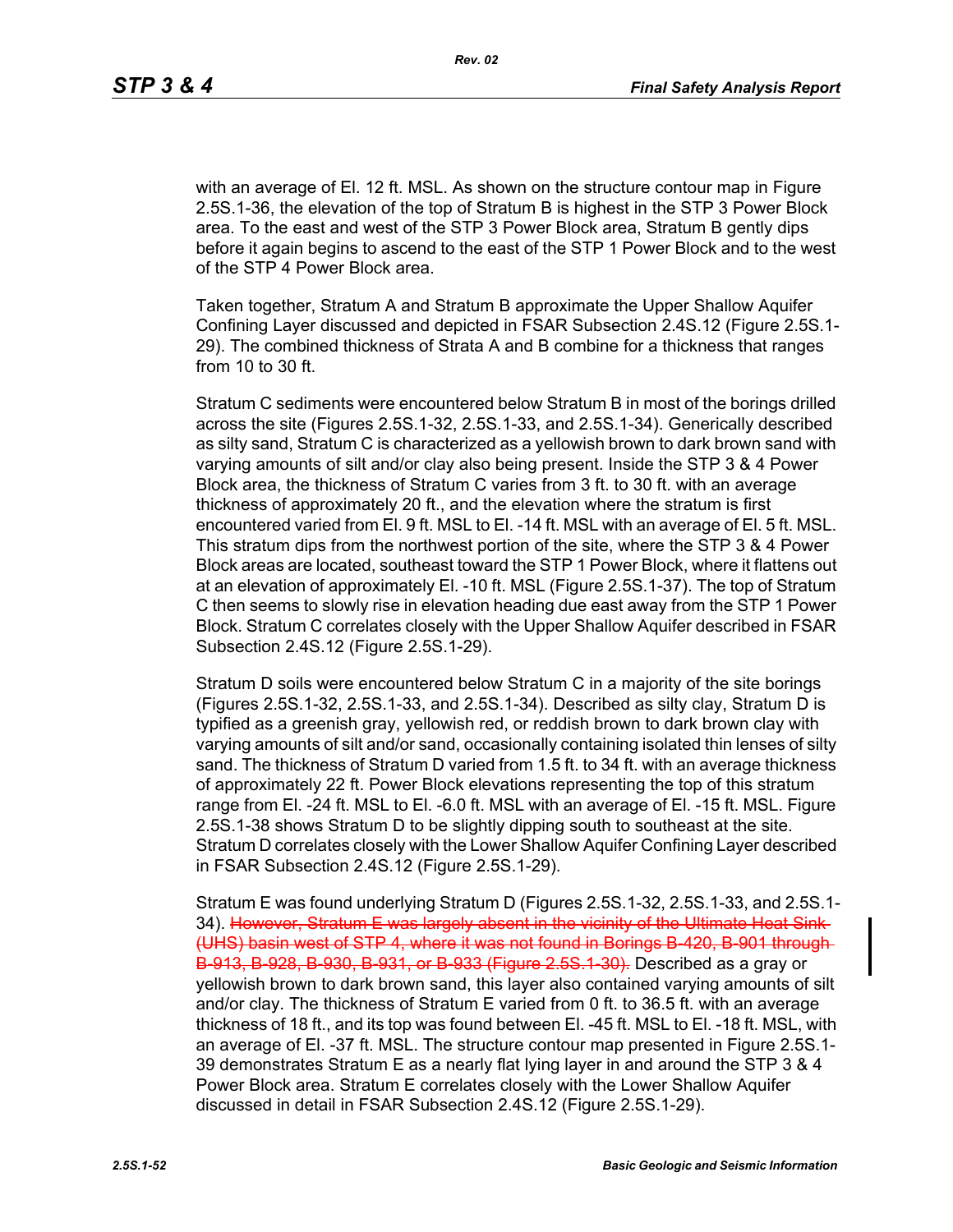with an average of El. 12 ft. MSL. As shown on the structure contour map in Figure 2.5S.1-36, the elevation of the top of Stratum B is highest in the STP 3 Power Block area. To the east and west of the STP 3 Power Block area, Stratum B gently dips before it again begins to ascend to the east of the STP 1 Power Block and to the west of the STP 4 Power Block area.

Taken together, Stratum A and Stratum B approximate the Upper Shallow Aquifer Confining Layer discussed and depicted in FSAR Subsection 2.4S.12 (Figure 2.5S.1- 29). The combined thickness of Strata A and B combine for a thickness that ranges from 10 to 30 ft.

Stratum C sediments were encountered below Stratum B in most of the borings drilled across the site (Figures 2.5S.1-32, 2.5S.1-33, and 2.5S.1-34). Generically described as silty sand, Stratum C is characterized as a yellowish brown to dark brown sand with varying amounts of silt and/or clay also being present. Inside the STP 3 & 4 Power Block area, the thickness of Stratum C varies from 3 ft. to 30 ft. with an average thickness of approximately 20 ft., and the elevation where the stratum is first encountered varied from El. 9 ft. MSL to El. -14 ft. MSL with an average of El. 5 ft. MSL. This stratum dips from the northwest portion of the site, where the STP 3 & 4 Power Block areas are located, southeast toward the STP 1 Power Block, where it flattens out at an elevation of approximately El. -10 ft. MSL (Figure 2.5S.1-37). The top of Stratum C then seems to slowly rise in elevation heading due east away from the STP 1 Power Block. Stratum C correlates closely with the Upper Shallow Aquifer described in FSAR Subsection 2.4S.12 (Figure 2.5S.1-29).

Stratum D soils were encountered below Stratum C in a majority of the site borings (Figures 2.5S.1-32, 2.5S.1-33, and 2.5S.1-34). Described as silty clay, Stratum D is typified as a greenish gray, yellowish red, or reddish brown to dark brown clay with varying amounts of silt and/or sand, occasionally containing isolated thin lenses of silty sand. The thickness of Stratum D varied from 1.5 ft. to 34 ft. with an average thickness of approximately 22 ft. Power Block elevations representing the top of this stratum range from El. -24 ft. MSL to El. -6.0 ft. MSL with an average of El. -15 ft. MSL. Figure 2.5S.1-38 shows Stratum D to be slightly dipping south to southeast at the site. Stratum D correlates closely with the Lower Shallow Aquifer Confining Layer described in FSAR Subsection 2.4S.12 (Figure 2.5S.1-29).

Stratum E was found underlying Stratum D (Figures 2.5S.1-32, 2.5S.1-33, and 2.5S.1- 34). However, Stratum E was largely absent in the vicinity of the Ultimate Heat Sink-(UHS) basin west of STP 4, where it was not found in Borings B-420, B-901 through B-913, B-928, B-930, B-931, or B-933 (Figure 2.5S.1-30). Described as a gray or yellowish brown to dark brown sand, this layer also contained varying amounts of silt and/or clay. The thickness of Stratum E varied from 0 ft. to 36.5 ft. with an average thickness of 18 ft., and its top was found between El. -45 ft. MSL to El. -18 ft. MSL, with an average of El. -37 ft. MSL. The structure contour map presented in Figure 2.5S.1- 39 demonstrates Stratum E as a nearly flat lying layer in and around the STP 3 & 4 Power Block area. Stratum E correlates closely with the Lower Shallow Aquifer discussed in detail in FSAR Subsection 2.4S.12 (Figure 2.5S.1-29).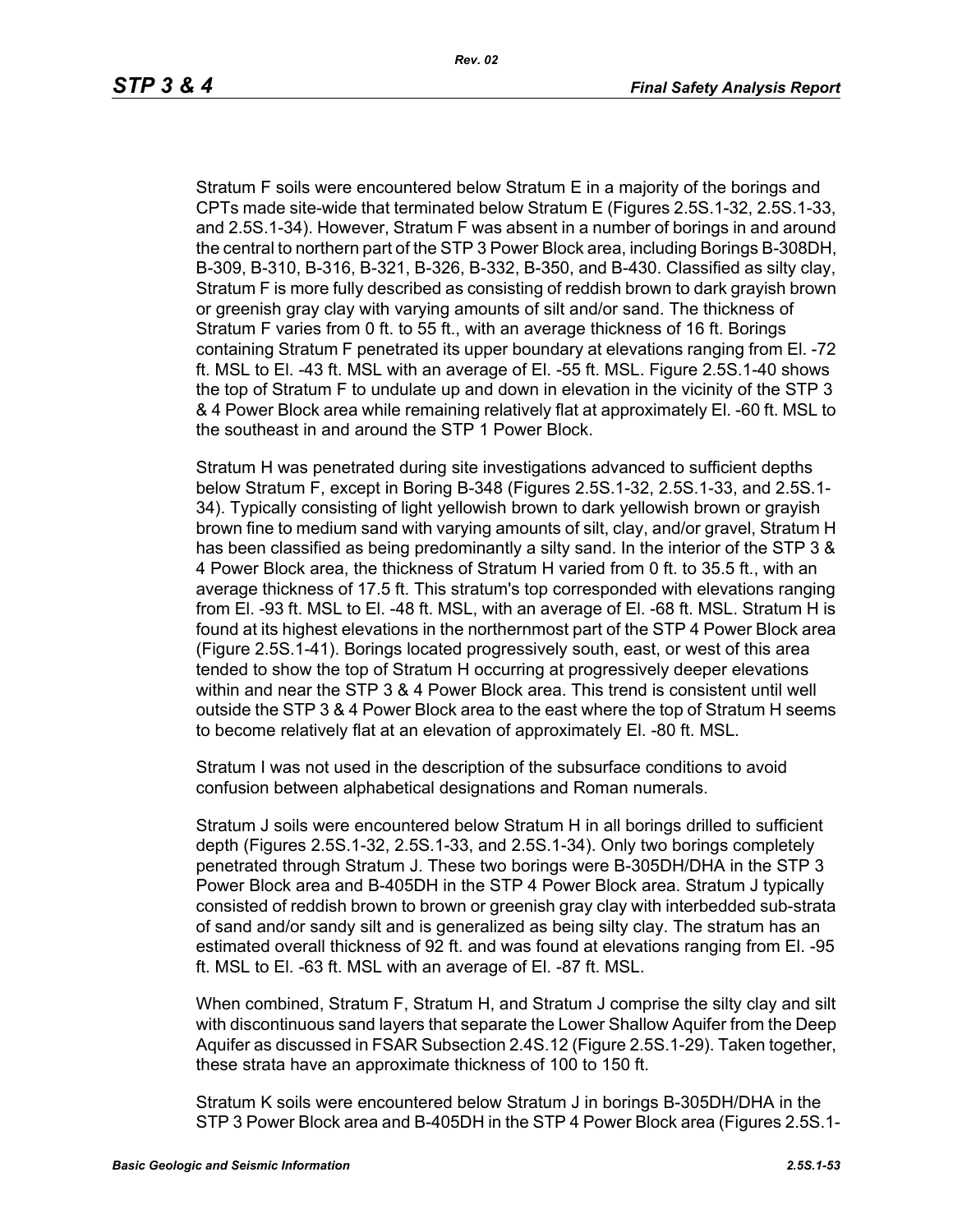Stratum F soils were encountered below Stratum E in a majority of the borings and CPTs made site-wide that terminated below Stratum E (Figures 2.5S.1-32, 2.5S.1-33, and 2.5S.1-34). However, Stratum F was absent in a number of borings in and around the central to northern part of the STP 3 Power Block area, including Borings B-308DH, B-309, B-310, B-316, B-321, B-326, B-332, B-350, and B-430. Classified as silty clay, Stratum F is more fully described as consisting of reddish brown to dark grayish brown or greenish gray clay with varying amounts of silt and/or sand. The thickness of Stratum F varies from 0 ft. to 55 ft., with an average thickness of 16 ft. Borings containing Stratum F penetrated its upper boundary at elevations ranging from El. -72 ft. MSL to El. -43 ft. MSL with an average of El. -55 ft. MSL. Figure 2.5S.1-40 shows the top of Stratum F to undulate up and down in elevation in the vicinity of the STP 3 & 4 Power Block area while remaining relatively flat at approximately El. -60 ft. MSL to the southeast in and around the STP 1 Power Block.

Stratum H was penetrated during site investigations advanced to sufficient depths below Stratum F, except in Boring B-348 (Figures 2.5S.1-32, 2.5S.1-33, and 2.5S.1- 34). Typically consisting of light yellowish brown to dark yellowish brown or grayish brown fine to medium sand with varying amounts of silt, clay, and/or gravel, Stratum H has been classified as being predominantly a silty sand. In the interior of the STP 3 & 4 Power Block area, the thickness of Stratum H varied from 0 ft. to 35.5 ft., with an average thickness of 17.5 ft. This stratum's top corresponded with elevations ranging from El. -93 ft. MSL to El. -48 ft. MSL, with an average of El. -68 ft. MSL. Stratum H is found at its highest elevations in the northernmost part of the STP 4 Power Block area (Figure 2.5S.1-41). Borings located progressively south, east, or west of this area tended to show the top of Stratum H occurring at progressively deeper elevations within and near the STP 3 & 4 Power Block area. This trend is consistent until well outside the STP 3 & 4 Power Block area to the east where the top of Stratum H seems to become relatively flat at an elevation of approximately El. -80 ft. MSL.

Stratum I was not used in the description of the subsurface conditions to avoid confusion between alphabetical designations and Roman numerals.

Stratum J soils were encountered below Stratum H in all borings drilled to sufficient depth (Figures 2.5S.1-32, 2.5S.1-33, and 2.5S.1-34). Only two borings completely penetrated through Stratum J. These two borings were B-305DH/DHA in the STP 3 Power Block area and B-405DH in the STP 4 Power Block area. Stratum J typically consisted of reddish brown to brown or greenish gray clay with interbedded sub-strata of sand and/or sandy silt and is generalized as being silty clay. The stratum has an estimated overall thickness of 92 ft. and was found at elevations ranging from El. -95 ft. MSL to El. -63 ft. MSL with an average of El. -87 ft. MSL.

When combined, Stratum F, Stratum H, and Stratum J comprise the silty clay and silt with discontinuous sand layers that separate the Lower Shallow Aquifer from the Deep Aquifer as discussed in FSAR Subsection 2.4S.12 (Figure 2.5S.1-29). Taken together, these strata have an approximate thickness of 100 to 150 ft.

Stratum K soils were encountered below Stratum J in borings B-305DH/DHA in the STP 3 Power Block area and B-405DH in the STP 4 Power Block area (Figures 2.5S.1-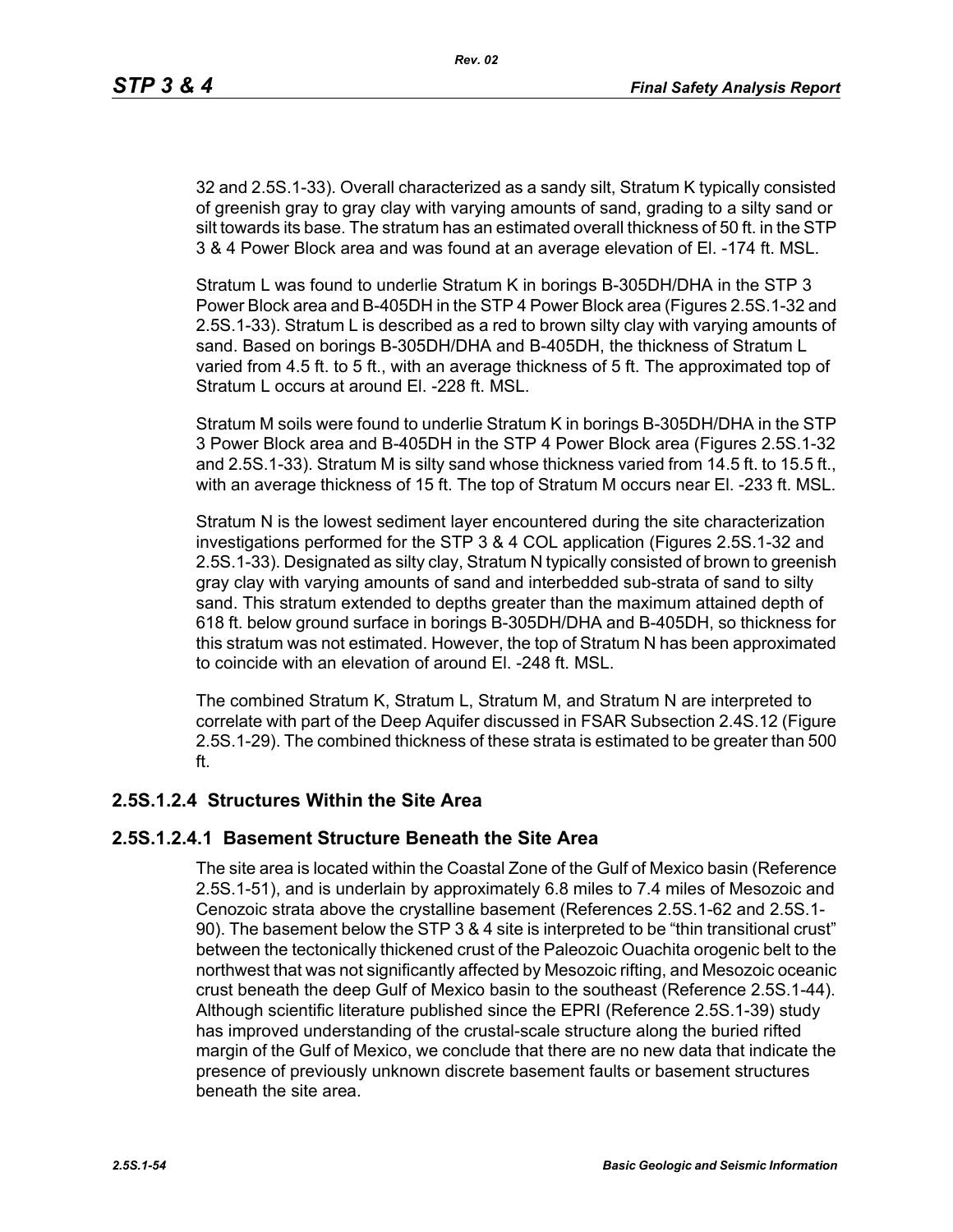32 and 2.5S.1-33). Overall characterized as a sandy silt, Stratum K typically consisted of greenish gray to gray clay with varying amounts of sand, grading to a silty sand or silt towards its base. The stratum has an estimated overall thickness of 50 ft. in the STP 3 & 4 Power Block area and was found at an average elevation of El. -174 ft. MSL.

Stratum L was found to underlie Stratum K in borings B-305DH/DHA in the STP 3 Power Block area and B-405DH in the STP 4 Power Block area (Figures 2.5S.1-32 and 2.5S.1-33). Stratum L is described as a red to brown silty clay with varying amounts of sand. Based on borings B-305DH/DHA and B-405DH, the thickness of Stratum L varied from 4.5 ft. to 5 ft., with an average thickness of 5 ft. The approximated top of Stratum L occurs at around El. -228 ft. MSL.

Stratum M soils were found to underlie Stratum K in borings B-305DH/DHA in the STP 3 Power Block area and B-405DH in the STP 4 Power Block area (Figures 2.5S.1-32 and 2.5S.1-33). Stratum M is silty sand whose thickness varied from 14.5 ft. to 15.5 ft., with an average thickness of 15 ft. The top of Stratum M occurs near El. -233 ft. MSL.

Stratum N is the lowest sediment layer encountered during the site characterization investigations performed for the STP 3 & 4 COL application (Figures 2.5S.1-32 and 2.5S.1-33). Designated as silty clay, Stratum N typically consisted of brown to greenish gray clay with varying amounts of sand and interbedded sub-strata of sand to silty sand. This stratum extended to depths greater than the maximum attained depth of 618 ft. below ground surface in borings B-305DH/DHA and B-405DH, so thickness for this stratum was not estimated. However, the top of Stratum N has been approximated to coincide with an elevation of around El. -248 ft. MSL.

The combined Stratum K, Stratum L, Stratum M, and Stratum N are interpreted to correlate with part of the Deep Aquifer discussed in FSAR Subsection 2.4S.12 (Figure 2.5S.1-29). The combined thickness of these strata is estimated to be greater than 500 ft.

### **2.5S.1.2.4 Structures Within the Site Area**

#### **2.5S.1.2.4.1 Basement Structure Beneath the Site Area**

The site area is located within the Coastal Zone of the Gulf of Mexico basin (Reference 2.5S.1-51), and is underlain by approximately 6.8 miles to 7.4 miles of Mesozoic and Cenozoic strata above the crystalline basement (References 2.5S.1-62 and 2.5S.1- 90). The basement below the STP 3 & 4 site is interpreted to be "thin transitional crust" between the tectonically thickened crust of the Paleozoic Ouachita orogenic belt to the northwest that was not significantly affected by Mesozoic rifting, and Mesozoic oceanic crust beneath the deep Gulf of Mexico basin to the southeast (Reference 2.5S.1-44). Although scientific literature published since the EPRI (Reference 2.5S.1-39) study has improved understanding of the crustal-scale structure along the buried rifted margin of the Gulf of Mexico, we conclude that there are no new data that indicate the presence of previously unknown discrete basement faults or basement structures beneath the site area.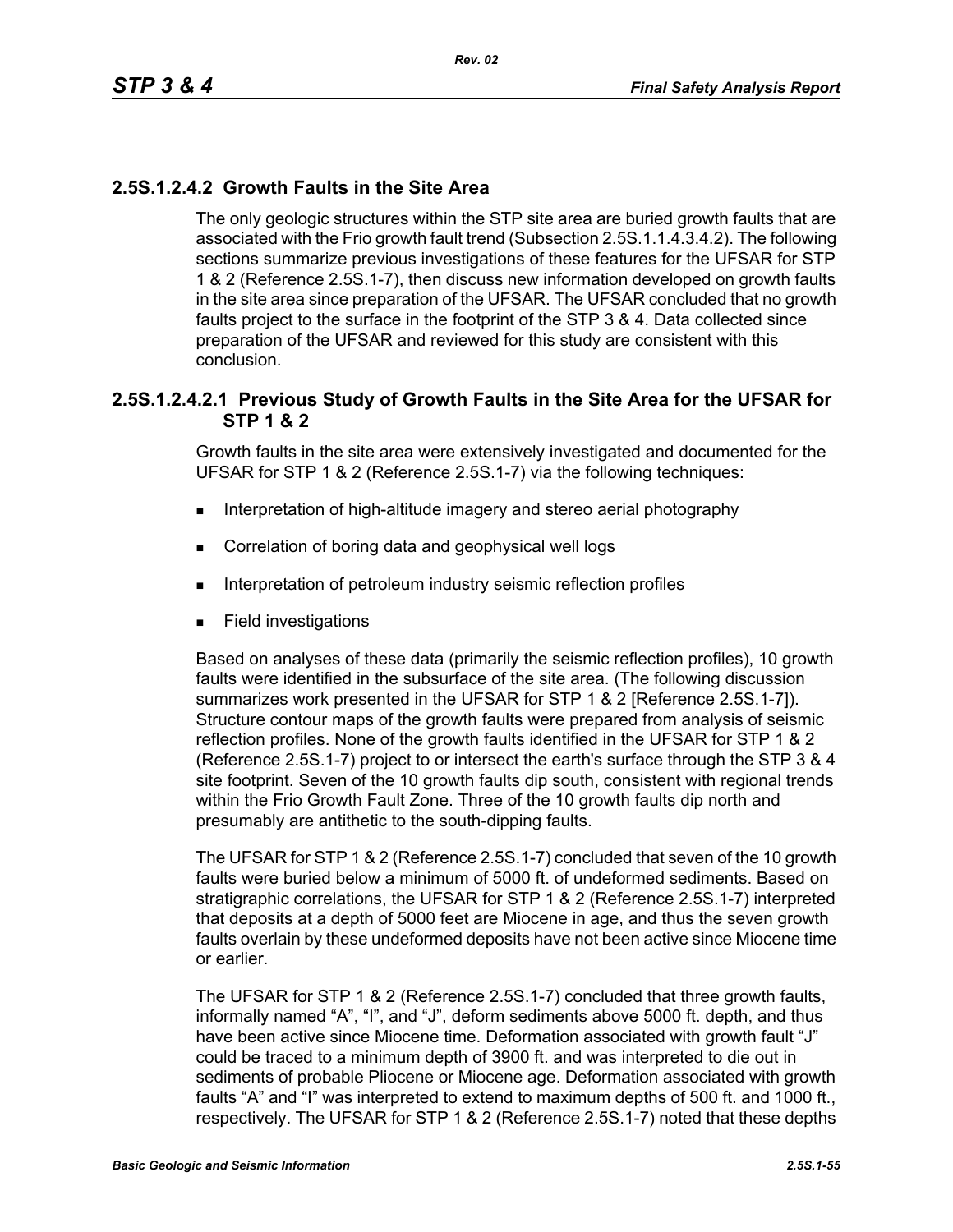## **2.5S.1.2.4.2 Growth Faults in the Site Area**

The only geologic structures within the STP site area are buried growth faults that are associated with the Frio growth fault trend (Subsection 2.5S.1.1.4.3.4.2). The following sections summarize previous investigations of these features for the UFSAR for STP 1 & 2 (Reference 2.5S.1-7), then discuss new information developed on growth faults in the site area since preparation of the UFSAR. The UFSAR concluded that no growth faults project to the surface in the footprint of the STP 3 & 4. Data collected since preparation of the UFSAR and reviewed for this study are consistent with this conclusion.

#### **2.5S.1.2.4.2.1 Previous Study of Growth Faults in the Site Area for the UFSAR for STP 1 & 2**

Growth faults in the site area were extensively investigated and documented for the UFSAR for STP 1 & 2 (Reference 2.5S.1-7) via the following techniques:

- **Interpretation of high-altitude imagery and stereo aerial photography**
- **Correlation of boring data and geophysical well logs**
- **Interpretation of petroleum industry seismic reflection profiles**
- **Field investigations**

Based on analyses of these data (primarily the seismic reflection profiles), 10 growth faults were identified in the subsurface of the site area. (The following discussion summarizes work presented in the UFSAR for STP 1 & 2 [Reference 2.5S.1-7]). Structure contour maps of the growth faults were prepared from analysis of seismic reflection profiles. None of the growth faults identified in the UFSAR for STP 1 & 2 (Reference 2.5S.1-7) project to or intersect the earth's surface through the STP 3 & 4 site footprint. Seven of the 10 growth faults dip south, consistent with regional trends within the Frio Growth Fault Zone. Three of the 10 growth faults dip north and presumably are antithetic to the south-dipping faults.

The UFSAR for STP 1 & 2 (Reference 2.5S.1-7) concluded that seven of the 10 growth faults were buried below a minimum of 5000 ft. of undeformed sediments. Based on stratigraphic correlations, the UFSAR for STP 1 & 2 (Reference 2.5S.1-7) interpreted that deposits at a depth of 5000 feet are Miocene in age, and thus the seven growth faults overlain by these undeformed deposits have not been active since Miocene time or earlier.

The UFSAR for STP 1 & 2 (Reference 2.5S.1-7) concluded that three growth faults, informally named "A", "I", and "J", deform sediments above 5000 ft. depth, and thus have been active since Miocene time. Deformation associated with growth fault "J" could be traced to a minimum depth of 3900 ft. and was interpreted to die out in sediments of probable Pliocene or Miocene age. Deformation associated with growth faults "A" and "I" was interpreted to extend to maximum depths of 500 ft. and 1000 ft., respectively. The UFSAR for STP 1 & 2 (Reference 2.5S.1-7) noted that these depths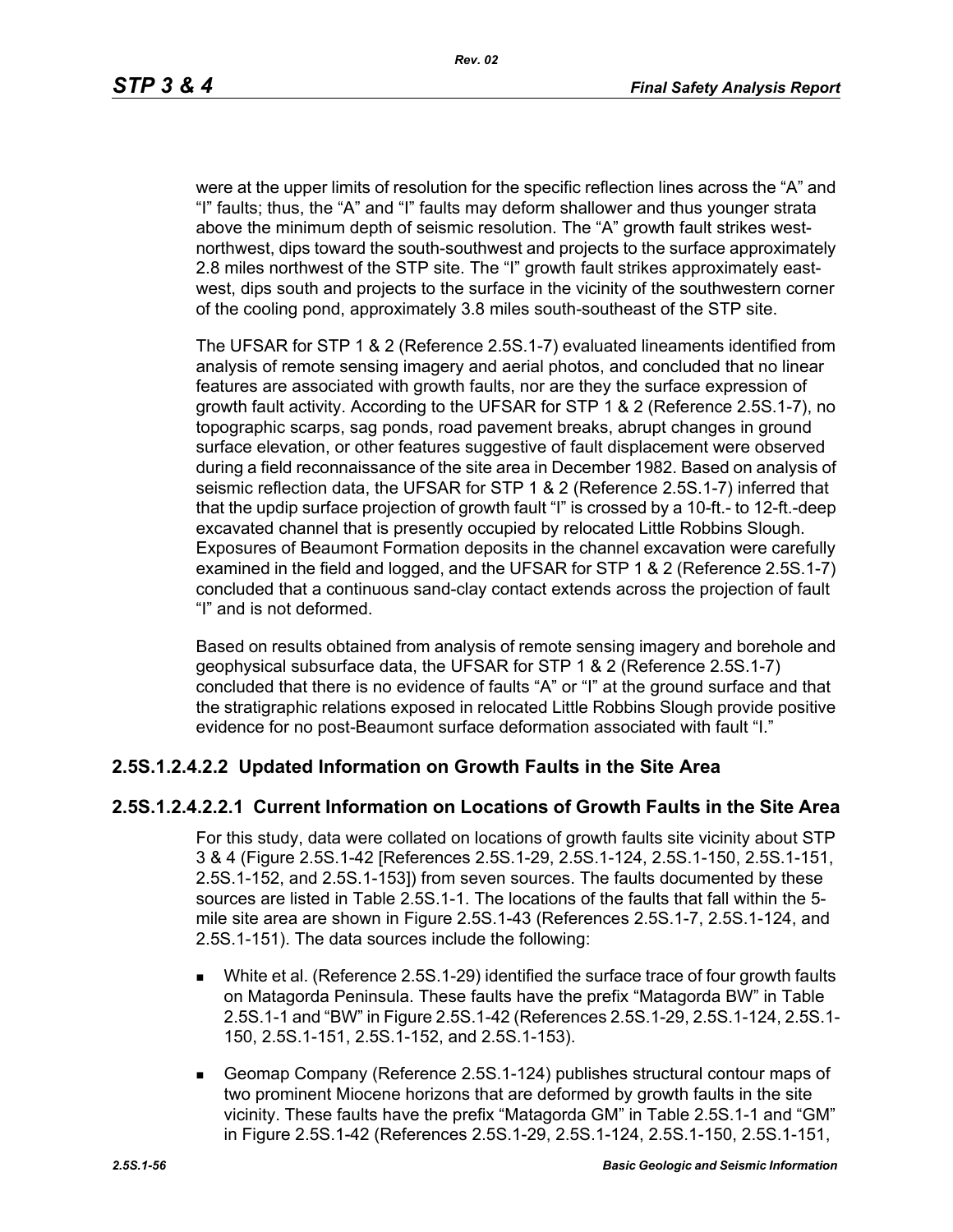were at the upper limits of resolution for the specific reflection lines across the "A" and "I" faults; thus, the "A" and "I" faults may deform shallower and thus younger strata above the minimum depth of seismic resolution. The "A" growth fault strikes westnorthwest, dips toward the south-southwest and projects to the surface approximately 2.8 miles northwest of the STP site. The "I" growth fault strikes approximately eastwest, dips south and projects to the surface in the vicinity of the southwestern corner of the cooling pond, approximately 3.8 miles south-southeast of the STP site.

The UFSAR for STP 1 & 2 (Reference 2.5S.1-7) evaluated lineaments identified from analysis of remote sensing imagery and aerial photos, and concluded that no linear features are associated with growth faults, nor are they the surface expression of growth fault activity. According to the UFSAR for STP 1 & 2 (Reference 2.5S.1-7), no topographic scarps, sag ponds, road pavement breaks, abrupt changes in ground surface elevation, or other features suggestive of fault displacement were observed during a field reconnaissance of the site area in December 1982. Based on analysis of seismic reflection data, the UFSAR for STP 1 & 2 (Reference 2.5S.1-7) inferred that that the updip surface projection of growth fault "I" is crossed by a 10-ft.- to 12-ft.-deep excavated channel that is presently occupied by relocated Little Robbins Slough. Exposures of Beaumont Formation deposits in the channel excavation were carefully examined in the field and logged, and the UFSAR for STP 1 & 2 (Reference 2.5S.1-7) concluded that a continuous sand-clay contact extends across the projection of fault "I" and is not deformed.

Based on results obtained from analysis of remote sensing imagery and borehole and geophysical subsurface data, the UFSAR for STP 1 & 2 (Reference 2.5S.1-7) concluded that there is no evidence of faults "A" or "I" at the ground surface and that the stratigraphic relations exposed in relocated Little Robbins Slough provide positive evidence for no post-Beaumont surface deformation associated with fault "I."

### **2.5S.1.2.4.2.2 Updated Information on Growth Faults in the Site Area**

### **2.5S.1.2.4.2.2.1 Current Information on Locations of Growth Faults in the Site Area**

For this study, data were collated on locations of growth faults site vicinity about STP 3 & 4 (Figure 2.5S.1-42 [References 2.5S.1-29, 2.5S.1-124, 2.5S.1-150, 2.5S.1-151, 2.5S.1-152, and 2.5S.1-153]) from seven sources. The faults documented by these sources are listed in Table 2.5S.1-1. The locations of the faults that fall within the 5 mile site area are shown in Figure 2.5S.1-43 (References 2.5S.1-7, 2.5S.1-124, and 2.5S.1-151). The data sources include the following:

- White et al. (Reference 2.5S.1-29) identified the surface trace of four growth faults on Matagorda Peninsula. These faults have the prefix "Matagorda BW" in Table 2.5S.1-1 and "BW" in Figure 2.5S.1-42 (References 2.5S.1-29, 2.5S.1-124, 2.5S.1- 150, 2.5S.1-151, 2.5S.1-152, and 2.5S.1-153).
- Geomap Company (Reference 2.5S.1-124) publishes structural contour maps of two prominent Miocene horizons that are deformed by growth faults in the site vicinity. These faults have the prefix "Matagorda GM" in Table 2.5S.1-1 and "GM" in Figure 2.5S.1-42 (References 2.5S.1-29, 2.5S.1-124, 2.5S.1-150, 2.5S.1-151,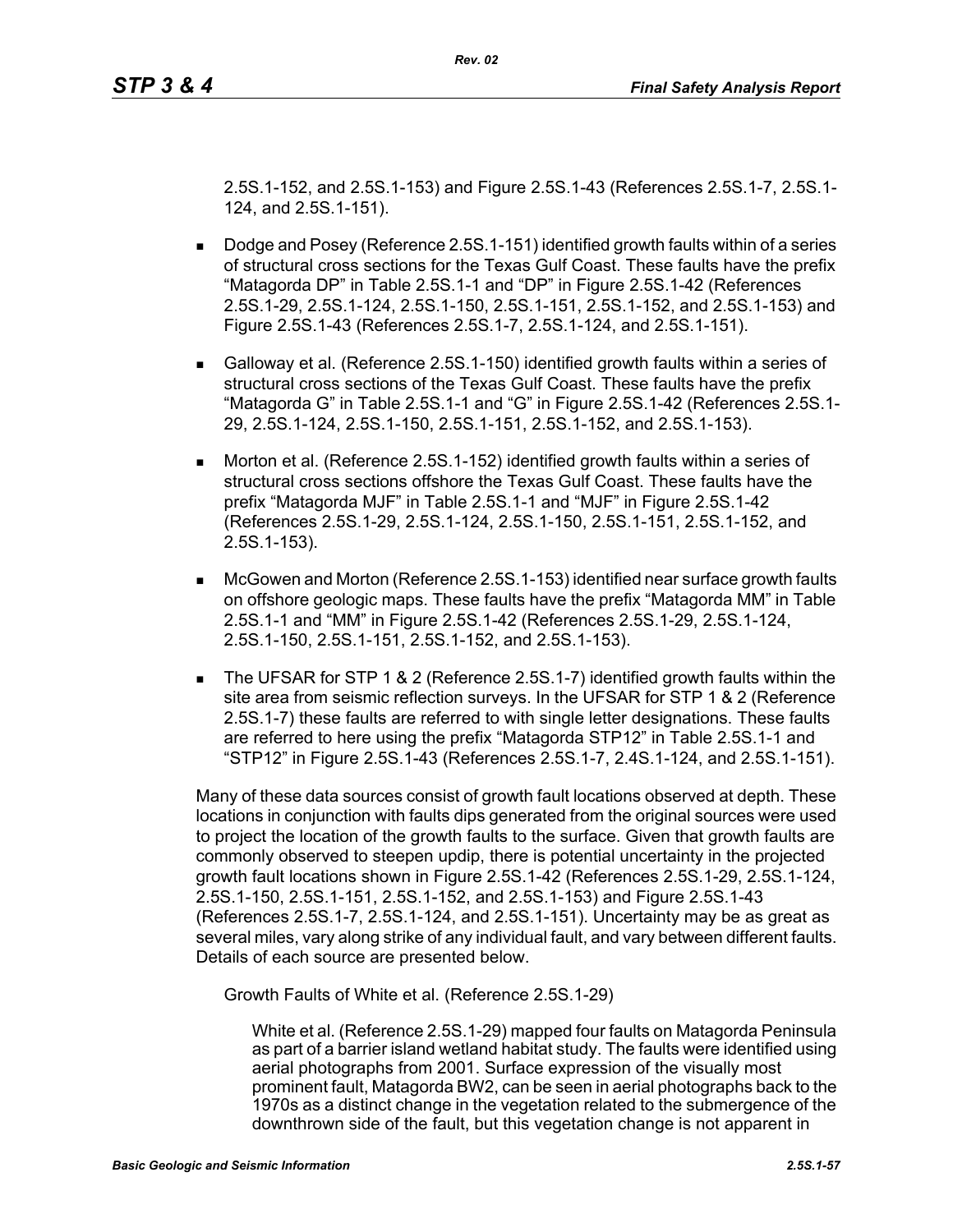2.5S.1-152, and 2.5S.1-153) and Figure 2.5S.1-43 (References 2.5S.1-7, 2.5S.1- 124, and 2.5S.1-151).

*Rev. 02*

- Dodge and Posey (Reference 2.5S.1-151) identified growth faults within of a series of structural cross sections for the Texas Gulf Coast. These faults have the prefix "Matagorda DP" in Table 2.5S.1-1 and "DP" in Figure 2.5S.1-42 (References 2.5S.1-29, 2.5S.1-124, 2.5S.1-150, 2.5S.1-151, 2.5S.1-152, and 2.5S.1-153) and Figure 2.5S.1-43 (References 2.5S.1-7, 2.5S.1-124, and 2.5S.1-151).
- Galloway et al. (Reference 2.5S.1-150) identified growth faults within a series of structural cross sections of the Texas Gulf Coast. These faults have the prefix "Matagorda G" in Table 2.5S.1-1 and "G" in Figure 2.5S.1-42 (References 2.5S.1- 29, 2.5S.1-124, 2.5S.1-150, 2.5S.1-151, 2.5S.1-152, and 2.5S.1-153).
- **Morton et al. (Reference 2.5S.1-152) identified growth faults within a series of** structural cross sections offshore the Texas Gulf Coast. These faults have the prefix "Matagorda MJF" in Table 2.5S.1-1 and "MJF" in Figure 2.5S.1-42 (References 2.5S.1-29, 2.5S.1-124, 2.5S.1-150, 2.5S.1-151, 2.5S.1-152, and 2.5S.1-153).
- McGowen and Morton (Reference 2.5S.1-153) identified near surface growth faults on offshore geologic maps. These faults have the prefix "Matagorda MM" in Table 2.5S.1-1 and "MM" in Figure 2.5S.1-42 (References 2.5S.1-29, 2.5S.1-124, 2.5S.1-150, 2.5S.1-151, 2.5S.1-152, and 2.5S.1-153).
- The UFSAR for STP 1 & 2 (Reference 2.5S.1-7) identified growth faults within the site area from seismic reflection surveys. In the UFSAR for STP 1 & 2 (Reference 2.5S.1-7) these faults are referred to with single letter designations. These faults are referred to here using the prefix "Matagorda STP12" in Table 2.5S.1-1 and "STP12" in Figure 2.5S.1-43 (References 2.5S.1-7, 2.4S.1-124, and 2.5S.1-151).

Many of these data sources consist of growth fault locations observed at depth. These locations in conjunction with faults dips generated from the original sources were used to project the location of the growth faults to the surface. Given that growth faults are commonly observed to steepen updip, there is potential uncertainty in the projected growth fault locations shown in Figure 2.5S.1-42 (References 2.5S.1-29, 2.5S.1-124, 2.5S.1-150, 2.5S.1-151, 2.5S.1-152, and 2.5S.1-153) and Figure 2.5S.1-43 (References 2.5S.1-7, 2.5S.1-124, and 2.5S.1-151). Uncertainty may be as great as several miles, vary along strike of any individual fault, and vary between different faults. Details of each source are presented below.

Growth Faults of White et al. (Reference 2.5S.1-29)

White et al. (Reference 2.5S.1-29) mapped four faults on Matagorda Peninsula as part of a barrier island wetland habitat study. The faults were identified using aerial photographs from 2001. Surface expression of the visually most prominent fault, Matagorda BW2, can be seen in aerial photographs back to the 1970s as a distinct change in the vegetation related to the submergence of the downthrown side of the fault, but this vegetation change is not apparent in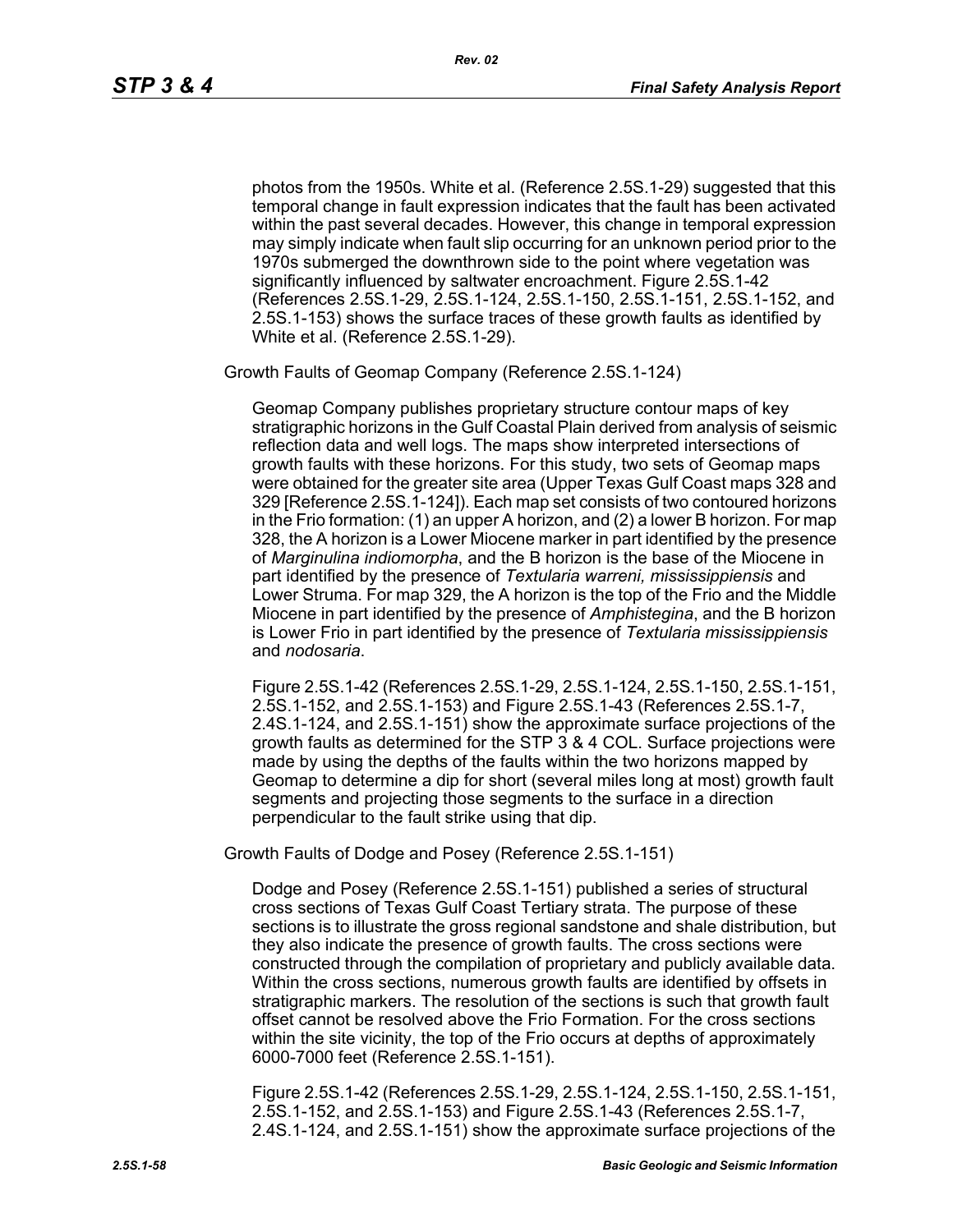photos from the 1950s. White et al. (Reference 2.5S.1-29) suggested that this temporal change in fault expression indicates that the fault has been activated within the past several decades. However, this change in temporal expression may simply indicate when fault slip occurring for an unknown period prior to the 1970s submerged the downthrown side to the point where vegetation was significantly influenced by saltwater encroachment. Figure 2.5S.1-42 (References 2.5S.1-29, 2.5S.1-124, 2.5S.1-150, 2.5S.1-151, 2.5S.1-152, and 2.5S.1-153) shows the surface traces of these growth faults as identified by White et al. (Reference 2.5S.1-29).

Growth Faults of Geomap Company (Reference 2.5S.1-124)

Geomap Company publishes proprietary structure contour maps of key stratigraphic horizons in the Gulf Coastal Plain derived from analysis of seismic reflection data and well logs. The maps show interpreted intersections of growth faults with these horizons. For this study, two sets of Geomap maps were obtained for the greater site area (Upper Texas Gulf Coast maps 328 and 329 [Reference 2.5S.1-124]). Each map set consists of two contoured horizons in the Frio formation: (1) an upper A horizon, and (2) a lower B horizon. For map 328, the A horizon is a Lower Miocene marker in part identified by the presence of *Marginulina indiomorpha*, and the B horizon is the base of the Miocene in part identified by the presence of *Textularia warreni, mississippiensis* and Lower Struma. For map 329, the A horizon is the top of the Frio and the Middle Miocene in part identified by the presence of *Amphistegina*, and the B horizon is Lower Frio in part identified by the presence of *Textularia mississippiensis* and *nodosaria*.

Figure 2.5S.1-42 (References 2.5S.1-29, 2.5S.1-124, 2.5S.1-150, 2.5S.1-151, 2.5S.1-152, and 2.5S.1-153) and Figure 2.5S.1-43 (References 2.5S.1-7, 2.4S.1-124, and 2.5S.1-151) show the approximate surface projections of the growth faults as determined for the STP 3 & 4 COL. Surface projections were made by using the depths of the faults within the two horizons mapped by Geomap to determine a dip for short (several miles long at most) growth fault segments and projecting those segments to the surface in a direction perpendicular to the fault strike using that dip.

Growth Faults of Dodge and Posey (Reference 2.5S.1-151)

Dodge and Posey (Reference 2.5S.1-151) published a series of structural cross sections of Texas Gulf Coast Tertiary strata. The purpose of these sections is to illustrate the gross regional sandstone and shale distribution, but they also indicate the presence of growth faults. The cross sections were constructed through the compilation of proprietary and publicly available data. Within the cross sections, numerous growth faults are identified by offsets in stratigraphic markers. The resolution of the sections is such that growth fault offset cannot be resolved above the Frio Formation. For the cross sections within the site vicinity, the top of the Frio occurs at depths of approximately 6000-7000 feet (Reference 2.5S.1-151).

Figure 2.5S.1-42 (References 2.5S.1-29, 2.5S.1-124, 2.5S.1-150, 2.5S.1-151, 2.5S.1-152, and 2.5S.1-153) and Figure 2.5S.1-43 (References 2.5S.1-7, 2.4S.1-124, and 2.5S.1-151) show the approximate surface projections of the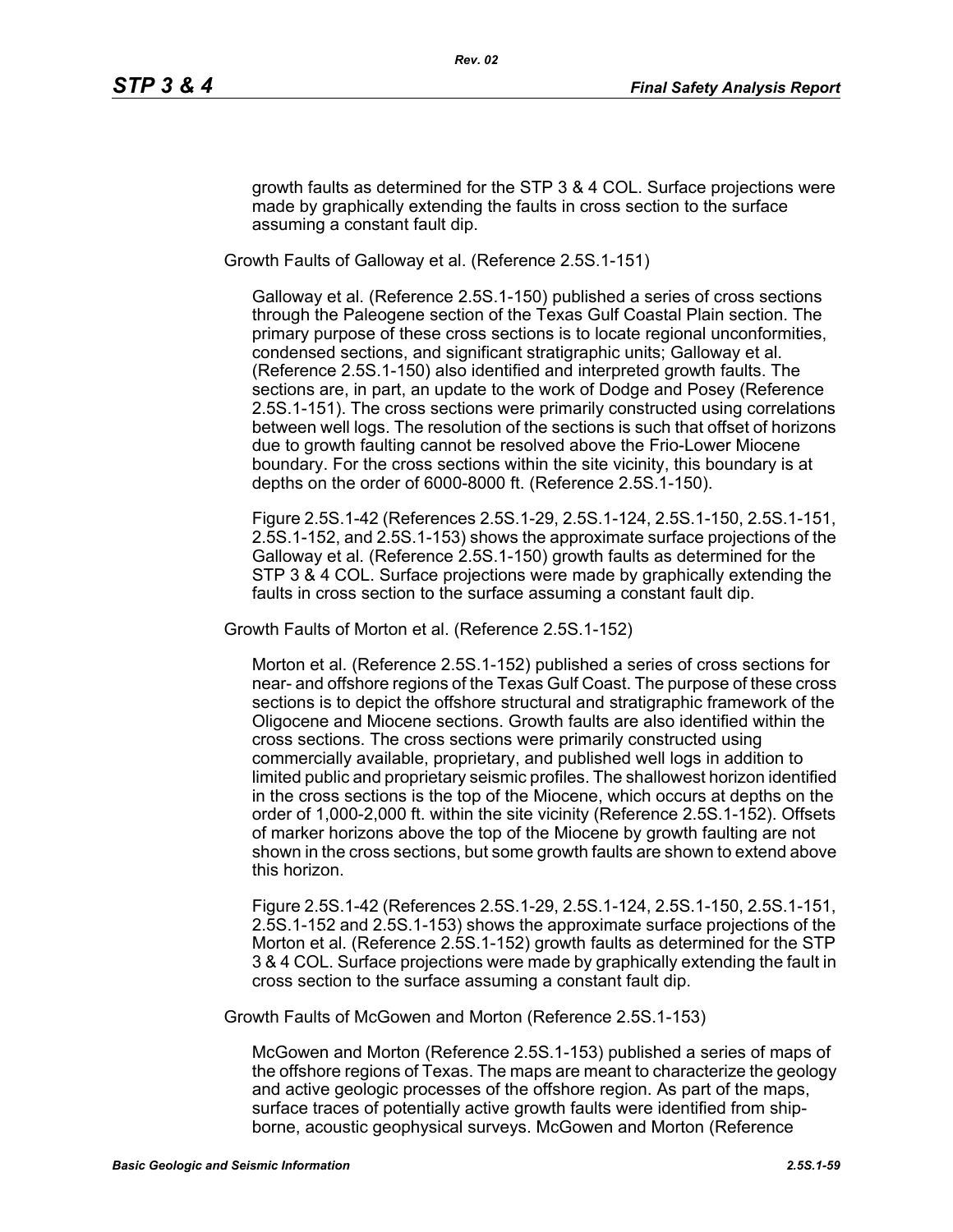growth faults as determined for the STP 3 & 4 COL. Surface projections were made by graphically extending the faults in cross section to the surface assuming a constant fault dip.

Growth Faults of Galloway et al. (Reference 2.5S.1-151)

Galloway et al. (Reference 2.5S.1-150) published a series of cross sections through the Paleogene section of the Texas Gulf Coastal Plain section. The primary purpose of these cross sections is to locate regional unconformities, condensed sections, and significant stratigraphic units; Galloway et al. (Reference 2.5S.1-150) also identified and interpreted growth faults. The sections are, in part, an update to the work of Dodge and Posey (Reference 2.5S.1-151). The cross sections were primarily constructed using correlations between well logs. The resolution of the sections is such that offset of horizons due to growth faulting cannot be resolved above the Frio-Lower Miocene boundary. For the cross sections within the site vicinity, this boundary is at depths on the order of 6000-8000 ft. (Reference 2.5S.1-150).

Figure 2.5S.1-42 (References 2.5S.1-29, 2.5S.1-124, 2.5S.1-150, 2.5S.1-151, 2.5S.1-152, and 2.5S.1-153) shows the approximate surface projections of the Galloway et al. (Reference 2.5S.1-150) growth faults as determined for the STP 3 & 4 COL. Surface projections were made by graphically extending the faults in cross section to the surface assuming a constant fault dip.

Growth Faults of Morton et al. (Reference 2.5S.1-152)

Morton et al. (Reference 2.5S.1-152) published a series of cross sections for near- and offshore regions of the Texas Gulf Coast. The purpose of these cross sections is to depict the offshore structural and stratigraphic framework of the Oligocene and Miocene sections. Growth faults are also identified within the cross sections. The cross sections were primarily constructed using commercially available, proprietary, and published well logs in addition to limited public and proprietary seismic profiles. The shallowest horizon identified in the cross sections is the top of the Miocene, which occurs at depths on the order of 1,000-2,000 ft. within the site vicinity (Reference 2.5S.1-152). Offsets of marker horizons above the top of the Miocene by growth faulting are not shown in the cross sections, but some growth faults are shown to extend above this horizon.

Figure 2.5S.1-42 (References 2.5S.1-29, 2.5S.1-124, 2.5S.1-150, 2.5S.1-151, 2.5S.1-152 and 2.5S.1-153) shows the approximate surface projections of the Morton et al. (Reference 2.5S.1-152) growth faults as determined for the STP 3 & 4 COL. Surface projections were made by graphically extending the fault in cross section to the surface assuming a constant fault dip.

Growth Faults of McGowen and Morton (Reference 2.5S.1-153)

McGowen and Morton (Reference 2.5S.1-153) published a series of maps of the offshore regions of Texas. The maps are meant to characterize the geology and active geologic processes of the offshore region. As part of the maps, surface traces of potentially active growth faults were identified from shipborne, acoustic geophysical surveys. McGowen and Morton (Reference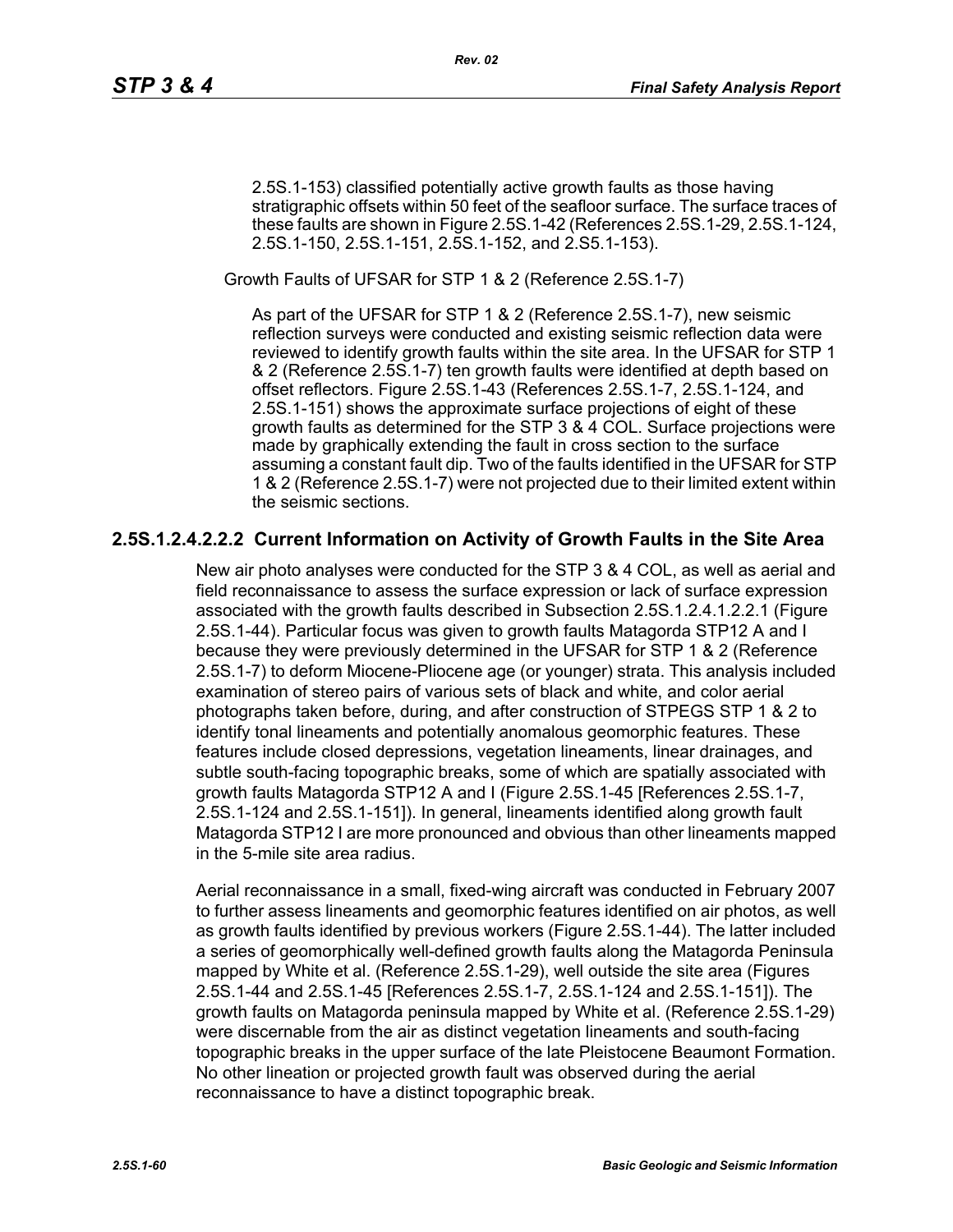2.5S.1-153) classified potentially active growth faults as those having stratigraphic offsets within 50 feet of the seafloor surface. The surface traces of these faults are shown in Figure 2.5S.1-42 (References 2.5S.1-29, 2.5S.1-124, 2.5S.1-150, 2.5S.1-151, 2.5S.1-152, and 2.S5.1-153).

Growth Faults of UFSAR for STP 1 & 2 (Reference 2.5S.1-7)

As part of the UFSAR for STP 1 & 2 (Reference 2.5S.1-7), new seismic reflection surveys were conducted and existing seismic reflection data were reviewed to identify growth faults within the site area. In the UFSAR for STP 1 & 2 (Reference 2.5S.1-7) ten growth faults were identified at depth based on offset reflectors. Figure 2.5S.1-43 (References 2.5S.1-7, 2.5S.1-124, and 2.5S.1-151) shows the approximate surface projections of eight of these growth faults as determined for the STP 3 & 4 COL. Surface projections were made by graphically extending the fault in cross section to the surface assuming a constant fault dip. Two of the faults identified in the UFSAR for STP 1 & 2 (Reference 2.5S.1-7) were not projected due to their limited extent within the seismic sections.

### **2.5S.1.2.4.2.2.2 Current Information on Activity of Growth Faults in the Site Area**

New air photo analyses were conducted for the STP 3 & 4 COL, as well as aerial and field reconnaissance to assess the surface expression or lack of surface expression associated with the growth faults described in Subsection 2.5S.1.2.4.1.2.2.1 (Figure 2.5S.1-44). Particular focus was given to growth faults Matagorda STP12 A and I because they were previously determined in the UFSAR for STP 1 & 2 (Reference 2.5S.1-7) to deform Miocene-Pliocene age (or younger) strata. This analysis included examination of stereo pairs of various sets of black and white, and color aerial photographs taken before, during, and after construction of STPEGS STP 1 & 2 to identify tonal lineaments and potentially anomalous geomorphic features. These features include closed depressions, vegetation lineaments, linear drainages, and subtle south-facing topographic breaks, some of which are spatially associated with growth faults Matagorda STP12 A and I (Figure 2.5S.1-45 [References 2.5S.1-7, 2.5S.1-124 and 2.5S.1-151]). In general, lineaments identified along growth fault Matagorda STP12 I are more pronounced and obvious than other lineaments mapped in the 5-mile site area radius.

Aerial reconnaissance in a small, fixed-wing aircraft was conducted in February 2007 to further assess lineaments and geomorphic features identified on air photos, as well as growth faults identified by previous workers (Figure 2.5S.1-44). The latter included a series of geomorphically well-defined growth faults along the Matagorda Peninsula mapped by White et al. (Reference 2.5S.1-29), well outside the site area (Figures 2.5S.1-44 and 2.5S.1-45 [References 2.5S.1-7, 2.5S.1-124 and 2.5S.1-151]). The growth faults on Matagorda peninsula mapped by White et al. (Reference 2.5S.1-29) were discernable from the air as distinct vegetation lineaments and south-facing topographic breaks in the upper surface of the late Pleistocene Beaumont Formation. No other lineation or projected growth fault was observed during the aerial reconnaissance to have a distinct topographic break.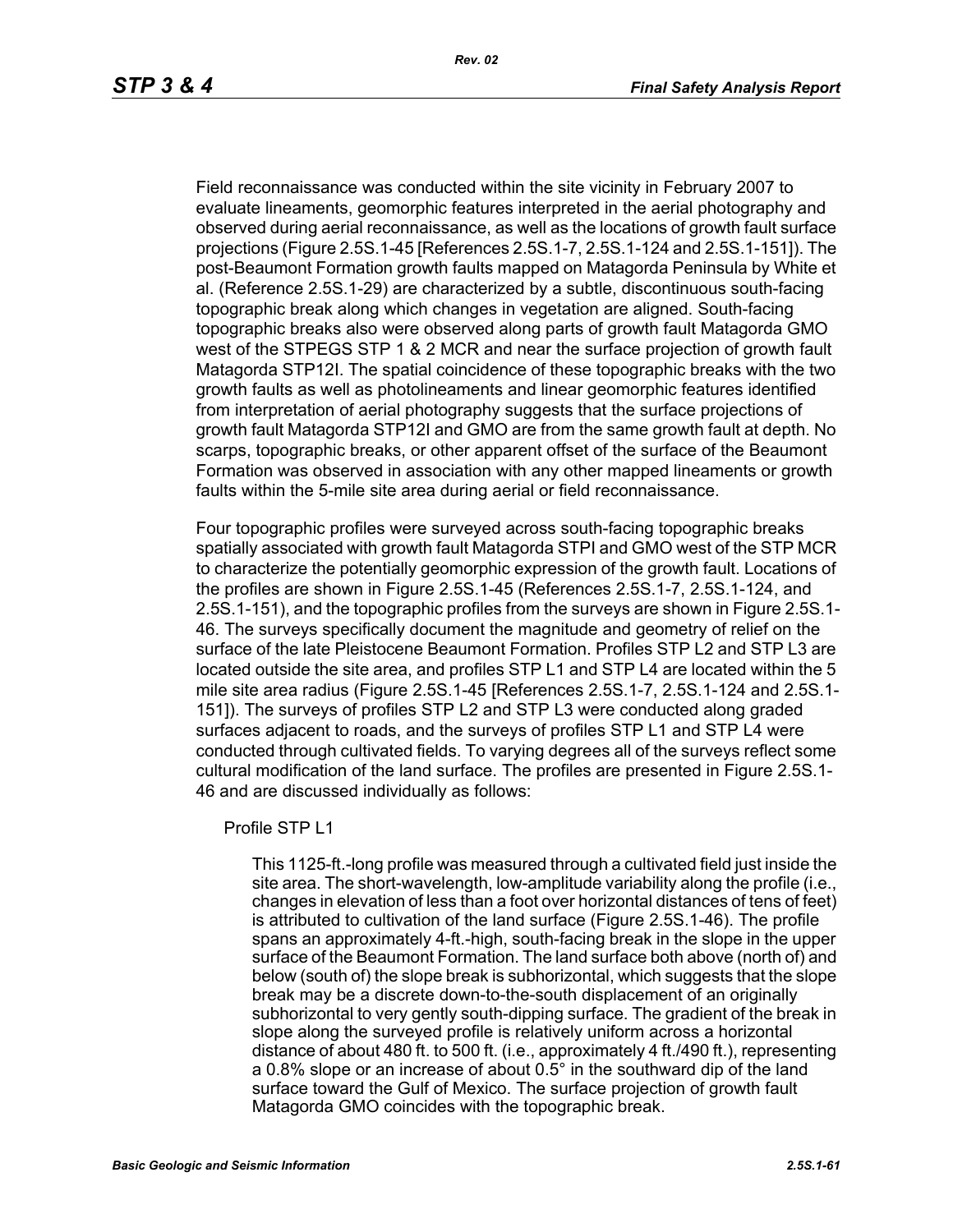Field reconnaissance was conducted within the site vicinity in February 2007 to evaluate lineaments, geomorphic features interpreted in the aerial photography and observed during aerial reconnaissance, as well as the locations of growth fault surface projections (Figure 2.5S.1-45 [References 2.5S.1-7, 2.5S.1-124 and 2.5S.1-151]). The post-Beaumont Formation growth faults mapped on Matagorda Peninsula by White et al. (Reference 2.5S.1-29) are characterized by a subtle, discontinuous south-facing topographic break along which changes in vegetation are aligned. South-facing topographic breaks also were observed along parts of growth fault Matagorda GMO west of the STPEGS STP 1 & 2 MCR and near the surface projection of growth fault Matagorda STP12I. The spatial coincidence of these topographic breaks with the two growth faults as well as photolineaments and linear geomorphic features identified from interpretation of aerial photography suggests that the surface projections of growth fault Matagorda STP12I and GMO are from the same growth fault at depth. No scarps, topographic breaks, or other apparent offset of the surface of the Beaumont Formation was observed in association with any other mapped lineaments or growth faults within the 5-mile site area during aerial or field reconnaissance.

Four topographic profiles were surveyed across south-facing topographic breaks spatially associated with growth fault Matagorda STPI and GMO west of the STP MCR to characterize the potentially geomorphic expression of the growth fault. Locations of the profiles are shown in Figure 2.5S.1-45 (References 2.5S.1-7, 2.5S.1-124, and 2.5S.1-151), and the topographic profiles from the surveys are shown in Figure 2.5S.1- 46. The surveys specifically document the magnitude and geometry of relief on the surface of the late Pleistocene Beaumont Formation. Profiles STP L2 and STP L3 are located outside the site area, and profiles STP L1 and STP L4 are located within the 5 mile site area radius (Figure 2.5S.1-45 [References 2.5S.1-7, 2.5S.1-124 and 2.5S.1- 151]). The surveys of profiles STP L2 and STP L3 were conducted along graded surfaces adjacent to roads, and the surveys of profiles STP L1 and STP L4 were conducted through cultivated fields. To varying degrees all of the surveys reflect some cultural modification of the land surface. The profiles are presented in Figure 2.5S.1- 46 and are discussed individually as follows:

#### Profile STP L1

This 1125-ft.-long profile was measured through a cultivated field just inside the site area. The short-wavelength, low-amplitude variability along the profile (i.e., changes in elevation of less than a foot over horizontal distances of tens of feet) is attributed to cultivation of the land surface (Figure 2.5S.1-46). The profile spans an approximately 4-ft.-high, south-facing break in the slope in the upper surface of the Beaumont Formation. The land surface both above (north of) and below (south of) the slope break is subhorizontal, which suggests that the slope break may be a discrete down-to-the-south displacement of an originally subhorizontal to very gently south-dipping surface. The gradient of the break in slope along the surveyed profile is relatively uniform across a horizontal distance of about 480 ft. to 500 ft. (i.e., approximately 4 ft./490 ft.), representing a 0.8% slope or an increase of about 0.5° in the southward dip of the land surface toward the Gulf of Mexico. The surface projection of growth fault Matagorda GMO coincides with the topographic break.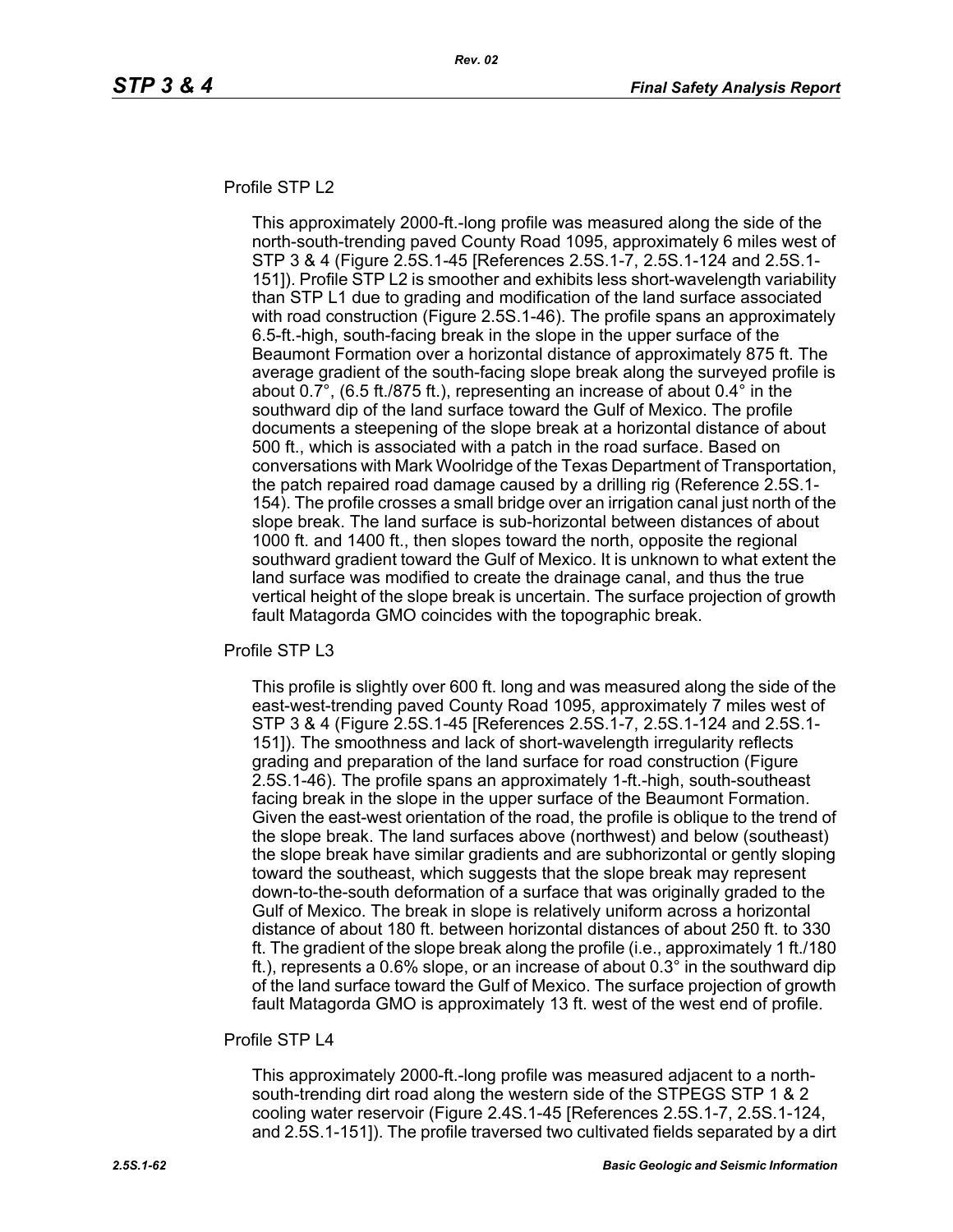#### Profile STP L2

This approximately 2000-ft.-long profile was measured along the side of the north-south-trending paved County Road 1095, approximately 6 miles west of STP 3 & 4 (Figure 2.5S.1-45 [References 2.5S.1-7, 2.5S.1-124 and 2.5S.1- 151]). Profile STP L2 is smoother and exhibits less short-wavelength variability than STP L1 due to grading and modification of the land surface associated with road construction (Figure 2.5S.1-46). The profile spans an approximately 6.5-ft.-high, south-facing break in the slope in the upper surface of the Beaumont Formation over a horizontal distance of approximately 875 ft. The average gradient of the south-facing slope break along the surveyed profile is about 0.7°, (6.5 ft./875 ft.), representing an increase of about 0.4° in the southward dip of the land surface toward the Gulf of Mexico. The profile documents a steepening of the slope break at a horizontal distance of about 500 ft., which is associated with a patch in the road surface. Based on conversations with Mark Woolridge of the Texas Department of Transportation, the patch repaired road damage caused by a drilling rig (Reference 2.5S.1- 154). The profile crosses a small bridge over an irrigation canal just north of the slope break. The land surface is sub-horizontal between distances of about 1000 ft. and 1400 ft., then slopes toward the north, opposite the regional southward gradient toward the Gulf of Mexico. It is unknown to what extent the land surface was modified to create the drainage canal, and thus the true vertical height of the slope break is uncertain. The surface projection of growth fault Matagorda GMO coincides with the topographic break.

Profile STP L3

This profile is slightly over 600 ft. long and was measured along the side of the east-west-trending paved County Road 1095, approximately 7 miles west of STP 3 & 4 (Figure 2.5S.1-45 [References 2.5S.1-7, 2.5S.1-124 and 2.5S.1- 151]). The smoothness and lack of short-wavelength irregularity reflects grading and preparation of the land surface for road construction (Figure 2.5S.1-46). The profile spans an approximately 1-ft.-high, south-southeast facing break in the slope in the upper surface of the Beaumont Formation. Given the east-west orientation of the road, the profile is oblique to the trend of the slope break. The land surfaces above (northwest) and below (southeast) the slope break have similar gradients and are subhorizontal or gently sloping toward the southeast, which suggests that the slope break may represent down-to-the-south deformation of a surface that was originally graded to the Gulf of Mexico. The break in slope is relatively uniform across a horizontal distance of about 180 ft. between horizontal distances of about 250 ft. to 330 ft. The gradient of the slope break along the profile (i.e., approximately 1 ft./180 ft.), represents a 0.6% slope, or an increase of about 0.3° in the southward dip of the land surface toward the Gulf of Mexico. The surface projection of growth fault Matagorda GMO is approximately 13 ft. west of the west end of profile.

#### Profile STP I 4

This approximately 2000-ft.-long profile was measured adjacent to a northsouth-trending dirt road along the western side of the STPEGS STP 1 & 2 cooling water reservoir (Figure 2.4S.1-45 [References 2.5S.1-7, 2.5S.1-124, and 2.5S.1-151]). The profile traversed two cultivated fields separated by a dirt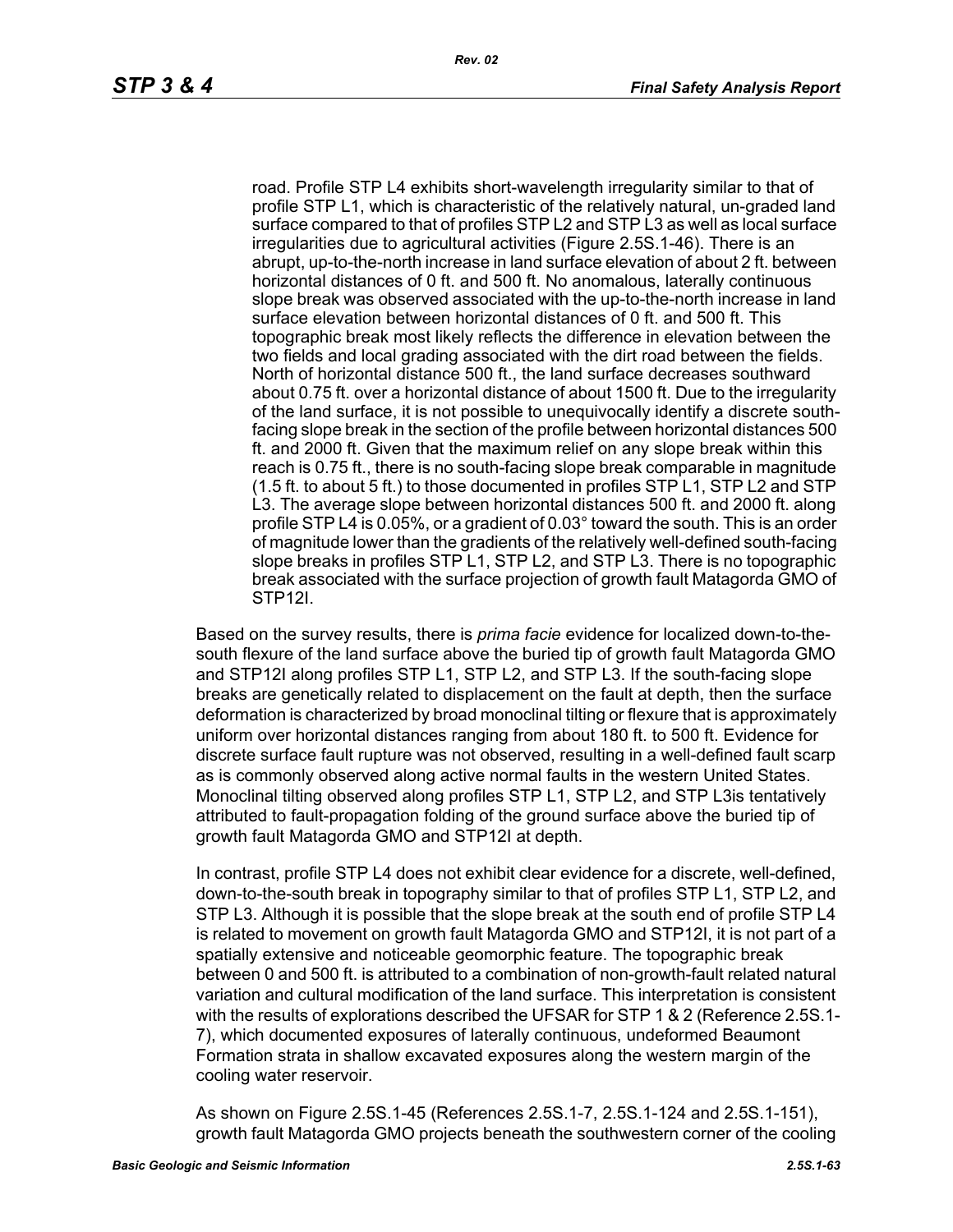road. Profile STP L4 exhibits short-wavelength irregularity similar to that of profile STP L1, which is characteristic of the relatively natural, un-graded land surface compared to that of profiles STP L2 and STP L3 as well as local surface irregularities due to agricultural activities (Figure 2.5S.1-46). There is an abrupt, up-to-the-north increase in land surface elevation of about 2 ft. between horizontal distances of 0 ft. and 500 ft. No anomalous, laterally continuous slope break was observed associated with the up-to-the-north increase in land surface elevation between horizontal distances of 0 ft. and 500 ft. This topographic break most likely reflects the difference in elevation between the two fields and local grading associated with the dirt road between the fields. North of horizontal distance 500 ft., the land surface decreases southward about 0.75 ft. over a horizontal distance of about 1500 ft. Due to the irregularity of the land surface, it is not possible to unequivocally identify a discrete southfacing slope break in the section of the profile between horizontal distances 500 ft. and 2000 ft. Given that the maximum relief on any slope break within this reach is 0.75 ft., there is no south-facing slope break comparable in magnitude (1.5 ft. to about 5 ft.) to those documented in profiles STP L1, STP L2 and STP L3. The average slope between horizontal distances 500 ft. and 2000 ft. along profile STP L4 is 0.05%, or a gradient of 0.03° toward the south. This is an order of magnitude lower than the gradients of the relatively well-defined south-facing slope breaks in profiles STP L1, STP L2, and STP L3. There is no topographic break associated with the surface projection of growth fault Matagorda GMO of STP12I.

Based on the survey results, there is *prima facie* evidence for localized down-to-thesouth flexure of the land surface above the buried tip of growth fault Matagorda GMO and STP12I along profiles STP L1, STP L2, and STP L3. If the south-facing slope breaks are genetically related to displacement on the fault at depth, then the surface deformation is characterized by broad monoclinal tilting or flexure that is approximately uniform over horizontal distances ranging from about 180 ft. to 500 ft. Evidence for discrete surface fault rupture was not observed, resulting in a well-defined fault scarp as is commonly observed along active normal faults in the western United States. Monoclinal tilting observed along profiles STP L1, STP L2, and STP L3is tentatively attributed to fault-propagation folding of the ground surface above the buried tip of growth fault Matagorda GMO and STP12I at depth.

In contrast, profile STP L4 does not exhibit clear evidence for a discrete, well-defined, down-to-the-south break in topography similar to that of profiles STP L1, STP L2, and STP L3. Although it is possible that the slope break at the south end of profile STP L4 is related to movement on growth fault Matagorda GMO and STP12I, it is not part of a spatially extensive and noticeable geomorphic feature. The topographic break between 0 and 500 ft. is attributed to a combination of non-growth-fault related natural variation and cultural modification of the land surface. This interpretation is consistent with the results of explorations described the UFSAR for STP 1 & 2 (Reference 2.5S.1- 7), which documented exposures of laterally continuous, undeformed Beaumont Formation strata in shallow excavated exposures along the western margin of the cooling water reservoir.

As shown on Figure 2.5S.1-45 (References 2.5S.1-7, 2.5S.1-124 and 2.5S.1-151), growth fault Matagorda GMO projects beneath the southwestern corner of the cooling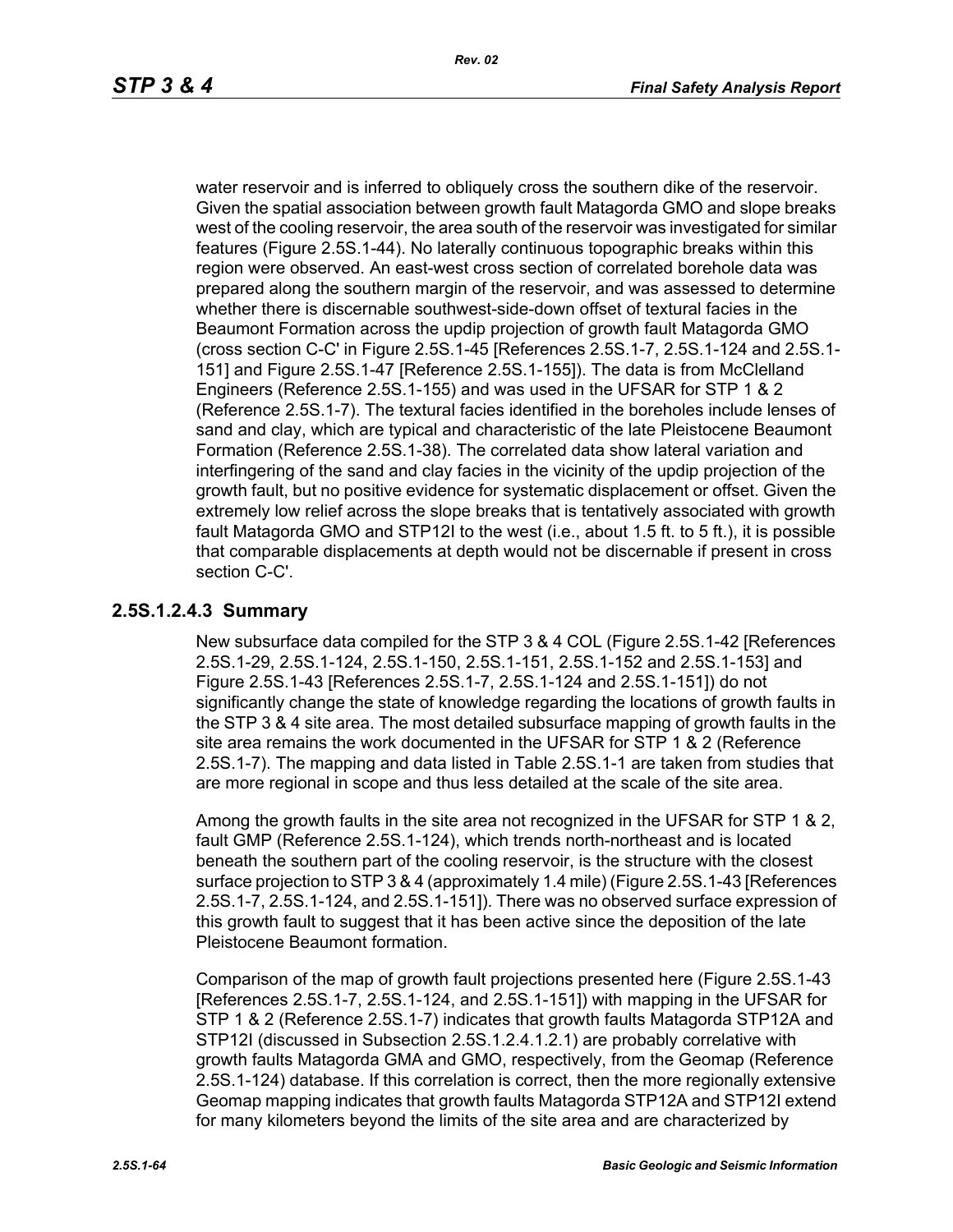water reservoir and is inferred to obliquely cross the southern dike of the reservoir. Given the spatial association between growth fault Matagorda GMO and slope breaks west of the cooling reservoir, the area south of the reservoir was investigated for similar features (Figure 2.5S.1-44). No laterally continuous topographic breaks within this region were observed. An east-west cross section of correlated borehole data was prepared along the southern margin of the reservoir, and was assessed to determine whether there is discernable southwest-side-down offset of textural facies in the Beaumont Formation across the updip projection of growth fault Matagorda GMO (cross section C-C' in Figure 2.5S.1-45 [References 2.5S.1-7, 2.5S.1-124 and 2.5S.1- 151] and Figure 2.5S.1-47 [Reference 2.5S.1-155]). The data is from McClelland Engineers (Reference 2.5S.1-155) and was used in the UFSAR for STP 1 & 2 (Reference 2.5S.1-7). The textural facies identified in the boreholes include lenses of sand and clay, which are typical and characteristic of the late Pleistocene Beaumont Formation (Reference 2.5S.1-38). The correlated data show lateral variation and interfingering of the sand and clay facies in the vicinity of the updip projection of the growth fault, but no positive evidence for systematic displacement or offset. Given the extremely low relief across the slope breaks that is tentatively associated with growth fault Matagorda GMO and STP12I to the west (i.e., about 1.5 ft. to 5 ft.), it is possible that comparable displacements at depth would not be discernable if present in cross section C-C'.

## **2.5S.1.2.4.3 Summary**

New subsurface data compiled for the STP 3 & 4 COL (Figure 2.5S.1-42 [References 2.5S.1-29, 2.5S.1-124, 2.5S.1-150, 2.5S.1-151, 2.5S.1-152 and 2.5S.1-153] and Figure 2.5S.1-43 [References 2.5S.1-7, 2.5S.1-124 and 2.5S.1-151]) do not significantly change the state of knowledge regarding the locations of growth faults in the STP 3 & 4 site area. The most detailed subsurface mapping of growth faults in the site area remains the work documented in the UFSAR for STP 1 & 2 (Reference 2.5S.1-7). The mapping and data listed in Table 2.5S.1-1 are taken from studies that are more regional in scope and thus less detailed at the scale of the site area.

Among the growth faults in the site area not recognized in the UFSAR for STP 1 & 2, fault GMP (Reference 2.5S.1-124), which trends north-northeast and is located beneath the southern part of the cooling reservoir, is the structure with the closest surface projection to STP 3 & 4 (approximately 1.4 mile) (Figure 2.5S.1-43 [References 2.5S.1-7, 2.5S.1-124, and 2.5S.1-151]). There was no observed surface expression of this growth fault to suggest that it has been active since the deposition of the late Pleistocene Beaumont formation.

Comparison of the map of growth fault projections presented here (Figure 2.5S.1-43 [References 2.5S.1-7, 2.5S.1-124, and 2.5S.1-151]) with mapping in the UFSAR for STP 1 & 2 (Reference 2.5S.1-7) indicates that growth faults Matagorda STP12A and STP12I (discussed in Subsection 2.5S.1.2.4.1.2.1) are probably correlative with growth faults Matagorda GMA and GMO, respectively, from the Geomap (Reference 2.5S.1-124) database. If this correlation is correct, then the more regionally extensive Geomap mapping indicates that growth faults Matagorda STP12A and STP12I extend for many kilometers beyond the limits of the site area and are characterized by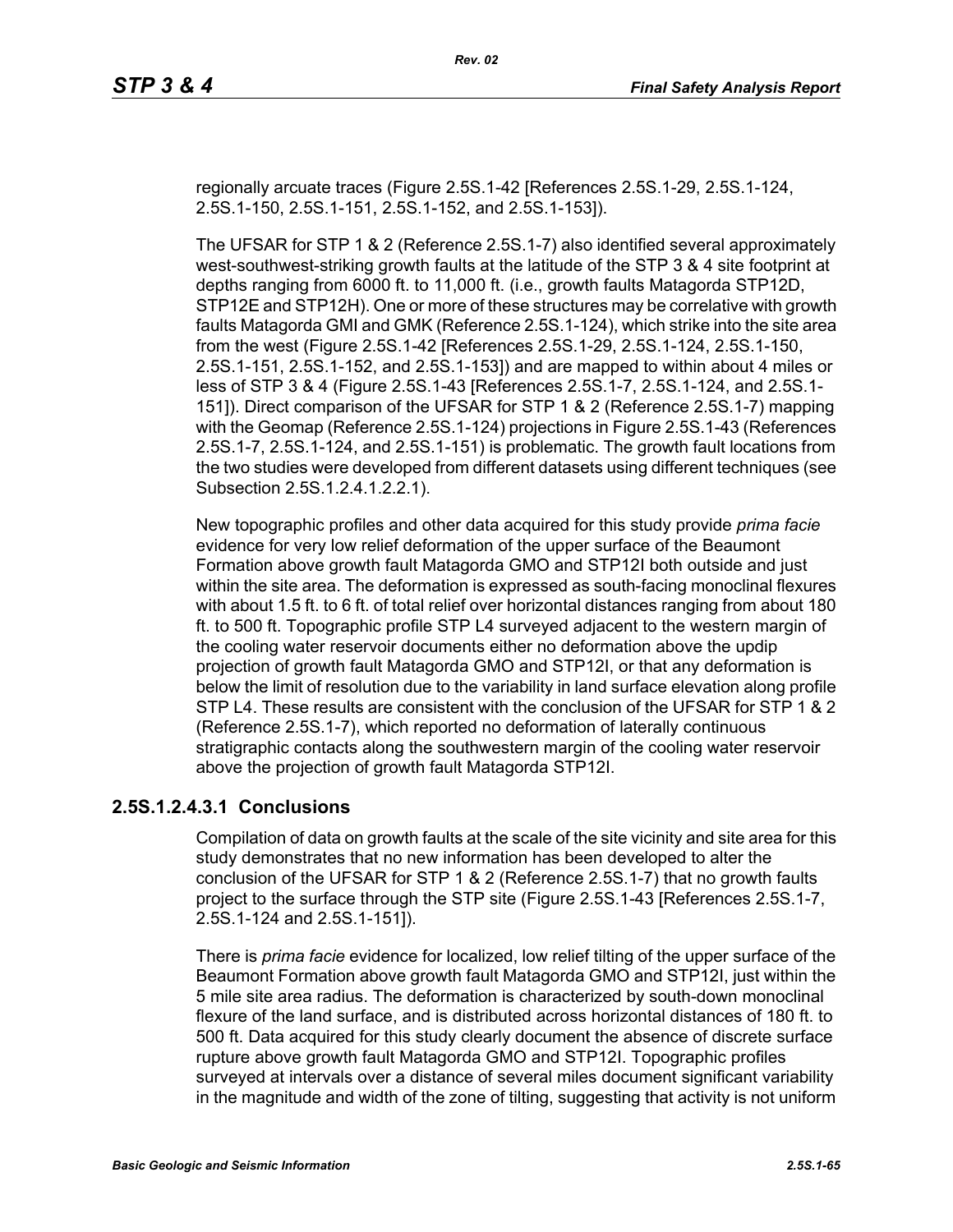regionally arcuate traces (Figure 2.5S.1-42 [References 2.5S.1-29, 2.5S.1-124, 2.5S.1-150, 2.5S.1-151, 2.5S.1-152, and 2.5S.1-153]).

The UFSAR for STP 1 & 2 (Reference 2.5S.1-7) also identified several approximately west-southwest-striking growth faults at the latitude of the STP 3 & 4 site footprint at depths ranging from 6000 ft. to 11,000 ft. (i.e., growth faults Matagorda STP12D, STP12E and STP12H). One or more of these structures may be correlative with growth faults Matagorda GMI and GMK (Reference 2.5S.1-124), which strike into the site area from the west (Figure 2.5S.1-42 [References 2.5S.1-29, 2.5S.1-124, 2.5S.1-150, 2.5S.1-151, 2.5S.1-152, and 2.5S.1-153]) and are mapped to within about 4 miles or less of STP 3 & 4 (Figure 2.5S.1-43 [References 2.5S.1-7, 2.5S.1-124, and 2.5S.1- 151]). Direct comparison of the UFSAR for STP 1 & 2 (Reference 2.5S.1-7) mapping with the Geomap (Reference 2.5S.1-124) projections in Figure 2.5S.1-43 (References 2.5S.1-7, 2.5S.1-124, and 2.5S.1-151) is problematic. The growth fault locations from the two studies were developed from different datasets using different techniques (see Subsection 2.5S.1.2.4.1.2.2.1).

New topographic profiles and other data acquired for this study provide *prima facie* evidence for very low relief deformation of the upper surface of the Beaumont Formation above growth fault Matagorda GMO and STP12I both outside and just within the site area. The deformation is expressed as south-facing monoclinal flexures with about 1.5 ft. to 6 ft. of total relief over horizontal distances ranging from about 180 ft. to 500 ft. Topographic profile STP L4 surveyed adjacent to the western margin of the cooling water reservoir documents either no deformation above the updip projection of growth fault Matagorda GMO and STP12I, or that any deformation is below the limit of resolution due to the variability in land surface elevation along profile STP L4. These results are consistent with the conclusion of the UFSAR for STP 1 & 2 (Reference 2.5S.1-7), which reported no deformation of laterally continuous stratigraphic contacts along the southwestern margin of the cooling water reservoir above the projection of growth fault Matagorda STP12I.

### **2.5S.1.2.4.3.1 Conclusions**

Compilation of data on growth faults at the scale of the site vicinity and site area for this study demonstrates that no new information has been developed to alter the conclusion of the UFSAR for STP 1 & 2 (Reference 2.5S.1-7) that no growth faults project to the surface through the STP site (Figure 2.5S.1-43 [References 2.5S.1-7, 2.5S.1-124 and 2.5S.1-151]).

There is *prima facie* evidence for localized, low relief tilting of the upper surface of the Beaumont Formation above growth fault Matagorda GMO and STP12I, just within the 5 mile site area radius. The deformation is characterized by south-down monoclinal flexure of the land surface, and is distributed across horizontal distances of 180 ft. to 500 ft. Data acquired for this study clearly document the absence of discrete surface rupture above growth fault Matagorda GMO and STP12I. Topographic profiles surveyed at intervals over a distance of several miles document significant variability in the magnitude and width of the zone of tilting, suggesting that activity is not uniform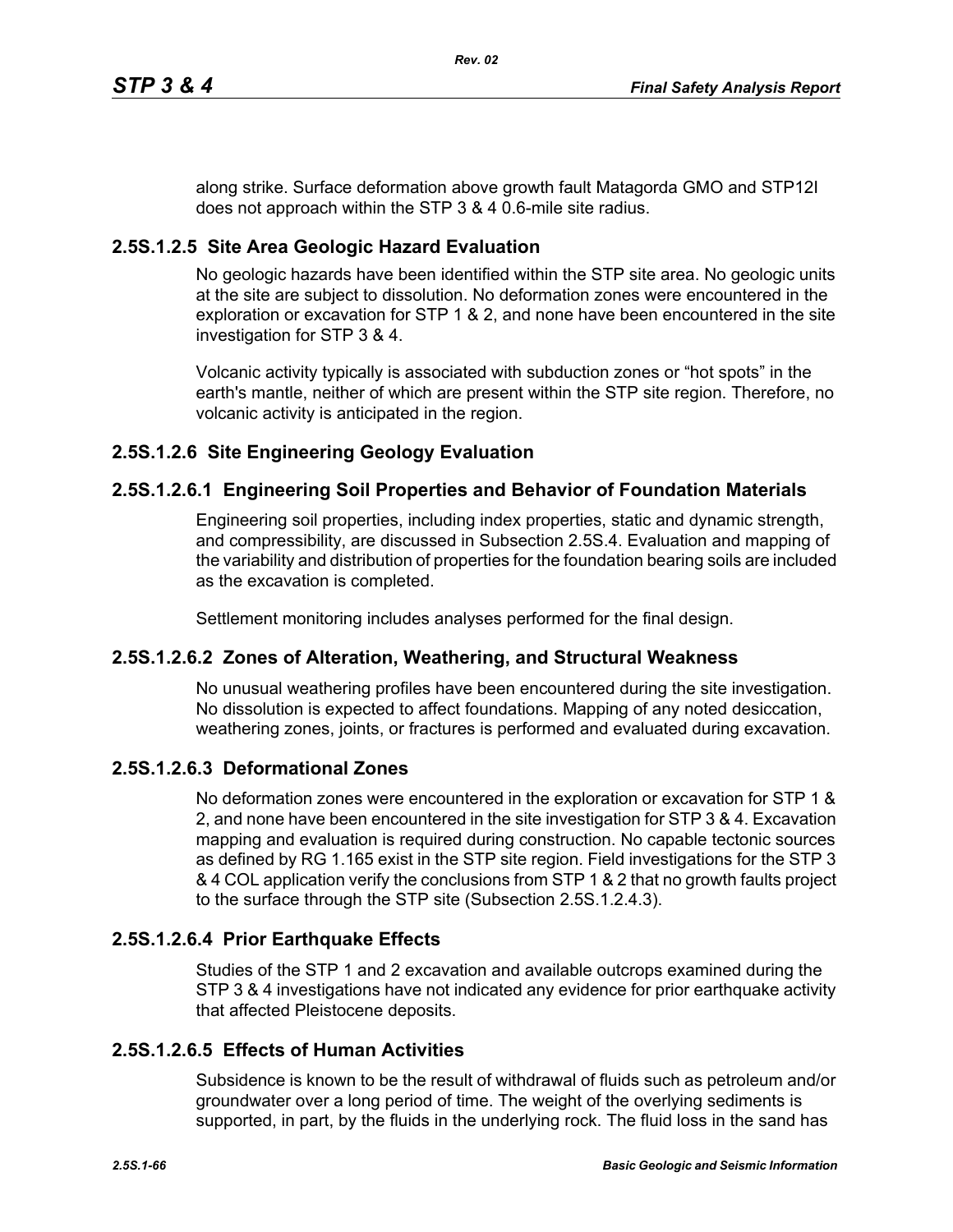along strike. Surface deformation above growth fault Matagorda GMO and STP12I does not approach within the STP 3 & 4 0.6-mile site radius.

## **2.5S.1.2.5 Site Area Geologic Hazard Evaluation**

No geologic hazards have been identified within the STP site area. No geologic units at the site are subject to dissolution. No deformation zones were encountered in the exploration or excavation for STP 1 & 2, and none have been encountered in the site investigation for STP 3 & 4.

Volcanic activity typically is associated with subduction zones or "hot spots" in the earth's mantle, neither of which are present within the STP site region. Therefore, no volcanic activity is anticipated in the region.

# **2.5S.1.2.6 Site Engineering Geology Evaluation**

## **2.5S.1.2.6.1 Engineering Soil Properties and Behavior of Foundation Materials**

Engineering soil properties, including index properties, static and dynamic strength, and compressibility, are discussed in Subsection 2.5S.4. Evaluation and mapping of the variability and distribution of properties for the foundation bearing soils are included as the excavation is completed.

Settlement monitoring includes analyses performed for the final design.

### **2.5S.1.2.6.2 Zones of Alteration, Weathering, and Structural Weakness**

No unusual weathering profiles have been encountered during the site investigation. No dissolution is expected to affect foundations. Mapping of any noted desiccation, weathering zones, joints, or fractures is performed and evaluated during excavation.

### **2.5S.1.2.6.3 Deformational Zones**

No deformation zones were encountered in the exploration or excavation for STP 1 & 2, and none have been encountered in the site investigation for STP 3 & 4. Excavation mapping and evaluation is required during construction. No capable tectonic sources as defined by RG 1.165 exist in the STP site region. Field investigations for the STP 3 & 4 COL application verify the conclusions from STP 1 & 2 that no growth faults project to the surface through the STP site (Subsection 2.5S.1.2.4.3).

# **2.5S.1.2.6.4 Prior Earthquake Effects**

Studies of the STP 1 and 2 excavation and available outcrops examined during the STP 3 & 4 investigations have not indicated any evidence for prior earthquake activity that affected Pleistocene deposits.

### **2.5S.1.2.6.5 Effects of Human Activities**

Subsidence is known to be the result of withdrawal of fluids such as petroleum and/or groundwater over a long period of time. The weight of the overlying sediments is supported, in part, by the fluids in the underlying rock. The fluid loss in the sand has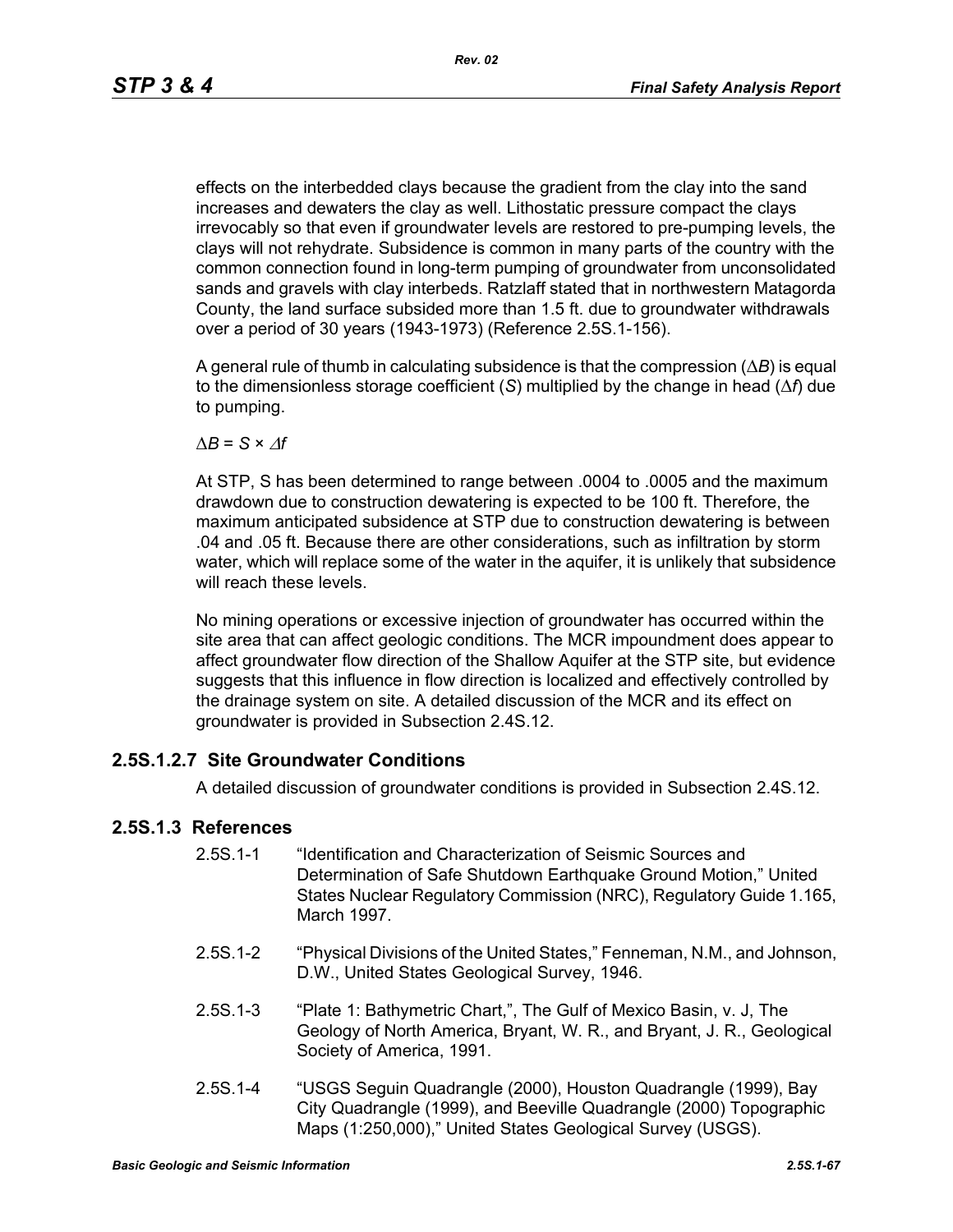effects on the interbedded clays because the gradient from the clay into the sand increases and dewaters the clay as well. Lithostatic pressure compact the clays irrevocably so that even if groundwater levels are restored to pre-pumping levels, the clays will not rehydrate. Subsidence is common in many parts of the country with the common connection found in long-term pumping of groundwater from unconsolidated sands and gravels with clay interbeds. Ratzlaff stated that in northwestern Matagorda County, the land surface subsided more than 1.5 ft. due to groundwater withdrawals over a period of 30 years (1943-1973) (Reference 2.5S.1-156).

A general rule of thumb in calculating subsidence is that the compression (Δ*B*) is equal to the dimensionless storage coefficient (*S*) multiplied by the change in head (Δ*f*) due to pumping.

 $\Delta B = S \times \Delta f$ 

At STP, S has been determined to range between .0004 to .0005 and the maximum drawdown due to construction dewatering is expected to be 100 ft. Therefore, the maximum anticipated subsidence at STP due to construction dewatering is between .04 and .05 ft. Because there are other considerations, such as infiltration by storm water, which will replace some of the water in the aquifer, it is unlikely that subsidence will reach these levels.

No mining operations or excessive injection of groundwater has occurred within the site area that can affect geologic conditions. The MCR impoundment does appear to affect groundwater flow direction of the Shallow Aquifer at the STP site, but evidence suggests that this influence in flow direction is localized and effectively controlled by the drainage system on site. A detailed discussion of the MCR and its effect on groundwater is provided in Subsection 2.4S.12.

### **2.5S.1.2.7 Site Groundwater Conditions**

A detailed discussion of groundwater conditions is provided in Subsection 2.4S.12.

### **2.5S.1.3 References**

- 2.5S.1-1 "Identification and Characterization of Seismic Sources and Determination of Safe Shutdown Earthquake Ground Motion," United States Nuclear Regulatory Commission (NRC), Regulatory Guide 1.165, March 1997.
- 2.5S.1-2 "Physical Divisions of the United States," Fenneman, N.M., and Johnson, D.W., United States Geological Survey, 1946.
- 2.5S.1-3 "Plate 1: Bathymetric Chart,", The Gulf of Mexico Basin, v. J, The Geology of North America, Bryant, W. R., and Bryant, J. R., Geological Society of America, 1991.
- 2.5S.1-4 "USGS Seguin Quadrangle (2000), Houston Quadrangle (1999), Bay City Quadrangle (1999), and Beeville Quadrangle (2000) Topographic Maps (1:250,000)," United States Geological Survey (USGS).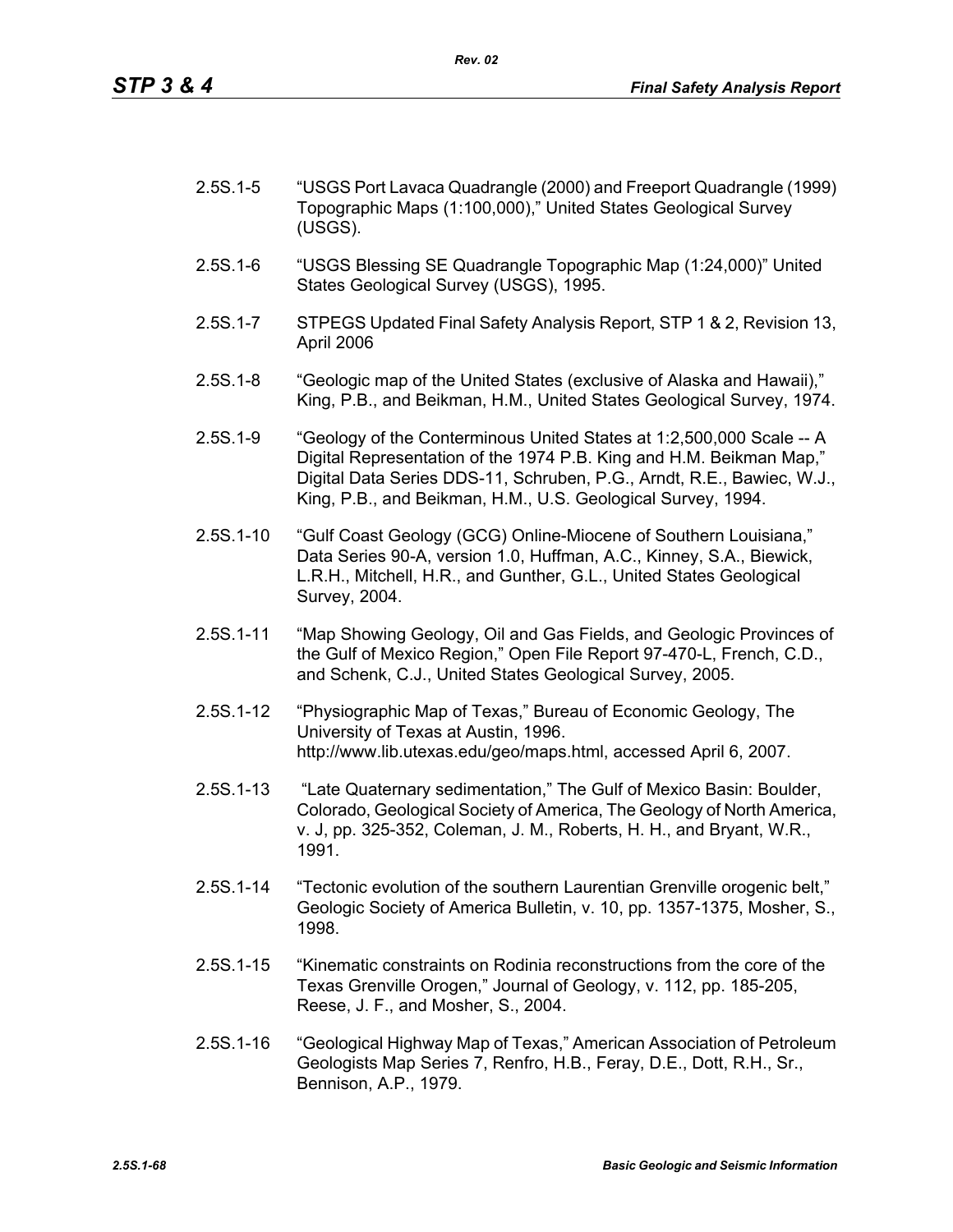| 2.5S.1-5 | "USGS Port Lavaca Quadrangle (2000) and Freeport Quadrangle (1999) |
|----------|--------------------------------------------------------------------|
|          | Topographic Maps (1:100,000)," United States Geological Survey     |
|          | (USGS).                                                            |

- 2.5S.1-6 "USGS Blessing SE Quadrangle Topographic Map (1:24,000)" United States Geological Survey (USGS), 1995.
- 2.5S.1-7 STPEGS Updated Final Safety Analysis Report, STP 1 & 2, Revision 13, April 2006
- 2.5S.1-8 "Geologic map of the United States (exclusive of Alaska and Hawaii)," King, P.B., and Beikman, H.M., United States Geological Survey, 1974.
- 2.5S.1-9 "Geology of the Conterminous United States at 1:2,500,000 Scale -- A Digital Representation of the 1974 P.B. King and H.M. Beikman Map," Digital Data Series DDS-11, Schruben, P.G., Arndt, R.E., Bawiec, W.J., King, P.B., and Beikman, H.M., U.S. Geological Survey, 1994.
- 2.5S.1-10 "Gulf Coast Geology (GCG) Online-Miocene of Southern Louisiana," Data Series 90-A, version 1.0, Huffman, A.C., Kinney, S.A., Biewick, L.R.H., Mitchell, H.R., and Gunther, G.L., United States Geological Survey, 2004.
- 2.5S.1-11 "Map Showing Geology, Oil and Gas Fields, and Geologic Provinces of the Gulf of Mexico Region," Open File Report 97-470-L, French, C.D., and Schenk, C.J., United States Geological Survey, 2005.
- 2.5S.1-12 "Physiographic Map of Texas," Bureau of Economic Geology, The University of Texas at Austin, 1996. http://www.lib.utexas.edu/geo/maps.html, accessed April 6, 2007.
- 2.5S.1-13 "Late Quaternary sedimentation," The Gulf of Mexico Basin: Boulder, Colorado, Geological Society of America, The Geology of North America, v. J, pp. 325-352, Coleman, J. M., Roberts, H. H., and Bryant, W.R., 1991.
- 2.5S.1-14 "Tectonic evolution of the southern Laurentian Grenville orogenic belt," Geologic Society of America Bulletin, v. 10, pp. 1357-1375, Mosher, S., 1998.
- 2.5S.1-15 "Kinematic constraints on Rodinia reconstructions from the core of the Texas Grenville Orogen," Journal of Geology, v. 112, pp. 185-205, Reese, J. F., and Mosher, S., 2004.
- 2.5S.1-16 "Geological Highway Map of Texas," American Association of Petroleum Geologists Map Series 7, Renfro, H.B., Feray, D.E., Dott, R.H., Sr., Bennison, A.P., 1979.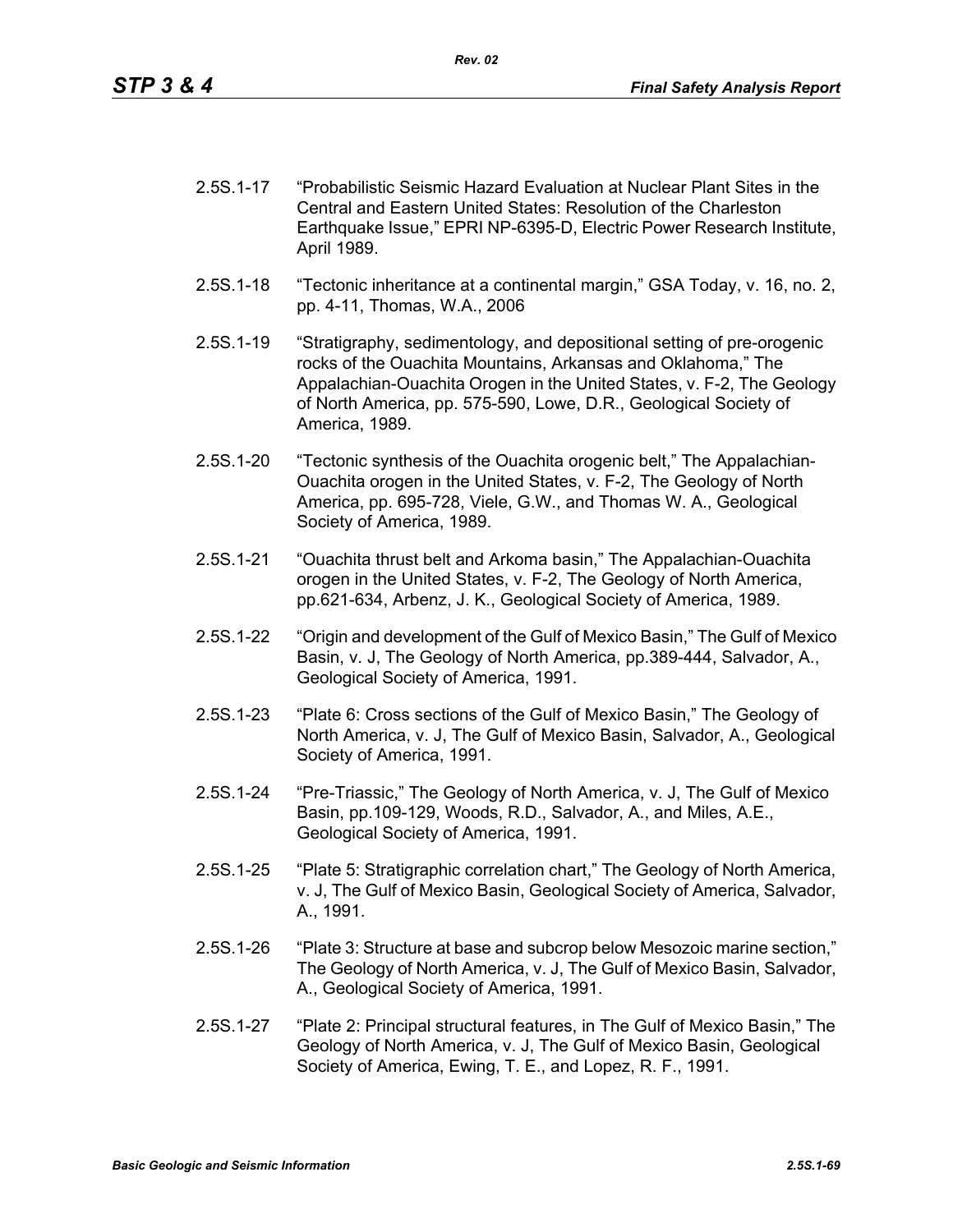- 2.5S.1-17 "Probabilistic Seismic Hazard Evaluation at Nuclear Plant Sites in the Central and Eastern United States: Resolution of the Charleston Earthquake Issue," EPRI NP-6395-D, Electric Power Research Institute, April 1989.
- 2.5S.1-18 "Tectonic inheritance at a continental margin," GSA Today, v. 16, no. 2, pp. 4-11, Thomas, W.A., 2006
- 2.5S.1-19 "Stratigraphy, sedimentology, and depositional setting of pre-orogenic rocks of the Ouachita Mountains, Arkansas and Oklahoma," The Appalachian-Ouachita Orogen in the United States, v. F-2, The Geology of North America, pp. 575-590, Lowe, D.R., Geological Society of America, 1989.
- 2.5S.1-20 "Tectonic synthesis of the Ouachita orogenic belt," The Appalachian-Ouachita orogen in the United States, v. F-2, The Geology of North America, pp. 695-728, Viele, G.W., and Thomas W. A., Geological Society of America, 1989.
- 2.5S.1-21 "Ouachita thrust belt and Arkoma basin," The Appalachian-Ouachita orogen in the United States, v. F-2, The Geology of North America, pp.621-634, Arbenz, J. K., Geological Society of America, 1989.
- 2.5S.1-22 "Origin and development of the Gulf of Mexico Basin," The Gulf of Mexico Basin, v. J, The Geology of North America, pp.389-444, Salvador, A., Geological Society of America, 1991.
- 2.5S.1-23 "Plate 6: Cross sections of the Gulf of Mexico Basin," The Geology of North America, v. J, The Gulf of Mexico Basin, Salvador, A., Geological Society of America, 1991.
- 2.5S.1-24 "Pre-Triassic," The Geology of North America, v. J, The Gulf of Mexico Basin, pp.109-129, Woods, R.D., Salvador, A., and Miles, A.E., Geological Society of America, 1991.
- 2.5S.1-25 "Plate 5: Stratigraphic correlation chart," The Geology of North America, v. J, The Gulf of Mexico Basin, Geological Society of America, Salvador, A., 1991.
- 2.5S.1-26 "Plate 3: Structure at base and subcrop below Mesozoic marine section," The Geology of North America, v. J, The Gulf of Mexico Basin, Salvador, A., Geological Society of America, 1991.
- 2.5S.1-27 "Plate 2: Principal structural features, in The Gulf of Mexico Basin," The Geology of North America, v. J, The Gulf of Mexico Basin, Geological Society of America, Ewing, T. E., and Lopez, R. F., 1991.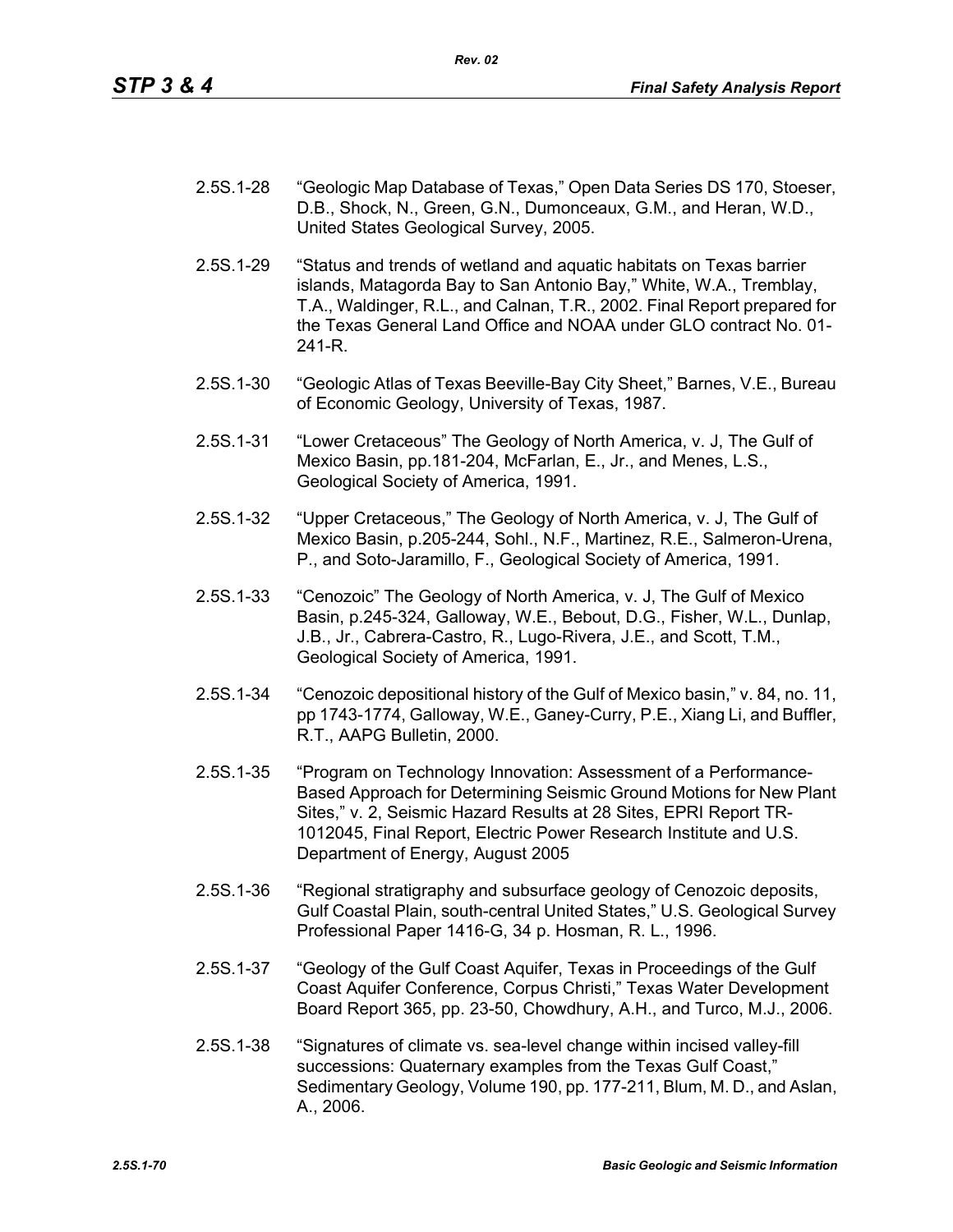| 2.5S.1-28 | "Geologic Map Database of Texas," Open Data Series DS 170, Stoeser, |
|-----------|---------------------------------------------------------------------|
|           | D.B., Shock, N., Green, G.N., Dumonceaux, G.M., and Heran, W.D.,    |
|           | United States Geological Survey, 2005.                              |

- 2.5S.1-29 "Status and trends of wetland and aquatic habitats on Texas barrier islands, Matagorda Bay to San Antonio Bay," White, W.A., Tremblay, T.A., Waldinger, R.L., and Calnan, T.R., 2002. Final Report prepared for the Texas General Land Office and NOAA under GLO contract No. 01- 241-R.
- 2.5S.1-30 "Geologic Atlas of Texas Beeville-Bay City Sheet," Barnes, V.E., Bureau of Economic Geology, University of Texas, 1987.
- 2.5S.1-31 "Lower Cretaceous" The Geology of North America, v. J, The Gulf of Mexico Basin, pp.181-204, McFarlan, E., Jr., and Menes, L.S., Geological Society of America, 1991.
- 2.5S.1-32 "Upper Cretaceous," The Geology of North America, v. J, The Gulf of Mexico Basin, p.205-244, Sohl., N.F., Martinez, R.E., Salmeron-Urena, P., and Soto-Jaramillo, F., Geological Society of America, 1991.
- 2.5S.1-33 "Cenozoic" The Geology of North America, v. J, The Gulf of Mexico Basin, p.245-324, Galloway, W.E., Bebout, D.G., Fisher, W.L., Dunlap, J.B., Jr., Cabrera-Castro, R., Lugo-Rivera, J.E., and Scott, T.M., Geological Society of America, 1991.
- 2.5S.1-34 "Cenozoic depositional history of the Gulf of Mexico basin," v. 84, no. 11, pp 1743-1774, Galloway, W.E., Ganey-Curry, P.E., Xiang Li, and Buffler, R.T., AAPG Bulletin, 2000.
- 2.5S.1-35 "Program on Technology Innovation: Assessment of a Performance-Based Approach for Determining Seismic Ground Motions for New Plant Sites," v. 2, Seismic Hazard Results at 28 Sites, EPRI Report TR-1012045, Final Report, Electric Power Research Institute and U.S. Department of Energy, August 2005
- 2.5S.1-36 "Regional stratigraphy and subsurface geology of Cenozoic deposits, Gulf Coastal Plain, south-central United States," U.S. Geological Survey Professional Paper 1416-G, 34 p. Hosman, R. L., 1996.
- 2.5S.1-37 "Geology of the Gulf Coast Aquifer, Texas in Proceedings of the Gulf Coast Aquifer Conference, Corpus Christi," Texas Water Development Board Report 365, pp. 23-50, Chowdhury, A.H., and Turco, M.J., 2006.
- 2.5S.1-38 "Signatures of climate vs. sea-level change within incised valley-fill successions: Quaternary examples from the Texas Gulf Coast," Sedimentary Geology, Volume 190, pp. 177-211, Blum, M. D., and Aslan, A., 2006.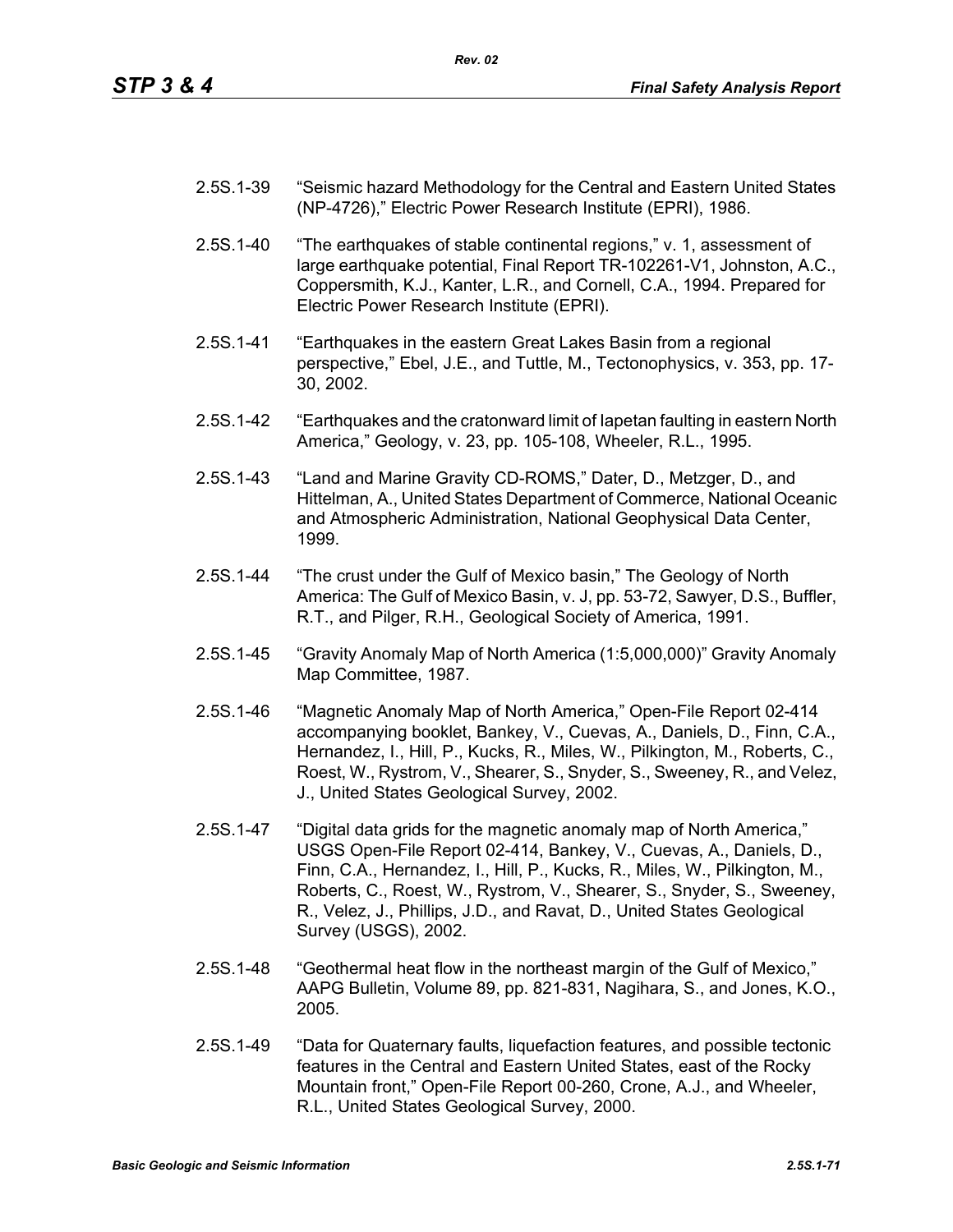| 2.5S.1-39 | "Seismic hazard Methodology for the Central and Eastern United States |
|-----------|-----------------------------------------------------------------------|
|           | (NP-4726)," Electric Power Research Institute (EPRI), 1986.           |

- 2.5S.1-40 "The earthquakes of stable continental regions," v. 1, assessment of large earthquake potential, Final Report TR-102261-V1, Johnston, A.C., Coppersmith, K.J., Kanter, L.R., and Cornell, C.A., 1994. Prepared for Electric Power Research Institute (EPRI).
- 2.5S.1-41 "Earthquakes in the eastern Great Lakes Basin from a regional perspective," Ebel, J.E., and Tuttle, M., Tectonophysics, v. 353, pp. 17- 30, 2002.
- 2.5S.1-42 "Earthquakes and the cratonward limit of Iapetan faulting in eastern North America," Geology, v. 23, pp. 105-108, Wheeler, R.L., 1995.
- 2.5S.1-43 "Land and Marine Gravity CD-ROMS," Dater, D., Metzger, D., and Hittelman, A., United States Department of Commerce, National Oceanic and Atmospheric Administration, National Geophysical Data Center, 1999.
- 2.5S.1-44 "The crust under the Gulf of Mexico basin," The Geology of North America: The Gulf of Mexico Basin, v. J, pp. 53-72, Sawyer, D.S., Buffler, R.T., and Pilger, R.H., Geological Society of America, 1991.
- 2.5S.1-45 "Gravity Anomaly Map of North America (1:5,000,000)" Gravity Anomaly Map Committee, 1987.
- 2.5S.1-46 "Magnetic Anomaly Map of North America," Open-File Report 02-414 accompanying booklet, Bankey, V., Cuevas, A., Daniels, D., Finn, C.A., Hernandez, I., Hill, P., Kucks, R., Miles, W., Pilkington, M., Roberts, C., Roest, W., Rystrom, V., Shearer, S., Snyder, S., Sweeney, R., and Velez, J., United States Geological Survey, 2002.
- 2.5S.1-47 "Digital data grids for the magnetic anomaly map of North America," USGS Open-File Report 02-414, Bankey, V., Cuevas, A., Daniels, D., Finn, C.A., Hernandez, I., Hill, P., Kucks, R., Miles, W., Pilkington, M., Roberts, C., Roest, W., Rystrom, V., Shearer, S., Snyder, S., Sweeney, R., Velez, J., Phillips, J.D., and Ravat, D., United States Geological Survey (USGS), 2002.
- 2.5S.1-48 "Geothermal heat flow in the northeast margin of the Gulf of Mexico," AAPG Bulletin, Volume 89, pp. 821-831, Nagihara, S., and Jones, K.O., 2005.
- 2.5S.1-49 "Data for Quaternary faults, liquefaction features, and possible tectonic features in the Central and Eastern United States, east of the Rocky Mountain front," Open-File Report 00-260, Crone, A.J., and Wheeler, R.L., United States Geological Survey, 2000.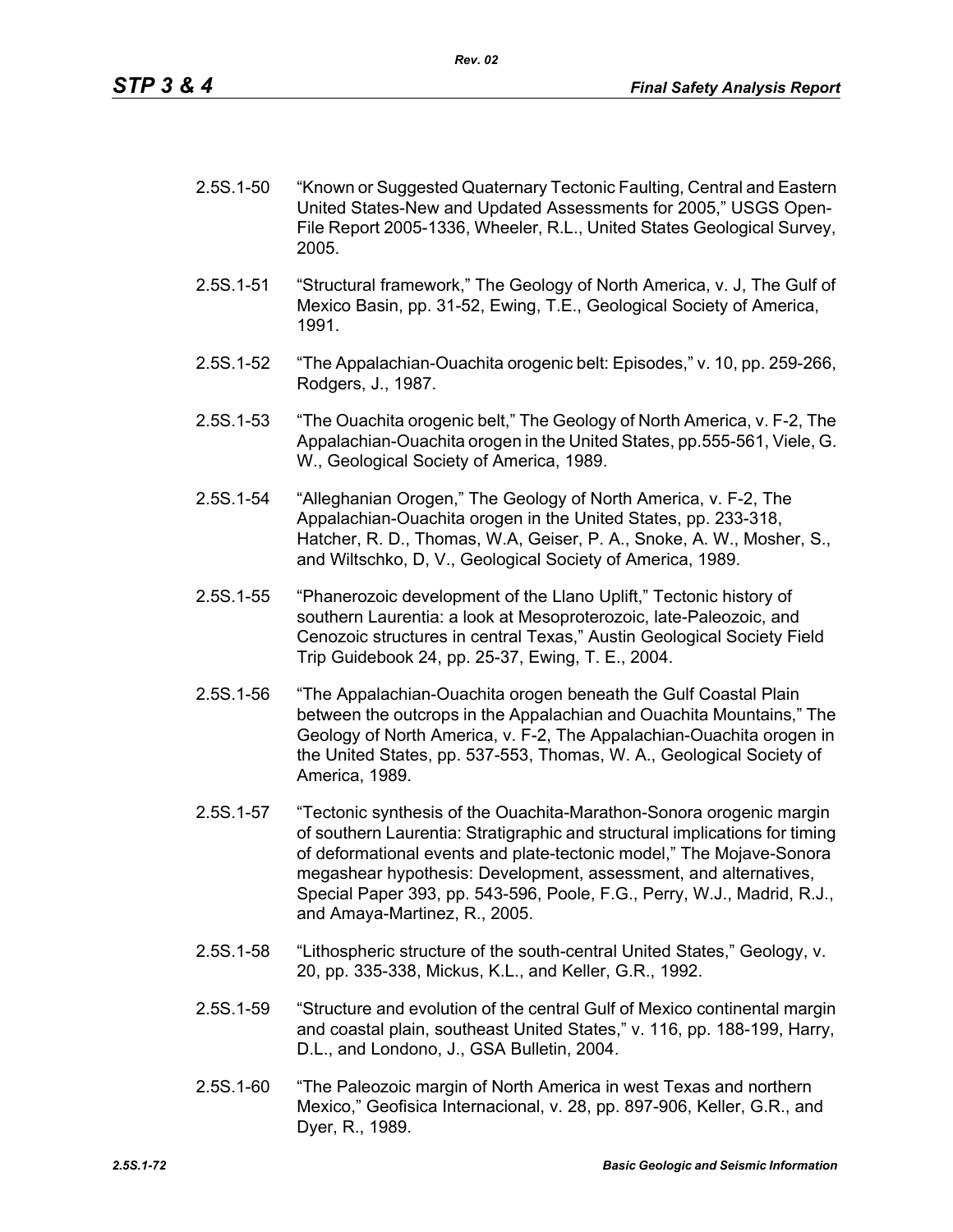| $2.5S.1 - 50$ | "Known or Suggested Quaternary Tectonic Faulting, Central and Eastern  |
|---------------|------------------------------------------------------------------------|
|               | United States-New and Updated Assessments for 2005," USGS Open-        |
|               | File Report 2005-1336, Wheeler, R.L., United States Geological Survey, |
|               | 2005.                                                                  |

- 2.5S.1-51 "Structural framework," The Geology of North America, v. J, The Gulf of Mexico Basin, pp. 31-52, Ewing, T.E., Geological Society of America, 1991.
- 2.5S.1-52 "The Appalachian-Ouachita orogenic belt: Episodes," v. 10, pp. 259-266, Rodgers, J., 1987.
- 2.5S.1-53 "The Ouachita orogenic belt," The Geology of North America, v. F-2, The Appalachian-Ouachita orogen in the United States, pp.555-561, Viele, G. W., Geological Society of America, 1989.
- 2.5S.1-54 "Alleghanian Orogen," The Geology of North America, v. F-2, The Appalachian-Ouachita orogen in the United States, pp. 233-318, Hatcher, R. D., Thomas, W.A, Geiser, P. A., Snoke, A. W., Mosher, S., and Wiltschko, D, V., Geological Society of America, 1989.
- 2.5S.1-55 "Phanerozoic development of the Llano Uplift," Tectonic history of southern Laurentia: a look at Mesoproterozoic, late-Paleozoic, and Cenozoic structures in central Texas," Austin Geological Society Field Trip Guidebook 24, pp. 25-37, Ewing, T. E., 2004.
- 2.5S.1-56 "The Appalachian-Ouachita orogen beneath the Gulf Coastal Plain between the outcrops in the Appalachian and Ouachita Mountains," The Geology of North America, v. F-2, The Appalachian-Ouachita orogen in the United States, pp. 537-553, Thomas, W. A., Geological Society of America, 1989.
- 2.5S.1-57 "Tectonic synthesis of the Ouachita-Marathon-Sonora orogenic margin of southern Laurentia: Stratigraphic and structural implications for timing of deformational events and plate-tectonic model," The Mojave-Sonora megashear hypothesis: Development, assessment, and alternatives, Special Paper 393, pp. 543-596, Poole, F.G., Perry, W.J., Madrid, R.J., and Amaya-Martinez, R., 2005.
- 2.5S.1-58 "Lithospheric structure of the south-central United States," Geology, v. 20, pp. 335-338, Mickus, K.L., and Keller, G.R., 1992.
- 2.5S.1-59 "Structure and evolution of the central Gulf of Mexico continental margin and coastal plain, southeast United States," v. 116, pp. 188-199, Harry, D.L., and Londono, J., GSA Bulletin, 2004.
- 2.5S.1-60 "The Paleozoic margin of North America in west Texas and northern Mexico," Geofisica Internacional, v. 28, pp. 897-906, Keller, G.R., and Dyer, R., 1989.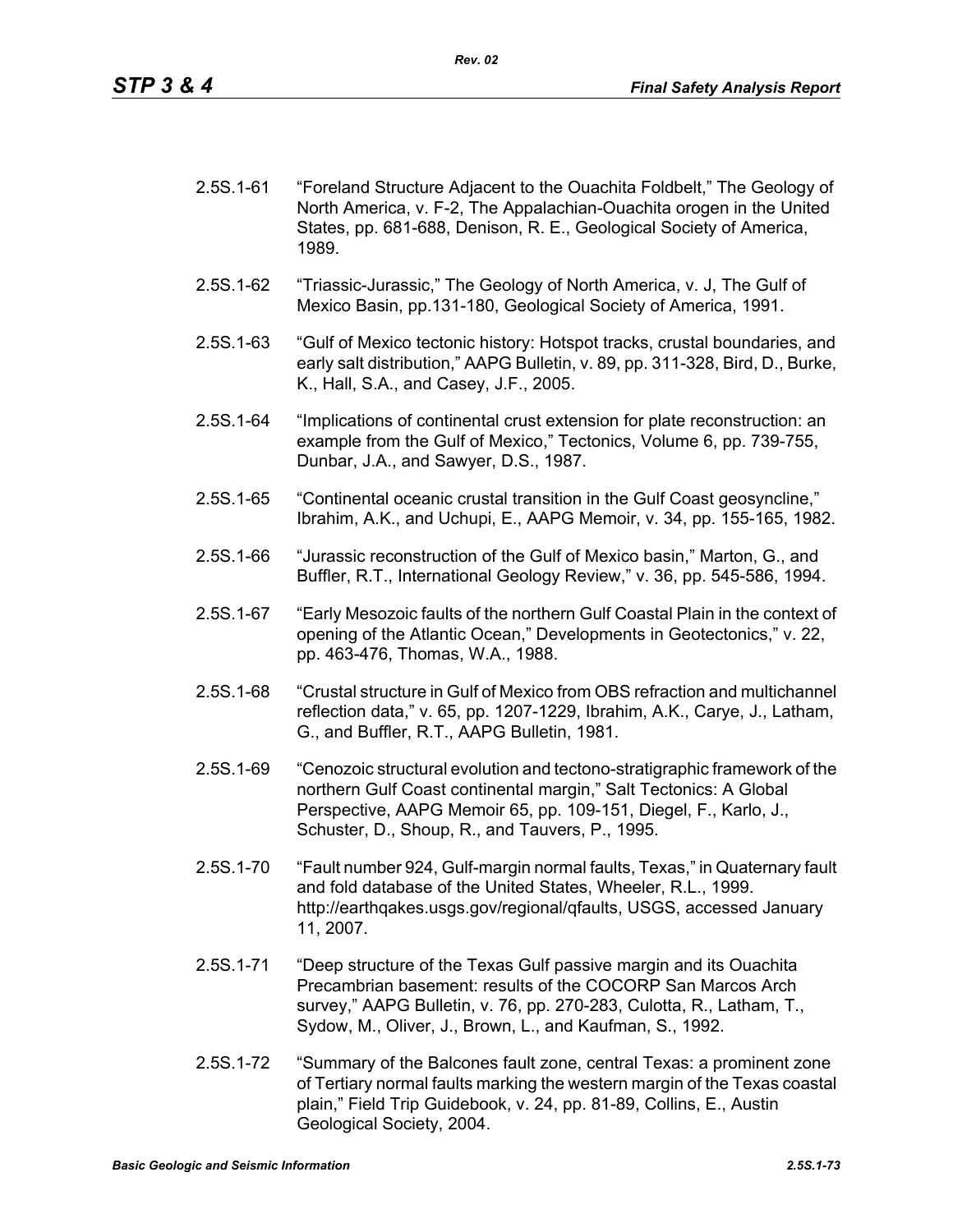| $2.5S.1 - 61$ | "Foreland Structure Adjacent to the Ouachita Foldbelt," The Geology of |
|---------------|------------------------------------------------------------------------|
|               | North America, v. F-2, The Appalachian-Ouachita orogen in the United   |
|               | States, pp. 681-688, Denison, R. E., Geological Society of America,    |
|               | 1989.                                                                  |

- 2.5S.1-62 "Triassic-Jurassic," The Geology of North America, v. J, The Gulf of Mexico Basin, pp.131-180, Geological Society of America, 1991.
- 2.5S.1-63 "Gulf of Mexico tectonic history: Hotspot tracks, crustal boundaries, and early salt distribution," AAPG Bulletin, v. 89, pp. 311-328, Bird, D., Burke, K., Hall, S.A., and Casey, J.F., 2005.
- 2.5S.1-64 "Implications of continental crust extension for plate reconstruction: an example from the Gulf of Mexico," Tectonics, Volume 6, pp. 739-755, Dunbar, J.A., and Sawyer, D.S., 1987.
- 2.5S.1-65 "Continental oceanic crustal transition in the Gulf Coast geosyncline," Ibrahim, A.K., and Uchupi, E., AAPG Memoir, v. 34, pp. 155-165, 1982.
- 2.5S.1-66 "Jurassic reconstruction of the Gulf of Mexico basin," Marton, G., and Buffler, R.T., International Geology Review," v. 36, pp. 545-586, 1994.
- 2.5S.1-67 "Early Mesozoic faults of the northern Gulf Coastal Plain in the context of opening of the Atlantic Ocean," Developments in Geotectonics," v. 22, pp. 463-476, Thomas, W.A., 1988.
- 2.5S.1-68 "Crustal structure in Gulf of Mexico from OBS refraction and multichannel reflection data," v. 65, pp. 1207-1229, Ibrahim, A.K., Carye, J., Latham, G., and Buffler, R.T., AAPG Bulletin, 1981.
- 2.5S.1-69 "Cenozoic structural evolution and tectono-stratigraphic framework of the northern Gulf Coast continental margin," Salt Tectonics: A Global Perspective, AAPG Memoir 65, pp. 109-151, Diegel, F., Karlo, J., Schuster, D., Shoup, R., and Tauvers, P., 1995.
- 2.5S.1-70 "Fault number 924, Gulf-margin normal faults, Texas," in Quaternary fault and fold database of the United States, Wheeler, R.L., 1999. http://earthqakes.usgs.gov/regional/qfaults, USGS, accessed January 11, 2007.
- 2.5S.1-71 "Deep structure of the Texas Gulf passive margin and its Ouachita Precambrian basement: results of the COCORP San Marcos Arch survey," AAPG Bulletin, v. 76, pp. 270-283, Culotta, R., Latham, T., Sydow, M., Oliver, J., Brown, L., and Kaufman, S., 1992.
- 2.5S.1-72 "Summary of the Balcones fault zone, central Texas: a prominent zone of Tertiary normal faults marking the western margin of the Texas coastal plain," Field Trip Guidebook, v. 24, pp. 81-89, Collins, E., Austin Geological Society, 2004.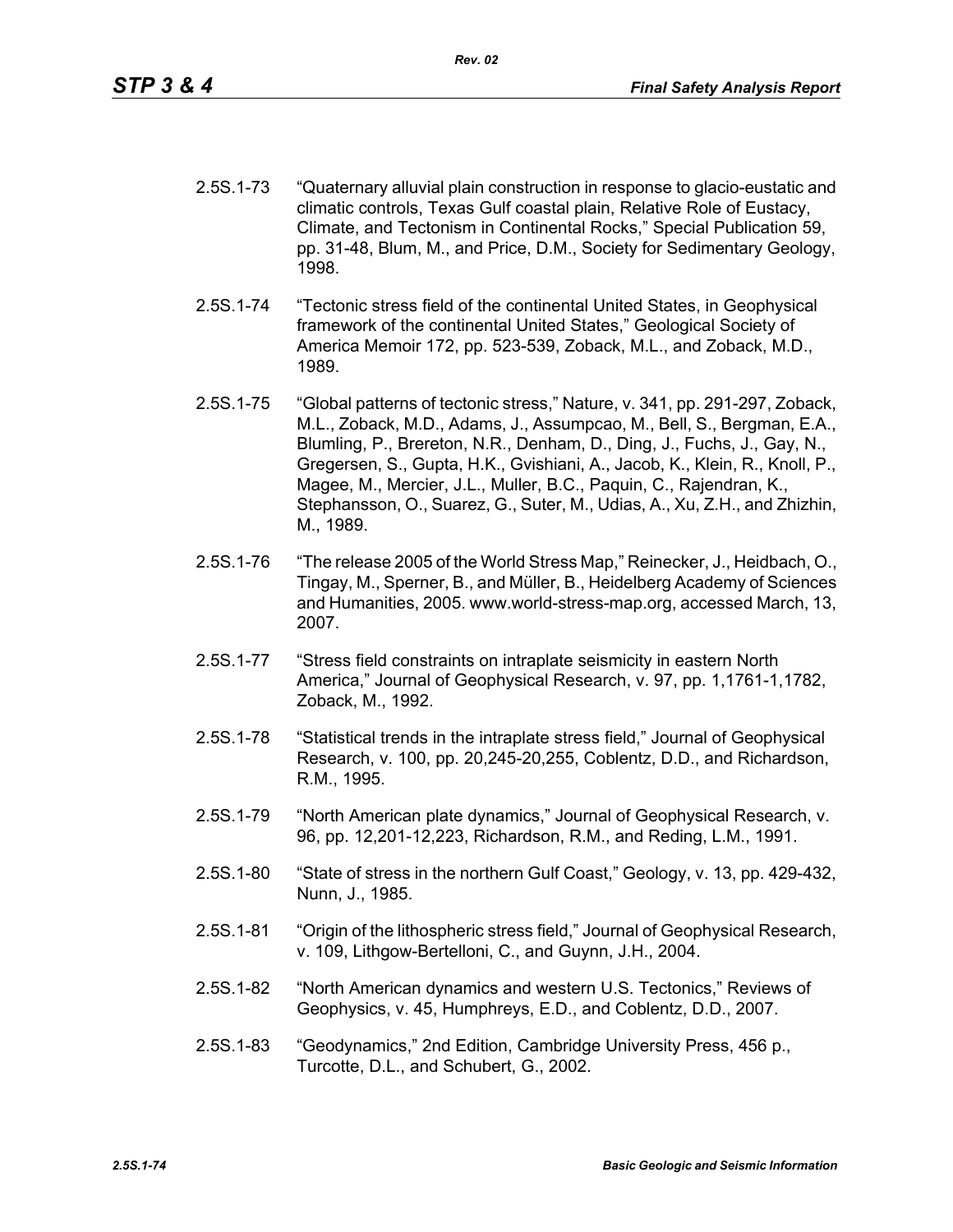- 2.5S.1-73 "Quaternary alluvial plain construction in response to glacio-eustatic and climatic controls, Texas Gulf coastal plain, Relative Role of Eustacy, Climate, and Tectonism in Continental Rocks," Special Publication 59, pp. 31-48, Blum, M., and Price, D.M., Society for Sedimentary Geology, 1998.
- 2.5S.1-74 "Tectonic stress field of the continental United States, in Geophysical framework of the continental United States," Geological Society of America Memoir 172, pp. 523-539, Zoback, M.L., and Zoback, M.D., 1989.
- 2.5S.1-75 "Global patterns of tectonic stress," Nature, v. 341, pp. 291-297, Zoback, M.L., Zoback, M.D., Adams, J., Assumpcao, M., Bell, S., Bergman, E.A., Blumling, P., Brereton, N.R., Denham, D., Ding, J., Fuchs, J., Gay, N., Gregersen, S., Gupta, H.K., Gvishiani, A., Jacob, K., Klein, R., Knoll, P., Magee, M., Mercier, J.L., Muller, B.C., Paquin, C., Rajendran, K., Stephansson, O., Suarez, G., Suter, M., Udias, A., Xu, Z.H., and Zhizhin, M., 1989.
- 2.5S.1-76 "The release 2005 of the World Stress Map," Reinecker, J., Heidbach, O., Tingay, M., Sperner, B., and Müller, B., Heidelberg Academy of Sciences and Humanities, 2005. www.world-stress-map.org, accessed March, 13, 2007.
- 2.5S.1-77 "Stress field constraints on intraplate seismicity in eastern North America," Journal of Geophysical Research, v. 97, pp. 1,1761-1,1782, Zoback, M., 1992.
- 2.5S.1-78 "Statistical trends in the intraplate stress field," Journal of Geophysical Research, v. 100, pp. 20,245-20,255, Coblentz, D.D., and Richardson, R.M., 1995.
- 2.5S.1-79 "North American plate dynamics," Journal of Geophysical Research, v. 96, pp. 12,201-12,223, Richardson, R.M., and Reding, L.M., 1991.
- 2.5S.1-80 "State of stress in the northern Gulf Coast," Geology, v. 13, pp. 429-432, Nunn, J., 1985.
- 2.5S.1-81 "Origin of the lithospheric stress field," Journal of Geophysical Research, v. 109, Lithgow-Bertelloni, C., and Guynn, J.H., 2004.
- 2.5S.1-82 "North American dynamics and western U.S. Tectonics," Reviews of Geophysics, v. 45, Humphreys, E.D., and Coblentz, D.D., 2007.
- 2.5S.1-83 "Geodynamics," 2nd Edition, Cambridge University Press, 456 p., Turcotte, D.L., and Schubert, G., 2002.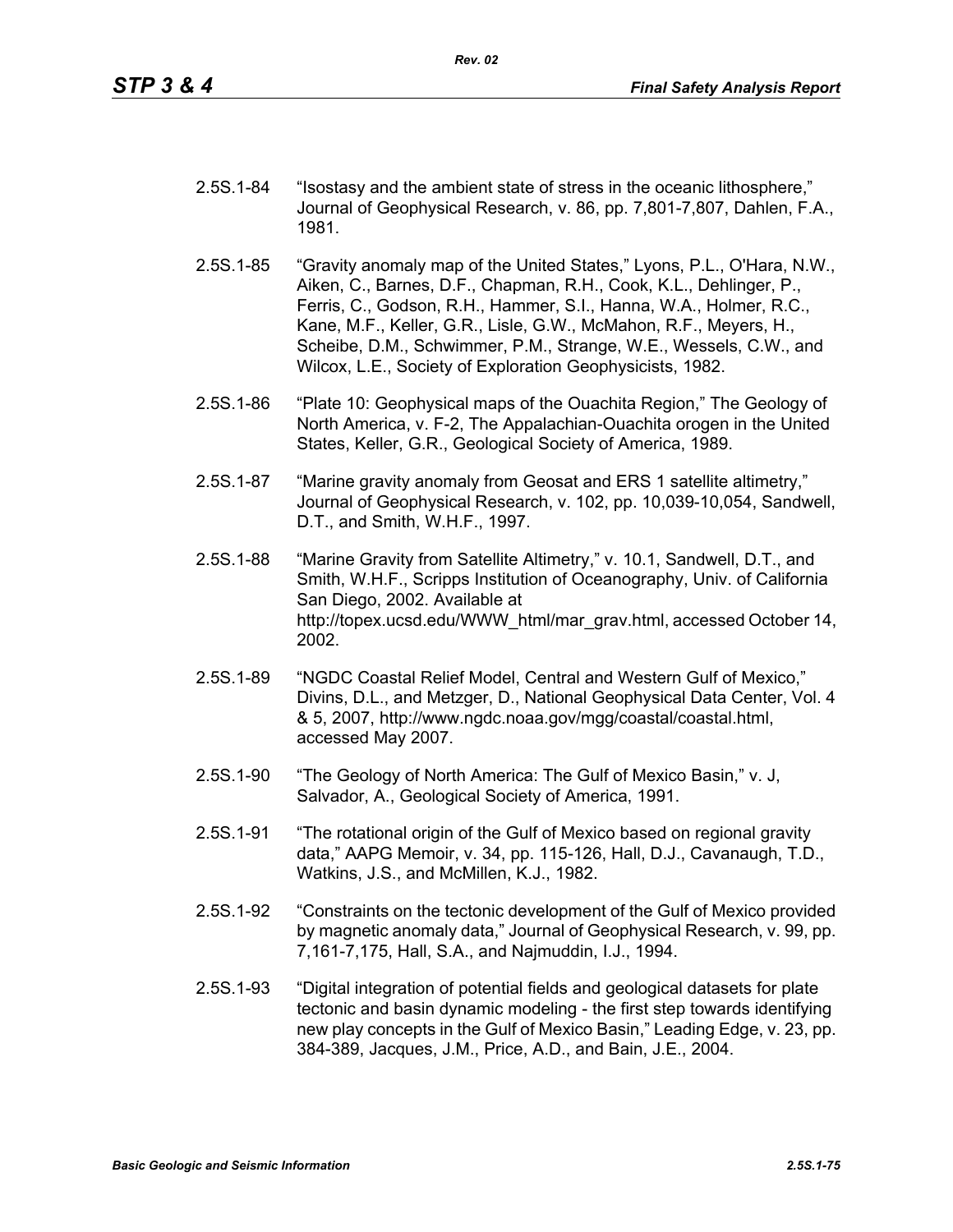| 2.5S.1-84 | "Isostasy and the ambient state of stress in the oceanic lithosphere,"<br>Journal of Geophysical Research, v. 86, pp. 7,801-7,807, Dahlen, F.A.,<br>1981. |
|-----------|-----------------------------------------------------------------------------------------------------------------------------------------------------------|
|           |                                                                                                                                                           |

- 2.5S.1-85 "Gravity anomaly map of the United States," Lyons, P.L., O'Hara, N.W., Aiken, C., Barnes, D.F., Chapman, R.H., Cook, K.L., Dehlinger, P., Ferris, C., Godson, R.H., Hammer, S.I., Hanna, W.A., Holmer, R.C., Kane, M.F., Keller, G.R., Lisle, G.W., McMahon, R.F., Meyers, H., Scheibe, D.M., Schwimmer, P.M., Strange, W.E., Wessels, C.W., and Wilcox, L.E., Society of Exploration Geophysicists, 1982.
- 2.5S.1-86 "Plate 10: Geophysical maps of the Ouachita Region," The Geology of North America, v. F-2, The Appalachian-Ouachita orogen in the United States, Keller, G.R., Geological Society of America, 1989.
- 2.5S.1-87 "Marine gravity anomaly from Geosat and ERS 1 satellite altimetry," Journal of Geophysical Research, v. 102, pp. 10,039-10,054, Sandwell, D.T., and Smith, W.H.F., 1997.
- 2.5S.1-88 "Marine Gravity from Satellite Altimetry," v. 10.1, Sandwell, D.T., and Smith, W.H.F., Scripps Institution of Oceanography, Univ. of California San Diego, 2002. Available at http://topex.ucsd.edu/WWW\_html/mar\_grav.html, accessed October 14, 2002.
- 2.5S.1-89 "NGDC Coastal Relief Model, Central and Western Gulf of Mexico," Divins, D.L., and Metzger, D., National Geophysical Data Center, Vol. 4 & 5, 2007, http://www.ngdc.noaa.gov/mgg/coastal/coastal.html, accessed May 2007.
- 2.5S.1-90 "The Geology of North America: The Gulf of Mexico Basin," v. J, Salvador, A., Geological Society of America, 1991.
- 2.5S.1-91 "The rotational origin of the Gulf of Mexico based on regional gravity data," AAPG Memoir, v. 34, pp. 115-126, Hall, D.J., Cavanaugh, T.D., Watkins, J.S., and McMillen, K.J., 1982.
- 2.5S.1-92 "Constraints on the tectonic development of the Gulf of Mexico provided by magnetic anomaly data," Journal of Geophysical Research, v. 99, pp. 7,161-7,175, Hall, S.A., and Najmuddin, I.J., 1994.
- 2.5S.1-93 "Digital integration of potential fields and geological datasets for plate tectonic and basin dynamic modeling - the first step towards identifying new play concepts in the Gulf of Mexico Basin," Leading Edge, v. 23, pp. 384-389, Jacques, J.M., Price, A.D., and Bain, J.E., 2004.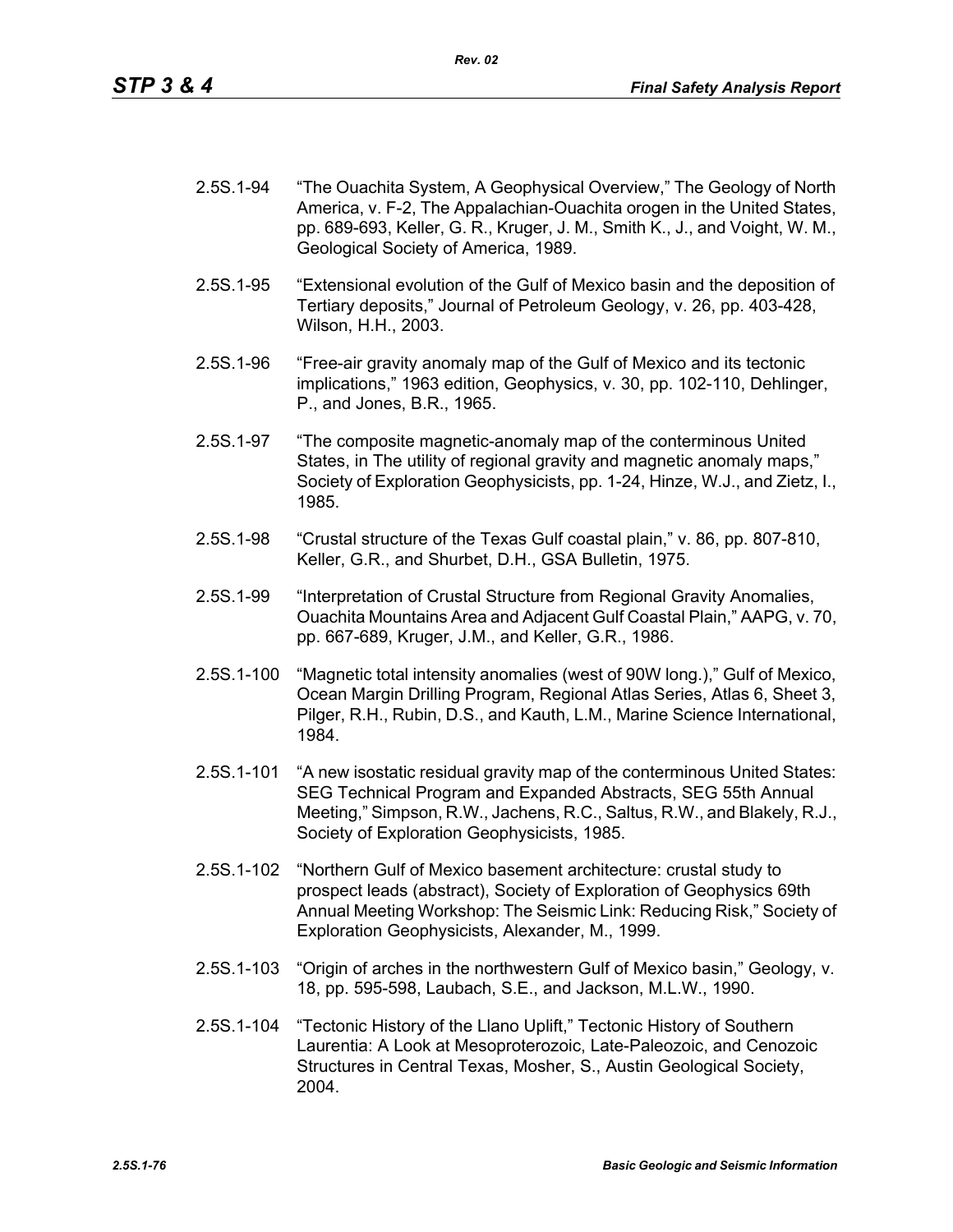- 2.5S.1-94 "The Ouachita System, A Geophysical Overview," The Geology of North America, v. F-2, The Appalachian-Ouachita orogen in the United States, pp. 689-693, Keller, G. R., Kruger, J. M., Smith K., J., and Voight, W. M., Geological Society of America, 1989.
- 2.5S.1-95 "Extensional evolution of the Gulf of Mexico basin and the deposition of Tertiary deposits," Journal of Petroleum Geology, v. 26, pp. 403-428, Wilson, H.H., 2003.
- 2.5S.1-96 "Free-air gravity anomaly map of the Gulf of Mexico and its tectonic implications," 1963 edition, Geophysics, v. 30, pp. 102-110, Dehlinger, P., and Jones, B.R., 1965.
- 2.5S.1-97 "The composite magnetic-anomaly map of the conterminous United States, in The utility of regional gravity and magnetic anomaly maps," Society of Exploration Geophysicists, pp. 1-24, Hinze, W.J., and Zietz, I., 1985.
- 2.5S.1-98 "Crustal structure of the Texas Gulf coastal plain," v. 86, pp. 807-810, Keller, G.R., and Shurbet, D.H., GSA Bulletin, 1975.
- 2.5S.1-99 "Interpretation of Crustal Structure from Regional Gravity Anomalies, Ouachita Mountains Area and Adjacent Gulf Coastal Plain," AAPG, v. 70, pp. 667-689, Kruger, J.M., and Keller, G.R., 1986.
- 2.5S.1-100 "Magnetic total intensity anomalies (west of 90W long.)," Gulf of Mexico, Ocean Margin Drilling Program, Regional Atlas Series, Atlas 6, Sheet 3, Pilger, R.H., Rubin, D.S., and Kauth, L.M., Marine Science International, 1984.
- 2.5S.1-101 "A new isostatic residual gravity map of the conterminous United States: SEG Technical Program and Expanded Abstracts, SEG 55th Annual Meeting," Simpson, R.W., Jachens, R.C., Saltus, R.W., and Blakely, R.J., Society of Exploration Geophysicists, 1985.
- 2.5S.1-102 "Northern Gulf of Mexico basement architecture: crustal study to prospect leads (abstract), Society of Exploration of Geophysics 69th Annual Meeting Workshop: The Seismic Link: Reducing Risk," Society of Exploration Geophysicists, Alexander, M., 1999.
- 2.5S.1-103 "Origin of arches in the northwestern Gulf of Mexico basin," Geology, v. 18, pp. 595-598, Laubach, S.E., and Jackson, M.L.W., 1990.
- 2.5S.1-104 "Tectonic History of the Llano Uplift," Tectonic History of Southern Laurentia: A Look at Mesoproterozoic, Late-Paleozoic, and Cenozoic Structures in Central Texas, Mosher, S., Austin Geological Society, 2004.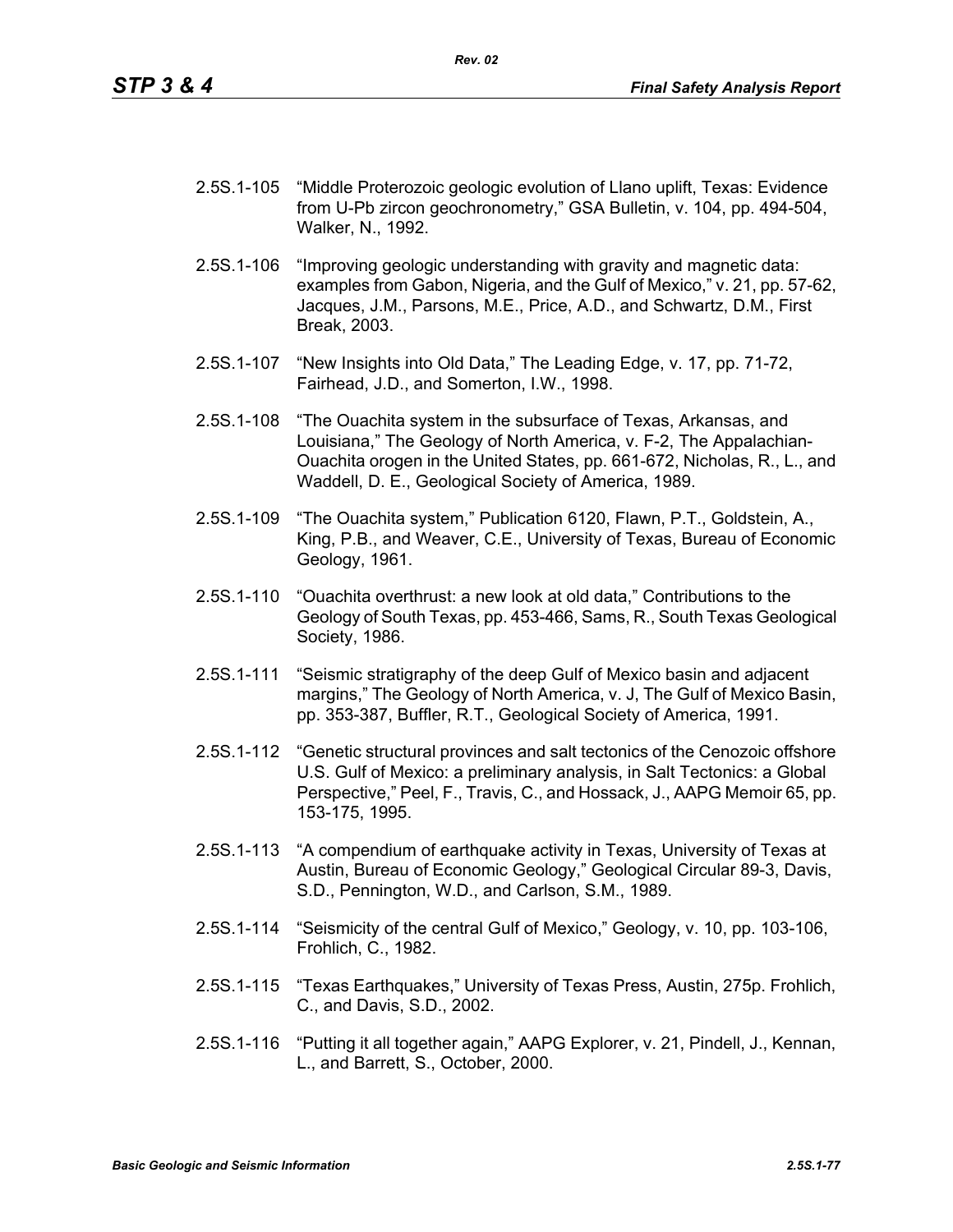- 2.5S.1-105 "Middle Proterozoic geologic evolution of Llano uplift, Texas: Evidence from U-Pb zircon geochronometry," GSA Bulletin, v. 104, pp. 494-504, Walker, N., 1992.
- 2.5S.1-106 "Improving geologic understanding with gravity and magnetic data: examples from Gabon, Nigeria, and the Gulf of Mexico," v. 21, pp. 57-62, Jacques, J.M., Parsons, M.E., Price, A.D., and Schwartz, D.M., First Break, 2003.
- 2.5S.1-107 "New Insights into Old Data," The Leading Edge, v. 17, pp. 71-72, Fairhead, J.D., and Somerton, I.W., 1998.
- 2.5S.1-108 "The Ouachita system in the subsurface of Texas, Arkansas, and Louisiana," The Geology of North America, v. F-2, The Appalachian-Ouachita orogen in the United States, pp. 661-672, Nicholas, R., L., and Waddell, D. E., Geological Society of America, 1989.
- 2.5S.1-109 "The Ouachita system," Publication 6120, Flawn, P.T., Goldstein, A., King, P.B., and Weaver, C.E., University of Texas, Bureau of Economic Geology, 1961.
- 2.5S.1-110 "Ouachita overthrust: a new look at old data," Contributions to the Geology of South Texas, pp. 453-466, Sams, R., South Texas Geological Society, 1986.
- 2.5S.1-111 "Seismic stratigraphy of the deep Gulf of Mexico basin and adjacent margins," The Geology of North America, v. J, The Gulf of Mexico Basin, pp. 353-387, Buffler, R.T., Geological Society of America, 1991.
- 2.5S.1-112 "Genetic structural provinces and salt tectonics of the Cenozoic offshore U.S. Gulf of Mexico: a preliminary analysis, in Salt Tectonics: a Global Perspective," Peel, F., Travis, C., and Hossack, J., AAPG Memoir 65, pp. 153-175, 1995.
- 2.5S.1-113 "A compendium of earthquake activity in Texas, University of Texas at Austin, Bureau of Economic Geology," Geological Circular 89-3, Davis, S.D., Pennington, W.D., and Carlson, S.M., 1989.
- 2.5S.1-114 "Seismicity of the central Gulf of Mexico," Geology, v. 10, pp. 103-106, Frohlich, C., 1982.
- 2.5S.1-115 "Texas Earthquakes," University of Texas Press, Austin, 275p. Frohlich, C., and Davis, S.D., 2002.
- 2.5S.1-116 "Putting it all together again," AAPG Explorer, v. 21, Pindell, J., Kennan, L., and Barrett, S., October, 2000.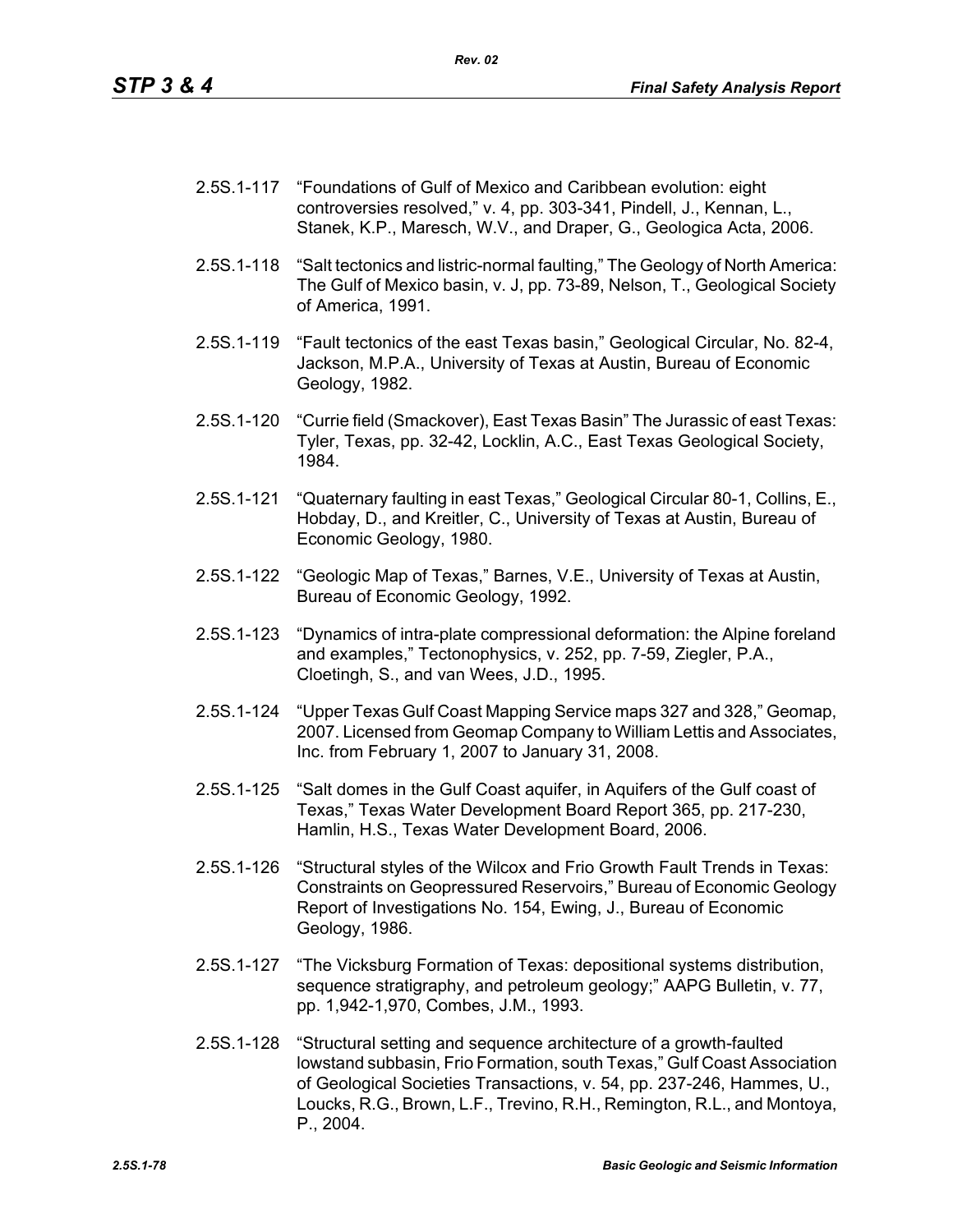- 2.5S.1-117 "Foundations of Gulf of Mexico and Caribbean evolution: eight controversies resolved," v. 4, pp. 303-341, Pindell, J., Kennan, L., Stanek, K.P., Maresch, W.V., and Draper, G., Geologica Acta, 2006.
- 2.5S.1-118 "Salt tectonics and listric-normal faulting," The Geology of North America: The Gulf of Mexico basin, v. J, pp. 73-89, Nelson, T., Geological Society of America, 1991.
- 2.5S.1-119 "Fault tectonics of the east Texas basin," Geological Circular, No. 82-4, Jackson, M.P.A., University of Texas at Austin, Bureau of Economic Geology, 1982.
- 2.5S.1-120 "Currie field (Smackover), East Texas Basin" The Jurassic of east Texas: Tyler, Texas, pp. 32-42, Locklin, A.C., East Texas Geological Society, 1984.
- 2.5S.1-121 "Quaternary faulting in east Texas," Geological Circular 80-1, Collins, E., Hobday, D., and Kreitler, C., University of Texas at Austin, Bureau of Economic Geology, 1980.
- 2.5S.1-122 "Geologic Map of Texas," Barnes, V.E., University of Texas at Austin, Bureau of Economic Geology, 1992.
- 2.5S.1-123 "Dynamics of intra-plate compressional deformation: the Alpine foreland and examples," Tectonophysics, v. 252, pp. 7-59, Ziegler, P.A., Cloetingh, S., and van Wees, J.D., 1995.
- 2.5S.1-124 "Upper Texas Gulf Coast Mapping Service maps 327 and 328," Geomap, 2007. Licensed from Geomap Company to William Lettis and Associates, Inc. from February 1, 2007 to January 31, 2008.
- 2.5S.1-125 "Salt domes in the Gulf Coast aquifer, in Aquifers of the Gulf coast of Texas," Texas Water Development Board Report 365, pp. 217-230, Hamlin, H.S., Texas Water Development Board, 2006.
- 2.5S.1-126 "Structural styles of the Wilcox and Frio Growth Fault Trends in Texas: Constraints on Geopressured Reservoirs," Bureau of Economic Geology Report of Investigations No. 154, Ewing, J., Bureau of Economic Geology, 1986.
- 2.5S.1-127 "The Vicksburg Formation of Texas: depositional systems distribution, sequence stratigraphy, and petroleum geology;" AAPG Bulletin, v. 77, pp. 1,942-1,970, Combes, J.M., 1993.
- 2.5S.1-128 "Structural setting and sequence architecture of a growth-faulted lowstand subbasin, Frio Formation, south Texas," Gulf Coast Association of Geological Societies Transactions, v. 54, pp. 237-246, Hammes, U., Loucks, R.G., Brown, L.F., Trevino, R.H., Remington, R.L., and Montoya, P., 2004.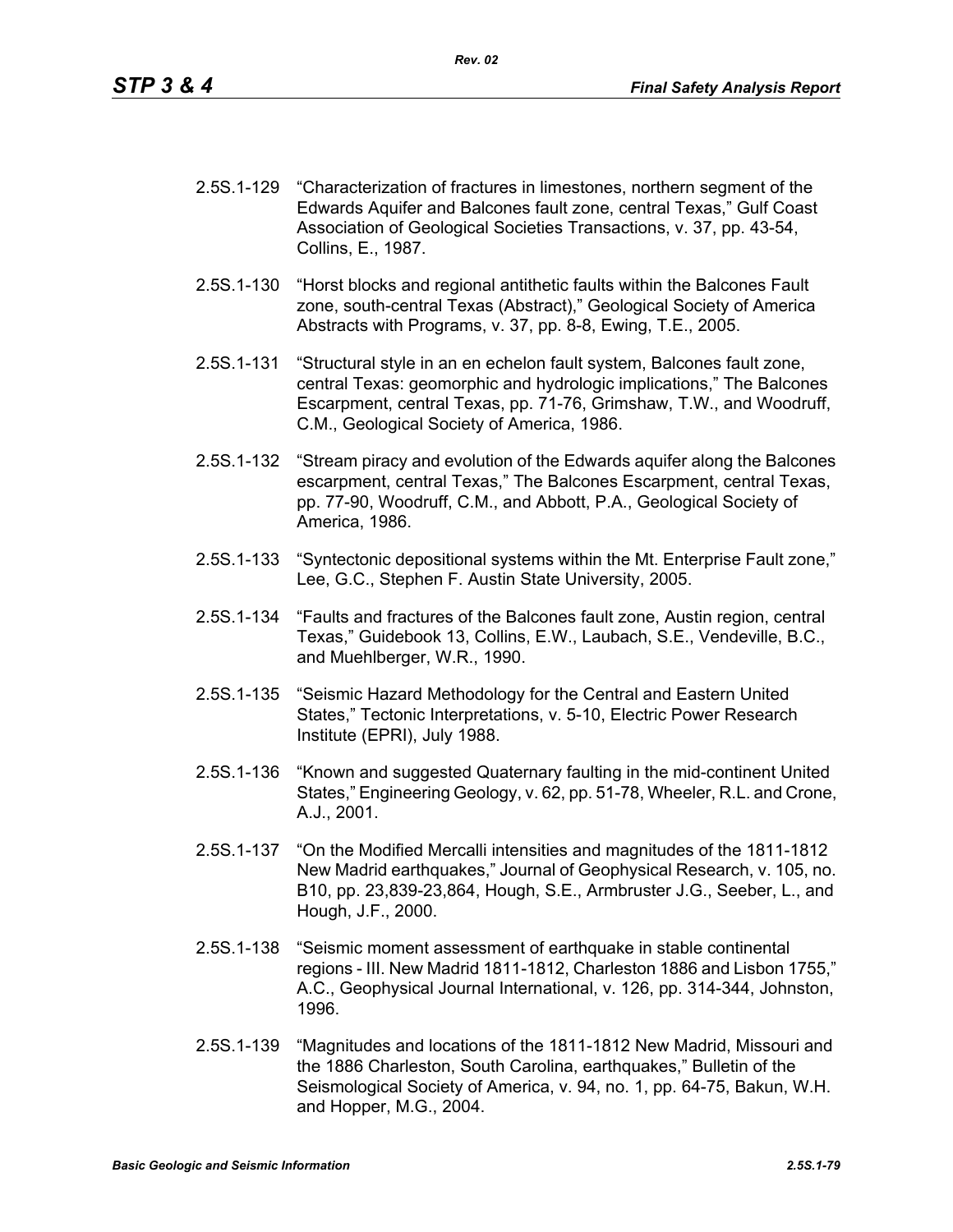- 2.5S.1-129 "Characterization of fractures in limestones, northern segment of the Edwards Aquifer and Balcones fault zone, central Texas," Gulf Coast Association of Geological Societies Transactions, v. 37, pp. 43-54, Collins, E., 1987.
- 2.5S.1-130 "Horst blocks and regional antithetic faults within the Balcones Fault zone, south-central Texas (Abstract)," Geological Society of America Abstracts with Programs, v. 37, pp. 8-8, Ewing, T.E., 2005.
- 2.5S.1-131 "Structural style in an en echelon fault system, Balcones fault zone, central Texas: geomorphic and hydrologic implications," The Balcones Escarpment, central Texas, pp. 71-76, Grimshaw, T.W., and Woodruff, C.M., Geological Society of America, 1986.
- 2.5S.1-132 "Stream piracy and evolution of the Edwards aquifer along the Balcones escarpment, central Texas," The Balcones Escarpment, central Texas, pp. 77-90, Woodruff, C.M., and Abbott, P.A., Geological Society of America, 1986.
- 2.5S.1-133 "Syntectonic depositional systems within the Mt. Enterprise Fault zone," Lee, G.C., Stephen F. Austin State University, 2005.
- 2.5S.1-134 "Faults and fractures of the Balcones fault zone, Austin region, central Texas," Guidebook 13, Collins, E.W., Laubach, S.E., Vendeville, B.C., and Muehlberger, W.R., 1990.
- 2.5S.1-135 "Seismic Hazard Methodology for the Central and Eastern United States," Tectonic Interpretations, v. 5-10, Electric Power Research Institute (EPRI), July 1988.
- 2.5S.1-136 "Known and suggested Quaternary faulting in the mid-continent United States," Engineering Geology, v. 62, pp. 51-78, Wheeler, R.L. and Crone, A.J., 2001.
- 2.5S.1-137 "On the Modified Mercalli intensities and magnitudes of the 1811-1812 New Madrid earthquakes," Journal of Geophysical Research, v. 105, no. B10, pp. 23,839-23,864, Hough, S.E., Armbruster J.G., Seeber, L., and Hough, J.F., 2000.
- 2.5S.1-138 "Seismic moment assessment of earthquake in stable continental regions - III. New Madrid 1811-1812, Charleston 1886 and Lisbon 1755," A.C., Geophysical Journal International, v. 126, pp. 314-344, Johnston, 1996.
- 2.5S.1-139 "Magnitudes and locations of the 1811-1812 New Madrid, Missouri and the 1886 Charleston, South Carolina, earthquakes," Bulletin of the Seismological Society of America, v. 94, no. 1, pp. 64-75, Bakun, W.H. and Hopper, M.G., 2004.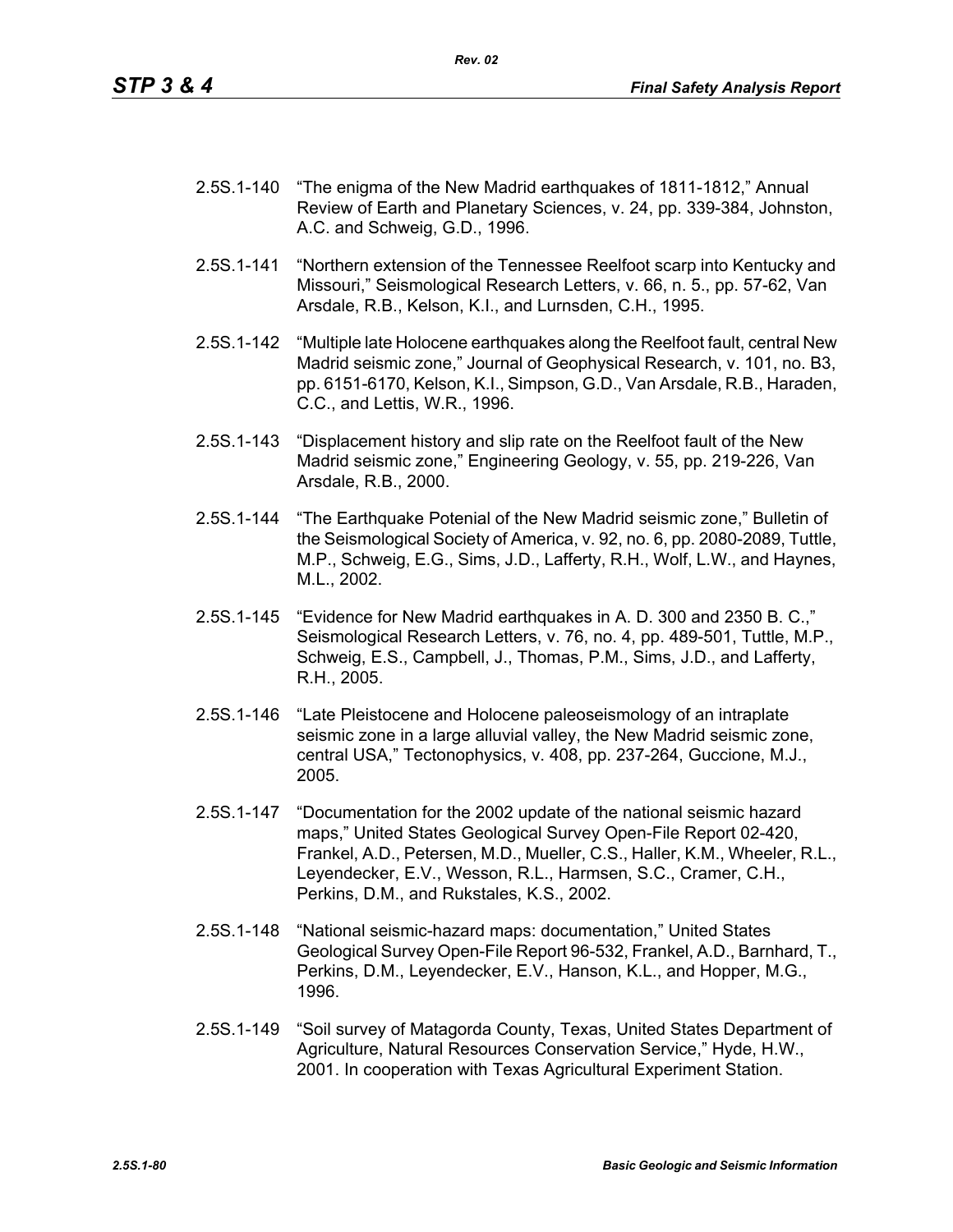- 2.5S.1-140 "The enigma of the New Madrid earthquakes of 1811-1812," Annual Review of Earth and Planetary Sciences, v. 24, pp. 339-384, Johnston, A.C. and Schweig, G.D., 1996.
- 2.5S.1-141 "Northern extension of the Tennessee Reelfoot scarp into Kentucky and Missouri," Seismological Research Letters, v. 66, n. 5., pp. 57-62, Van Arsdale, R.B., Kelson, K.I., and Lurnsden, C.H., 1995.
- 2.5S.1-142 "Multiple late Holocene earthquakes along the Reelfoot fault, central New Madrid seismic zone," Journal of Geophysical Research, v. 101, no. B3, pp. 6151-6170, Kelson, K.I., Simpson, G.D., Van Arsdale, R.B., Haraden, C.C., and Lettis, W.R., 1996.
- 2.5S.1-143 "Displacement history and slip rate on the Reelfoot fault of the New Madrid seismic zone," Engineering Geology, v. 55, pp. 219-226, Van Arsdale, R.B., 2000.
- 2.5S.1-144 "The Earthquake Potenial of the New Madrid seismic zone," Bulletin of the Seismological Society of America, v. 92, no. 6, pp. 2080-2089, Tuttle, M.P., Schweig, E.G., Sims, J.D., Lafferty, R.H., Wolf, L.W., and Haynes, M.L., 2002.
- 2.5S.1-145 "Evidence for New Madrid earthquakes in A. D. 300 and 2350 B. C.," Seismological Research Letters, v. 76, no. 4, pp. 489-501, Tuttle, M.P., Schweig, E.S., Campbell, J., Thomas, P.M., Sims, J.D., and Lafferty, R.H., 2005.
- 2.5S.1-146 "Late Pleistocene and Holocene paleoseismology of an intraplate seismic zone in a large alluvial valley, the New Madrid seismic zone, central USA," Tectonophysics, v. 408, pp. 237-264, Guccione, M.J., 2005.
- 2.5S.1-147 "Documentation for the 2002 update of the national seismic hazard maps," United States Geological Survey Open-File Report 02-420, Frankel, A.D., Petersen, M.D., Mueller, C.S., Haller, K.M., Wheeler, R.L., Leyendecker, E.V., Wesson, R.L., Harmsen, S.C., Cramer, C.H., Perkins, D.M., and Rukstales, K.S., 2002.
- 2.5S.1-148 "National seismic-hazard maps: documentation," United States Geological Survey Open-File Report 96-532, Frankel, A.D., Barnhard, T., Perkins, D.M., Leyendecker, E.V., Hanson, K.L., and Hopper, M.G., 1996.
- 2.5S.1-149 "Soil survey of Matagorda County, Texas, United States Department of Agriculture, Natural Resources Conservation Service," Hyde, H.W., 2001. In cooperation with Texas Agricultural Experiment Station.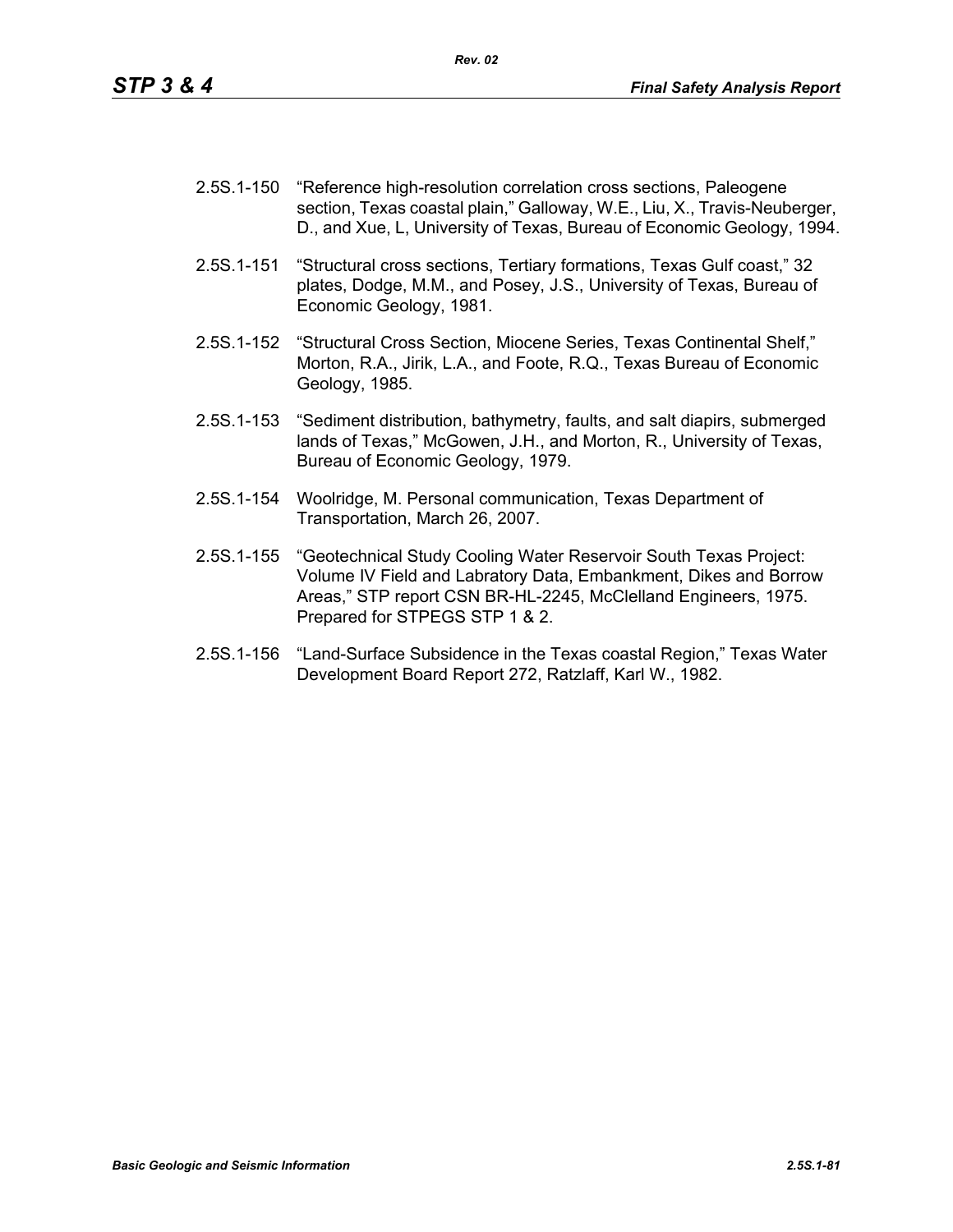- 2.5S.1-150 "Reference high-resolution correlation cross sections, Paleogene section, Texas coastal plain," Galloway, W.E., Liu, X., Travis-Neuberger, D., and Xue, L, University of Texas, Bureau of Economic Geology, 1994.
- 2.5S.1-151 "Structural cross sections, Tertiary formations, Texas Gulf coast," 32 plates, Dodge, M.M., and Posey, J.S., University of Texas, Bureau of Economic Geology, 1981.
- 2.5S.1-152 "Structural Cross Section, Miocene Series, Texas Continental Shelf," Morton, R.A., Jirik, L.A., and Foote, R.Q., Texas Bureau of Economic Geology, 1985.
- 2.5S.1-153 "Sediment distribution, bathymetry, faults, and salt diapirs, submerged lands of Texas," McGowen, J.H., and Morton, R., University of Texas, Bureau of Economic Geology, 1979.
- 2.5S.1-154 Woolridge, M. Personal communication, Texas Department of Transportation, March 26, 2007.
- 2.5S.1-155 "Geotechnical Study Cooling Water Reservoir South Texas Project: Volume IV Field and Labratory Data, Embankment, Dikes and Borrow Areas," STP report CSN BR-HL-2245, McClelland Engineers, 1975. Prepared for STPEGS STP 1 & 2.
- 2.5S.1-156 "Land-Surface Subsidence in the Texas coastal Region," Texas Water Development Board Report 272, Ratzlaff, Karl W., 1982.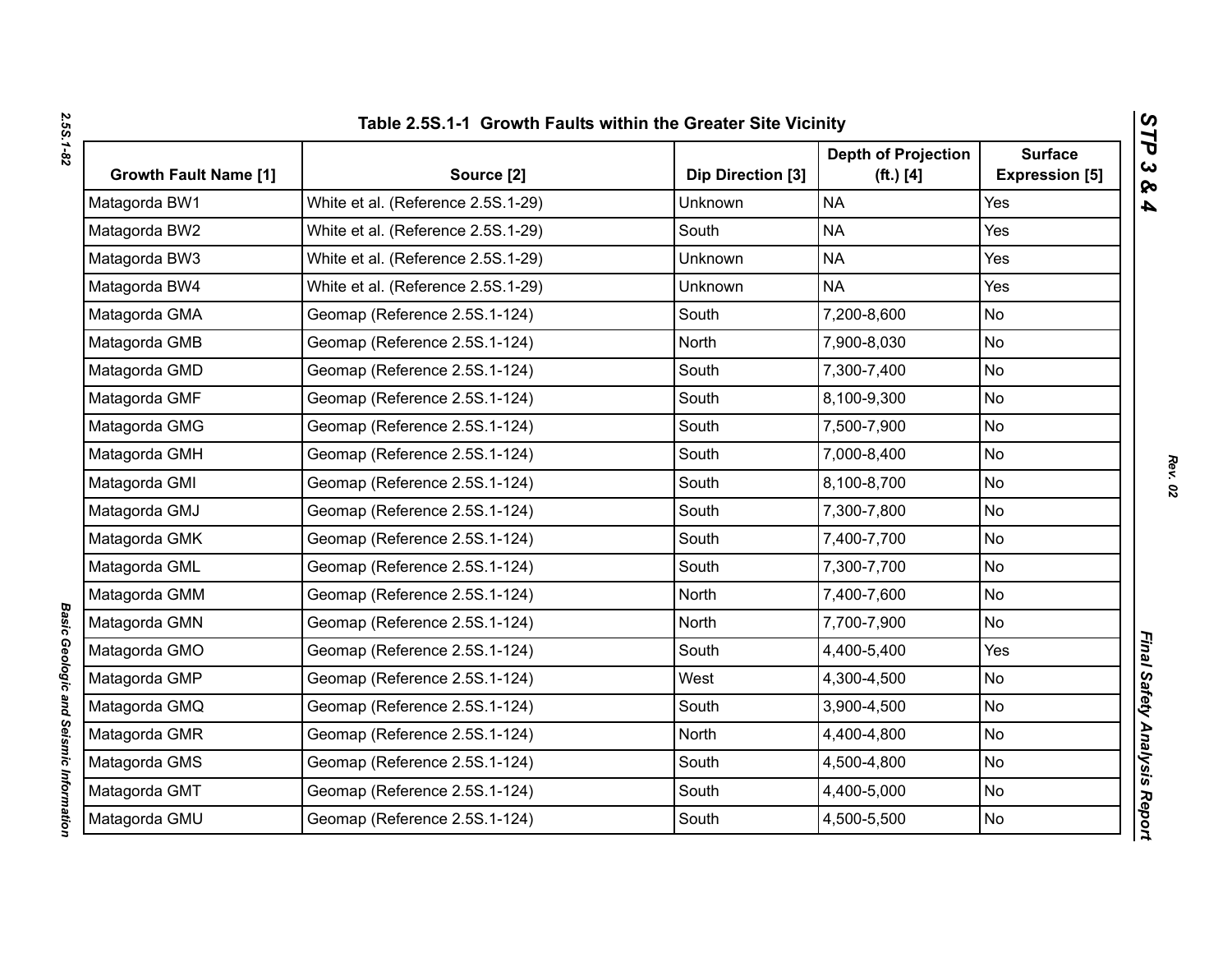| N       |  |
|---------|--|
|         |  |
| и<br>Ū  |  |
|         |  |
|         |  |
| ь<br>t, |  |
| ۱       |  |
|         |  |

| <b>Growth Fault Name [1]</b> | Source [2]                         | Dip Direction [3] | <b>Depth of Projection</b><br>( <b>ft.</b> ) [4] | <b>Surface</b><br><b>Expression [5]</b> |
|------------------------------|------------------------------------|-------------------|--------------------------------------------------|-----------------------------------------|
| Matagorda BW1                | White et al. (Reference 2.5S.1-29) | <b>Unknown</b>    | <b>NA</b>                                        | Yes                                     |
| Matagorda BW2                | White et al. (Reference 2.5S.1-29) | South             | <b>NA</b>                                        | Yes                                     |
| Matagorda BW3                | White et al. (Reference 2.5S.1-29) | Unknown           | <b>NA</b>                                        | Yes                                     |
| Matagorda BW4                | White et al. (Reference 2.5S.1-29) | Unknown           | <b>NA</b>                                        | Yes                                     |
| Matagorda GMA                | Geomap (Reference 2.5S.1-124)      | South             | 7,200-8,600                                      | <b>No</b>                               |
| Matagorda GMB                | Geomap (Reference 2.5S.1-124)      | North             | 7,900-8,030                                      | No                                      |
| Matagorda GMD                | Geomap (Reference 2.5S.1-124)      | South             | 7,300-7,400                                      | <b>No</b>                               |
| Matagorda GMF                | Geomap (Reference 2.5S.1-124)      | South             | 8,100-9,300                                      | <b>No</b>                               |
| Matagorda GMG                | Geomap (Reference 2.5S.1-124)      | South             | 7,500-7,900                                      | <b>No</b>                               |
| Matagorda GMH                | Geomap (Reference 2.5S.1-124)      | South             | 7,000-8,400                                      | <b>No</b>                               |
| Matagorda GMI                | Geomap (Reference 2.5S.1-124)      | South             | 8,100-8,700                                      | <b>No</b>                               |
| Matagorda GMJ                | Geomap (Reference 2.5S.1-124)      | South             | 7,300-7,800                                      | <b>No</b>                               |
| Matagorda GMK                | Geomap (Reference 2.5S.1-124)      | South             | 7,400-7,700                                      | <b>No</b>                               |
| Matagorda GML                | Geomap (Reference 2.5S.1-124)      | South             | 7,300-7,700                                      | <b>No</b>                               |
| Matagorda GMM                | Geomap (Reference 2.5S.1-124)      | North             | 7,400-7,600                                      | No                                      |
| Matagorda GMN                | Geomap (Reference 2.5S.1-124)      | North             | 7,700-7,900                                      | <b>No</b>                               |
| Matagorda GMO                | Geomap (Reference 2.5S.1-124)      | South             | 4,400-5,400                                      | Yes                                     |
| Matagorda GMP                | Geomap (Reference 2.5S.1-124)      | West              | 4,300-4,500                                      | <b>No</b>                               |
| Matagorda GMQ                | Geomap (Reference 2.5S.1-124)      | South             | 3,900-4,500                                      | No                                      |
| Matagorda GMR                | Geomap (Reference 2.5S.1-124)      | North             | 4,400-4,800                                      | <b>No</b>                               |
| Matagorda GMS                | Geomap (Reference 2.5S.1-124)      | South             | 4,500-4,800                                      | No                                      |
| Matagorda GMT                | Geomap (Reference 2.5S.1-124)      | South             | 4,400-5,000                                      | <b>No</b>                               |
| Matagorda GMU                | Geomap (Reference 2.5S.1-124)      | South             | 4,500-5,500                                      | <b>No</b>                               |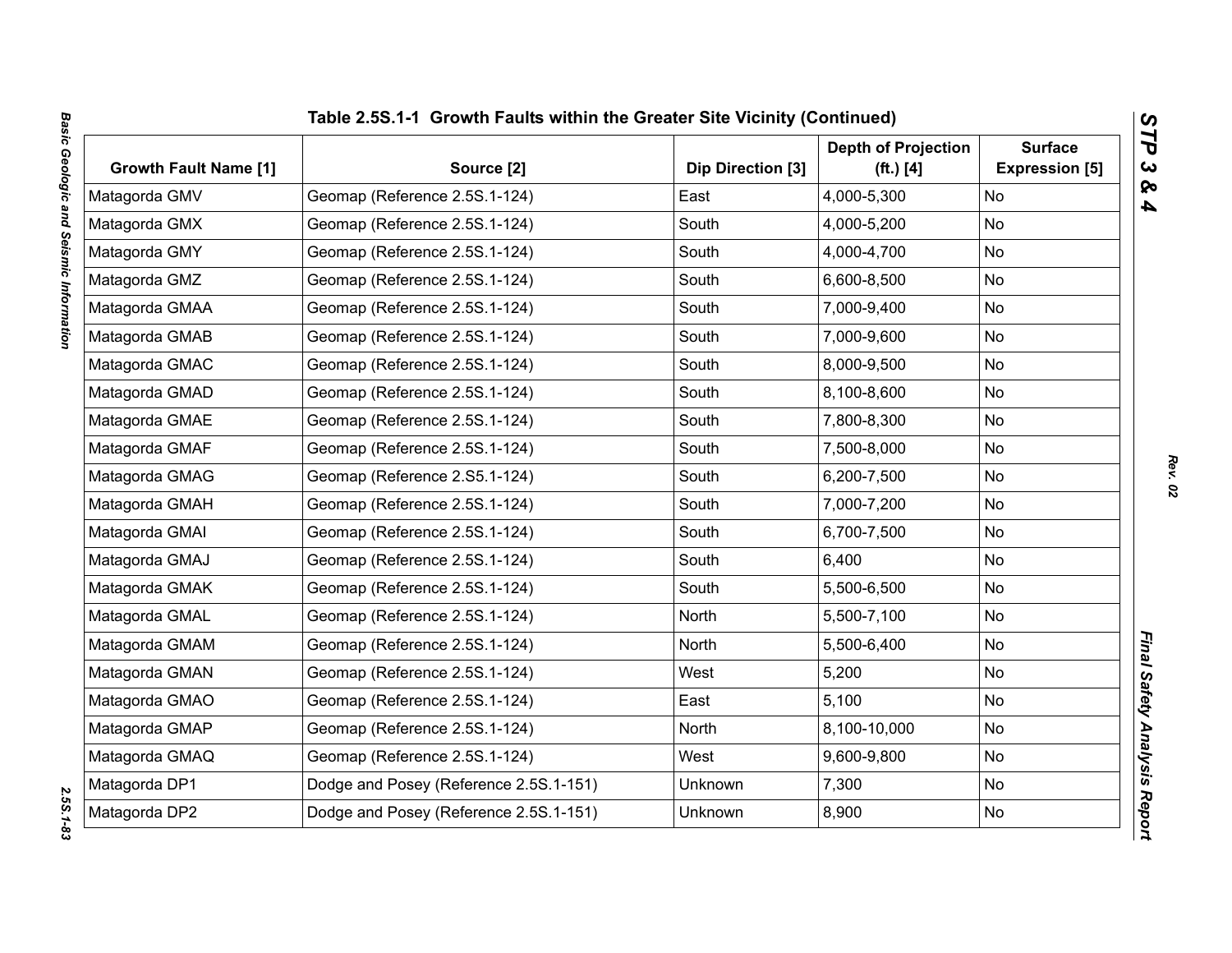| <b>Growth Fault Name [1]</b> | Source [2]                             | Dip Direction [3] | <b>Depth of Projection</b><br>$(ft.)$ [4] | <b>Surface</b><br><b>Expression [5]</b> |
|------------------------------|----------------------------------------|-------------------|-------------------------------------------|-----------------------------------------|
| Matagorda GMV                | Geomap (Reference 2.5S.1-124)          | East              | 4,000-5,300                               | <b>No</b>                               |
| Matagorda GMX                | Geomap (Reference 2.5S.1-124)          | South             | 4,000-5,200                               | <b>No</b>                               |
| Matagorda GMY                | Geomap (Reference 2.5S.1-124)          | South             | 4,000-4,700                               | No                                      |
| Matagorda GMZ                | Geomap (Reference 2.5S.1-124)          | South             | 6,600-8,500                               | No                                      |
| Matagorda GMAA               | Geomap (Reference 2.5S.1-124)          | South             | 7,000-9,400                               | <b>No</b>                               |
| Matagorda GMAB               | Geomap (Reference 2.5S.1-124)          | South             | 7,000-9,600                               | No                                      |
| Matagorda GMAC               | Geomap (Reference 2.5S.1-124)          | South             | 8,000-9,500                               | <b>No</b>                               |
| Matagorda GMAD               | Geomap (Reference 2.5S.1-124)          | South             | 8,100-8,600                               | No                                      |
| Matagorda GMAE               | Geomap (Reference 2.5S.1-124)          | South             | 7,800-8,300                               | <b>No</b>                               |
| Matagorda GMAF               | Geomap (Reference 2.5S.1-124)          | South             | 7,500-8,000                               | No                                      |
| Matagorda GMAG               | Geomap (Reference 2.S5.1-124)          | South             | 6,200-7,500                               | No                                      |
| Matagorda GMAH               | Geomap (Reference 2.5S.1-124)          | South             | 7,000-7,200                               | No                                      |
| Matagorda GMAI               | Geomap (Reference 2.5S.1-124)          | South             | 6,700-7,500                               | No                                      |
| Matagorda GMAJ               | Geomap (Reference 2.5S.1-124)          | South             | 6,400                                     | No                                      |
| Matagorda GMAK               | Geomap (Reference 2.5S.1-124)          | South             | 5,500-6,500                               | No                                      |
| Matagorda GMAL               | Geomap (Reference 2.5S.1-124)          | North             | 5,500-7,100                               | No                                      |
| Matagorda GMAM               | Geomap (Reference 2.5S.1-124)          | North             | 5,500-6,400                               | No                                      |
| Matagorda GMAN               | Geomap (Reference 2.5S.1-124)          | West              | 5,200                                     | <b>No</b>                               |
| Matagorda GMAO               | Geomap (Reference 2.5S.1-124)          | East              | 5,100                                     | No                                      |
| Matagorda GMAP               | Geomap (Reference 2.5S.1-124)          | North             | 8,100-10,000                              | No                                      |
| Matagorda GMAQ               | Geomap (Reference 2.5S.1-124)          | West              | 9,600-9,800                               | No                                      |
| Matagorda DP1                | Dodge and Posey (Reference 2.5S.1-151) | Unknown           | 7,300                                     | No                                      |
| Matagorda DP2                | Dodge and Posey (Reference 2.5S.1-151) | Unknown           | 8,900                                     | No                                      |

*Rev. 02*

*STP 3 & 4*

2.55.1-83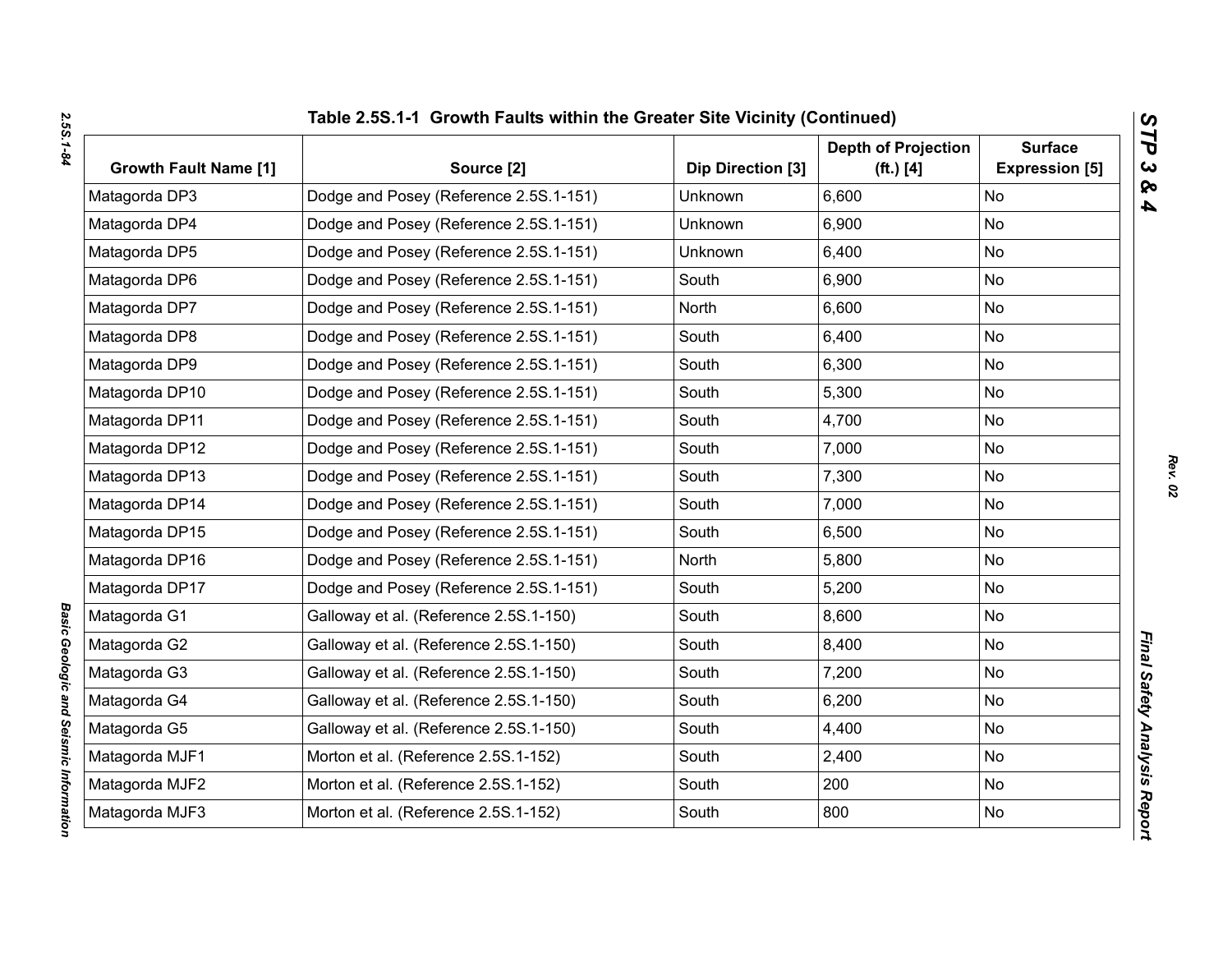| <b>Growth Fault Name [1]</b> | Source [2]                             | Dip Direction [3] | <b>Depth of Projection</b><br>( <b>ft.</b> ) [4] | <b>Surface</b><br><b>Expression [5]</b> |
|------------------------------|----------------------------------------|-------------------|--------------------------------------------------|-----------------------------------------|
| Matagorda DP3                | Dodge and Posey (Reference 2.5S.1-151) | <b>Unknown</b>    | 6,600                                            | <b>No</b>                               |
| Matagorda DP4                | Dodge and Posey (Reference 2.5S.1-151) | Unknown           | 6,900                                            | <b>No</b>                               |
| Matagorda DP5                | Dodge and Posey (Reference 2.5S.1-151) | Unknown           | 6,400                                            | No                                      |
| Matagorda DP6                | Dodge and Posey (Reference 2.5S.1-151) | South             | 6,900                                            | No                                      |
| Matagorda DP7                | Dodge and Posey (Reference 2.5S.1-151) | North             | 6,600                                            | <b>No</b>                               |
| Matagorda DP8                | Dodge and Posey (Reference 2.5S.1-151) | South             | 6,400                                            | <b>No</b>                               |
| Matagorda DP9                | Dodge and Posey (Reference 2.5S.1-151) | South             | 6,300                                            | <b>No</b>                               |
| Matagorda DP10               | Dodge and Posey (Reference 2.5S.1-151) | South             | 5,300                                            | No                                      |
| Matagorda DP11               | Dodge and Posey (Reference 2.5S.1-151) | South             | 4,700                                            | <b>No</b>                               |
| Matagorda DP12               | Dodge and Posey (Reference 2.5S.1-151) | South             | 7,000                                            | <b>No</b>                               |
| Matagorda DP13               | Dodge and Posey (Reference 2.5S.1-151) | South             | 7,300                                            | No                                      |
| Matagorda DP14               | Dodge and Posey (Reference 2.5S.1-151) | South             | 7,000                                            | No                                      |
| Matagorda DP15               | Dodge and Posey (Reference 2.5S.1-151) | South             | 6,500                                            | No                                      |
| Matagorda DP16               | Dodge and Posey (Reference 2.5S.1-151) | North             | 5,800                                            | No                                      |
| Matagorda DP17               | Dodge and Posey (Reference 2.5S.1-151) | South             | 5,200                                            | No                                      |
| Matagorda G1                 | Galloway et al. (Reference 2.5S.1-150) | South             | 8,600                                            | No                                      |
| Matagorda G2                 | Galloway et al. (Reference 2.5S.1-150) | South             | 8,400                                            | No                                      |
| Matagorda G3                 | Galloway et al. (Reference 2.5S.1-150) | South             | 7,200                                            | <b>No</b>                               |
| Matagorda G4                 | Galloway et al. (Reference 2.5S.1-150) | South             | 6,200                                            | <b>No</b>                               |
| Matagorda G5                 | Galloway et al. (Reference 2.5S.1-150) | South             | 4,400                                            | No                                      |
| Matagorda MJF1               | Morton et al. (Reference 2.5S.1-152)   | South             | 2,400                                            | <b>No</b>                               |
| Matagorda MJF2               | Morton et al. (Reference 2.5S.1-152)   | South             | 200                                              | <b>No</b>                               |
| Matagorda MJF3               | Morton et al. (Reference 2.5S.1-152)   | South             | 800                                              | No                                      |

*Basic Geologic and Seismic Information* 

Basic Geologic and Seismic Information

*STP 3 & 4*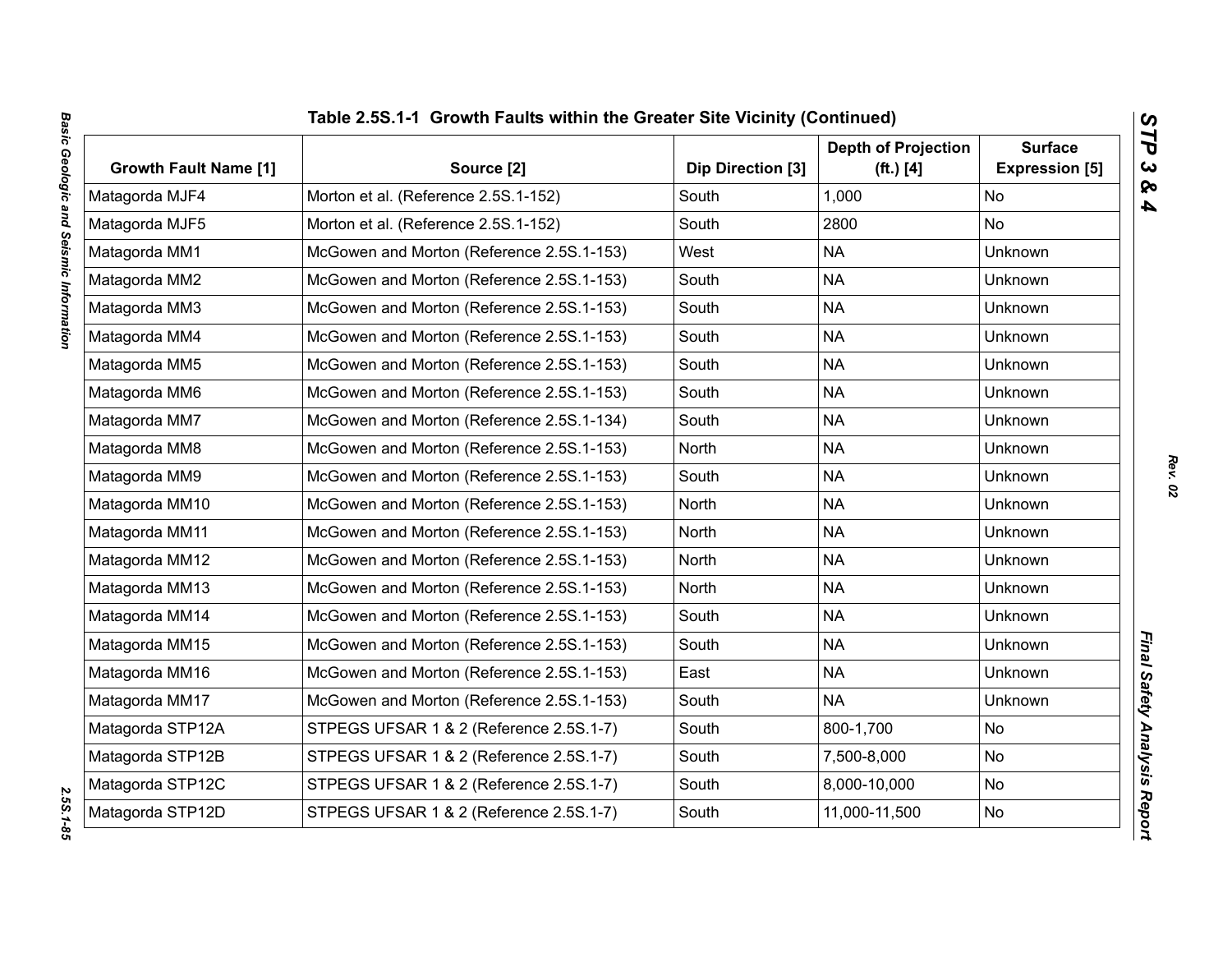| <b>Growth Fault Name [1]</b> | Source [2]                                | Dip Direction [3] | <b>Depth of Projection</b><br>( <b>ft.</b> ) [4] | <b>Surface</b><br><b>Expression [5]</b> |
|------------------------------|-------------------------------------------|-------------------|--------------------------------------------------|-----------------------------------------|
| Matagorda MJF4               | Morton et al. (Reference 2.5S.1-152)      | South             | 1,000                                            | <b>No</b>                               |
| Matagorda MJF5               | Morton et al. (Reference 2.5S.1-152)      | South             | 2800                                             | <b>No</b>                               |
| Matagorda MM1                | McGowen and Morton (Reference 2.5S.1-153) | West              | <b>NA</b>                                        | Unknown                                 |
| Matagorda MM2                | McGowen and Morton (Reference 2.5S.1-153) | South             | <b>NA</b>                                        | Unknown                                 |
| Matagorda MM3                | McGowen and Morton (Reference 2.5S.1-153) | South             | <b>NA</b>                                        | <b>Unknown</b>                          |
| Matagorda MM4                | McGowen and Morton (Reference 2.5S.1-153) | South             | <b>NA</b>                                        | Unknown                                 |
| Matagorda MM5                | McGowen and Morton (Reference 2.5S.1-153) | South             | <b>NA</b>                                        | Unknown                                 |
| Matagorda MM6                | McGowen and Morton (Reference 2.5S.1-153) | South             | <b>NA</b>                                        | Unknown                                 |
| Matagorda MM7                | McGowen and Morton (Reference 2.5S.1-134) | South             | <b>NA</b>                                        | Unknown                                 |
| Matagorda MM8                | McGowen and Morton (Reference 2.5S.1-153) | North             | <b>NA</b>                                        | Unknown                                 |
| Matagorda MM9                | McGowen and Morton (Reference 2.5S.1-153) | South             | <b>NA</b>                                        | <b>Unknown</b>                          |
| Matagorda MM10               | McGowen and Morton (Reference 2.5S.1-153) | North             | <b>NA</b>                                        | Unknown                                 |
| Matagorda MM11               | McGowen and Morton (Reference 2.5S.1-153) | North             | <b>NA</b>                                        | <b>Unknown</b>                          |
| Matagorda MM12               | McGowen and Morton (Reference 2.5S.1-153) | North             | <b>NA</b>                                        | Unknown                                 |
| Matagorda MM13               | McGowen and Morton (Reference 2.5S.1-153) | North             | <b>NA</b>                                        | <b>Unknown</b>                          |
| Matagorda MM14               | McGowen and Morton (Reference 2.5S.1-153) | South             | <b>NA</b>                                        | Unknown                                 |
| Matagorda MM15               | McGowen and Morton (Reference 2.5S.1-153) | South             | <b>NA</b>                                        | <b>Unknown</b>                          |
| Matagorda MM16               | McGowen and Morton (Reference 2.5S.1-153) | East              | <b>NA</b>                                        | <b>Unknown</b>                          |
| Matagorda MM17               | McGowen and Morton (Reference 2.5S.1-153) | South             | <b>NA</b>                                        | <b>Unknown</b>                          |
| Matagorda STP12A             | STPEGS UFSAR 1 & 2 (Reference 2.5S.1-7)   | South             | 800-1,700                                        | <b>No</b>                               |
| Matagorda STP12B             | STPEGS UFSAR 1 & 2 (Reference 2.5S.1-7)   | South             | 7,500-8,000                                      | No                                      |
| Matagorda STP12C             | STPEGS UFSAR 1 & 2 (Reference 2.5S.1-7)   | South             | 8,000-10,000                                     | <b>No</b>                               |
| Matagorda STP12D             | STPEGS UFSAR 1 & 2 (Reference 2.5S.1-7)   | South             | 11,000-11,500                                    | No                                      |

2.55.1-85

*STP 3 & 4*